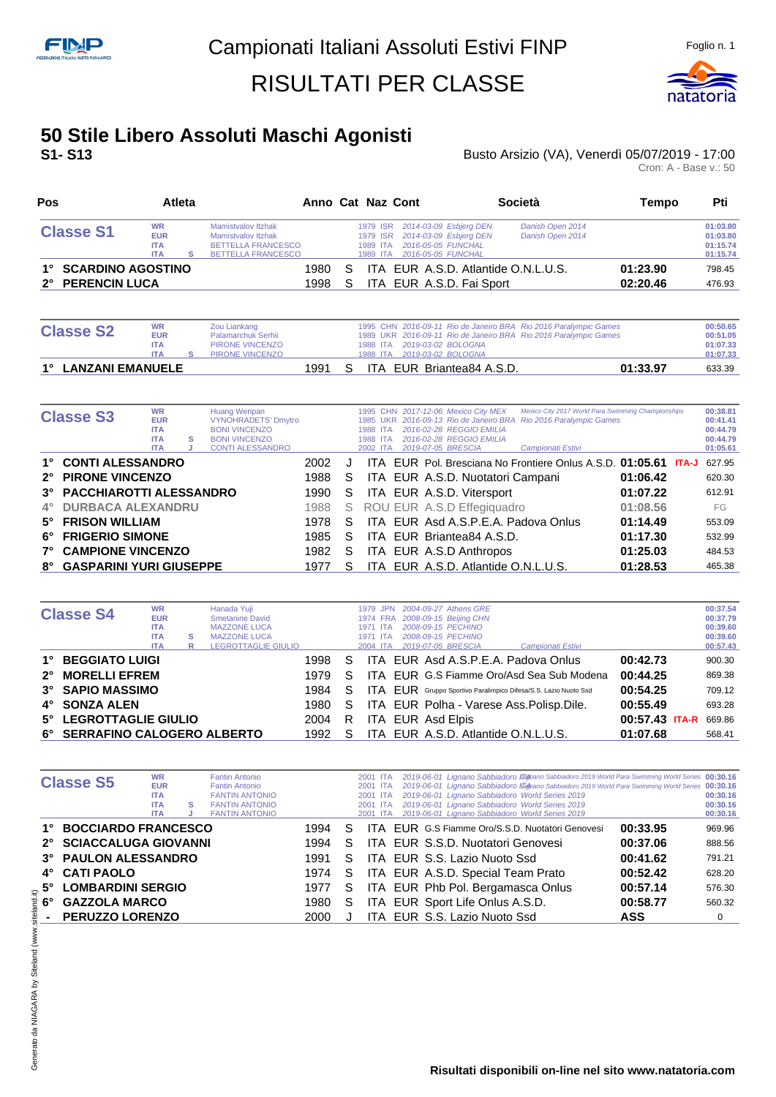

#### **50 Stile Libero Assoluti Maschi Agonisti S1- S13** Busto Arsizio (VA), Venerdì 05/07/2019 - 17:00

| Pos                                      |                                                     | Atleta |                                                                                                                  |                    |                                              | Anno Cat Naz Cont                                                                            | <b>Società</b>                       | Tempo    | Pti                                          |
|------------------------------------------|-----------------------------------------------------|--------|------------------------------------------------------------------------------------------------------------------|--------------------|----------------------------------------------|----------------------------------------------------------------------------------------------|--------------------------------------|----------|----------------------------------------------|
| <b>Classe S1</b>                         | <b>WR</b><br><b>EUR</b><br><b>ITA</b><br><b>ITA</b> |        | <b>Mamistvalov Itzhak</b><br><b>Mamistvalov Itzhak</b><br><b>BETTELLA FRANCESCO</b><br><b>BETTELLA FRANCESCO</b> |                    | 1979 ISR<br>1979 ISR<br>1989 ITA<br>1989 ITA | 2014-03-09 Esbjerg DEN<br>2014-03-09 Esbjerg DEN<br>2016-05-05 FUNCHAL<br>2016-05-05 FUNCHAL | Danish Open 2014<br>Danish Open 2014 | 01:23.90 | 01:03.80<br>01:03.80<br>01:15.74<br>01:15.74 |
| 1° SCARDINO AGOSTINO<br>2° PERENCIN LUCA |                                                     |        |                                                                                                                  | 1980<br>S.<br>1998 |                                              | ITA EUR A.S.D. Fai Sport                                                                     | ITA EUR A.S.D. Atlantide O.N.L.U.S.  | 02:20.46 | 798.45<br>476.93                             |

| <b>Classe S2</b>    | <b>WR</b><br><b>EUR</b><br><b>ITA</b><br><b>ITA</b> | Zou Liankang<br>Palamarchuk Serhii<br>PIRONE VINCENZO<br>PIRONE VINCENZO |      |    |  |  | 1988 ITA 2019-03-02 BOLOGNA<br>1988 ITA 2019-03-02 BOLOGNA | 1995 CHN 2016-09-11 Rio de Janeiro BRA Rio 2016 Paralympic Games<br>1989 UKR 2016-09-11 Rio de Janeiro BRA Rio 2016 Paralympic Games |          | 00:50.65<br>00:51.05<br>01:07.33<br>01:07.33 |
|---------------------|-----------------------------------------------------|--------------------------------------------------------------------------|------|----|--|--|------------------------------------------------------------|--------------------------------------------------------------------------------------------------------------------------------------|----------|----------------------------------------------|
| 1° LANZANI EMANUELE |                                                     |                                                                          | 1991 | S. |  |  | ITA EUR Briantea84 A.S.D.                                  |                                                                                                                                      | 01:33.97 | 633.39                                       |

|             | <b>Classe S3</b>               | <b>WR</b><br><b>EUR</b><br><b>ITA</b><br><b>ITA</b><br><b>ITA</b> | s | Huang Wenpan<br><b>VYNOHRADETS' Dmytro</b><br><b>BONI VINCENZO</b><br><b>BONI VINCENZO</b><br><b>CONTI ALESSANDRO</b> |      |    | 1988 ITA<br>1988 ITA<br>2002 ITA | 1995 CHN 2017-12-06 Mexico City MEX<br>2016-02-28 REGGIO EMILIA<br>2016-02-28 REGGIO EMILIA<br>2019-07-05 BRESCIA | Mexico City 2017 World Para Swimming Championships<br>1985 UKR 2016-09-13 Rio de Janeiro BRA Rio 2016 Paralympic Games<br>Campionati Estivi |          | 00:38.81<br>00:41.41<br>00:44.79<br>00:44.79<br>01:05.61 |
|-------------|--------------------------------|-------------------------------------------------------------------|---|-----------------------------------------------------------------------------------------------------------------------|------|----|----------------------------------|-------------------------------------------------------------------------------------------------------------------|---------------------------------------------------------------------------------------------------------------------------------------------|----------|----------------------------------------------------------|
|             | 1° CONTI ALESSANDRO            |                                                                   |   |                                                                                                                       | 2002 |    |                                  |                                                                                                                   | ITA EUR Pol. Bresciana No Frontiere Onlus A.S.D. 01:05.61 ITA-J                                                                             |          | 627.95                                                   |
|             | 2° PIRONE VINCENZO             |                                                                   |   |                                                                                                                       | 1988 | S. |                                  | ITA EUR A.S.D. Nuotatori Campani                                                                                  |                                                                                                                                             | 01:06.42 | 620.30                                                   |
|             | 3° PACCHIAROTTI ALESSANDRO     |                                                                   |   |                                                                                                                       | 1990 | S. |                                  | ITA EUR A.S.D. Vitersport                                                                                         |                                                                                                                                             | 01:07.22 | 612.91                                                   |
| $4^{\circ}$ | <b>DURBACA ALEXANDRU</b>       |                                                                   |   |                                                                                                                       | 1988 | S  |                                  | ROU EUR A.S.D Effegiquadro                                                                                        |                                                                                                                                             | 01:08.56 | FG                                                       |
|             | 5° FRISON WILLIAM              |                                                                   |   |                                                                                                                       | 1978 | S. |                                  | ITA EUR Asd A.S.P.E.A. Padova Onlus                                                                               |                                                                                                                                             | 01:14.49 | 553.09                                                   |
| 6°          | <b>FRIGERIO SIMONE</b>         |                                                                   |   |                                                                                                                       | 1985 | S  |                                  | ITA EUR Briantea84 A.S.D.                                                                                         |                                                                                                                                             | 01:17.30 | 532.99                                                   |
| $7^{\circ}$ | <b>CAMPIONE VINCENZO</b>       |                                                                   |   |                                                                                                                       | 1982 | S. |                                  | ITA EUR A.S.D Anthropos                                                                                           |                                                                                                                                             | 01:25.03 | 484.53                                                   |
| 8°          | <b>GASPARINI YURI GIUSEPPE</b> |                                                                   |   |                                                                                                                       | 1977 | S  |                                  | ITA EUR A.S.D. Atlantide O.N.L.U.S.                                                                               |                                                                                                                                             | 01:28.53 | 465.38                                                   |

|             | <b>Classe S4</b>              | <b>WR</b>  |   | Hanada Yuii            |      |    | 1979 JPN | 2004-09-27 Athens GRE               |                                                                        |                | 00:37.54 |
|-------------|-------------------------------|------------|---|------------------------|------|----|----------|-------------------------------------|------------------------------------------------------------------------|----------------|----------|
|             |                               | <b>EUR</b> |   | <b>Smetanine David</b> |      |    | 1974 FRA | 2008-09-15 Beijing CHN              |                                                                        |                | 00:37.79 |
|             |                               | <b>ITA</b> |   | <b>MAZZONE LUCA</b>    |      |    | 1971 ITA | 2008-09-15 PECHINO                  |                                                                        |                | 00:39.60 |
|             |                               | <b>ITA</b> | s | <b>MAZZONE LUCA</b>    |      |    | 1971 ITA | 2008-09-15 PECHINO                  |                                                                        |                | 00:39.60 |
|             |                               | <b>ITA</b> | R | LEGROTTAGLIE GIULIO    |      |    | 2004 ITA | 2019-07-05 BRESCIA                  | Campionati Estivi                                                      |                | 00:57.43 |
|             | 1° BEGGIATO LUIGI             |            |   |                        | 1998 | S. |          |                                     | ITA EUR Asd A.S.P.E.A. Padova Onlus                                    | 00:42.73       | 900.30   |
| $2^{\circ}$ | <b>MORELLI EFREM</b>          |            |   |                        | 1979 | S. |          |                                     | ITA EUR G.S Fiamme Oro/Asd Sea Sub Modena                              | 00:44.25       | 869.38   |
|             | 3° SAPIO MASSIMO              |            |   |                        | 1984 | S. |          |                                     | <b>ITA EUR</b> Gruppo Sportivo Paralimpico Difesa/S.S. Lazio Nuoto Ssd | 00:54.25       | 709.12   |
|             | 4° SONZA ALEN                 |            |   |                        | 1980 | S. |          |                                     | ITA EUR Polha - Varese Ass. Polisp. Dile.                              | 00:55.49       | 693.28   |
|             | 5° LEGROTTAGLIE GIULIO        |            |   |                        | 2004 | R  |          | ITA EUR Asd Elpis                   |                                                                        | 00:57.43 ITA-R | 669.86   |
|             | 6° SERRAFINO CALOGERO ALBERTO |            |   |                        | 1992 | S. |          | ITA EUR A.S.D. Atlantide O.N.L.U.S. |                                                                        | 01:07.68       | 568.41   |

|    | <b>Classe S5</b>           | <b>WR</b><br><b>EUR</b><br><b>ITA</b><br><b>ITA</b><br><b>ITA</b> | s | <b>Fantin Antonio</b><br><b>Fantin Antonio</b><br><b>FANTIN ANTONIO</b><br><b>FANTIN ANTONIO</b><br><b>FANTIN ANTONIO</b> |      |    | 2001 ITA<br>2001 ITA<br>2001 ITA<br>2001 ITA<br>2001 ITA | 2019-06-01 Lignano Sabbiadoro III mano Sabbiadoro 2019 World Para Swimming World Series 00:30.16<br>2019-06-01 Lignano Sabbiadoro III mano Sabbiadoro 2019 World Para Swimming World Series 00:30.16<br>2019-06-01 Lignano Sabbiadoro World Series 2019<br>2019-06-01 Lignano Sabbiadoro World Series 2019<br>2019-06-01 Lignano Sabbiadoro World Series 2019 |            | 00:30.16<br>00:30.16<br>00:30.16 |
|----|----------------------------|-------------------------------------------------------------------|---|---------------------------------------------------------------------------------------------------------------------------|------|----|----------------------------------------------------------|---------------------------------------------------------------------------------------------------------------------------------------------------------------------------------------------------------------------------------------------------------------------------------------------------------------------------------------------------------------|------------|----------------------------------|
|    | <b>BOCCIARDO FRANCESCO</b> |                                                                   |   |                                                                                                                           | 1994 | S  |                                                          | ITA EUR G.S Fiamme Oro/S.S.D. Nuotatori Genovesi                                                                                                                                                                                                                                                                                                              | 00:33.95   | 969.96                           |
|    | 2° SCIACCALUGA GIOVANNI    |                                                                   |   |                                                                                                                           | 1994 | S. |                                                          | ITA EUR S.S.D. Nuotatori Genovesi                                                                                                                                                                                                                                                                                                                             | 00:37.06   | 888.56                           |
|    | 3° PAULON ALESSANDRO       |                                                                   |   |                                                                                                                           | 1991 | S. |                                                          | ITA EUR S.S. Lazio Nuoto Ssd                                                                                                                                                                                                                                                                                                                                  | 00:41.62   | 791.21                           |
|    | 4° CATI PAOLO              |                                                                   |   |                                                                                                                           | 1974 | S. |                                                          | ITA EUR A.S.D. Special Team Prato                                                                                                                                                                                                                                                                                                                             | 00:52.42   | 628.20                           |
|    | 5° LOMBARDINI SERGIO       |                                                                   |   |                                                                                                                           | 1977 | S. |                                                          | ITA EUR Phb Pol. Bergamasca Onlus                                                                                                                                                                                                                                                                                                                             | 00:57.14   | 576.30                           |
| 6° | <b>GAZZOLA MARCO</b>       |                                                                   |   |                                                                                                                           | 1980 | S  |                                                          | ITA EUR Sport Life Onlus A.S.D.                                                                                                                                                                                                                                                                                                                               | 00:58.77   | 560.32                           |
|    | - PERUZZO LORENZO          |                                                                   |   |                                                                                                                           | 2000 |    |                                                          | ITA EUR S.S. Lazio Nuoto Ssd                                                                                                                                                                                                                                                                                                                                  | <b>ASS</b> | 0                                |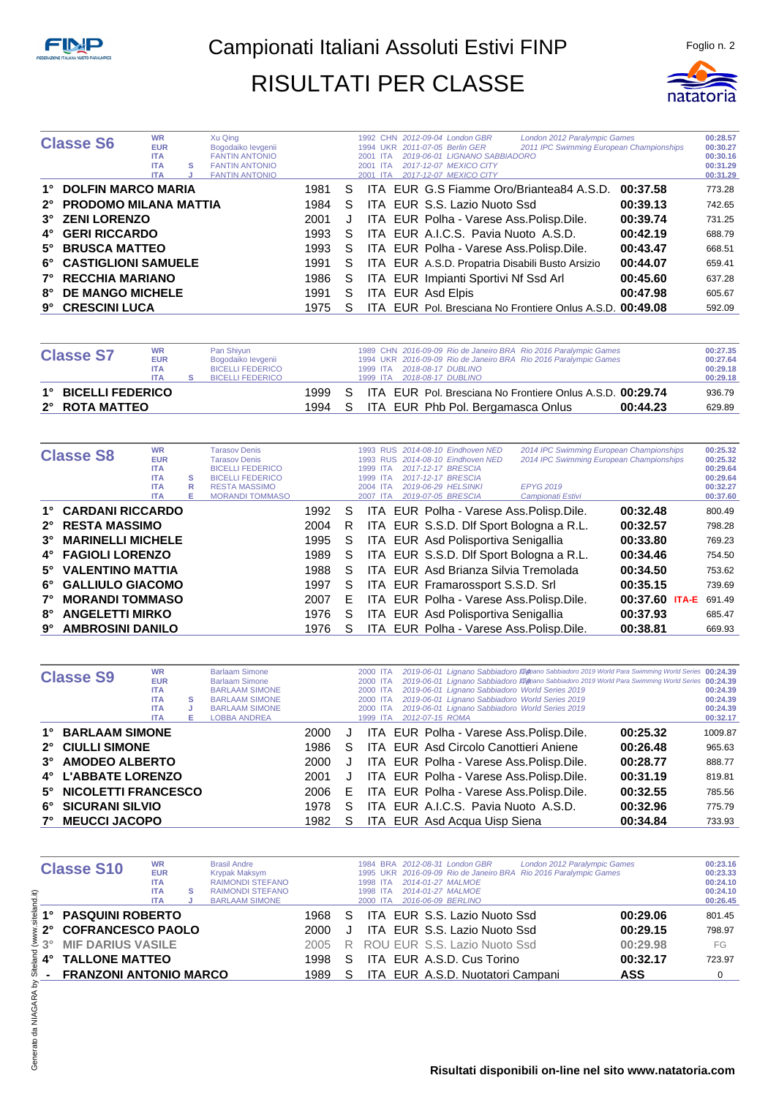

|    | <b>Classe S6</b>          | <b>WR</b><br><b>EUR</b><br><b>ITA</b><br><b>ITA</b><br><b>ITA</b> | s | Xu Qing<br>Bogodaiko levgenii<br><b>FANTIN ANTONIO</b><br><b>FANTIN ANTONIO</b><br><b>FANTIN ANTONIO</b> |      |   | <b>UKR</b><br>1994<br>2001<br>-ITA<br>2001<br>ITA<br>2001<br><b>ITA</b> | 1992 CHN 2012-09-04 London GBR<br>2011-07-05 Berlin GER<br>2019-06-01 LIGNANO SABBIADORO<br>2017-12-07 MEXICO CITY<br>2017-12-07 MEXICO CITY | London 2012 Paralympic Games<br>2011 IPC Swimming European Championships |          | 00:28.57<br>00:30.27<br>00:30.16<br>00:31.29<br>00:31.29 |
|----|---------------------------|-------------------------------------------------------------------|---|----------------------------------------------------------------------------------------------------------|------|---|-------------------------------------------------------------------------|----------------------------------------------------------------------------------------------------------------------------------------------|--------------------------------------------------------------------------|----------|----------------------------------------------------------|
|    | 1° DOLFIN MARCO MARIA     |                                                                   |   |                                                                                                          | 1981 | S |                                                                         |                                                                                                                                              | ITA EUR G.S Fiamme Oro/Briantea84 A.S.D. 00:37.58                        |          | 773.28                                                   |
|    | 2° PRODOMO MILANA MATTIA  |                                                                   |   |                                                                                                          | 1984 | S |                                                                         | ITA EUR S.S. Lazio Nuoto Ssd                                                                                                                 |                                                                          | 00:39.13 | 742.65                                                   |
|    | 3° ZENI LORENZO           |                                                                   |   |                                                                                                          | 2001 | J |                                                                         | ITA EUR Polha - Varese Ass. Polisp. Dile.                                                                                                    |                                                                          | 00:39.74 | 731.25                                                   |
|    | 4° GERI RICCARDO          |                                                                   |   |                                                                                                          | 1993 | S |                                                                         | ITA EUR A.I.C.S. Pavia Nuoto A.S.D.                                                                                                          |                                                                          | 00:42.19 | 688.79                                                   |
|    | 5° BRUSCA MATTEO          |                                                                   |   |                                                                                                          | 1993 | S |                                                                         | ITA EUR Polha - Varese Ass. Polisp. Dile.                                                                                                    |                                                                          | 00:43.47 | 668.51                                                   |
|    | 6° CASTIGLIONI SAMUELE    |                                                                   |   |                                                                                                          | 1991 | S |                                                                         | ITA EUR A.S.D. Propatria Disabili Busto Arsizio                                                                                              |                                                                          | 00:44.07 | 659.41                                                   |
|    | <b>7° RECCHIA MARIANO</b> |                                                                   |   |                                                                                                          | 1986 | S |                                                                         | ITA EUR Impianti Sportivi Nf Ssd Arl                                                                                                         |                                                                          | 00:45.60 | 637.28                                                   |
| 8° | <b>DE MANGO MICHELE</b>   |                                                                   |   |                                                                                                          | 1991 | S |                                                                         | ITA EUR Asd Elpis                                                                                                                            |                                                                          | 00:47.98 | 605.67                                                   |
| 9° | <b>CRESCINI LUCA</b>      |                                                                   |   |                                                                                                          | 1975 | S |                                                                         |                                                                                                                                              | ITA EUR Pol. Bresciana No Frontiere Onlus A.S.D. 00:49.08                |          | 592.09                                                   |

| <b>Classe S7</b>                      | <b>WR</b><br><b>EUR</b><br><b>ITA</b><br><b>ITA</b> | Pan Shiyun<br>Bogodaiko levgenii<br><b>BICELLI FEDERICO</b><br><b>BICELLI FEDERICO</b> |               |          | 1989 CHN 2016-09-09 Rio de Janeiro BRA Rio 2016 Paralympic Games<br>1994 UKR 2016-09-09 Rio de Janeiro BRA Rio 2016 Paralympic Games<br>1999 ITA 2018-08-17 DUBLINO<br>1999 ITA 2018-08-17 DUBLINO | 00:27.35<br>00:27.64<br>00:29.18<br>00:29.18 |
|---------------------------------------|-----------------------------------------------------|----------------------------------------------------------------------------------------|---------------|----------|----------------------------------------------------------------------------------------------------------------------------------------------------------------------------------------------------|----------------------------------------------|
| 1° BICELLI FEDERICO<br>2° ROTA MATTEO |                                                     |                                                                                        | 1999.<br>1994 | S.<br>-S | ITA EUR Pol. Bresciana No Frontiere Onlus A.S.D. 00:29.74<br>ITA EUR Phb Pol. Bergamasca Onlus<br>00:44.23                                                                                         | 936.79<br>629.89                             |

|             | <b>Classe S8</b>         | <b>WR</b><br><b>EUR</b><br><b>ITA</b><br><b>ITA</b> | s      | <b>Tarasov Denis</b><br><b>Tarasov Denis</b><br><b>BICELLI FEDERICO</b><br><b>BICELLI FEDERICO</b> |      |    | 1993<br><b>RUS</b><br><b>RUS</b><br>1993<br>1999<br><b>ITA</b><br>1999 ITA | 2014-08-10 Eindhoven NED<br>2014-08-10 Eindhoven NED<br>2017-12-17 BRESCIA<br>2017-12-17 BRESCIA | 2014 IPC Swimming European Championships<br>2014 IPC Swimming European Championships |                | 00:25.32<br>00:25.32<br>00:29.64<br>00:29.64 |
|-------------|--------------------------|-----------------------------------------------------|--------|----------------------------------------------------------------------------------------------------|------|----|----------------------------------------------------------------------------|--------------------------------------------------------------------------------------------------|--------------------------------------------------------------------------------------|----------------|----------------------------------------------|
|             |                          | <b>ITA</b><br><b>ITA</b>                            | R<br>Е | <b>RESTA MASSIMO</b><br><b>MORANDI TOMMASO</b>                                                     |      |    | 2004 ITA<br>2007 ITA                                                       | 2019-06-29 HELSINKI<br>2019-07-05 BRESCIA                                                        | <b>EPYG 2019</b><br>Campionati Estivi                                                |                | 00:32.27<br>00:37.60                         |
|             | 1° CARDANI RICCARDO      |                                                     |        |                                                                                                    | 1992 | S  |                                                                            | ITA EUR Polha - Varese Ass. Polisp. Dile.                                                        |                                                                                      | 00:32.48       | 800.49                                       |
|             | 2° RESTA MASSIMO         |                                                     |        |                                                                                                    | 2004 | R  |                                                                            | ITA EUR S.S.D. Dlf Sport Bologna a R.L.                                                          |                                                                                      | 00:32.57       | 798.28                                       |
| $3^\circ$   | <b>MARINELLI MICHELE</b> |                                                     |        |                                                                                                    | 1995 | S  |                                                                            | ITA EUR Asd Polisportiva Senigallia                                                              |                                                                                      | 00:33.80       | 769.23                                       |
|             | 4° FAGIOLI LORENZO       |                                                     |        |                                                                                                    | 1989 | S. |                                                                            | ITA EUR S.S.D. Dlf Sport Bologna a R.L.                                                          |                                                                                      | 00:34.46       | 754.50                                       |
|             | 5° VALENTINO MATTIA      |                                                     |        |                                                                                                    | 1988 | S  |                                                                            | <b>ITA EUR Asd Brianza Silvia Tremolada</b>                                                      |                                                                                      | 00:34.50       | 753.62                                       |
|             | 6° GALLIULO GIACOMO      |                                                     |        |                                                                                                    | 1997 | S. |                                                                            | ITA EUR Framarossport S.S.D. Srl                                                                 |                                                                                      | 00:35.15       | 739.69                                       |
| $7^{\circ}$ | <b>MORANDI TOMMASO</b>   |                                                     |        |                                                                                                    | 2007 | E. |                                                                            | ITA EUR Polha - Varese Ass. Polisp. Dile.                                                        |                                                                                      | 00:37.60 ITA-E | 691.49                                       |
| 8°          | <b>ANGELETTI MIRKO</b>   |                                                     |        |                                                                                                    | 1976 | S  |                                                                            | ITA EUR Asd Polisportiva Senigallia                                                              |                                                                                      | 00:37.93       | 685.47                                       |
| 9°          | <b>AMBROSINI DANILO</b>  |                                                     |        |                                                                                                    | 1976 |    |                                                                            | ITA EUR Polha - Varese Ass. Polisp. Dile.                                                        |                                                                                      | 00:38.81       | 669.93                                       |

|             | <b>Classe S9</b>                          | <b>WR</b><br><b>EUR</b><br><b>ITA</b><br><b>ITA</b><br><b>ITA</b><br><b>ITA</b> | s<br>J<br>Е | <b>Barlaam Simone</b><br><b>Barlaam Simone</b><br><b>BARLAAM SIMONE</b><br><b>BARLAAM SIMONE</b><br><b>BARLAAM SIMONE</b><br><b>LOBBA ANDREA</b> |              |        | 2000 ITA<br>2000 ITA<br>2000 ITA<br>2000 ITA<br>2000 ITA<br>1999 ITA | 2019-06-01 Lignano Sabbiadoro III mano Sabbiadoro 2019 World Para Swimming World Series 00:24.39<br>2019-06-01 Lignano Sabbiadoro III mano Sabbiadoro 2019 World Para Swimming World Series 00:24.39<br>2019-06-01 Lignano Sabbiadoro World Series 2019<br>2019-06-01 Lignano Sabbiadoro World Series 2019<br>2019-06-01 Lignano Sabbiadoro World Series 2019<br>2012-07-15 ROMA |                      | 00:24.39<br>00:24.39<br>00:24.39<br>00:32.17 |
|-------------|-------------------------------------------|---------------------------------------------------------------------------------|-------------|--------------------------------------------------------------------------------------------------------------------------------------------------|--------------|--------|----------------------------------------------------------------------|----------------------------------------------------------------------------------------------------------------------------------------------------------------------------------------------------------------------------------------------------------------------------------------------------------------------------------------------------------------------------------|----------------------|----------------------------------------------|
|             | 1° BARLAAM SIMONE                         |                                                                                 |             |                                                                                                                                                  | 2000         | J      |                                                                      | ITA EUR Polha - Varese Ass. Polisp. Dile.                                                                                                                                                                                                                                                                                                                                        | 00:25.32             | 1009.87                                      |
| $3^\circ$   | 2° CIULLI SIMONE<br><b>AMODEO ALBERTO</b> |                                                                                 |             |                                                                                                                                                  | 1986<br>2000 | S<br>J |                                                                      | ITA EUR Asd Circolo Canottieri Aniene<br>ITA EUR Polha - Varese Ass. Polisp. Dile.                                                                                                                                                                                                                                                                                               | 00:26.48<br>00:28.77 | 965.63<br>888.77                             |
|             | 4° L'ABBATE LORENZO                       |                                                                                 |             |                                                                                                                                                  | 2001         | J      |                                                                      | ITA EUR Polha - Varese Ass. Polisp. Dile.                                                                                                                                                                                                                                                                                                                                        | 00:31.19             | 819.81                                       |
| $5^\circ$   | <b>NICOLETTI FRANCESCO</b>                |                                                                                 |             |                                                                                                                                                  | 2006         | E      |                                                                      | ITA EUR Polha - Varese Ass. Polisp. Dile.                                                                                                                                                                                                                                                                                                                                        | 00:32.55             | 785.56                                       |
| 6°          | <b>SICURANI SILVIO</b>                    |                                                                                 |             |                                                                                                                                                  | 1978         | S.     |                                                                      | ITA EUR A.I.C.S. Pavia Nuoto A.S.D.                                                                                                                                                                                                                                                                                                                                              | 00:32.96             | 775.79                                       |
| $7^{\circ}$ | <b>MEUCCI JACOPO</b>                      |                                                                                 |             |                                                                                                                                                  | 1982         | S.     |                                                                      | ITA EUR Asd Acqua Uisp Siena                                                                                                                                                                                                                                                                                                                                                     | 00:34.84             | 733.93                                       |

| nd.it)                      | <b>Classe S10</b>             | <b>WR</b><br><b>EUR</b><br><b>ITA</b><br><b>ITA</b><br><b>ITA</b> | s | <b>Brasil Andre</b><br>Krypak Maksym<br><b>RAIMONDI STEFANO</b><br><b>RAIMONDI STEFANO</b><br><b>BARLAAM SIMONE</b> |      |    | 1984 BRA<br><b>1995 UKR</b><br>1998<br><b>ITA</b><br>1998<br><b>ITA</b><br>2000 ITA |  | 2012-08-31 London GBR<br>2016-09-09 Rio de Janeiro BRA<br>2014-01-27 MALMOE<br>2014-01-27 MALMOE<br>2016-06-09 BERLINO | London 2012 Paralympic Games<br>Rio 2016 Paralympic Games |            | 00:23.16<br>00:23.33<br>00:24.10<br>00:24.10<br>00:26.45 |
|-----------------------------|-------------------------------|-------------------------------------------------------------------|---|---------------------------------------------------------------------------------------------------------------------|------|----|-------------------------------------------------------------------------------------|--|------------------------------------------------------------------------------------------------------------------------|-----------------------------------------------------------|------------|----------------------------------------------------------|
| ₫                           | <b>PASQUINI ROBERTO</b>       |                                                                   |   |                                                                                                                     | 1968 | S  | ITA.                                                                                |  | EUR S.S. Lazio Nuoto Ssd                                                                                               |                                                           | 00:29.06   | 801.45                                                   |
| $2^{\circ}$                 | <b>COFRANCESCO PAOLO</b>      |                                                                   |   |                                                                                                                     | 2000 |    |                                                                                     |  | ITA EUR S.S. Lazio Nuoto Ssd                                                                                           |                                                           | 00:29.15   | 798.97                                                   |
| Š<br>$3^{\circ}$            | <b>MIF DARIUS VASILE</b>      |                                                                   |   |                                                                                                                     | 2005 | R  |                                                                                     |  | ROU EUR S.S. Lazio Nuoto Ssd                                                                                           |                                                           | 00:29.98   | FG                                                       |
| elan<br>4°                  | <b>TALLONE MATTEO</b>         |                                                                   |   |                                                                                                                     | 1998 | S. | ITA.                                                                                |  | EUR A.S.D. Cus Torino                                                                                                  |                                                           | 00:32.17   | 723.97                                                   |
| శే                          | <b>FRANZONI ANTONIO MARCO</b> |                                                                   |   |                                                                                                                     | 1989 | S. |                                                                                     |  | ITA EUR A.S.D. Nuotatori Campani                                                                                       |                                                           | <b>ASS</b> | $\Omega$                                                 |
| 5<br>da NIAGARA<br>Generato |                               |                                                                   |   |                                                                                                                     |      |    |                                                                                     |  |                                                                                                                        |                                                           |            |                                                          |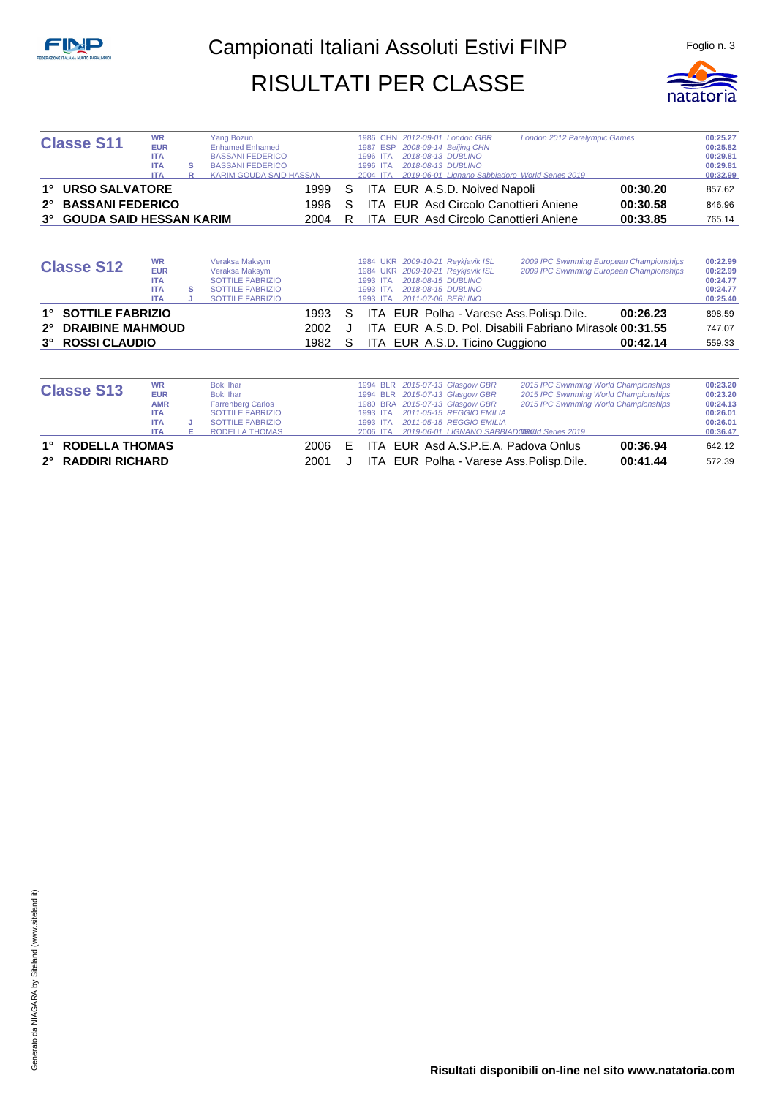

| <b>Classe S11</b>          | <b>WR</b>  | Yang Bozun                     |    |          | 1986 CHN 2012-09-01 London GBR  | London 2012 Paralympic Games                    |          | 00:25.27 |
|----------------------------|------------|--------------------------------|----|----------|---------------------------------|-------------------------------------------------|----------|----------|
|                            | <b>EUR</b> | <b>Enhamed Enhamed</b>         |    |          | 1987 ESP 2008-09-14 Beijing CHN |                                                 |          | 00:25.82 |
|                            | <b>ITA</b> | <b>BASSANI FEDERICO</b>        |    | 1996 ITA | 2018-08-13 DUBLINO              |                                                 |          | 00:29.81 |
|                            | <b>ITA</b> | <b>BASSANI FEDERICO</b>        |    | 1996 ITA | 2018-08-13 DUBLINO              |                                                 |          | 00:29.81 |
|                            | <b>ITA</b> | <b>KARIM GOUDA SAID HASSAN</b> |    | 2004 ITA |                                 | 2019-06-01 Lignano Sabbiadoro World Series 2019 |          | 00:32.99 |
| 1° URSO SALVATORE          |            | 1999                           | S. |          | ITA EUR A.S.D. Noived Napoli    |                                                 | 00:30.20 | 857.62   |
| 2° BASSANI FEDERICO        |            | 1996                           | S  |          |                                 | <b>ITA EUR Asd Circolo Canottieri Aniene</b>    | 00:30.58 | 846.96   |
| 3° GOUDA SAID HESSAN KARIM |            | 2004                           |    |          |                                 | <b>ITA EUR Asd Circolo Canottieri Aniene</b>    | 00:33.85 | 765.14   |

| <b>Classe S12</b>                                              | <b>WR</b><br><b>EUR</b><br><b>ITA</b><br><b>ITA</b><br><b>ITA</b> | s | Veraksa Maksym<br>Veraksa Maksym<br><b>SOTTILE FABRIZIO</b><br>SOTTILE FABRIZIO<br><b>SOTTILE FABRIZIO</b> |                      |         | 1993 ITA<br>1993 ITA | 1984 UKR 2009-10-21 Reykjavik ISL<br>1984 UKR 2009-10-21 Reykjavik ISL<br>2018-08-15 DUBLINO<br>2018-08-15 DUBLINO<br>1993 ITA 2011-07-06 BERLINO | 2009 IPC Swimming European Championships<br>2009 IPC Swimming European Championships                                                  |                      | 00:22.99<br>00:22.99<br>00:24.77<br>00:24.77<br>00:25.40 |
|----------------------------------------------------------------|-------------------------------------------------------------------|---|------------------------------------------------------------------------------------------------------------|----------------------|---------|----------------------|---------------------------------------------------------------------------------------------------------------------------------------------------|---------------------------------------------------------------------------------------------------------------------------------------|----------------------|----------------------------------------------------------|
| 1° SOTTILE FABRIZIO<br>2° DRAIBINE MAHMOUD<br>3° ROSSI CLAUDIO |                                                                   |   |                                                                                                            | 1993<br>2002<br>1982 | S.<br>S |                      |                                                                                                                                                   | ITA EUR Polha - Varese Ass. Polisp. Dile.<br>ITA EUR A.S.D. Pol. Disabili Fabriano Mirasol 60:31.55<br>ITA EUR A.S.D. Ticino Cuggiono | 00:26.23<br>00:42.14 | 898.59<br>747.07<br>559.33                               |

| <b>Classe S13</b>  | <b>WR</b><br><b>EUR</b><br><b>AMR</b> | <b>Boki</b> Ihar<br>Boki Ihar<br><b>Farrenberg Carlos</b> |      |    |          | 1994 BLR 2015-07-13 Glasgow GBR<br>1994 BLR 2015-07-13 Glasgow GBR<br>1980 BRA 2015-07-13 Glasgow GBR | 2015 IPC Swimming World Championships<br>2015 IPC Swimming World Championships<br>2015 IPC Swimming World Championships |          | 00:23.20<br>00:23.20<br>00:24.13 |
|--------------------|---------------------------------------|-----------------------------------------------------------|------|----|----------|-------------------------------------------------------------------------------------------------------|-------------------------------------------------------------------------------------------------------------------------|----------|----------------------------------|
|                    | <b>ITA</b>                            | <b>SOTTILE FABRIZIO</b>                                   |      |    | 1993 ITA | <b>2011-05-15 REGGIO EMILIA</b>                                                                       |                                                                                                                         |          | 00:26.01                         |
|                    |                                       |                                                           |      |    |          |                                                                                                       |                                                                                                                         |          |                                  |
|                    | <b>ITA</b>                            | SOTTILE FABRIZIO                                          |      |    | 1993 ITA | 2011-05-15 REGGIO EMILIA                                                                              |                                                                                                                         |          | 00:26.01                         |
|                    | <b>ITA</b>                            | <b>RODELLA THOMAS</b>                                     |      |    | 2006 ITA |                                                                                                       | 2019-06-01 LIGNANO SABBIADOROId Series 2019                                                                             |          | 00:36.47                         |
| 1° RODELLA THOMAS  |                                       |                                                           | 2006 | E. |          |                                                                                                       | ITA EUR Asd A.S.P.E.A. Padova Onlus                                                                                     | 00:36.94 | 642.12                           |
| 2° RADDIRI RICHARD |                                       |                                                           | 2001 |    |          |                                                                                                       | ITA EUR Polha - Varese Ass. Polisp. Dile.                                                                               | 00:41.44 | 572.39                           |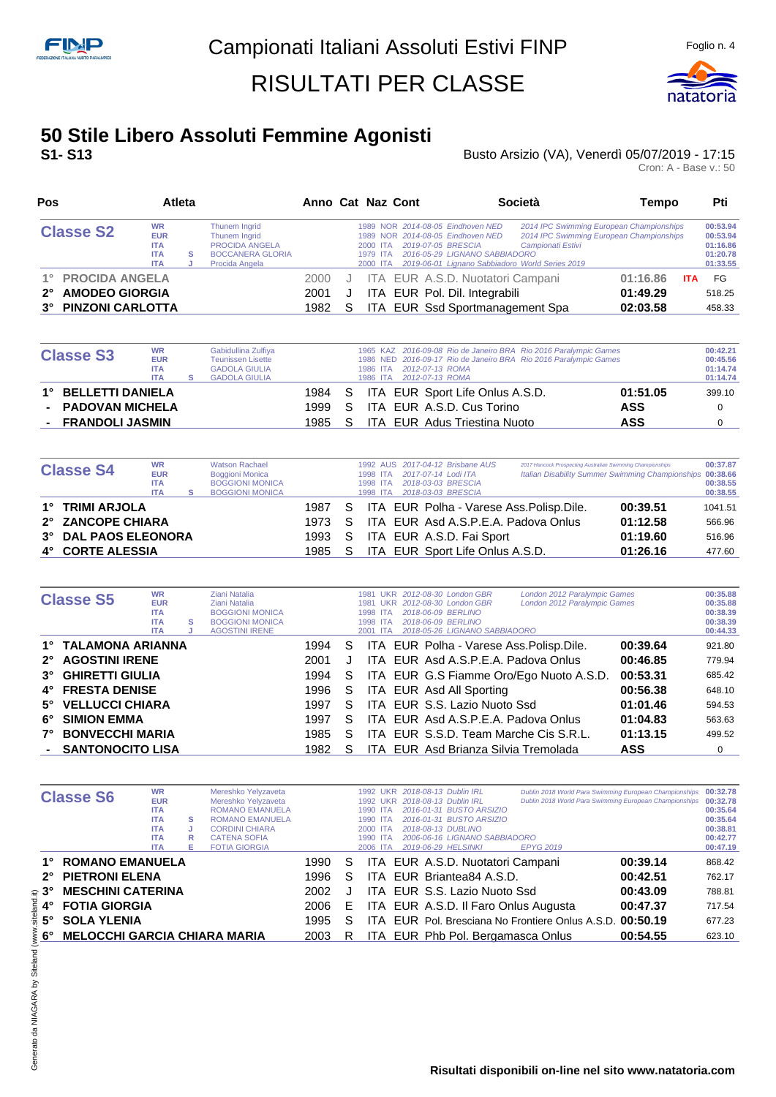**Pos Atleta Anno Cat Naz Cont Società Tempo Pti**



#### **50 Stile Libero Assoluti Femmine Agonisti S1- S13** Busto Arsizio (VA), Venerdì 05/07/2019 - 17:15

| <b>Classe S2</b>                                                                                    | <b>WR</b><br><b>EUR</b><br><b>ITA</b><br><b>ITA</b><br><b>ITA</b> | s<br>J | Thunem Ingrid<br>Thunem Ingrid<br><b>PROCIDA ANGELA</b><br><b>BOCCANERA GLORIA</b><br>Procida Angela |                      |             | NOR 2014-08-05 Eindhoven NED<br>2014 IPC Swimming European Championships<br>1989<br>2014 IPC Swimming European Championships<br>2014-08-05 Eindhoven NED<br>1989 NOR<br>2019-07-05 BRESCIA<br>2000 ITA<br>Campionati Estivi<br>2016-05-29 LIGNANO SABBIADORO<br>1979 ITA<br>2019-06-01 Lianano Sabbiadoro World Series 2019<br>2000 ITA | 00:53.94<br>00:53.94<br>01:16.86<br>01:20.78<br>01:33.55 |
|-----------------------------------------------------------------------------------------------------|-------------------------------------------------------------------|--------|------------------------------------------------------------------------------------------------------|----------------------|-------------|-----------------------------------------------------------------------------------------------------------------------------------------------------------------------------------------------------------------------------------------------------------------------------------------------------------------------------------------|----------------------------------------------------------|
| <b>PROCIDA ANGELA</b><br>$1^{\circ}$<br><b>AMODEO GIORGIA</b><br>$2^{\circ}$<br>3° PINZONI CARLOTTA |                                                                   |        |                                                                                                      | 2000<br>2001<br>1982 | J<br>S      | ITA EUR A.S.D. Nuotatori Campani<br>01:16.86<br><b>ITA</b><br>ITA EUR Pol. Dil. Integrabili<br>01:49.29<br>ITA EUR Ssd Sportmanagement Spa<br>02:03.58                                                                                                                                                                                  | FG<br>518.25<br>458.33                                   |
| <b>Classe S3</b>                                                                                    | <b>WR</b><br><b>EUR</b><br><b>ITA</b><br><b>ITA</b>               | s      | Gabidullina Zulfiya<br>Teunissen Lisette<br><b>GADOLA GIULIA</b><br><b>GADOLA GIULIA</b>             |                      |             | 1965 KAZ 2016-09-08 Rio de Janeiro BRA Rio 2016 Paralympic Games<br>2016-09-17 Rio de Janeiro BRA Rio 2016 Paralympic Games<br>1986 NED<br>2012-07-13 ROMA<br>1986 ITA<br>2012-07-13 ROMA<br>1986 ITA                                                                                                                                   | 00:42.21<br>00:45.56<br>01:14.74<br>01:14.74             |
| <b>BELLETTI DANIELA</b><br>1°<br><b>PADOVAN MICHELA</b><br><b>FRANDOLI JASMIN</b>                   |                                                                   |        |                                                                                                      | 1984<br>1999<br>1985 | S<br>S<br>S | ITA EUR Sport Life Onlus A.S.D.<br>01:51.05<br>ITA EUR A.S.D. Cus Torino<br><b>ASS</b><br><b>ASS</b><br><b>ITA EUR Adus Triestina Nuoto</b>                                                                                                                                                                                             | 399.10<br>$\Omega$<br>$\Omega$                           |

| <b>Watson Rachael</b><br><b>WR</b><br><b>Classe S4</b><br><b>EUR</b><br><b>Boggioni Monica</b><br><b>BOGGIONI MONICA</b><br><b>ITA</b><br><b>BOGGIONI MONICA</b><br><b>ITA</b> |  |  |        |    | 1998 ITA<br>1998 ITA<br>1998 ITA | 1992 AUS 2017-04-12 Brisbane AUS<br>2017-07-14 Lodi ITA<br>2018-03-03 BRESCIA<br>2018-03-03 BRESCIA | 2017 Hancock Prospecting Australian Swimming Championships<br>Italian Disability Summer Swimming Championships 00:38.66 |          | 00:37.87<br>00:38.55<br>00:38.55 |
|--------------------------------------------------------------------------------------------------------------------------------------------------------------------------------|--|--|--------|----|----------------------------------|-----------------------------------------------------------------------------------------------------|-------------------------------------------------------------------------------------------------------------------------|----------|----------------------------------|
| 1° TRIMI ARJOLA                                                                                                                                                                |  |  | 1987   | S. |                                  | ITA EUR Polha - Varese Ass. Polisp. Dile.                                                           |                                                                                                                         | 00:39.51 | 1041.51                          |
| 2° ZANCOPE CHIARA                                                                                                                                                              |  |  | 1973 S |    |                                  | ITA EUR Asd A.S.P.E.A. Padova Onlus                                                                 |                                                                                                                         | 01:12.58 | 566.96                           |
| 3° DAL PAOS ELEONORA                                                                                                                                                           |  |  | 1993   | S. |                                  | ITA EUR A.S.D. Fai Sport                                                                            |                                                                                                                         | 01:19.60 | 516.96                           |
| 4° CORTE ALESSIA                                                                                                                                                               |  |  | 1985   |    |                                  | ITA EUR Sport Life Onlus A.S.D.                                                                     |                                                                                                                         | 01:26.16 | 477.60                           |

|             | <b>Classe S5</b>       | <b>WR</b><br><b>EUR</b><br><b>ITA</b><br><b>ITA</b><br><b>ITA</b> | s | Ziani Natalia<br>Ziani Natalia<br><b>BOGGIONI MONICA</b><br><b>BOGGIONI MONICA</b><br><b>AGOSTINI IRENE</b> |      | 1981<br>1981<br>1998 | UKR 2012-08-30 London GBR<br>2012-08-30 London GBR<br>UKR.<br>2018-06-09 BERLINO<br><b>ITA</b><br>2018-06-09 BERLINO<br>1998 ITA<br>2018-05-26 LIGNANO SABBIADORO<br>2001 ITA | London 2012 Paralympic Games<br>London 2012 Paralympic Games | 00:35.88<br>00:35.88<br>00:38.39<br>00:38.39<br>00:44.33 |
|-------------|------------------------|-------------------------------------------------------------------|---|-------------------------------------------------------------------------------------------------------------|------|----------------------|-------------------------------------------------------------------------------------------------------------------------------------------------------------------------------|--------------------------------------------------------------|----------------------------------------------------------|
|             | 1° TALAMONA ARIANNA    |                                                                   |   |                                                                                                             | 1994 | S.                   | ITA EUR Polha - Varese Ass. Polisp. Dile.                                                                                                                                     | 00:39.64                                                     | 921.80                                                   |
| $2^{\circ}$ | <b>AGOSTINI IRENE</b>  |                                                                   |   |                                                                                                             | 2001 |                      | ITA EUR Asd A.S.P.E.A. Padova Onlus                                                                                                                                           | 00:46.85                                                     | 779.94                                                   |
|             | 3° GHIRETTI GIULIA     |                                                                   |   |                                                                                                             | 1994 | S                    | ITA EUR G.S Fiamme Oro/Ego Nuoto A.S.D.                                                                                                                                       | 00:53.31                                                     | 685.42                                                   |
|             | 4° FRESTA DENISE       |                                                                   |   |                                                                                                             | 1996 | S.                   | ITA EUR Asd All Sporting                                                                                                                                                      | 00:56.38                                                     | 648.10                                                   |
| $5^\circ$   | <b>VELLUCCI CHIARA</b> |                                                                   |   |                                                                                                             | 1997 | S                    | ITA EUR S.S. Lazio Nuoto Ssd                                                                                                                                                  | 01:01.46                                                     | 594.53                                                   |
| 6°          | <b>SIMION EMMA</b>     |                                                                   |   |                                                                                                             | 1997 | S                    | ITA EUR Asd A.S.P.E.A. Padova Onlus                                                                                                                                           | 01:04.83                                                     | 563.63                                                   |
| 7°          | <b>BONVECCHI MARIA</b> |                                                                   |   |                                                                                                             | 1985 | S                    | ITA EUR S.S.D. Team Marche Cis S.R.L.                                                                                                                                         | 01:13.15                                                     | 499.52                                                   |
|             | - SANTONOCITO LISA     |                                                                   |   |                                                                                                             | 1982 |                      | ITA EUR Asd Brianza Silvia Tremolada                                                                                                                                          | <b>ASS</b>                                                   | 0                                                        |

|             | <b>Classe S6</b>                    | <b>WR</b><br><b>EUR</b><br><b>ITA</b><br><b>ITA</b><br><b>ITA</b><br><b>ITA</b> | s<br>R | Mereshko Yelyzaveta<br>Mereshko Yelyzaveta<br><b>ROMANO EMANUELA</b><br><b>ROMANO EMANUELA</b><br><b>CORDINI CHIARA</b><br><b>CATENA SOFIA</b> |      |    | 1992 UKR<br>1992 UKR<br>1990<br><b>ITA</b><br>1990<br><b>ITA</b><br>2000 ITA<br>1990 ITA | 2018-08-13 Dublin IRL<br>2018-08-13 Dublin IRL<br>2016-01-31 BUSTO ARSIZIO<br>2016-01-31 BUSTO ARSIZIO<br>2018-08-13 DUBLINO<br>2006-06-16 LIGNANO SABBIADORO | Dublin 2018 World Para Swimming European Championships<br>Dublin 2018 World Para Swimming European Championships |          | 00:32.78<br>00:32.78<br>00:35.64<br>00:35.64<br>00:38.81<br>00:42.77 |
|-------------|-------------------------------------|---------------------------------------------------------------------------------|--------|------------------------------------------------------------------------------------------------------------------------------------------------|------|----|------------------------------------------------------------------------------------------|---------------------------------------------------------------------------------------------------------------------------------------------------------------|------------------------------------------------------------------------------------------------------------------|----------|----------------------------------------------------------------------|
|             |                                     | <b>ITA</b>                                                                      | Е      | <b>FOTIA GIORGIA</b>                                                                                                                           |      |    | 2006 ITA                                                                                 | 2019-06-29 HELSINKI                                                                                                                                           | <b>EPYG 2019</b>                                                                                                 |          | 00:47.19                                                             |
|             | <b>ROMANO EMANUELA</b>              |                                                                                 |        |                                                                                                                                                | 1990 | S  |                                                                                          | ITA EUR A.S.D. Nuotatori Campani                                                                                                                              |                                                                                                                  | 00:39.14 | 868.42                                                               |
| $2^{\circ}$ | <b>PIETRONI ELENA</b>               |                                                                                 |        |                                                                                                                                                | 1996 | S  |                                                                                          | ITA EUR Briantea84 A.S.D.                                                                                                                                     |                                                                                                                  | 00:42.51 | 762.17                                                               |
| $3^\circ$   | <b>MESCHINI CATERINA</b>            |                                                                                 |        |                                                                                                                                                | 2002 |    |                                                                                          | ITA EUR S.S. Lazio Nuoto Ssd                                                                                                                                  |                                                                                                                  | 00:43.09 | 788.81                                                               |
| 4°          | <b>FOTIA GIORGIA</b>                |                                                                                 |        |                                                                                                                                                | 2006 | E. |                                                                                          | ITA EUR A.S.D. Il Faro Onlus Augusta                                                                                                                          |                                                                                                                  | 00:47.37 | 717.54                                                               |
| $5^\circ$   | <b>SOLA YLENIA</b>                  |                                                                                 |        |                                                                                                                                                | 1995 | S  |                                                                                          |                                                                                                                                                               | ITA EUR Pol. Bresciana No Frontiere Onlus A.S.D.                                                                 | 00:50.19 | 677.23                                                               |
| 6°          | <b>MELOCCHI GARCIA CHIARA MARIA</b> |                                                                                 |        |                                                                                                                                                | 2003 | R  |                                                                                          | ITA EUR Phb Pol. Bergamasca Onlus                                                                                                                             |                                                                                                                  | 00:54.55 | 623.10                                                               |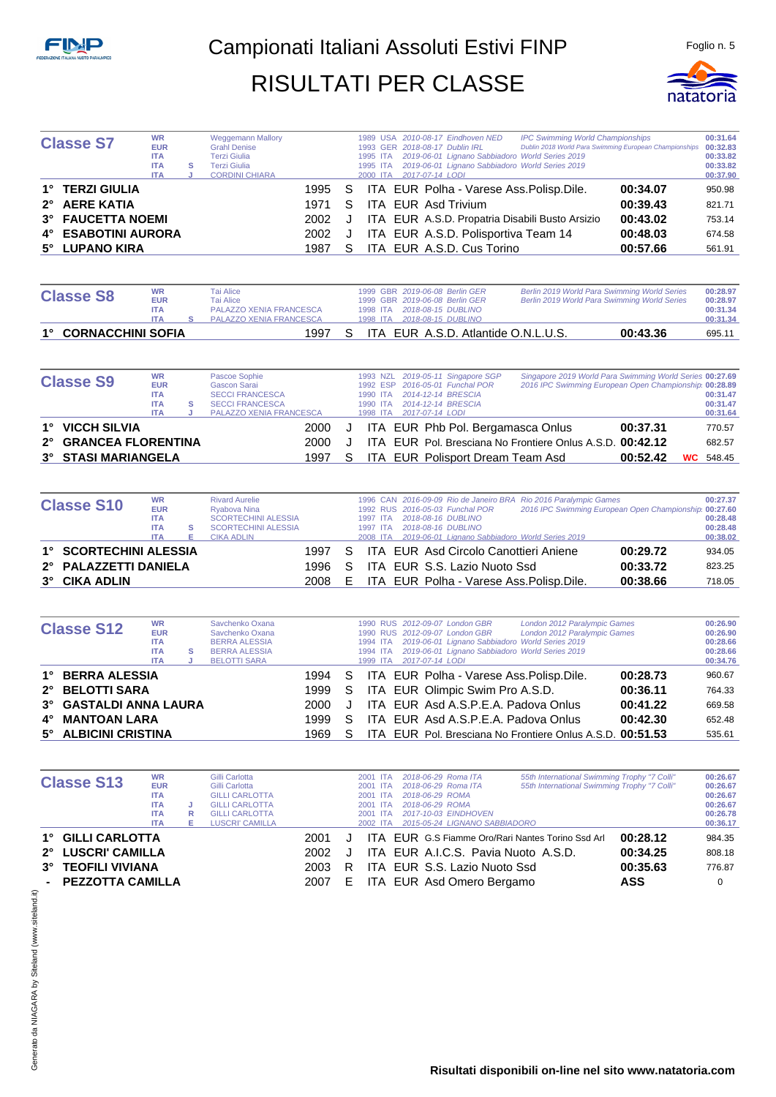

| <b>Classe S7</b>    | <b>WR</b><br><b>EUR</b><br><b>ITA</b><br><b>ITA</b><br><b>ITA</b> | s | <b>Weggemann Mallory</b><br><b>Grahl Denise</b><br><b>Terzi Giulia</b><br>Terzi Giulia<br><b>CORDINI CHIARA</b> |        |     | 1995 ITA<br>1995 ITA<br>2000 ITA | 1989 USA 2010-08-17 Eindhoven NED<br>1993 GER 2018-08-17 Dublin IRL<br>2019-06-01 Lignano Sabbiadoro World Series 2019<br>2019-06-01 Lignano Sabbiadoro World Series 2019<br>2017-07-14 LODI | <b>IPC Swimming World Championships</b><br>Dublin 2018 World Para Swimming European Championships 00:32.83 |          | 00:31.64<br>00:33.82<br>00:33.82<br>00:37.90 |
|---------------------|-------------------------------------------------------------------|---|-----------------------------------------------------------------------------------------------------------------|--------|-----|----------------------------------|----------------------------------------------------------------------------------------------------------------------------------------------------------------------------------------------|------------------------------------------------------------------------------------------------------------|----------|----------------------------------------------|
| 1° TERZI GIULIA     |                                                                   |   |                                                                                                                 | 1995 S |     |                                  | ITA EUR Polha - Varese Ass. Polisp. Dile.                                                                                                                                                    |                                                                                                            | 00:34.07 | 950.98                                       |
| 2° AERE KATIA       |                                                                   |   |                                                                                                                 | 1971   | S.  |                                  | ITA EUR Asd Trivium                                                                                                                                                                          |                                                                                                            | 00:39.43 | 821.71                                       |
| 3° FAUCETTA NOEMI   |                                                                   |   |                                                                                                                 | 2002 J |     |                                  | ITA EUR A.S.D. Propatria Disabili Busto Arsizio                                                                                                                                              |                                                                                                            | 00:43.02 | 753.14                                       |
| 4° ESABOTINI AURORA |                                                                   |   |                                                                                                                 | 2002   | ل - |                                  | ITA EUR A.S.D. Polisportiva Team 14                                                                                                                                                          |                                                                                                            | 00:48.03 | 674.58                                       |
| 5° LUPANO KIRA      |                                                                   |   |                                                                                                                 | 1987   |     |                                  | ITA EUR A.S.D. Cus Torino                                                                                                                                                                    |                                                                                                            | 00:57.66 | 561.91                                       |

| <b>Classe S8</b>     | <b>WR</b><br><b>EUR</b><br><b>ITA</b><br><b>ITA</b> | Tai Alice<br>Tai Alice<br><b>PALAZZO XENIA FRANCESCA</b><br>PALAZZO XENIA FRANCESCA | 1998 ITA |  | 1999 GBR 2019-06-08 Berlin GER<br>1999 GBR 2019-06-08 Berlin GER<br>2018-08-15 DUBLINO | Berlin 2019 World Para Swimming World Series<br>Berlin 2019 World Para Swimming World Series | 00:28.97<br>00:28.97<br>00:31.34<br>00:31.34 |
|----------------------|-----------------------------------------------------|-------------------------------------------------------------------------------------|----------|--|----------------------------------------------------------------------------------------|----------------------------------------------------------------------------------------------|----------------------------------------------|
| 1° CORNACCHINI SOFIA |                                                     | 1997                                                                                |          |  | ITA EUR A.S.D. Atlantide O.N.L.U.S.                                                    | 00:43.36                                                                                     | 695.11                                       |

| <b>Classe S9</b>      | <b>WR</b><br><b>EUR</b> |   | Pascoe Sophie<br>Gascon Sarai  |    |          | 1993 NZL 2019-05-11 Singapore SGP<br>1992 ESP 2016-05-01 Funchal POR | Singapore 2019 World Para Swimming World Series 00:27.69<br>2016 IPC Swimming European Open Championship 00:28.89 |          |                  |
|-----------------------|-------------------------|---|--------------------------------|----|----------|----------------------------------------------------------------------|-------------------------------------------------------------------------------------------------------------------|----------|------------------|
|                       | <b>ITA</b>              |   | <b>SECCI FRANCESCA</b>         |    | 1990 ITA | 2014-12-14 BRESCIA                                                   |                                                                                                                   |          | 00:31.47         |
|                       |                         |   |                                |    |          |                                                                      |                                                                                                                   |          |                  |
|                       | <b>ITA</b>              | s | <b>SECCI FRANCESCA</b>         |    | 1990 ITA | 2014-12-14 BRESCIA                                                   |                                                                                                                   |          | 00:31.47         |
|                       | <b>ITA</b>              |   | <b>PALAZZO XENIA FRANCESCA</b> |    |          | 1998 ITA 2017-07-14 LODI                                             |                                                                                                                   |          | 00:31.64         |
| 1° VICCH SILVIA       |                         |   | 2000                           | J  |          | ITA EUR Phb Pol. Bergamasca Onlus                                    |                                                                                                                   | 00:37.31 | 770.57           |
|                       |                         |   |                                |    |          |                                                                      |                                                                                                                   |          |                  |
| 2° GRANCEA FLORENTINA |                         |   | 2000                           |    |          |                                                                      | ITA EUR Pol. Bresciana No Frontiere Onlus A.S.D. 00:42.12                                                         |          | 682.57           |
| 3° STASI MARIANGELA   |                         |   | 1997                           | S. |          | ITA EUR Polisport Dream Team Asd                                     |                                                                                                                   | 00:52.42 | <b>WC</b> 548.45 |

| <b>Classe S10</b>      | <b>WR</b>  |   | <b>Rivard Aurelie</b>      |      |    |          |  |                                                 | 1996 CAN 2016-09-09 Rio de Janeiro BRA Rio 2016 Paralympic Games |                                                       | 00:27.37 |
|------------------------|------------|---|----------------------------|------|----|----------|--|-------------------------------------------------|------------------------------------------------------------------|-------------------------------------------------------|----------|
|                        | <b>EUR</b> |   | Rvabova Nina               |      |    |          |  | 1992 RUS 2016-05-03 Funchal POR                 |                                                                  | 2016 IPC Swimming European Open Championship 00:27.60 |          |
|                        | <b>ITA</b> |   | <b>SCORTECHINI ALESSIA</b> |      |    | 1997 ITA |  | 2018-08-16 DUBLINO                              |                                                                  |                                                       | 00:28.48 |
|                        | <b>ITA</b> | s | <b>SCORTECHINI ALESSIA</b> |      |    | 1997 ITA |  | 2018-08-16 DUBLINO                              |                                                                  |                                                       | 00:28.48 |
|                        | <b>ITA</b> |   | <b>CIKA ADLIN</b>          |      |    | 2008 ITA |  | 2019-06-01 Lignano Sabbiadoro World Series 2019 |                                                                  |                                                       | 00:38.02 |
| 1° SCORTECHINI ALESSIA |            |   |                            | 1997 | S. |          |  | ITA EUR Asd Circolo Canottieri Aniene           |                                                                  | 00:29.72                                              | 934.05   |
| 2° PALAZZETTI DANIELA  |            |   |                            | 1996 | S. |          |  | ITA EUR S.S. Lazio Nuoto Ssd                    |                                                                  | 00:33.72                                              | 823.25   |
| 3° CIKA ADLIN          |            |   |                            | 2008 | E  |          |  | ITA EUR Polha - Varese Ass. Polisp. Dile.       |                                                                  | 00:38.66                                              | 718.05   |

| <b>Classe S12</b>      | <b>WR</b>  |   | Savchenko Oxana      |        |    |          | 1990 RUS 2012-09-07 London GBR                   | London 2012 Paralympic Games                              |          | 00:26.90 |
|------------------------|------------|---|----------------------|--------|----|----------|--------------------------------------------------|-----------------------------------------------------------|----------|----------|
|                        | <b>EUR</b> |   | Savchenko Oxana      |        |    |          | 1990 RUS 2012-09-07 London GBR                   | London 2012 Paralympic Games                              |          | 00:26.90 |
|                        | <b>ITA</b> |   | <b>BERRA ALESSIA</b> |        |    | 1994 ITA | 2019-06-01 Lignano Sabbiadoro World Series 2019  |                                                           |          | 00:28.66 |
|                        | <b>ITA</b> | s | <b>BERRA ALESSIA</b> |        |    | 1994 ITA | 2019-06-01 Lignano Sabbiadoro World Series 2019  |                                                           |          | 00:28.66 |
|                        | <b>ITA</b> |   | <b>BELOTTI SARA</b>  |        |    | 1999 ITA | 2017-07-14 LODI                                  |                                                           |          | 00:34.76 |
| 1° BERRA ALESSIA       |            |   |                      |        |    |          | 1994 S ITA EUR Polha - Varese Ass. Polisp. Dile. |                                                           | 00:28.73 | 960.67   |
| 2° BELOTTI SARA        |            |   |                      | 1999 S |    |          | ITA EUR Olimpic Swim Pro A.S.D.                  |                                                           | 00:36.11 | 764.33   |
| 3° GASTALDI ANNA LAURA |            |   |                      | 2000-  |    |          | ITA EUR Asd A.S.P.E.A. Padova Onlus              |                                                           | 00:41.22 | 669.58   |
| 4° MANTOAN LARA        |            |   |                      | 1999   | S. |          | ITA EUR Asd A.S.P.E.A. Padova Onlus              |                                                           | 00:42.30 | 652.48   |
| 5° ALBICINI CRISTINA   |            |   |                      | 1969   | S. |          |                                                  | ITA EUR Pol. Bresciana No Frontiere Onlus A.S.D. 00:51.53 |          | 535.61   |

|                                     | <b>WR</b>  |   | Gilli Carlotta        |      |    | 2001<br><b>ITA</b> | 2018-06-29 Roma ITA           | 55th International Swimming Trophy "7 Colli"             |            | 00:26.67 |
|-------------------------------------|------------|---|-----------------------|------|----|--------------------|-------------------------------|----------------------------------------------------------|------------|----------|
| <b>Classe S13</b>                   | <b>EUR</b> |   | Gilli Carlotta        |      |    | 2001 ITA           | 2018-06-29 Roma ITA           | 55th International Swimming Trophy "7 Colli"             |            | 00:26.67 |
|                                     | <b>ITA</b> |   | <b>GILLI CARLOTTA</b> |      |    | 2001 ITA           | 2018-06-29 ROMA               |                                                          |            | 00:26.67 |
|                                     | <b>ITA</b> |   | <b>GILLI CARLOTTA</b> |      |    | 2001 ITA           | 2018-06-29 ROMA               |                                                          |            | 00:26.67 |
|                                     | <b>ITA</b> | R | <b>GILLI CARLOTTA</b> |      |    | 2001 ITA           | 2017-10-03 EINDHOVEN          |                                                          |            | 00:26.78 |
|                                     | <b>ITA</b> | Е | LUSCRI' CAMILLA       |      |    | 2002 ITA           | 2015-05-24 LIGNANO SABBIADORO |                                                          |            | 00:36.17 |
| 1° GILLI CARLOTTA                   |            |   |                       | 2001 |    |                    |                               | <b>ITA EUR G.S Fiamme Oro/Rari Nantes Torino Ssd Arl</b> | 00:28.12   | 984.35   |
| 2° LUSCRI' CAMILLA                  |            |   |                       | 2002 |    |                    |                               | ITA EUR A.I.C.S. Pavia Nuoto A.S.D.                      | 00:34.25   | 808.18   |
| <b>TEOFILI VIVIANA</b><br>$3^\circ$ |            |   |                       | 2003 | R. |                    | ITA EUR S.S. Lazio Nuoto Ssd  |                                                          | 00:35.63   | 776.87   |
| - PEZZOTTA CAMILLA                  |            |   |                       | 2007 | E. |                    | ITA EUR Asd Omero Bergamo     |                                                          | <b>ASS</b> |          |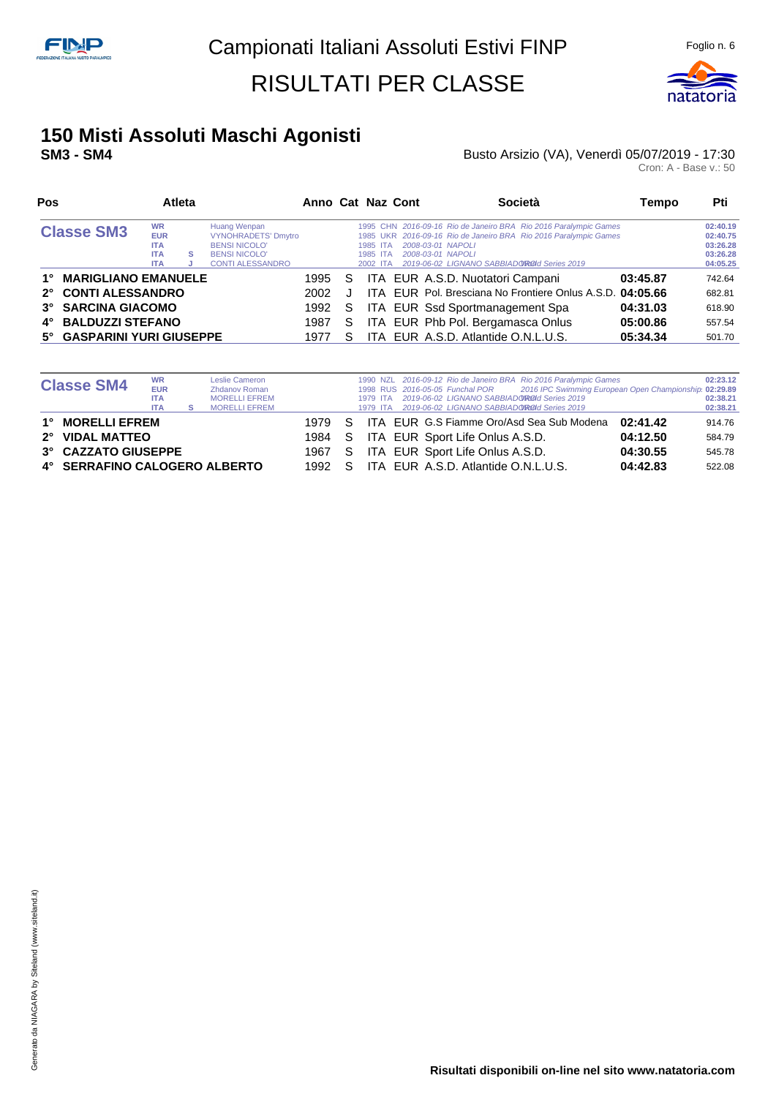

# **150 Misti Assoluti Maschi Agonisti**

#### **SM3 - SM4 CONSECTED: SM3 - SM4 Busto Arsizio (VA), Venerdì 05/07/2019 - 17:30**

| Pos                              |                                                                   | Anno Cat Naz Cont |                                                                                                                       |      | <b>Società</b> | Tempo                            | Pti                                                                                                                                                                                                                            |          |                                                          |
|----------------------------------|-------------------------------------------------------------------|-------------------|-----------------------------------------------------------------------------------------------------------------------|------|----------------|----------------------------------|--------------------------------------------------------------------------------------------------------------------------------------------------------------------------------------------------------------------------------|----------|----------------------------------------------------------|
| <b>Classe SM3</b>                | <b>WR</b><br><b>EUR</b><br><b>ITA</b><br><b>ITA</b><br><b>ITA</b> | s                 | Huang Wenpan<br><b>VYNOHRADETS' Dmytro</b><br><b>BENSI NICOLO'</b><br><b>BENSI NICOLO'</b><br><b>CONTI ALESSANDRO</b> |      |                | 1985 ITA<br>1985 ITA<br>2002 ITA | 1995 CHN 2016-09-16 Rio de Janeiro BRA Rio 2016 Paralympic Games<br>1985 UKR 2016-09-16 Rio de Janeiro BRA Rio 2016 Paralympic Games<br>2008-03-01 NAPOLI<br>2008-03-01 NAPOLI<br>2019-06-02 LIGNANO SABBIADO ROLL Series 2019 |          | 02:40.19<br>02:40.75<br>03:26.28<br>03:26.28<br>04:05.25 |
| <b>MARIGLIANO EMANUELE</b><br>1° |                                                                   |                   |                                                                                                                       | 1995 | S              |                                  | ITA EUR A.S.D. Nuotatori Campani                                                                                                                                                                                               | 03:45.87 | 742.64                                                   |
| 2° CONTI ALESSANDRO              |                                                                   |                   |                                                                                                                       | 2002 |                |                                  | ITA EUR Pol. Bresciana No Frontiere Onlus A.S.D. 04:05.66                                                                                                                                                                      |          | 682.81                                                   |
| 3° SARCINA GIACOMO               |                                                                   |                   |                                                                                                                       | 1992 | S.             |                                  | ITA EUR Ssd Sportmanagement Spa                                                                                                                                                                                                | 04:31.03 | 618.90                                                   |
| <b>BALDUZZI STEFANO</b><br>4°    |                                                                   |                   |                                                                                                                       | 1987 | S              |                                  | ITA EUR Phb Pol. Bergamasca Onlus                                                                                                                                                                                              | 05:00.86 | 557.54                                                   |
| 5° GASPARINI YURI GIUSEPPE       |                                                                   |                   |                                                                                                                       | 1977 |                |                                  | ITA EUR A.S.D. Atlantide O.N.L.U.S.                                                                                                                                                                                            | 05:34.34 | 501.70                                                   |

| <b>Classe SM4</b>             | <b>WR</b><br><b>EUR</b><br><b>ITA</b><br><b>ITA</b> | Leslie Cameron<br><b>Zhdanov Roman</b><br><b>MORELLI EFREM</b><br><b>MORELLI EFREM</b> |        |    | 1979 ITA<br>1979 ITA | 2019-06-02 LIGNANO SABBIADOROId Series 2019<br>2019-06-02 LIGNANO SABBIADOROOI Series 2019 | 1990 NZL 2016-09-12 Rio de Janeiro BRA Rio 2016 Paralympic Games<br>1998 RUS 2016-05-05 Funchal POR 2016 IPC Swimming European Open Championship 02:29.89 |          | 02:23.12<br>02:38.21<br>02:38.21 |
|-------------------------------|-----------------------------------------------------|----------------------------------------------------------------------------------------|--------|----|----------------------|--------------------------------------------------------------------------------------------|-----------------------------------------------------------------------------------------------------------------------------------------------------------|----------|----------------------------------|
| 1° MORELLI EFREM              |                                                     |                                                                                        | 1979 S |    |                      |                                                                                            | ITA EUR G.S Fiamme Oro/Asd Sea Sub Modena                                                                                                                 | 02:41.42 | 914.76                           |
| 2° VIDAL MATTEO               |                                                     |                                                                                        | 1984 S |    |                      | ITA EUR Sport Life Onlus A.S.D.                                                            |                                                                                                                                                           | 04:12.50 | 584.79                           |
| 3° CAZZATO GIUSEPPE           |                                                     |                                                                                        | 1967   | S. |                      | ITA EUR Sport Life Onlus A.S.D.                                                            |                                                                                                                                                           | 04:30.55 | 545.78                           |
| 4° SERRAFINO CALOGERO ALBERTO |                                                     |                                                                                        | 1992   | S. |                      | ITA EUR A.S.D. Atlantide O.N.L.U.S.                                                        |                                                                                                                                                           | 04:42.83 | 522.08                           |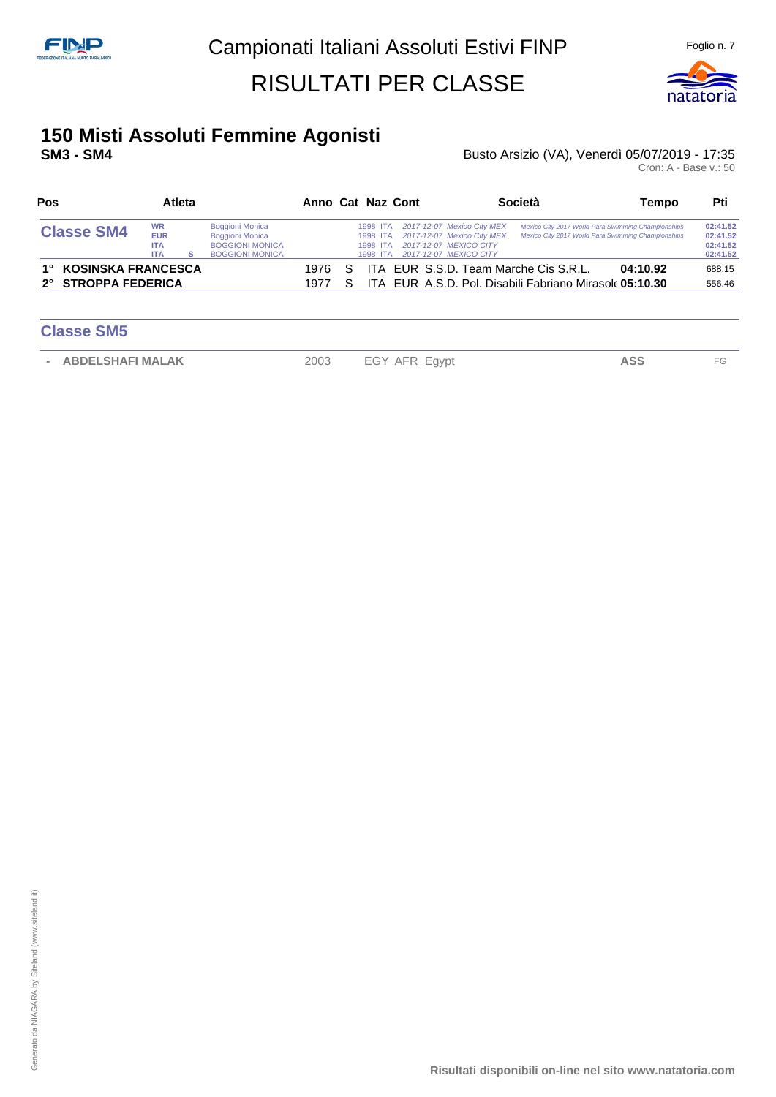

# **150 Misti Assoluti Femmine Agonisti**

#### **SM3 - SM4 CONSECTED: SM3 - SM4 Busto Arsizio (VA), Venerdì 05/07/2019 - 17:35**

| Pos<br><b>Atleta</b>                         |                                                     |              |                                                                                                      |  |  |                                              | Anno Cat Naz Cont                                                                                |                                                                                                              | Società                                                                                                  | Tempo | Pti                                          |
|----------------------------------------------|-----------------------------------------------------|--------------|------------------------------------------------------------------------------------------------------|--|--|----------------------------------------------|--------------------------------------------------------------------------------------------------|--------------------------------------------------------------------------------------------------------------|----------------------------------------------------------------------------------------------------------|-------|----------------------------------------------|
| <b>Classe SM4</b>                            | <b>WR</b><br><b>EUR</b><br><b>ITA</b><br><b>ITA</b> |              | <b>Boggioni Monica</b><br><b>Boggioni Monica</b><br><b>BOGGIONI MONICA</b><br><b>BOGGIONI MONICA</b> |  |  | 1998 ITA<br>1998 ITA<br>1998 ITA<br>1998 ITA |                                                                                                  | 2017-12-07 Mexico City MEX<br>2017-12-07 Mexico City MEX<br>2017-12-07 MEXICO CITY<br>2017-12-07 MEXICO CITY | Mexico City 2017 World Para Swimming Championships<br>Mexico City 2017 World Para Swimming Championships |       | 02:41.52<br>02:41.52<br>02:41.52<br>02:41.52 |
| 1° KOSINSKA FRANCESCA<br>2° STROPPA FEDERICA |                                                     | 1976<br>1977 | -S<br>S.                                                                                             |  |  |                                              | ITA EUR S.S.D. Team Marche Cis S.R.L.<br>ITA EUR A.S.D. Pol. Disabili Fabriano Mirasole 05:10.30 | 04:10.92                                                                                                     | 688.15<br>556.46                                                                                         |       |                                              |

| <b>Classe SM5</b>                 |      |               |     |     |
|-----------------------------------|------|---------------|-----|-----|
| <b>ABDELSHAFI MALAK</b><br>$\sim$ | 2003 | EGY AFR Egypt | ASS | FG. |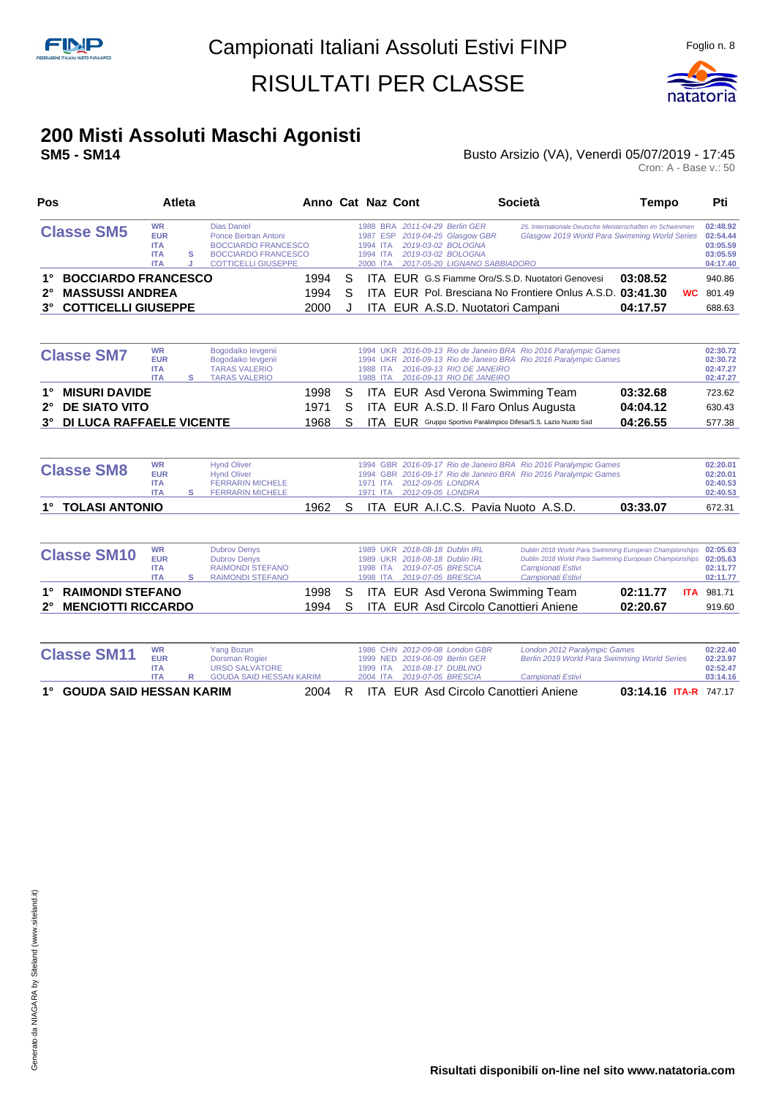

## **200 Misti Assoluti Maschi Agonisti**

#### **SM5 - SM14** Busto Arsizio (VA), Venerdì 05/07/2019 - 17:45

Cron: A - Base v.: 50

| Pos                                          | Atleta                                                            |        |                                                                                                                                      | Anno Cat Naz Cont |   |                                              |  |                                                                                                                                       | <b>Società</b>                                                                                                                                             | <b>Tempo</b>           | Pti                                                      |
|----------------------------------------------|-------------------------------------------------------------------|--------|--------------------------------------------------------------------------------------------------------------------------------------|-------------------|---|----------------------------------------------|--|---------------------------------------------------------------------------------------------------------------------------------------|------------------------------------------------------------------------------------------------------------------------------------------------------------|------------------------|----------------------------------------------------------|
| <b>Classe SM5</b>                            | <b>WR</b><br><b>EUR</b><br><b>ITA</b><br><b>ITA</b><br><b>ITA</b> | s<br>J | <b>Dias Daniel</b><br>Ponce Bertran Antoni<br><b>BOCCIARDO FRANCESCO</b><br><b>BOCCIARDO FRANCESCO</b><br><b>COTTICELLI GIUSEPPE</b> |                   |   | 1987 ESP<br>1994 ITA<br>1994 ITA<br>2000 ITA |  | 1988 BRA 2011-04-29 Berlin GER<br>2019-04-25 Glasgow GBR<br>2019-03-02 BOLOGNA<br>2019-03-02 BOLOGNA<br>2017-05-20 LIGNANO SABBIADORO | 25. Internationale Deutsche Meisterschaften im Schwimmen<br>Glasgow 2019 World Para Swimming World Series                                                  |                        | 02:48.92<br>02:54.44<br>03:05.59<br>03:05.59<br>04:17.40 |
| <b>BOCCIARDO FRANCESCO</b><br>1°             |                                                                   |        |                                                                                                                                      | 1994              | S |                                              |  |                                                                                                                                       | ITA EUR G.S Fiamme Oro/S.S.D. Nuotatori Genovesi                                                                                                           | 03:08.52               | 940.86                                                   |
| <b>MASSUSSI ANDREA</b><br>$2^{\circ}$        |                                                                   |        |                                                                                                                                      | 1994              | S |                                              |  |                                                                                                                                       | ITA EUR Pol. Bresciana No Frontiere Onlus A.S.D. 03:41.30                                                                                                  |                        | <b>WC</b> 801.49                                         |
| <b>COTTICELLI GIUSEPPE</b><br>$3^\circ$      |                                                                   |        |                                                                                                                                      | 2000              | J |                                              |  |                                                                                                                                       | ITA EUR A.S.D. Nuotatori Campani                                                                                                                           | 04:17.57               | 688.63                                                   |
| <b>Classe SM7</b>                            | <b>WR</b>                                                         |        | Bogodaiko levgenii                                                                                                                   |                   |   |                                              |  |                                                                                                                                       | 1994 UKR 2016-09-13 Rio de Janeiro BRA Rio 2016 Paralympic Games                                                                                           |                        | 02:30.72                                                 |
|                                              | <b>EUR</b><br><b>ITA</b><br><b>ITA</b>                            | s      | Bogodaiko levgenii<br><b>TARAS VALERIO</b><br><b>TARAS VALERIO</b>                                                                   |                   |   | 1988 ITA                                     |  | 2016-09-13 RIO DE JANEIRO<br>1988 ITA 2016-09-13 RIO DE JANEIRO                                                                       | 1994 UKR 2016-09-13 Rio de Janeiro BRA Rio 2016 Paralympic Games                                                                                           |                        | 02:30.72<br>02:47.27<br>02:47.27                         |
| <b>MISURI DAVIDE</b><br>1°                   |                                                                   |        |                                                                                                                                      | 1998              | S |                                              |  |                                                                                                                                       | ITA EUR Asd Verona Swimming Team                                                                                                                           | 03:32.68               | 723.62                                                   |
| <b>DE SIATO VITO</b><br>$2^{\circ}$          |                                                                   |        |                                                                                                                                      | 1971              | S |                                              |  |                                                                                                                                       | ITA EUR A.S.D. Il Faro Onlus Augusta                                                                                                                       | 04:04.12               | 630.43                                                   |
| <b>DI LUCA RAFFAELE VICENTE</b><br>$3^\circ$ |                                                                   |        |                                                                                                                                      | 1968              | S |                                              |  |                                                                                                                                       | ITA EUR Gruppo Sportivo Paralimpico Difesa/S.S. Lazio Nuoto Ssd                                                                                            | 04:26.55               | 577.38                                                   |
| <b>Classe SM8</b>                            | <b>WR</b><br><b>EUR</b><br><b>ITA</b><br><b>ITA</b>               | s      | <b>Hynd Oliver</b><br><b>Hynd Oliver</b><br><b>FERRARIN MICHELE</b><br><b>FERRARIN MICHELE</b>                                       |                   |   | 1971 ITA<br>1971 ITA                         |  | 2012-09-05 LONDRA<br>2012-09-05 LONDRA                                                                                                | 1994 GBR 2016-09-17 Rio de Janeiro BRA Rio 2016 Paralympic Games<br>1994 GBR 2016-09-17 Rio de Janeiro BRA Rio 2016 Paralympic Games                       |                        | 02:20.01<br>02:20.01<br>02:40.53<br>02:40.53             |
| <b>TOLASI ANTONIO</b><br>$1^{\circ}$         |                                                                   |        |                                                                                                                                      | 1962              | S |                                              |  |                                                                                                                                       | ITA EUR A.I.C.S. Pavia Nuoto A.S.D.                                                                                                                        | 03:33.07               | 672.31                                                   |
| <b>Classe SM10</b>                           | <b>WR</b><br><b>EUR</b><br><b>ITA</b><br><b>ITA</b>               | s      | <b>Dubrov Denys</b><br><b>Dubrov Denys</b><br><b>RAIMONDI STEFANO</b><br><b>RAIMONDI STEFANO</b>                                     |                   |   | <b>1989 UKR</b><br>1998 ITA<br>1998 ITA      |  | 1989 UKR 2018-08-18 Dublin IRL<br>2018-08-18 Dublin IRL<br>2019-07-05 BRESCIA<br>2019-07-05 BRESCIA                                   | Dublin 2018 World Para Swimming European Championships<br>Dublin 2018 World Para Swimming European Championships<br>Campionati Estivi<br>Campionati Estivi |                        | 02:05.63<br>02:05.63<br>02:11.77<br>02:11.77             |
| <b>RAIMONDI STEFANO</b>                      |                                                                   |        |                                                                                                                                      | 1998              | S |                                              |  |                                                                                                                                       | ITA EUR Asd Verona Swimming Team                                                                                                                           | 02:11.77<br><b>ITA</b> | 981.71                                                   |
| <b>MENCIOTTI RICCARDO</b><br>$2^{\circ}$     |                                                                   |        |                                                                                                                                      | 1994              | S |                                              |  |                                                                                                                                       | ITA EUR Asd Circolo Canottieri Aniene                                                                                                                      | 02:20.67               | 919.60                                                   |
| <b>Classe SM11</b>                           | <b>WR</b><br><b>EUR</b><br><b>ITA</b><br><b>ITA</b>               | R      | <b>Yang Bozun</b><br><b>Dorsman Rogier</b><br><b>URSO SALVATORE</b><br><b>GOUDA SAID HESSAN KARIM</b>                                |                   |   | 1986 CHN<br>1999 NED<br>1999 ITA<br>2004 ITA |  | 2012-09-08 London GBR<br>2019-06-09 Berlin GER<br>2018-08-17 DUBLINO<br>2019-07-05 BRESCIA                                            | London 2012 Paralympic Games<br>Berlin 2019 World Para Swimming World Series<br>Campionati Estivi                                                          |                        | 02:22.40<br>02:23.97<br>02:52.47<br>03:14.16             |

**1° GOUDA SAID HESSAN KARIM** 2004 R ITA EUR Asd Circolo Canottieri Aniene **03:14.16 ITA-R** 747.17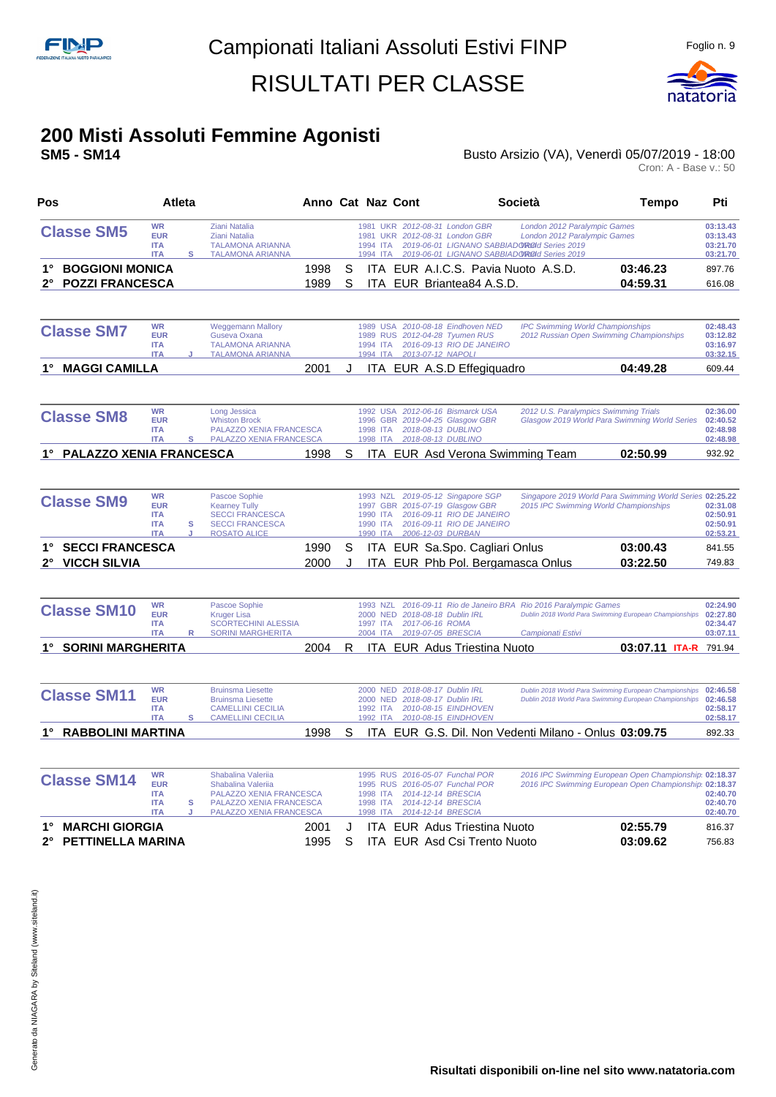

## **200 Misti Assoluti Femmine Agonisti**

#### Busto Arsizio (VA), Venerdì 05/07/2019 - 18:00

Cron: A - Base v.: 50

| Pos                                   | Atleta                                                            |         |                                                                                                                           | Anno Cat Naz Cont |    |                                              |                                                                                                                                            | Società                                                                                                                                                    | Tempo                                                                                                            | Pti                                          |
|---------------------------------------|-------------------------------------------------------------------|---------|---------------------------------------------------------------------------------------------------------------------------|-------------------|----|----------------------------------------------|--------------------------------------------------------------------------------------------------------------------------------------------|------------------------------------------------------------------------------------------------------------------------------------------------------------|------------------------------------------------------------------------------------------------------------------|----------------------------------------------|
| <b>Classe SM5</b>                     | <b>WR</b><br><b>EUR</b><br><b>ITA</b><br><b>ITA</b>               | s       | <b>Ziani Natalia</b><br><b>Ziani Natalia</b><br><b>TALAMONA ARIANNA</b><br><b>TALAMONA ARIANNA</b>                        |                   |    | 1994 ITA<br>1994 ITA                         | 1981 UKR 2012-08-31 London GBR<br>1981 UKR 2012-08-31 London GBR                                                                           | London 2012 Paralympic Games<br>London 2012 Paralympic Games<br>2019-06-01 LIGNANO SABBIADOROId Series 2019<br>2019-06-01 LIGNANO SABBIADOROId Series 2019 |                                                                                                                  | 03:13.43<br>03:13.43<br>03:21.70<br>03:21.70 |
| <b>BOGGIONI MONICA</b><br>1°          |                                                                   |         |                                                                                                                           | 1998              | S  |                                              |                                                                                                                                            | ITA EUR A.I.C.S. Pavia Nuoto A.S.D.                                                                                                                        | 03:46.23                                                                                                         | 897.76                                       |
| <b>POZZI FRANCESCA</b><br>$2^{\circ}$ |                                                                   |         |                                                                                                                           | 1989              | S  |                                              | ITA EUR Briantea84 A.S.D.                                                                                                                  |                                                                                                                                                            | 04:59.31                                                                                                         | 616.08                                       |
| <b>Classe SM7</b>                     | <b>WR</b><br><b>EUR</b><br><b>ITA</b><br><b>ITA</b>               | .1      | <b>Weggemann Mallory</b><br>Guseva Oxana<br><b>TALAMONA ARIANNA</b><br><b>TALAMONA ARIANNA</b>                            |                   |    | <b>1989 RUS</b><br>1994 ITA<br>1994 ITA      | 1989 USA 2010-08-18 Eindhoven NED<br>2012-04-28 Tyumen RUS<br>2016-09-13 RIO DE JANEIRO<br>2013-07-12 NAPOLI                               |                                                                                                                                                            | <b>IPC Swimming World Championships</b><br>2012 Russian Open Swimming Championships                              | 02:48.43<br>03:12.82<br>03:16.97<br>03:32.15 |
| <b>MAGGI CAMILLA</b><br>1°            |                                                                   |         |                                                                                                                           | 2001              | J. |                                              | ITA EUR A.S.D Effegiquadro                                                                                                                 |                                                                                                                                                            | 04:49.28                                                                                                         | 609.44                                       |
| <b>Classe SM8</b>                     | <b>WR</b><br><b>EUR</b><br><b>ITA</b><br><b>ITA</b>               | s       | Long Jessica<br><b>Whiston Brock</b><br>PALAZZO XENIA FRANCESCA<br><b>PALAZZO XENIA FRANCESCA</b>                         |                   |    | 1992 USA<br>1996 GBR<br>1998 ITA<br>1998 ITA | 2012-06-16 Bismarck USA<br>2019-04-25 Glasgow GBR<br>2018-08-13 DUBLINO<br>2018-08-13 DUBLINO                                              |                                                                                                                                                            | 2012 U.S. Paralympics Swimming Trials<br>Glasgow 2019 World Para Swimming World Series                           | 02:36.00<br>02:40.52<br>02:48.98<br>02:48.98 |
| <b>PALAZZO XENIA FRANCESCA</b>        |                                                                   |         |                                                                                                                           | 1998              | S  |                                              |                                                                                                                                            | ITA EUR Asd Verona Swimming Team                                                                                                                           | 02:50.99                                                                                                         | 932.92                                       |
| <b>Classe SM9</b>                     | <b>WR</b><br><b>EUR</b><br><b>ITA</b><br><b>ITA</b><br><b>ITA</b> | s<br>J. | Pascoe Sophie<br><b>Kearney Tully</b><br><b>SECCI FRANCESCA</b><br><b>SECCI FRANCESCA</b><br><b>ROSATO ALICE</b>          |                   |    | 1993 NZL<br>1990 ITA<br>1990 ITA<br>1990 ITA | 2019-05-12 Singapore SGP<br>1997 GBR 2015-07-19 Glasgow GBR<br>2016-09-11 RIO DE JANEIRO<br>2016-09-11 RIO DE JANEIRO<br>2006-12-03 DURBAN |                                                                                                                                                            | Singapore 2019 World Para Swimming World Series 02:25.22<br>2015 IPC Swimming World Championships                | 02:31.08<br>02:50.91<br>02:50.91<br>02:53.21 |
| <b>SECCI FRANCESCA</b>                |                                                                   |         |                                                                                                                           | 1990              | S  |                                              | ITA EUR Sa.Spo. Cagliari Onlus                                                                                                             |                                                                                                                                                            | 03:00.43                                                                                                         | 841.55                                       |
| <b>VICCH SILVIA</b><br>$2^{\circ}$    |                                                                   |         |                                                                                                                           | 2000              | J. |                                              |                                                                                                                                            | ITA EUR Phb Pol. Bergamasca Onlus                                                                                                                          | 03:22.50                                                                                                         | 749.83                                       |
| <b>Classe SM10</b>                    | <b>WR</b><br><b>EUR</b><br><b>ITA</b><br><b>ITA</b>               | R       | Pascoe Sophie<br><b>Kruger Lisa</b><br><b>SCORTECHINI ALESSIA</b><br><b>SORINI MARGHERITA</b>                             |                   |    | 1993 NZL<br>2000 NED<br>1997 ITA<br>2004 ITA | 2018-08-18 Dublin IRL<br>2017-06-16 ROMA<br>2019-07-05 BRESCIA                                                                             | 2016-09-11 Rio de Janeiro BRA Rio 2016 Paralympic Games<br>Campionati Estivi                                                                               | Dublin 2018 World Para Swimming European Championships                                                           | 02:24.90<br>02:27.80<br>02:34.47<br>03:07.11 |
| 1° SORINI MARGHERITA                  |                                                                   |         |                                                                                                                           | 2004              | R  |                                              | ITA EUR Adus Triestina Nuoto                                                                                                               |                                                                                                                                                            | 03:07.11 ITA-R 791.94                                                                                            |                                              |
| <b>Classe SM11</b>                    | <b>WR</b><br><b>EUR</b><br><b>ITA</b><br><b>ITA</b>               | s       | <b>Bruinsma Liesette</b><br><b>Bruinsma Liesette</b><br><b>CAMELLINI CECILIA</b><br><b>CAMELLINI CECILIA</b>              |                   |    | 1992 ITA<br>1992 ITA                         | 2000 NED 2018-08-17 Dublin IRL<br>2000 NED 2018-08-17 Dublin IRL<br>2010-08-15 EINDHOVEN<br>2010-08-15 EINDHOVEN                           |                                                                                                                                                            | Dublin 2018 World Para Swimming European Championships<br>Dublin 2018 World Para Swimming European Championships | 02:46.58<br>02:46.58<br>02:58.17<br>02:58.17 |
| 1° RABBOLINI MARTINA                  |                                                                   |         |                                                                                                                           | 1998              | S  |                                              |                                                                                                                                            |                                                                                                                                                            | ITA EUR G.S. Dil. Non Vedenti Milano - Onlus 03:09.75                                                            | 892.33                                       |
| <b>Classe SM14</b>                    | <b>WR</b><br><b>EUR</b><br><b>ITA</b><br><b>ITA</b><br><b>ITA</b> | s<br>J  | Shabalina Valeriia<br>Shabalina Valeriia<br>PALAZZO XENIA FRANCESCA<br>PALAZZO XENIA FRANCESCA<br>PALAZZO XENIA FRANCESCA |                   |    | 1998 ITA<br>1998 ITA<br>1998 ITA             | 1995 RUS 2016-05-07 Funchal POR<br>1995 RUS 2016-05-07 Funchal POR<br>2014-12-14 BRESCIA<br>2014-12-14 BRESCIA<br>2014-12-14 BRESCIA       |                                                                                                                                                            | 2016 IPC Swimming European Open Championship 02:18.37<br>2016 IPC Swimming European Open Championship 02:18.37   | 02:40.70<br>02:40.70<br>02:40.70             |
|                                       |                                                                   |         |                                                                                                                           |                   |    |                                              |                                                                                                                                            |                                                                                                                                                            |                                                                                                                  |                                              |

**1° MARCHI GIORGIA** 2001 J ITA EUR Adus Triestina Nuoto **02:55.79** 816.37 **2° PETTINELLA MARINA** 1995 S ITA EUR Asd Csi Trento Nuoto **03:09.62** 756.83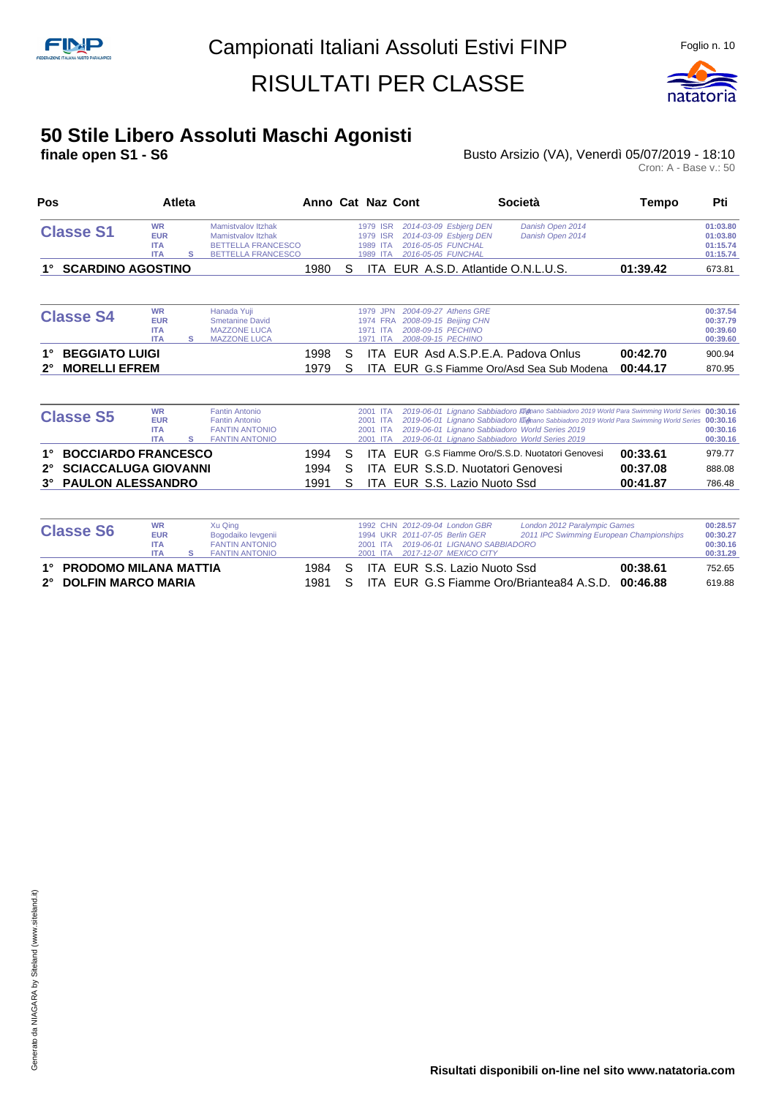

#### **50 Stile Libero Assoluti Maschi Agonisti**

**finale open S1 - S6 Busto Arsizio (VA), Venerdì 05/07/2019 - 18:10 Busto Arsizio (VA), Venerdì 05/07/2019 - 18:10**<br>Cron: A - Base v.: 50

|                                                     |                                                     | <b>Atleta</b> |                                                                                                           |              |        | Anno Cat Naz Cont                                                                                                                                               | <b>Società</b>                                                                                     | Tempo                                                                                             | Pti                                          |
|-----------------------------------------------------|-----------------------------------------------------|---------------|-----------------------------------------------------------------------------------------------------------|--------------|--------|-----------------------------------------------------------------------------------------------------------------------------------------------------------------|----------------------------------------------------------------------------------------------------|---------------------------------------------------------------------------------------------------|----------------------------------------------|
| <b>Classe S1</b>                                    | <b>WR</b><br><b>EUR</b><br><b>ITA</b><br><b>ITA</b> | s             | Mamistvalov Itzhak<br><b>Mamistvalov Itzhak</b><br><b>BETTELLA FRANCESCO</b><br><b>BETTELLA FRANCESCO</b> |              |        | 2014-03-09 Esbjerg DEN<br>1979 ISR<br>2014-03-09 Esbjerg DEN<br>1979 ISR<br>2016-05-05 FUNCHAL<br>1989 ITA<br>2016-05-05 FUNCHAL<br>1989 ITA                    | Danish Open 2014<br>Danish Open 2014                                                               |                                                                                                   | 01:03.80<br>01:03.80<br>01:15.74<br>01:15.74 |
| <b>SCARDINO AGOSTINO</b>                            |                                                     |               |                                                                                                           | 1980         | S      |                                                                                                                                                                 | ITA EUR A.S.D. Atlantide O.N.L.U.S.                                                                | 01:39.42                                                                                          | 673.81                                       |
| <b>Classe S4</b>                                    | <b>WR</b><br><b>EUR</b><br><b>ITA</b><br><b>ITA</b> | s             | Hanada Yuji<br><b>Smetanine David</b><br><b>MAZZONE LUCA</b><br><b>MAZZONE LUCA</b>                       |              |        | 2004-09-27 Athens GRE<br>1979 JPN<br>2008-09-15 Beijing CHN<br>1974 FRA<br>2008-09-15 PECHINO<br>1971<br><b>ITA</b><br>2008-09-15 PECHINO<br>1971<br><b>ITA</b> |                                                                                                    |                                                                                                   | 00:37.54<br>00:37.79<br>00:39.60<br>00:39.60 |
| <b>BEGGIATO LUIGI</b><br><b>MORELLI EFREM</b><br>2° |                                                     |               |                                                                                                           | 1998<br>1979 | S<br>S | ITA.                                                                                                                                                            | ITA EUR Asd A.S.P.E.A. Padova Onlus<br>EUR G.S Fiamme Oro/Asd Sea Sub Modena                       | 00:42.70<br>00:44.17                                                                              | 900.94<br>870.95                             |
|                                                     | <b>WR</b>                                           |               | <b>Fantin Antonio</b>                                                                                     |              |        | 2001 ITA                                                                                                                                                        |                                                                                                    | 2019-06-01 Lignano Sabbiadoro Illignano Sabbiadoro 2019 World Para Swimming World Series 00:30.16 |                                              |
| <b>Classe S5</b>                                    | <b>EUR</b><br><b>ITA</b><br><b>ITA</b>              | s             | <b>Fantin Antonio</b><br><b>FANTIN ANTONIO</b><br><b>FANTIN ANTONIO</b>                                   |              |        | 2001 ITA<br>2001 ITA<br>2001 ITA                                                                                                                                | 2019-06-01 Lignano Sabbiadoro World Series 2019<br>2019-06-01 Lignano Sabbiadoro World Series 2019 | 2019-06-01 Lignano Sabbiadoro Illignano Sabbiadoro 2019 World Para Swimming World Series 00:30.16 | 00:30.16<br>00:30.16                         |
| <b>BOCCIARDO FRANCESCO</b>                          |                                                     |               |                                                                                                           | 1994         | S      |                                                                                                                                                                 | <b>ITA FUR G.S Fiamme Oro/S.S.D. Nuotatori Genovesi</b>                                            | 00:33.61                                                                                          | 979.77                                       |
| <b>SCIACCALUGA GIOVANNI</b><br>$2^{\circ}$          |                                                     |               |                                                                                                           | 1994         | S      | ITA EUR S.S.D. Nuotatori Genovesi                                                                                                                               |                                                                                                    | 00:37.08                                                                                          | 888.08                                       |

| <b>Classe S6</b>         | Xu Qing    |                       |        | 1992 CHN 2012-09-04 London GBR | London 2012 Paralympic Games           |                                                   | 00:28.57 |          |
|--------------------------|------------|-----------------------|--------|--------------------------------|----------------------------------------|---------------------------------------------------|----------|----------|
|                          | <b>EUR</b> | Bogodaiko levgenii    |        |                                | 1994 UKR 2011-07-05 Berlin GER         | 2011 IPC Swimming European Championships          |          | 00:30.27 |
|                          | <b>ITA</b> | <b>FANTIN ANTONIO</b> |        |                                | 2001 ITA 2019-06-01 LIGNANO SABBIADORO |                                                   |          | 00:30.16 |
|                          | <b>ITA</b> | <b>FANTIN ANTONIO</b> |        |                                | 2001 ITA 2017-12-07 MEXICO CITY        |                                                   |          | 00:31.29 |
| 1° PRODOMO MILANA MATTIA |            |                       | 1984 S |                                | ITA EUR S.S. Lazio Nuoto Ssd           |                                                   | 00:38.61 | 752.65   |
| 2° DOLFIN MARCO MARIA    |            |                       | 1981   |                                |                                        | ITA EUR G.S Fiamme Oro/Briantea84 A.S.D. 00:46.88 |          | 619.88   |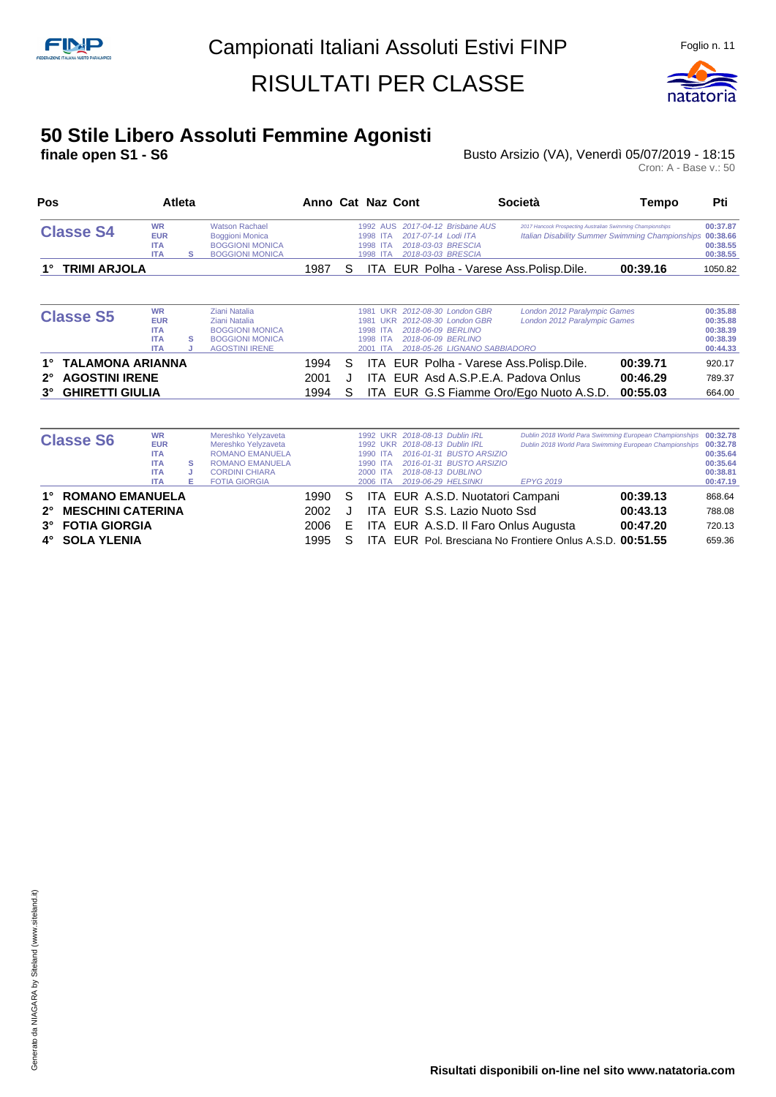

# **50 Stile Libero Assoluti Femmine Agonisti**

**finale open S1 - S6** Busto Arsizio (VA), Venerdì 05/07/2019 - 18:15

| Pos                                                                                            |                                                                   | Atleta  |                                                                                                             |                      |             | Anno Cat Naz Cont                                                                                                                                                                     | Società                                                                                                                 | Tempo                                                                                                                 | Pti                                                      |
|------------------------------------------------------------------------------------------------|-------------------------------------------------------------------|---------|-------------------------------------------------------------------------------------------------------------|----------------------|-------------|---------------------------------------------------------------------------------------------------------------------------------------------------------------------------------------|-------------------------------------------------------------------------------------------------------------------------|-----------------------------------------------------------------------------------------------------------------------|----------------------------------------------------------|
| <b>Classe S4</b>                                                                               | <b>WR</b><br><b>EUR</b><br><b>ITA</b><br><b>ITA</b>               | s       | <b>Watson Rachael</b><br><b>Boggioni Monica</b><br><b>BOGGIONI MONICA</b><br><b>BOGGIONI MONICA</b>         |                      |             | 2017-04-12 Brisbane AUS<br>1992 AUS<br>2017-07-14 Lodi ITA<br>1998 ITA<br>1998 ITA<br>2018-03-03 BRESCIA<br>2018-03-03 BRESCIA<br>1998 ITA                                            |                                                                                                                         | 2017 Hancock Prospecting Australian Swimming Championships<br><b>Italian Disability Summer Swimming Championships</b> | 00:37.87<br>00:38.66<br>00:38.55<br>00:38.55             |
| <b>TRIMI ARJOLA</b>                                                                            |                                                                   |         |                                                                                                             | 1987                 | S           |                                                                                                                                                                                       | ITA EUR Polha - Varese Ass. Polisp. Dile.                                                                               | 00:39.16                                                                                                              | 1050.82                                                  |
| <b>Classe S5</b>                                                                               | <b>WR</b><br><b>EUR</b><br><b>ITA</b><br><b>ITA</b><br><b>ITA</b> | s<br>J. | Ziani Natalia<br>Ziani Natalia<br><b>BOGGIONI MONICA</b><br><b>BOGGIONI MONICA</b><br><b>AGOSTINI IRENE</b> |                      |             | 2012-08-30 London GBR<br><b>LIKR</b><br>1981<br>2012-08-30 London GBR<br>1981<br><b>UKR</b><br>2018-06-09 BERLINO<br>1998 ITA<br>2018-06-09 BERLINO<br>1998<br><b>ITA</b><br>2001 ITA | London 2012 Paralympic Games<br>London 2012 Paralympic Games<br>2018-05-26 LIGNANO SABBIADORO                           |                                                                                                                       | 00:35.88<br>00:35.88<br>00:38.39<br>00:38.39<br>00:44.33 |
| TALAMONA ARIANNA<br>1°<br><b>AGOSTINI IRENE</b><br>$2^{\circ}$<br><b>GHIRETTI GIULIA</b><br>3° |                                                                   |         |                                                                                                             | 1994<br>2001<br>1994 | S<br>J<br>S | ITA.                                                                                                                                                                                  | ITA EUR Polha - Varese Ass. Polisp. Dile.<br>EUR Asd A.S.P.E.A. Padova Onlus<br>ITA EUR G.S Fiamme Oro/Ego Nuoto A.S.D. | 00:39.71<br>00:46.29<br>00:55.03                                                                                      | 920.17<br>789.37<br>664.00                               |

|             | <b>Classe S6</b>         | <b>WR</b>  |    | Mereshko Yelyzaveta    |      |    |          |  | 1992 UKR 2018-08-13 Dublin IRL   | Dublin 2018 World Para Swimming European Championships 00:32.78 |          |          |
|-------------|--------------------------|------------|----|------------------------|------|----|----------|--|----------------------------------|-----------------------------------------------------------------|----------|----------|
|             |                          | <b>EUR</b> |    | Mereshko Yelyzaveta    |      |    |          |  | 1992 UKR 2018-08-13 Dublin IRL   | Dublin 2018 World Para Swimming European Championships 00:32.78 |          |          |
|             |                          | <b>ITA</b> |    | <b>ROMANO EMANUELA</b> |      |    | 1990 ITA |  | 2016-01-31 BUSTO ARSIZIO         |                                                                 |          | 00:35.64 |
|             |                          | <b>ITA</b> | s  | <b>ROMANO EMANUELA</b> |      |    | 1990 ITA |  | 2016-01-31 BUSTO ARSIZIO         |                                                                 |          | 00:35.64 |
|             |                          | <b>ITA</b> |    | <b>CORDINI CHIARA</b>  |      |    | 2000 ITA |  | 2018-08-13 DUBLINO               |                                                                 |          | 00:38.81 |
|             |                          | <b>ITA</b> | F. | <b>FOTIA GIORGIA</b>   |      |    | 2006 ITA |  | 2019-06-29 HELSINKI              | <b>EPYG 2019</b>                                                |          | 00:47.19 |
| $1^{\circ}$ | <b>ROMANO EMANUELA</b>   |            |    |                        | 1990 | S. |          |  | ITA EUR A.S.D. Nuotatori Campani |                                                                 | 00:39.13 | 868.64   |
| $2^{\circ}$ | <b>MESCHINI CATERINA</b> |            |    |                        | 2002 |    |          |  | ITA EUR S.S. Lazio Nuoto Ssd     |                                                                 | 00:43.13 | 788.08   |
|             | 3° FOTIA GIORGIA         |            |    |                        | 2006 | E. |          |  |                                  | ITA EUR A.S.D. Il Faro Onlus Augusta                            | 00:47.20 | 720.13   |
|             | 4° SOLA YLENIA           |            |    |                        | 1995 |    |          |  |                                  | ITA EUR Pol. Bresciana No Frontiere Onlus A.S.D. 00:51.55       |          | 659.36   |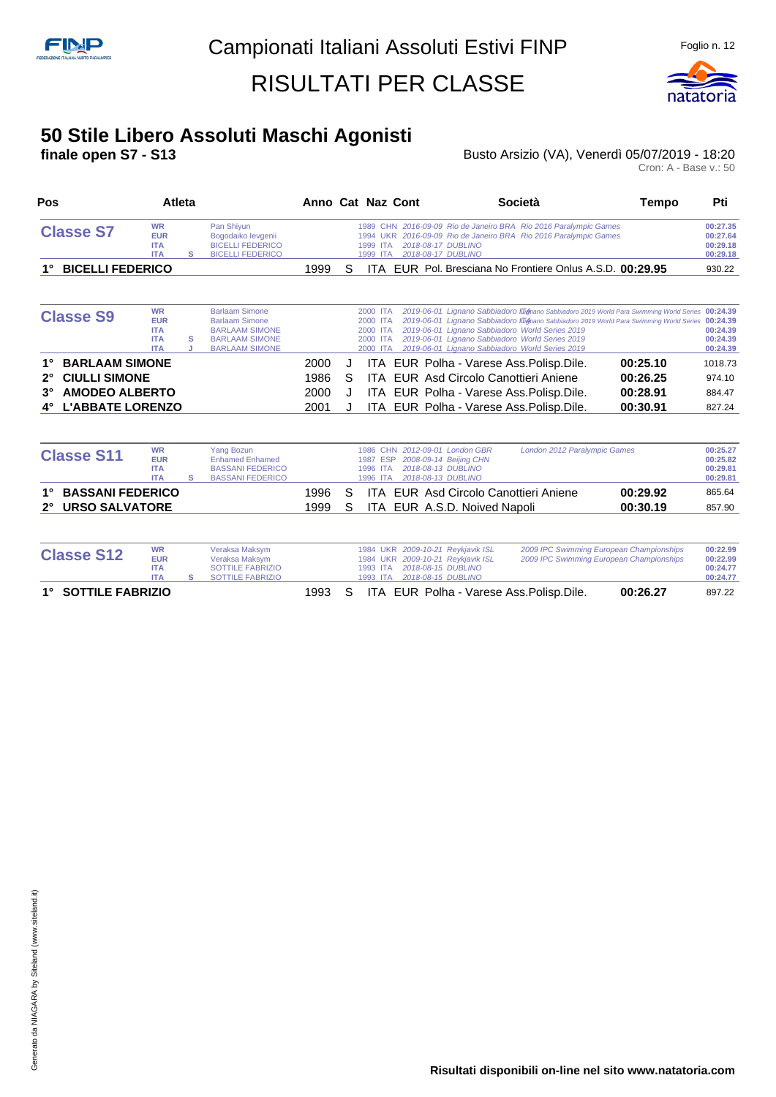

# **50 Stile Libero Assoluti Maschi Agonisti**

**finale open S7 - S13** Busto Arsizio (VA), Venerdì 05/07/2019 - 18:20

Cron: A - Base v.: 50

| Pos                                 |                                                                   | Atleta |                                                                                                                           |      |   | Anno Cat Naz Cont                                                                                                                        | <b>Società</b>                                                                                                                                        | Tempo                                                                                                                                                                                        | Pti                                          |
|-------------------------------------|-------------------------------------------------------------------|--------|---------------------------------------------------------------------------------------------------------------------------|------|---|------------------------------------------------------------------------------------------------------------------------------------------|-------------------------------------------------------------------------------------------------------------------------------------------------------|----------------------------------------------------------------------------------------------------------------------------------------------------------------------------------------------|----------------------------------------------|
| <b>Classe S7</b>                    | <b>WR</b><br><b>EUR</b><br><b>ITA</b><br><b>ITA</b>               | s      | Pan Shiyun<br>Bogodaiko levgenii<br><b>BICELLI FEDERICO</b><br><b>BICELLI FEDERICO</b>                                    |      |   | 2018-08-17 DUBLINO<br>1999 ITA<br>2018-08-17 DUBLINO<br>1999 ITA                                                                         | 1989 CHN 2016-09-09 Rio de Janeiro BRA Rio 2016 Paralympic Games<br>1994 UKR 2016-09-09 Rio de Janeiro BRA Rio 2016 Paralympic Games                  |                                                                                                                                                                                              | 00:27.35<br>00:27.64<br>00:29.18<br>00:29.18 |
| <b>BICELLI FEDERICO</b>             |                                                                   |        |                                                                                                                           | 1999 | S | ITA.                                                                                                                                     | EUR Pol. Bresciana No Frontiere Onlus A.S.D. 00:29.95                                                                                                 |                                                                                                                                                                                              | 930.22                                       |
| <b>Classe S9</b>                    | <b>WR</b><br><b>EUR</b><br><b>ITA</b><br><b>ITA</b><br><b>ITA</b> | s<br>J | <b>Barlaam Simone</b><br><b>Barlaam Simone</b><br><b>BARLAAM SIMONE</b><br><b>BARLAAM SIMONE</b><br><b>BARLAAM SIMONE</b> |      |   | 2000 ITA<br>2000 ITA<br>2000 ITA<br>2000 ITA<br>2000 ITA                                                                                 | 2019-06-01 Lignano Sabbiadoro World Series 2019<br>2019-06-01 Lignano Sabbiadoro World Series 2019<br>2019-06-01 Lignano Sabbiadoro World Series 2019 | 2019-06-01 Lianano Sabbiadoro I Tighano Sabbiadoro 2019 World Para Swimming World Series 00:24.39<br>2019-06-01 Lignano Sabbiadoro III mano Sabbiadoro 2019 World Para Swimming World Series | 00:24.39<br>00:24.39<br>00:24.39<br>00:24.39 |
| <b>BARLAAM SIMONE</b>               |                                                                   |        |                                                                                                                           | 2000 | J |                                                                                                                                          | ITA EUR Polha - Varese Ass. Polisp. Dile.                                                                                                             | 00:25.10                                                                                                                                                                                     | 1018.73                                      |
| <b>CIULLI SIMONE</b><br>$2^{\circ}$ |                                                                   |        |                                                                                                                           | 1986 | S | ITA.                                                                                                                                     | EUR Asd Circolo Canottieri Aniene                                                                                                                     | 00:26.25                                                                                                                                                                                     | 974.10                                       |
| <b>AMODEO ALBERTO</b><br>$3^\circ$  |                                                                   |        |                                                                                                                           | 2000 | J | ITA.                                                                                                                                     | EUR Polha - Varese Ass. Polisp. Dile.                                                                                                                 | 00:28.91                                                                                                                                                                                     | 884.47                                       |
| <b>L'ABBATE LORENZO</b><br>4°       |                                                                   |        |                                                                                                                           | 2001 | J | ITA.                                                                                                                                     | EUR Polha - Varese Ass. Polisp. Dile.                                                                                                                 | 00:30.91                                                                                                                                                                                     | 827.24                                       |
| <b>Classe S11</b>                   | <b>WR</b><br><b>EUR</b><br><b>ITA</b><br><b>ITA</b>               | s      | <b>Yang Bozun</b><br><b>Enhamed Enhamed</b><br><b>BASSANI FEDERICO</b><br><b>BASSANI FEDERICO</b>                         |      |   | 1986 CHN 2012-09-01 London GBR<br>1987 ESP<br>2008-09-14 Beijing CHN<br>2018-08-13 DUBLINO<br>1996 ITA<br>2018-08-13 DUBLINO<br>1996 ITA |                                                                                                                                                       | London 2012 Paralympic Games                                                                                                                                                                 | 00:25.27<br>00:25.82<br>00:29.81<br>00:29.81 |
| <b>BASSANI FEDERICO</b>             |                                                                   |        |                                                                                                                           | 1996 | S | ITA.                                                                                                                                     | EUR Asd Circolo Canottieri Aniene                                                                                                                     | 00:29.92                                                                                                                                                                                     | 865.64                                       |
| <b>URSO SALVATORE</b>               |                                                                   |        |                                                                                                                           | 1999 | S | ITA.                                                                                                                                     | EUR A.S.D. Noived Napoli                                                                                                                              | 00:30.19                                                                                                                                                                                     | 857.90                                       |
| <b>Classe S12</b>                   | <b>WR</b><br><b>EUR</b><br><b>ITA</b>                             |        | Veraksa Maksym<br>Veraksa Maksym<br><b>SOTTILE FABRIZIO</b>                                                               |      |   | 1984 UKR 2009-10-21 Reykjavik ISL<br>1984 UKR 2009-10-21 Reykjavik ISL<br>2018-08-15 DUBLINO<br>1993 ITA                                 |                                                                                                                                                       | 2009 IPC Swimming European Championships<br>2009 IPC Swimming European Championships                                                                                                         | 00:22.99<br>00:22.99<br>00:24.77             |

**ITA S** SOTTILE FABRIZIO 1993 ITA 2018-08-15 DUBLINO **00:24.77 1° SOTTILE FABRIZIO** 1993 S ITA EUR Polha - Varese Ass.Polisp.Dile. **00:26.27** 897.22

Generato da NIAGARA by Siteland (www.siteland.it) Generato da NIAGARA by Siteland (www.siteland.it)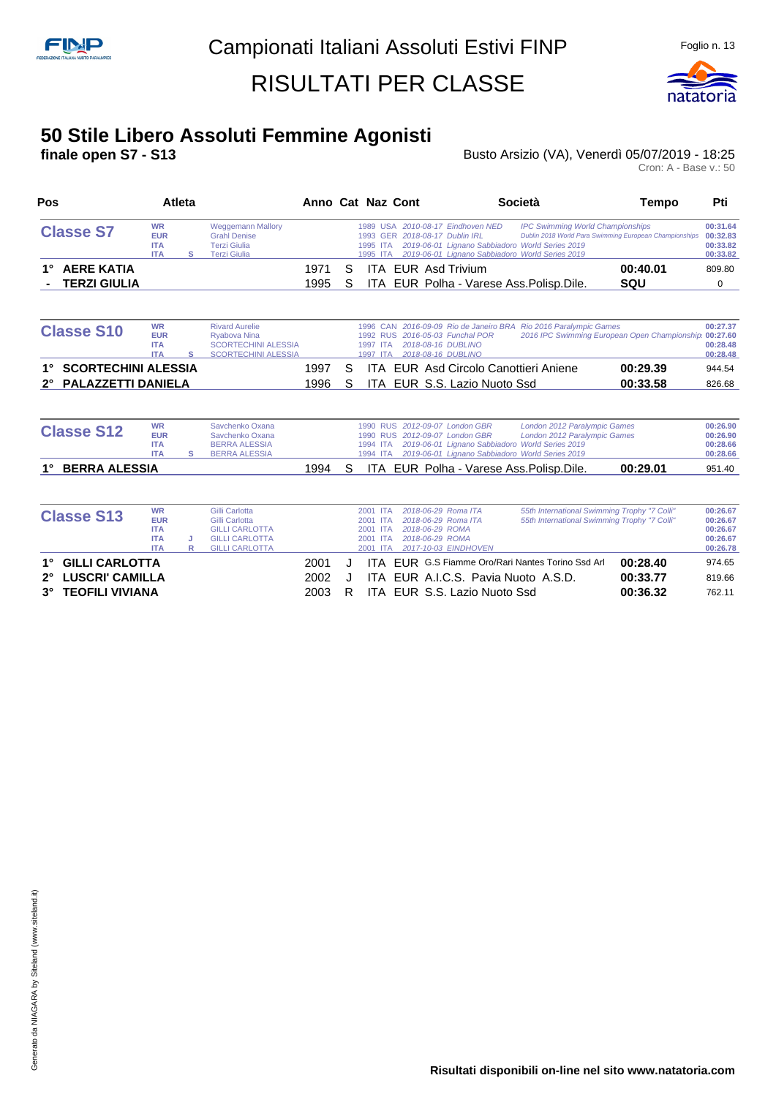

#### **50 Stile Libero Assoluti Femmine Agonisti**

**finale open S7 - S13 Busto Arsizio (VA), Venerdì 05/07/2019 - 18:25** 

| 00:31.64<br>2010-08-17 Eindhoven NED<br><b>IPC Swimming World Championships</b><br>Dublin 2018 World Para Swimming European Championships<br>00:32.83<br>2018-08-17 Dublin IRL<br>2019-06-01 Lignano Sabbiadoro World Series 2019<br>00:33.82<br>2019-06-01 Lignano Sabbiadoro World Series 2019<br>00:33.82 |
|--------------------------------------------------------------------------------------------------------------------------------------------------------------------------------------------------------------------------------------------------------------------------------------------------------------|
|                                                                                                                                                                                                                                                                                                              |
| 00:40.01<br><b>EUR</b> Asd Trivium<br>809.80                                                                                                                                                                                                                                                                 |
| ITA EUR Polha - Varese Ass. Polisp. Dile.<br>SQU<br>0                                                                                                                                                                                                                                                        |
| 2016-09-09 Rio de Janeiro BRA Rio 2016 Paralympic Games<br>00:27.37<br>2016 IPC Swimming European Open Championship<br>2016-05-03 Funchal POR<br>00:27.60<br>2018-08-16 DUBLINO<br>00:28.48<br>2018-08-16 DUBLINO<br>00:28.48                                                                                |
| EUR Asd Circolo Canottieri Aniene<br>00:29.39<br>944.54                                                                                                                                                                                                                                                      |
| EUR S.S. Lazio Nuoto Ssd<br>00:33.58<br>826.68                                                                                                                                                                                                                                                               |
|                                                                                                                                                                                                                                                                                                              |

| <b>Classe S12</b>          | <b>WR</b><br><b>EUR</b><br><b>ITA</b><br><b>ITA</b> | Savchenko Oxana<br>Savchenko Oxana<br><b>BERRA ALESSIA</b><br><b>BERRA ALESSIA</b> |  |  | 1990 RUS 2012-09-07 London GBR<br>1990 RUS 2012-09-07 London GBR<br>1994 ITA 2019-06-01 Lignano Sabbiadoro World Series 2019<br>1994 ITA 2019-06-01 Lignano Sabbiadoro World Series 2019 | London 2012 Paralympic Games<br>London 2012 Paralympic Games |          | 00:26.90<br>00:26.90<br>00:28.66<br>00:28.66 |
|----------------------------|-----------------------------------------------------|------------------------------------------------------------------------------------|--|--|------------------------------------------------------------------------------------------------------------------------------------------------------------------------------------------|--------------------------------------------------------------|----------|----------------------------------------------|
| 1°<br><b>BERRA ALESSIA</b> |                                                     |                                                                                    |  |  | 1994 S ITA EUR Polha - Varese Ass. Polisp. Dile.                                                                                                                                         |                                                              | 00:29.01 | 951.40                                       |

| <b>Classe S13</b>  | <b>WR</b><br><b>EUR</b> |   | Gilli Carlotta<br>Gilli Carlotta |      |   | 2001 ITA<br>2001 ITA | 2018-06-29 Roma ITA<br>2018-06-29 Roma ITA | 55th International Swimming Trophy "7 Colli"<br>55th International Swimming Trophy "7 Colli" |          | 00:26.67<br>00:26.67 |
|--------------------|-------------------------|---|----------------------------------|------|---|----------------------|--------------------------------------------|----------------------------------------------------------------------------------------------|----------|----------------------|
|                    | <b>ITA</b>              |   | <b>GILLI CARLOTTA</b>            |      |   | 2001 ITA             | 2018-06-29 ROMA                            |                                                                                              |          | 00:26.67             |
|                    | <b>ITA</b>              |   | <b>GILLI CARLOTTA</b>            |      |   | 2001 ITA             | 2018-06-29 ROMA                            |                                                                                              |          | 00:26.67             |
|                    | <b>ITA</b>              | R | <b>GILLI CARLOTTA</b>            |      |   | 2001 ITA             | 2017-10-03 EINDHOVEN                       |                                                                                              |          | 00:26.78             |
| 1° GILLI CARLOTTA  |                         |   |                                  | 2001 |   |                      |                                            | <b>ITA EUR G.S Fiamme Oro/Rari Nantes Torino Ssd Arl</b>                                     | 00:28.40 | 974.65               |
| 2° LUSCRI' CAMILLA |                         |   |                                  | 2002 |   |                      | ITA EUR A.I.C.S. Pavia Nuoto A.S.D.        |                                                                                              | 00:33.77 | 819.66               |
| 3° TEOFILI VIVIANA |                         |   |                                  | 2003 | R |                      | ITA EUR S.S. Lazio Nuoto Ssd               |                                                                                              | 00:36.32 | 762.11               |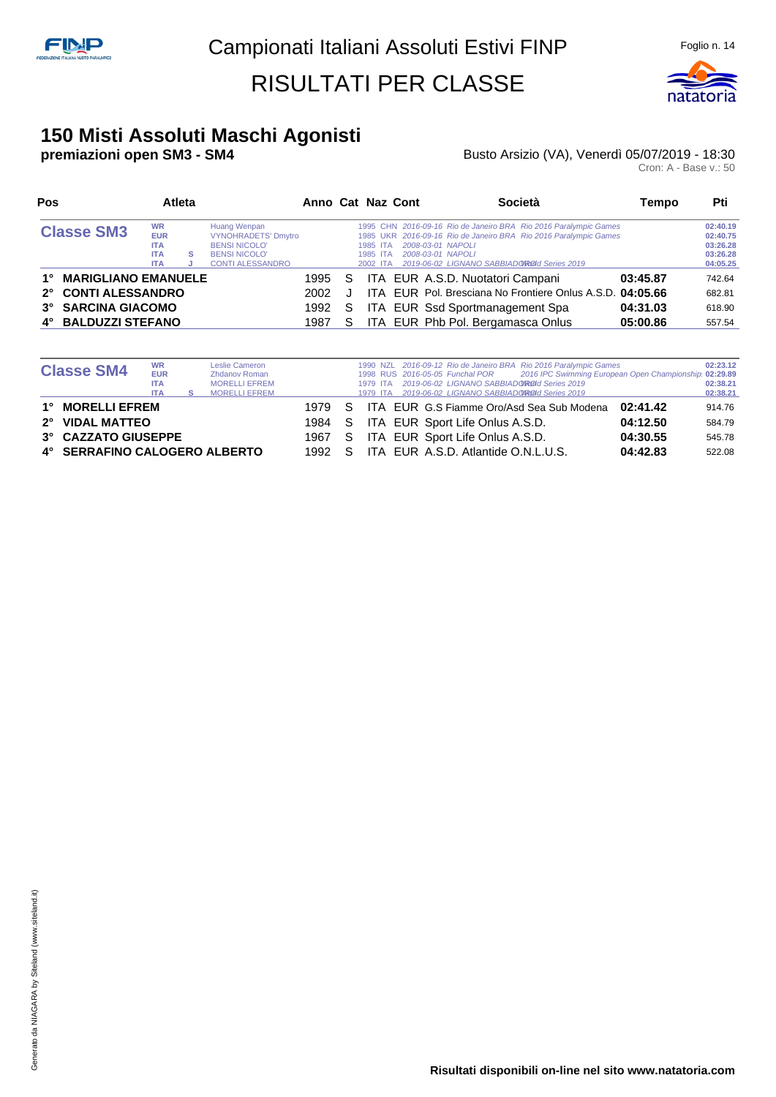

#### **150 Misti Assoluti Maschi Agonisti**

#### **premiazioni open SM3 - SM4 Busto Arsizio (VA), Venerdì 05/07/2019 - 18:30** Busto Arsizio (VA), Venerdì 05/07/2019 - 18:30<br>Cron: A - Base v.: 50

| Pos                                       |                                                                   | Atleta |                                                                                                                       |      |    | Anno Cat Naz Cont                | Società                                                                                                                                                                                                                       | Tempo    | Pti                                                      |
|-------------------------------------------|-------------------------------------------------------------------|--------|-----------------------------------------------------------------------------------------------------------------------|------|----|----------------------------------|-------------------------------------------------------------------------------------------------------------------------------------------------------------------------------------------------------------------------------|----------|----------------------------------------------------------|
| <b>Classe SM3</b>                         | <b>WR</b><br><b>EUR</b><br><b>ITA</b><br><b>ITA</b><br><b>ITA</b> | s      | Huang Wenpan<br><b>VYNOHRADETS' Dmytro</b><br><b>BENSI NICOLO'</b><br><b>BENSI NICOLO'</b><br><b>CONTI ALESSANDRO</b> |      |    | 1985 ITA<br>1985 ITA<br>2002 ITA | 1995 CHN 2016-09-16 Rio de Janeiro BRA Rio 2016 Paralympic Games<br>1985 UKR 2016-09-16 Rio de Janeiro BRA Rio 2016 Paralympic Games<br>2008-03-01 NAPOLI<br>2008-03-01 NAPOLI<br>2019-06-02 LIGNANO SABBIADOROId Series 2019 |          | 02:40.19<br>02:40.75<br>03:26.28<br>03:26.28<br>04:05.25 |
| <b>MARIGLIANO EMANUELE</b><br>$1^{\circ}$ |                                                                   |        |                                                                                                                       | 1995 | S. |                                  | ITA EUR A.S.D. Nuotatori Campani                                                                                                                                                                                              | 03:45.87 | 742.64                                                   |
| 2° CONTI ALESSANDRO                       |                                                                   |        |                                                                                                                       | 2002 |    |                                  | ITA EUR Pol. Bresciana No Frontiere Onlus A.S.D. 04:05.66                                                                                                                                                                     |          | 682.81                                                   |
| 3° SARCINA GIACOMO                        |                                                                   |        |                                                                                                                       | 1992 | S. |                                  | ITA EUR Ssd Sportmanagement Spa                                                                                                                                                                                               | 04:31.03 | 618.90                                                   |
| 4° BALDUZZI STEFANO                       |                                                                   |        |                                                                                                                       | 1987 | S. |                                  | ITA EUR Phb Pol. Bergamasca Onlus                                                                                                                                                                                             | 05:00.86 | 557.54                                                   |

| <b>Classe SM4</b>                                                                           | <b>WR</b><br><b>EUR</b><br><b>ITA</b><br><b>ITA</b> | Leslie Cameron<br><b>Zhdanov Roman</b><br><b>MORELLI EFREM</b><br><b>MORELLI EFREM</b> |                                  |          | 1979 ITA<br>1979 ITA | 2019-06-02 LIGNANO SABBIADOROId Series 2019<br>2019-06-02 LIGNANO SABBIADOROId Series 2019                | 1990 NZL 2016-09-12 Rio de Janeiro BRA Rio 2016 Paralympic Games<br>1998 RUS 2016-05-05 Funchal POR 2016 IPC Swimming European Open Championship 02:29.89 |                                              | 02:23.12<br>02:38.21<br>02:38.21     |
|---------------------------------------------------------------------------------------------|-----------------------------------------------------|----------------------------------------------------------------------------------------|----------------------------------|----------|----------------------|-----------------------------------------------------------------------------------------------------------|-----------------------------------------------------------------------------------------------------------------------------------------------------------|----------------------------------------------|--------------------------------------|
| 1° MORELLI EFREM<br>2° VIDAL MATTEO<br>3° CAZZATO GIUSEPPE<br>4° SERRAFINO CALOGERO ALBERTO |                                                     |                                                                                        | 1979 S<br>1984 S<br>1967<br>1992 | S.<br>S. |                      | ITA EUR Sport Life Onlus A.S.D.<br>ITA EUR Sport Life Onlus A.S.D.<br>ITA EUR A.S.D. Atlantide O.N.L.U.S. | ITA EUR G.S Fiamme Oro/Asd Sea Sub Modena                                                                                                                 | 02:41.42<br>04:12.50<br>04:30.55<br>04:42.83 | 914.76<br>584.79<br>545.78<br>522.08 |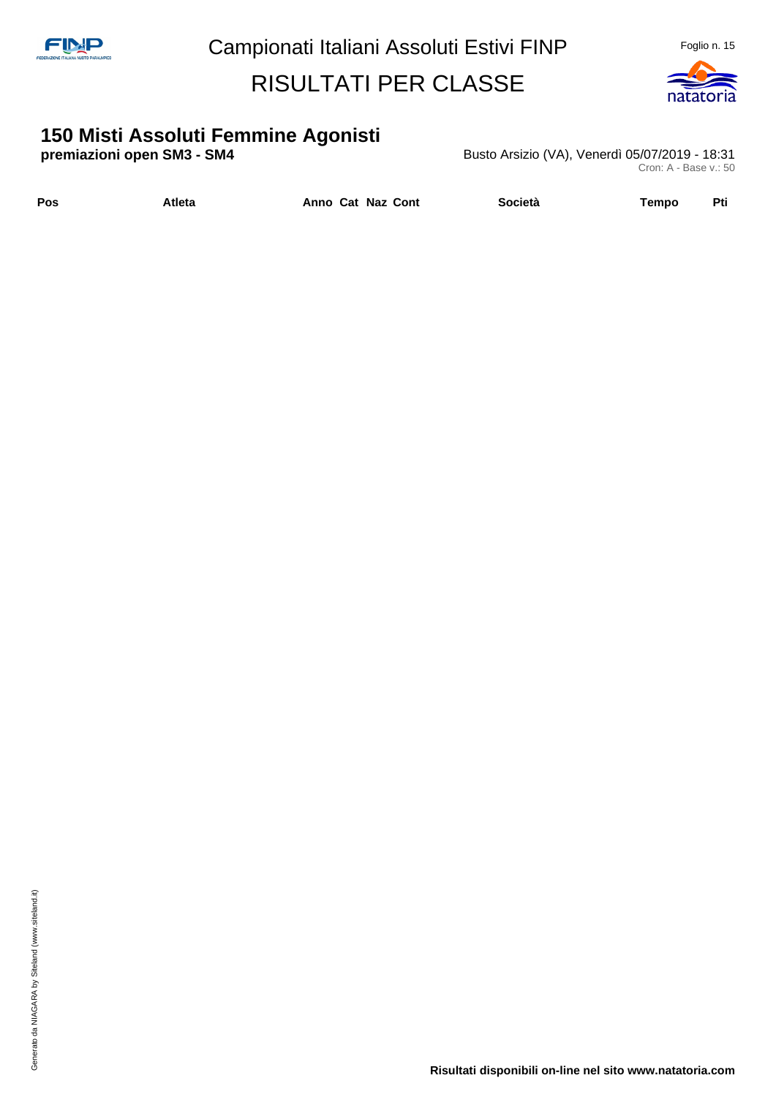

# **150 Misti Assoluti Femmine Agonisti**

**premiazioni open SM3 - SM4 Busto Arsizio (VA), Venerdì 05/07/2019 - 18:31** Cron: A - Base v.: 50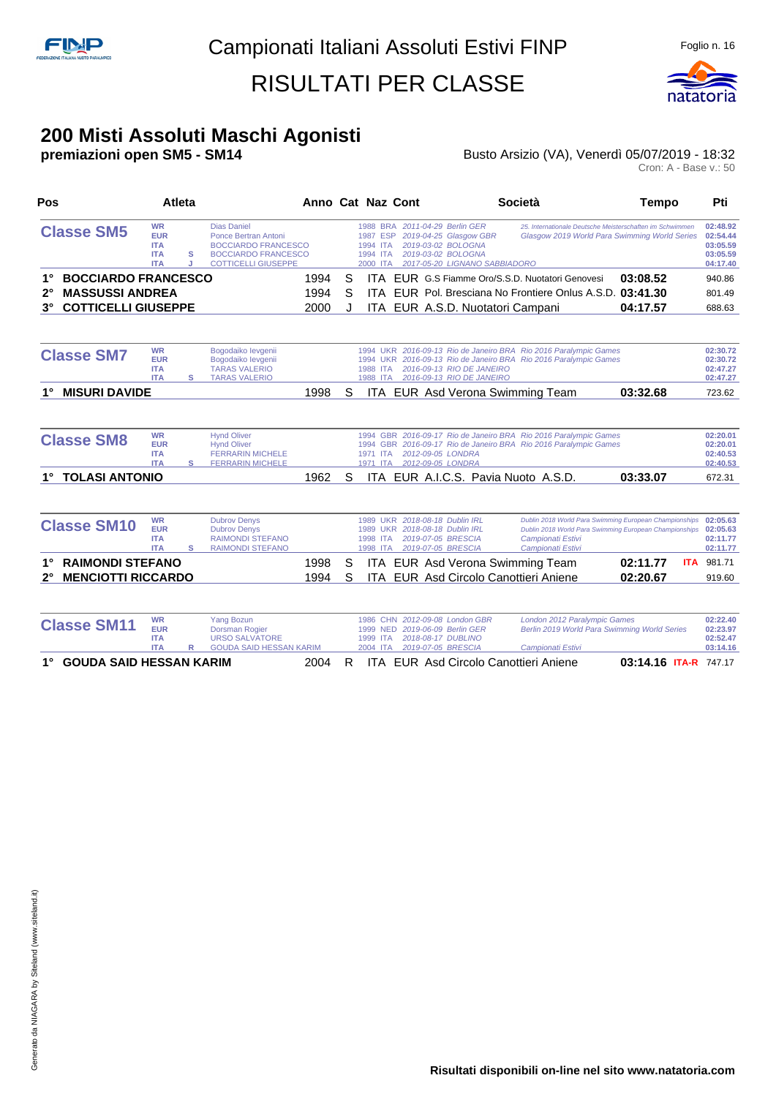

#### **200 Misti Assoluti Maschi Agonisti**

#### **premiazioni open SM5 - SM14 Busto Arsizio (VA), Venerdì 05/07/2019 - 18:32** Busto Arsizio (VA), Venerdì 05/07/2019 - 18:32<br>Cron: A - Base v.: 50

| Pos                                       | <b>Atleta</b>                                                     |        |                                                                                                                                      | Anno Cat Naz Cont |   |                                              |  |                                                                                                                                       | Società                                                                                                                              | <b>Tempo</b>                                                                                                     | Pti                                                      |
|-------------------------------------------|-------------------------------------------------------------------|--------|--------------------------------------------------------------------------------------------------------------------------------------|-------------------|---|----------------------------------------------|--|---------------------------------------------------------------------------------------------------------------------------------------|--------------------------------------------------------------------------------------------------------------------------------------|------------------------------------------------------------------------------------------------------------------|----------------------------------------------------------|
| <b>Classe SM5</b>                         | <b>WR</b><br><b>EUR</b><br><b>ITA</b><br><b>ITA</b><br><b>ITA</b> | s<br>J | <b>Dias Daniel</b><br>Ponce Bertran Antoni<br><b>BOCCIARDO FRANCESCO</b><br><b>BOCCIARDO FRANCESCO</b><br><b>COTTICELLI GIUSEPPE</b> |                   |   | 1987 ESP<br>1994 ITA<br>1994 ITA<br>2000 ITA |  | 1988 BRA 2011-04-29 Berlin GER<br>2019-04-25 Glasgow GBR<br>2019-03-02 BOLOGNA<br>2019-03-02 BOLOGNA<br>2017-05-20 LIGNANO SABBIADORO |                                                                                                                                      | 25. Internationale Deutsche Meisterschaften im Schwimmen<br>Glasgow 2019 World Para Swimming World Series        | 02:48.92<br>02:54.44<br>03:05.59<br>03:05.59<br>04:17.40 |
| <b>BOCCIARDO FRANCESCO</b><br>$1^{\circ}$ |                                                                   |        |                                                                                                                                      | 1994              | S | <b>ITA</b>                                   |  |                                                                                                                                       | EUR G.S Fiamme Oro/S.S.D. Nuotatori Genovesi                                                                                         | 03:08.52                                                                                                         | 940.86                                                   |
| <b>MASSUSSI ANDREA</b><br>$2^{\circ}$     |                                                                   |        |                                                                                                                                      | 1994              | S | ITA.                                         |  |                                                                                                                                       | EUR Pol. Bresciana No Frontiere Onlus A.S.D. 03:41.30                                                                                |                                                                                                                  | 801.49                                                   |
| <b>COTTICELLI GIUSEPPE</b><br>$3^\circ$   |                                                                   |        |                                                                                                                                      | 2000              | J | <b>ITA</b>                                   |  |                                                                                                                                       | EUR A.S.D. Nuotatori Campani                                                                                                         | 04:17.57                                                                                                         | 688.63                                                   |
| <b>Classe SM7</b>                         | <b>WR</b><br><b>EUR</b><br><b>ITA</b>                             |        | Bogodaiko levgenii<br>Bogodaiko levgenii<br><b>TARAS VALERIO</b>                                                                     |                   |   | 1988 ITA                                     |  | 2016-09-13 RIO DE JANEIRO                                                                                                             | 1994 UKR 2016-09-13 Rio de Janeiro BRA Rio 2016 Paralympic Games<br>1994 UKR 2016-09-13 Rio de Janeiro BRA Rio 2016 Paralympic Games |                                                                                                                  | 02:30.72<br>02:30.72<br>02:47.27                         |
| <b>MISURI DAVIDE</b><br>$1^{\circ}$       | <b>ITA</b>                                                        | s      | <b>TARAS VALERIO</b>                                                                                                                 | 1998              | S |                                              |  | 1988 ITA 2016-09-13 RIO DE JANEIRO                                                                                                    | ITA EUR Asd Verona Swimming Team                                                                                                     | 03:32.68                                                                                                         | 02:47.27<br>723.62                                       |
| <b>Classe SM8</b>                         | <b>WR</b><br><b>EUR</b><br><b>ITA</b><br><b>ITA</b>               | s      | <b>Hynd Oliver</b><br><b>Hynd Oliver</b><br><b>FERRARIN MICHELE</b><br><b>FERRARIN MICHELE</b>                                       |                   |   | 1971 ITA<br>1971 ITA                         |  | 2012-09-05 LONDRA<br>2012-09-05 LONDRA                                                                                                | 1994 GBR 2016-09-17 Rio de Janeiro BRA Rio 2016 Paralympic Games<br>1994 GBR 2016-09-17 Rio de Janeiro BRA Rio 2016 Paralympic Games |                                                                                                                  | 02:20.01<br>02:20.01<br>02:40.53<br>02:40.53             |
| <b>TOLASI ANTONIO</b><br>$1^{\circ}$      |                                                                   |        |                                                                                                                                      | 1962              | S |                                              |  |                                                                                                                                       | ITA EUR A.I.C.S. Pavia Nuoto A.S.D.                                                                                                  | 03:33.07                                                                                                         | 672.31                                                   |
| <b>Classe SM10</b>                        | <b>WR</b><br><b>EUR</b><br><b>ITA</b><br><b>ITA</b>               | s      | <b>Dubrov Denys</b><br><b>Dubrov Denvs</b><br><b>RAIMONDI STEFANO</b><br><b>RAIMONDI STEFANO</b>                                     |                   |   | <b>UKR</b><br>1989<br>1998 ITA<br>1998 ITA   |  | 1989 UKR 2018-08-18 Dublin IRL<br>2018-08-18 Dublin IRL<br>2019-07-05 BRESCIA<br>2019-07-05 BRESCIA                                   | Campionati Estivi<br>Campionati Estivi                                                                                               | Dublin 2018 World Para Swimming European Championships<br>Dublin 2018 World Para Swimming European Championships | 02:05.63<br>02:05.63<br>02:11.77<br>02:11.77             |
| <b>RAIMONDI STEFANO</b><br>$1^{\circ}$    |                                                                   |        |                                                                                                                                      | 1998              | S |                                              |  |                                                                                                                                       | <b>ITA EUR Asd Verona Swimming Team</b>                                                                                              | 02:11.77<br><b>ITA</b>                                                                                           | 981.71                                                   |
| <b>MENCIOTTI RICCARDO</b><br>$2^{\circ}$  |                                                                   |        |                                                                                                                                      | 1994              | S | ITA.                                         |  |                                                                                                                                       | EUR Asd Circolo Canottieri Aniene                                                                                                    | 02:20.67                                                                                                         | 919.60                                                   |
|                                           |                                                                   |        |                                                                                                                                      |                   |   |                                              |  |                                                                                                                                       |                                                                                                                                      |                                                                                                                  |                                                          |
| <b>Classe SM11</b>                        | <b>WR</b><br><b>EUR</b><br><b>ITA</b><br><b>ITA</b>               | R      | <b>Yang Bozun</b><br><b>Dorsman Rogier</b><br><b>URSO SALVATORE</b><br><b>GOUDA SAID HESSAN KARIM</b>                                |                   |   | 1999 NED<br>1999 ITA<br>2004 ITA             |  | 1986 CHN 2012-09-08 London GBR<br>2019-06-09 Berlin GER<br>2018-08-17 DUBLINO<br>2019-07-05 BRESCIA                                   | London 2012 Paralympic Games<br>Berlin 2019 World Para Swimming World Series<br>Campionati Estivi                                    |                                                                                                                  | 02:22.40<br>02:23.97<br>02:52.47<br>03:14.16             |

- 
- **1° GOUDA SAID HESSAN KARIM** 2004 R ITA EUR Asd Circolo Canottieri Aniene **03:14.16 ITA-R** 747.17
	- -
		-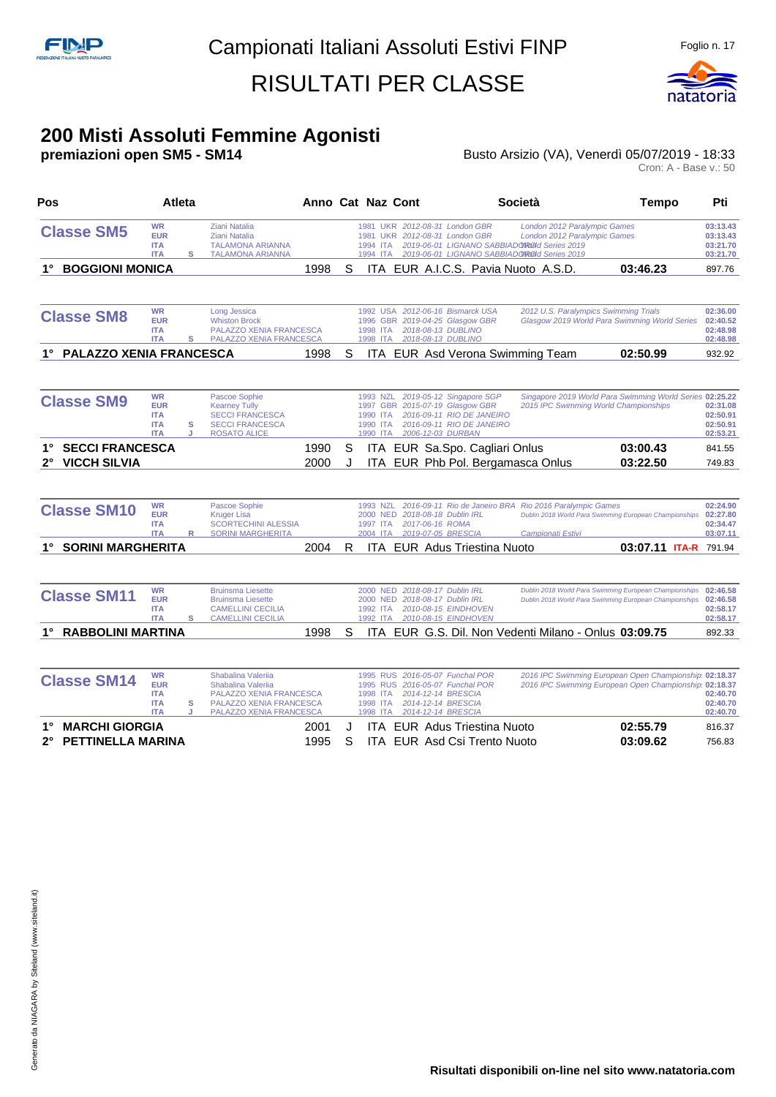

#### **200 Misti Assoluti Femmine Agonisti**

**premiazioni open SM5 - SM14 Busto Arsizio (VA), Venerdì 05/07/2019 - 18:33** Busto Arsizio (VA), Venerdì 05/07/2019 - 18:33<br>Cron: A - Base v.: 50

| Pos                                                                         | <b>Atleta</b>                                                     |        |                                                                                                                           | Anno Cat Naz Cont |        |                                                                        |                                                                                                                    |                                                                                    | <b>Società</b>                                                                                                                                             | <b>Tempo</b>                                                                                                     | Pti                                          |
|-----------------------------------------------------------------------------|-------------------------------------------------------------------|--------|---------------------------------------------------------------------------------------------------------------------------|-------------------|--------|------------------------------------------------------------------------|--------------------------------------------------------------------------------------------------------------------|------------------------------------------------------------------------------------|------------------------------------------------------------------------------------------------------------------------------------------------------------|------------------------------------------------------------------------------------------------------------------|----------------------------------------------|
| <b>Classe SM5</b>                                                           | <b>WR</b><br><b>EUR</b><br><b>ITA</b><br><b>ITA</b>               | s      | <b>Ziani Natalia</b><br><b>Ziani Natalia</b><br><b>TALAMONA ARIANNA</b><br><b>TALAMONA ARIANNA</b>                        |                   |        | 1981<br>1994 ITA<br>1994 ITA                                           | 1981 UKR 2012-08-31 London GBR<br>UKR 2012-08-31 London GBR                                                        |                                                                                    | London 2012 Paralympic Games<br>London 2012 Paralympic Games<br>2019-06-01 LIGNANO SABBIADOROId Series 2019<br>2019-06-01 LIGNANO SABBIADOROId Series 2019 |                                                                                                                  | 03:13.43<br>03:13.43<br>03:21.70<br>03:21.70 |
| <b>BOGGIONI MONICA</b><br>1°                                                |                                                                   |        |                                                                                                                           | 1998              | S      |                                                                        |                                                                                                                    |                                                                                    | ITA EUR A.I.C.S. Pavia Nuoto A.S.D.                                                                                                                        | 03:46.23                                                                                                         | 897.76                                       |
| <b>Classe SM8</b>                                                           | <b>WR</b><br><b>EUR</b><br><b>ITA</b><br><b>ITA</b>               | s      | Long Jessica<br><b>Whiston Brock</b><br><b>PALAZZO XENIA FRANCESCA</b><br>PALAZZO XENIA FRANCESCA                         |                   |        | 1996<br>1998 ITA<br>1998 ITA                                           | 1992 USA 2012-06-16 Bismarck USA<br>GBR 2019-04-25 Glasgow GBR<br>2018-08-13 DUBLINO<br>2018-08-13 DUBLINO         |                                                                                    | 2012 U.S. Paralympics Swimming Trials                                                                                                                      | Glasgow 2019 World Para Swimming World Series                                                                    | 02:36.00<br>02:40.52<br>02:48.98<br>02:48.98 |
| PALAZZO XENIA FRANCESCA<br>$1^{\circ}$                                      |                                                                   |        |                                                                                                                           | 1998              | S      |                                                                        |                                                                                                                    |                                                                                    | ITA EUR Asd Verona Swimming Team                                                                                                                           | 02:50.99                                                                                                         | 932.92                                       |
| <b>Classe SM9</b>                                                           | <b>WR</b><br><b>EUR</b><br><b>ITA</b><br><b>ITA</b><br><b>ITA</b> | s<br>J | Pascoe Sophie<br><b>Kearney Tully</b><br><b>SECCI FRANCESCA</b><br><b>SECCI FRANCESCA</b><br><b>ROSATO ALICE</b>          |                   |        | 1993 NZL<br>1990 ITA<br>1990 ITA<br>1990 ITA                           | 1997 GBR 2015-07-19 Glasgow GBR<br>2006-12-03 DURBAN                                                               | 2019-05-12 Singapore SGP<br>2016-09-11 RIO DE JANEIRO<br>2016-09-11 RIO DE JANEIRO |                                                                                                                                                            | Singapore 2019 World Para Swimming World Series 02:25.22<br>2015 IPC Swimming World Championships                | 02:31.08<br>02:50.91<br>02:50.91<br>02:53.21 |
| <b>SECCI FRANCESCA</b><br>$1^{\circ}$<br><b>VICCH SILVIA</b><br>$2^{\circ}$ |                                                                   |        |                                                                                                                           | 1990<br>2000      | S<br>J |                                                                        |                                                                                                                    | ITA EUR Sa.Spo. Cagliari Onlus                                                     | ITA EUR Phb Pol. Bergamasca Onlus                                                                                                                          | 03:00.43<br>03:22.50                                                                                             | 841.55<br>749.83                             |
| <b>Classe SM10</b>                                                          | <b>WR</b><br><b>EUR</b><br><b>ITA</b><br><b>ITA</b>               | R      | Pascoe Sophie<br><b>Kruger Lisa</b><br><b>SCORTECHINI ALESSIA</b><br><b>SORINI MARGHERITA</b>                             |                   |        | 1993 NZL<br>2000 NED<br>1997 ITA<br>2004 ITA                           | 2018-08-18 Dublin IRL<br>2017-06-16 ROMA<br>2019-07-05 BRESCIA                                                     |                                                                                    | 2016-09-11 Rio de Janeiro BRA Rio 2016 Paralympic Games<br>Campionati Estivi                                                                               | Dublin 2018 World Para Swimming European Championships                                                           | 02:24.90<br>02:27.80<br>02:34.47<br>03:07.11 |
| <b>SORINI MARGHERITA</b>                                                    |                                                                   |        |                                                                                                                           | 2004              | R      |                                                                        |                                                                                                                    | <b>ITA EUR Adus Triestina Nuoto</b>                                                |                                                                                                                                                            | 03:07.11 ITA-R 791.94                                                                                            |                                              |
| <b>Classe SM11</b>                                                          | <b>WR</b><br><b>EUR</b><br><b>ITA</b><br><b>ITA</b>               | s      | <b>Bruinsma Liesette</b><br><b>Bruinsma Liesette</b><br><b>CAMELLINI CECILIA</b><br><b>CAMELLINI CECILIA</b>              |                   |        | 1992 ITA<br>1992 ITA                                                   | 2000 NED 2018-08-17 Dublin IRL<br>2000 NED 2018-08-17 Dublin IRL<br>2010-08-15 EINDHOVEN<br>2010-08-15 EINDHOVEN   |                                                                                    |                                                                                                                                                            | Dublin 2018 World Para Swimming European Championships<br>Dublin 2018 World Para Swimming European Championships | 02:46.58<br>02:46.58<br>02:58.17<br>02:58.17 |
| 1° RABBOLINI MARTINA                                                        |                                                                   |        |                                                                                                                           | 1998              | S      |                                                                        |                                                                                                                    |                                                                                    | ITA EUR G.S. Dil. Non Vedenti Milano - Onlus 03:09.75                                                                                                      |                                                                                                                  | 892.33                                       |
| <b>Classe SM14</b>                                                          | <b>WR</b><br><b>EUR</b><br><b>ITA</b><br><b>ITA</b><br><b>ITA</b> | s<br>J | Shabalina Valerija<br>Shabalina Valerija<br>PALAZZO XENIA FRANCESCA<br>PALAZZO XENIA FRANCESCA<br>PALAZZO XENIA FRANCESCA |                   |        | <b>1995 RUS</b><br><b>1995 RUS</b><br>1998 ITA<br>1998 ITA<br>1998 ITA | 2016-05-07 Funchal POR<br>2016-05-07 Funchal POR<br>2014-12-14 BRESCIA<br>2014-12-14 BRESCIA<br>2014-12-14 BRESCIA |                                                                                    |                                                                                                                                                            | 2016 IPC Swimming European Open Championship 02:18.37<br>2016 IPC Swimming European Open Championship 02:18.37   | 02:40.70<br>02:40.70<br>02:40.70             |
| <b>MARCHI GIORGIA</b><br>$1^{\circ}$<br>PETTINELLA MARINA<br>$2^{\circ}$    |                                                                   |        |                                                                                                                           | 2001<br>1995      | J<br>S |                                                                        |                                                                                                                    | <b>ITA EUR Adus Triestina Nuoto</b><br><b>ITA EUR Asd Csi Trento Nuoto</b>         |                                                                                                                                                            | 02:55.79<br>03:09.62                                                                                             | 816.37<br>756.83                             |

**Risultati disponibili on-line nel sito www.natatoria.com**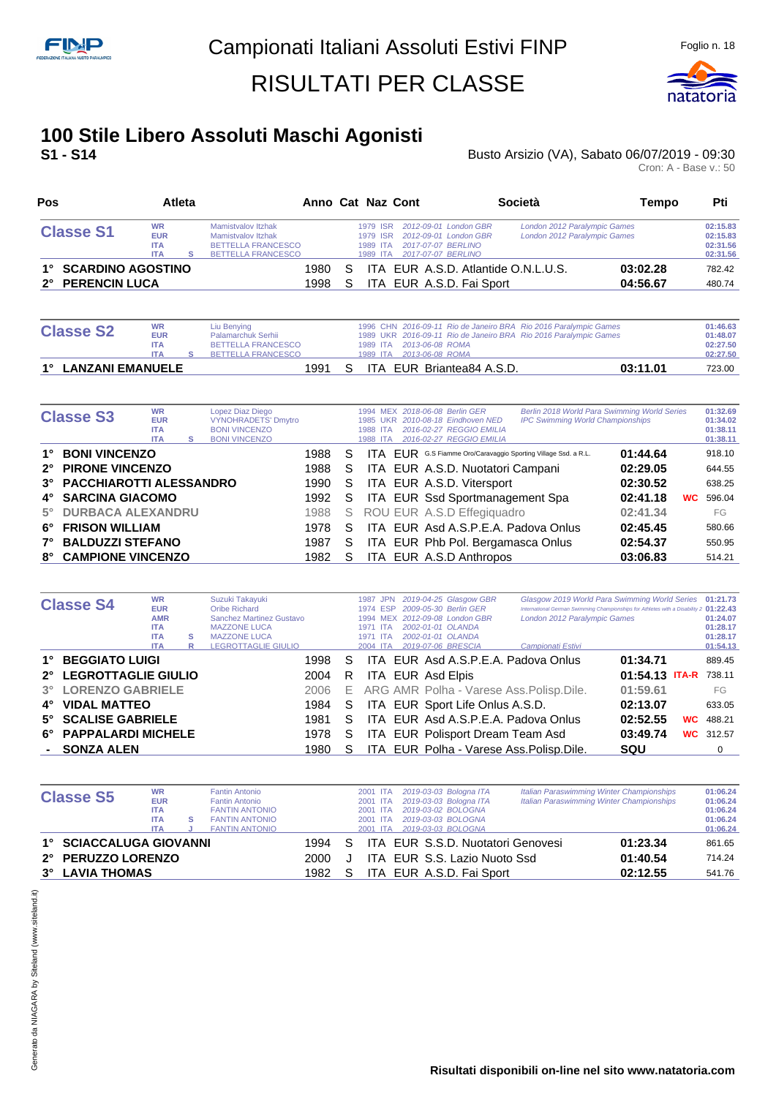

#### **100 Stile Libero Assoluti Maschi Agonisti S1 - S14** Busto Arsizio (VA), Sabato 06/07/2019 - 09:30

| Pos              |                                                     | Atleta |                                                                                                    |  |                                              | Anno Cat Naz Cont                                                                          | Società                                                      | Tempo                | Pti                                          |
|------------------|-----------------------------------------------------|--------|----------------------------------------------------------------------------------------------------|--|----------------------------------------------|--------------------------------------------------------------------------------------------|--------------------------------------------------------------|----------------------|----------------------------------------------|
| <b>Classe S1</b> | <b>WR</b><br><b>EUR</b><br><b>ITA</b><br><b>ITA</b> |        | Mamistvalov Itzhak<br>Mamistvalov Itzhak<br><b>BETTELLA FRANCESCO</b><br><b>BETTELLA FRANCESCO</b> |  | 1979 ISR<br>1979 ISR<br>1989 ITA<br>1989 ITA | 2012-09-01 London GBR<br>2012-09-01 London GBR<br>2017-07-07 BERLINO<br>2017-07-07 BERLINO | London 2012 Paralympic Games<br>London 2012 Paralympic Games |                      | 02:15.83<br>02:15.83<br>02:31.56<br>02:31.56 |
|                  | 1° SCARDINO AGOSTINO<br>2° PERENCIN LUCA            |        |                                                                                                    |  |                                              | ITA EUR A.S.D. Atlantide O.N.L.U.S.<br>ITA EUR A.S.D. Fai Sport                            |                                                              | 03:02.28<br>04:56.67 | 782.42<br>480.74                             |

| <b>Classe S2</b> | <b>WR</b><br><b>EUR</b><br><b>ITA</b><br><b>ITA</b> |  | Liu Benying<br>Palamarchuk Serhii<br><b>BETTELLA FRANCESCO</b><br>BETTELLA FRANCESCO |  |  |  | 1989 ITA 2013-06-08 ROMA<br>1989 ITA  2013-06-08 ROMA | 1996 CHN 2016-09-11 Rio de Janeiro BRA Rio 2016 Paralympic Games<br>1989 UKR 2016-09-11 Rio de Janeiro BRA Rio 2016 Paralympic Games | 01:46.63<br>01:48.07<br>02:27.50<br>02:27.50 |
|------------------|-----------------------------------------------------|--|--------------------------------------------------------------------------------------|--|--|--|-------------------------------------------------------|--------------------------------------------------------------------------------------------------------------------------------------|----------------------------------------------|
|                  | 1° LANZANI EMANUELE                                 |  |                                                                                      |  |  |  | ITA EUR Briantea84 A.S.D.                             | 03:11.01                                                                                                                             | 723.00                                       |

|           | <b>Classe S3</b>           | <b>WR</b><br><b>EUR</b><br><b>ITA</b><br><b>ITA</b> | s | Lopez Diaz Diego<br><b>VYNOHRADETS' Dmytro</b><br><b>BONI VINCENZO</b><br><b>BONI VINCENZO</b> |      |    | 1985<br>UKR.<br>1988 ITA<br>1988 ITA | 1994 MEX 2018-06-08 Berlin GER<br>2010-08-18 Eindhoven NED<br>2016-02-27 REGGIO EMILIA<br>2016-02-27 REGGIO EMILIA | Berlin 2018 World Para Swimming World Series<br><b>IPC Swimming World Championships</b> |          |           | 01:32.69<br>01:34.02<br>01:38.11<br>01:38.11 |
|-----------|----------------------------|-----------------------------------------------------|---|------------------------------------------------------------------------------------------------|------|----|--------------------------------------|--------------------------------------------------------------------------------------------------------------------|-----------------------------------------------------------------------------------------|----------|-----------|----------------------------------------------|
| 1°        | <b>BONI VINCENZO</b>       |                                                     |   |                                                                                                | 1988 | S  |                                      | ITA EUR G.S Fiamme Oro/Caravaggio Sporting Village Ssd. a R.L.                                                     |                                                                                         | 01:44.64 |           | 918.10                                       |
|           | 2° PIRONE VINCENZO         |                                                     |   |                                                                                                | 1988 | S  |                                      | ITA EUR A.S.D. Nuotatori Campani                                                                                   |                                                                                         | 02:29.05 |           | 644.55                                       |
|           | 3° PACCHIAROTTI ALESSANDRO |                                                     |   |                                                                                                | 1990 | S. |                                      | ITA EUR A.S.D. Vitersport                                                                                          |                                                                                         | 02:30.52 |           | 638.25                                       |
|           | 4° SARCINA GIACOMO         |                                                     |   |                                                                                                | 1992 | S. |                                      | ITA EUR Ssd Sportmanagement Spa                                                                                    |                                                                                         | 02:41.18 | <b>WC</b> | 596.04                                       |
| $5^\circ$ | <b>DURBACA ALEXANDRU</b>   |                                                     |   |                                                                                                | 1988 | S. |                                      | ROU EUR A.S.D Effegiguadro                                                                                         |                                                                                         | 02:41.34 |           | FG                                           |
| 6°        | <b>FRISON WILLIAM</b>      |                                                     |   |                                                                                                | 1978 | S  |                                      | ITA EUR Asd A.S.P.E.A. Padova Onlus                                                                                |                                                                                         | 02:45.45 |           | 580.66                                       |
| 7°        | <b>BALDUZZI STEFANO</b>    |                                                     |   |                                                                                                | 1987 | S  |                                      | ITA EUR Phb Pol. Bergamasca Onlus                                                                                  |                                                                                         | 02:54.37 |           | 550.95                                       |
| 8°        | <b>CAMPIONE VINCENZO</b>   |                                                     |   |                                                                                                | 1982 | S  |                                      | ITA EUR A.S.D Anthropos                                                                                            |                                                                                         | 03:06.83 |           | 514.21                                       |

|    | <b>Classe S4</b>       | <b>WR</b><br><b>EUR</b><br><b>AMR</b><br><b>ITA</b> |   | Suzuki Takayuki<br>Oribe Richard<br>Sanchez Martinez Gustavo<br><b>MAZZONE LUCA</b> |    | 1987 JPN<br><b>ESP</b><br>1974<br>1971 ITA | 2019-04-25 Glasgow GBR<br>2009-05-30 Berlin GER<br>1994 MEX 2012-09-08 London GBR<br>2002-01-01 OLANDA | London 2012 Paralympic Games                | Glasgow 2019 World Para Swimming World Series 01:21.73<br>International German Swimming Championships for Athletes with a Disability 2 01:22.43 |           | 01:24.07<br>01:28.17 |
|----|------------------------|-----------------------------------------------------|---|-------------------------------------------------------------------------------------|----|--------------------------------------------|--------------------------------------------------------------------------------------------------------|---------------------------------------------|-------------------------------------------------------------------------------------------------------------------------------------------------|-----------|----------------------|
|    |                        | <b>ITA</b>                                          | s | <b>MAZZONE LUCA</b>                                                                 |    | 1971 ITA                                   | 2002-01-01 OLANDA                                                                                      |                                             |                                                                                                                                                 |           | 01:28.17             |
|    |                        | <b>ITA</b>                                          | R | <b>LEGROTTAGLIE GIULIO</b>                                                          |    | 2004 ITA                                   | 2019-07-06 BRESCIA                                                                                     | Campionati Estivi                           |                                                                                                                                                 |           | 01:54.13             |
| 1° | <b>BEGGIATO LUIGI</b>  |                                                     |   | 1998                                                                                | S. |                                            | ITA EUR Asd A.S.P.E.A. Padova Onlus                                                                    |                                             | 01:34.71                                                                                                                                        |           | 889.45               |
|    | 2° LEGROTTAGLIE GIULIO |                                                     |   | 2004                                                                                | R. |                                            | ITA EUR Asd Elpis                                                                                      |                                             | 01:54.13 ITA-R 738.11                                                                                                                           |           |                      |
|    | 3° LORENZO GABRIELE    |                                                     |   | 2006                                                                                |    |                                            |                                                                                                        | E ARG AMR Polha - Varese Ass. Polisp. Dile. | 01:59.61                                                                                                                                        |           | FG                   |
| 4° | <b>VIDAL MATTEO</b>    |                                                     |   | 1984                                                                                | S. |                                            | ITA EUR Sport Life Onlus A.S.D.                                                                        |                                             | 02:13.07                                                                                                                                        |           | 633.05               |
|    | 5° SCALISE GABRIELE    |                                                     |   | 1981                                                                                | S  |                                            | ITA EUR Asd A.S.P.E.A. Padova Onlus                                                                    |                                             | 02:52.55                                                                                                                                        | <b>WC</b> | 488.21               |
|    | 6° PAPPALARDI MICHELE  |                                                     |   | 1978                                                                                | S. |                                            | ITA EUR Polisport Dream Team Asd                                                                       |                                             | 03:49.74                                                                                                                                        |           | <b>WC</b> 312.57     |
|    | - SONZA ALEN           |                                                     |   | 1980                                                                                | S  |                                            |                                                                                                        | ITA EUR Polha - Varese Ass. Polisp. Dile.   | SQU                                                                                                                                             |           | 0                    |

| <b>Classe S5</b>        | <b>WR</b><br><b>EUR</b><br><b>ITA</b><br><b>ITA</b> | <b>Fantin Antonio</b><br><b>Fantin Antonio</b><br><b>FANTIN ANTONIO</b><br><b>FANTIN ANTONIO</b> |        |   | 2001 ITA<br>2001 ITA<br>2001 ITA<br>2001 ITA | 2019-03-03 Bologna ITA<br>2019-03-03 Bologna ITA<br>2019-03-02 BOLOGNA<br>2019-03-03 BOLOGNA | <b>Italian Paraswimming Winter Championships</b><br><b>Italian Paraswimming Winter Championships</b> | 01:06.24<br>01:06.24<br>01:06.24<br>01:06.24 |
|-------------------------|-----------------------------------------------------|--------------------------------------------------------------------------------------------------|--------|---|----------------------------------------------|----------------------------------------------------------------------------------------------|------------------------------------------------------------------------------------------------------|----------------------------------------------|
|                         | <b>ITA</b>                                          | <b>FANTIN ANTONIO</b>                                                                            |        |   | 2001 ITA                                     | 2019-03-03 BOLOGNA                                                                           |                                                                                                      | 01:06.24                                     |
| 1° SCIACCALUGA GIOVANNI |                                                     |                                                                                                  | 1994 S |   |                                              | ITA EUR S.S.D. Nuotatori Genovesi                                                            | 01:23.34                                                                                             | 861.65                                       |
| 2° PERUZZO LORENZO      |                                                     |                                                                                                  | 2000   |   |                                              | ITA EUR S.S. Lazio Nuoto Ssd                                                                 | 01:40.54                                                                                             | 714.24                                       |
| 3° LAVIA THOMAS         |                                                     |                                                                                                  | 1982   | S |                                              | ITA EUR A.S.D. Fai Sport                                                                     | 02:12.55                                                                                             | 541.76                                       |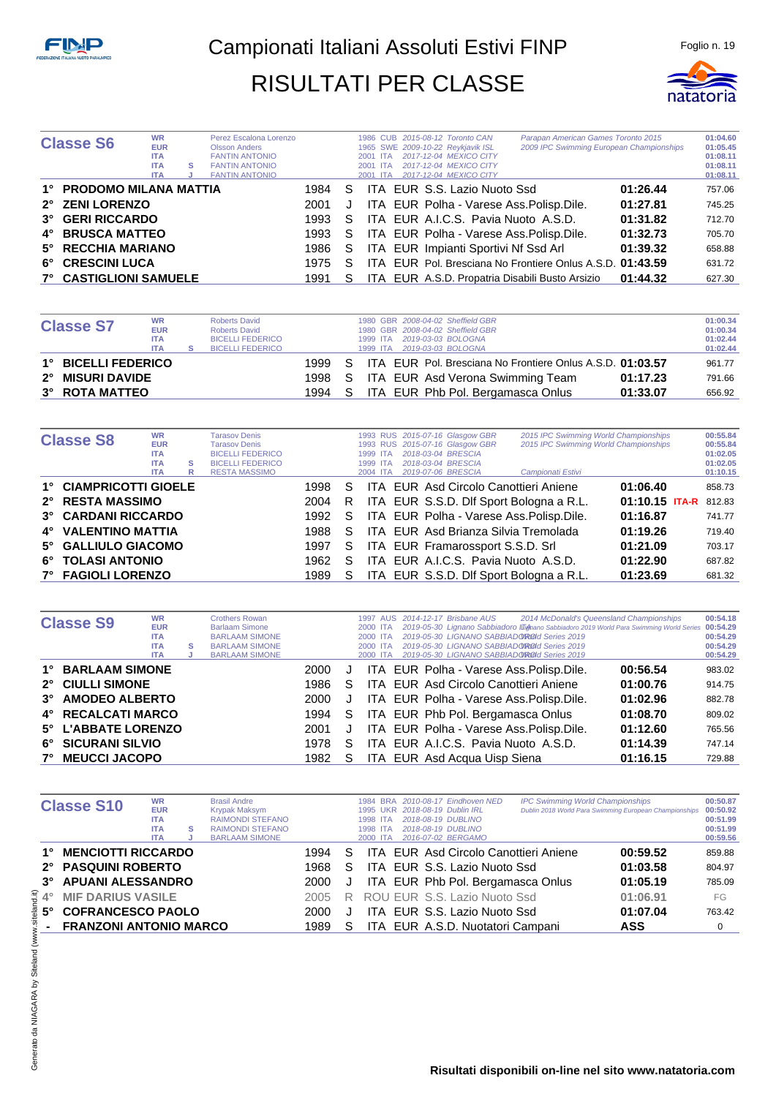

| <b>Classe S6</b>              | <b>WR</b><br><b>EUR</b><br><b>ITA</b><br><b>ITA</b><br><b>ITA</b> | s | Perez Escalona Lorenzo<br><b>Olsson Anders</b><br><b>FANTIN ANTONIO</b><br><b>FANTIN ANTONIO</b><br><b>FANTIN ANTONIO</b> |      |    | 2001 ITA<br>2001 ITA<br>2001 ITA | 1986 CUB 2015-08-12 Toronto CAN<br>1965 SWE 2009-10-22 Reykjavik ISL<br>2017-12-04 MEXICO CITY<br>2017-12-04 MEXICO CITY<br>2017-12-04 MEXICO CITY | Parapan American Games Toronto 2015<br>2009 IPC Swimming European Championships |          | 01:04.60<br>01:05.45<br>01:08.11<br>01:08.11<br>01:08.11 |
|-------------------------------|-------------------------------------------------------------------|---|---------------------------------------------------------------------------------------------------------------------------|------|----|----------------------------------|----------------------------------------------------------------------------------------------------------------------------------------------------|---------------------------------------------------------------------------------|----------|----------------------------------------------------------|
| 1° PRODOMO MILANA MATTIA      |                                                                   |   |                                                                                                                           | 1984 | S. |                                  | ITA EUR S.S. Lazio Nuoto Ssd                                                                                                                       |                                                                                 | 01:26.44 | 757.06                                                   |
| 2° ZENI LORENZO               |                                                                   |   |                                                                                                                           | 2001 | J  |                                  | ITA EUR Polha - Varese Ass. Polisp. Dile.                                                                                                          |                                                                                 | 01:27.81 | 745.25                                                   |
| 3° GERI RICCARDO              |                                                                   |   |                                                                                                                           | 1993 | S. |                                  | ITA EUR A.I.C.S. Pavia Nuoto A.S.D.                                                                                                                |                                                                                 | 01:31.82 | 712.70                                                   |
| 4° BRUSCA MATTEO              |                                                                   |   |                                                                                                                           | 1993 | S. |                                  | ITA EUR Polha - Varese Ass. Polisp. Dile.                                                                                                          |                                                                                 | 01:32.73 | 705.70                                                   |
| 5° RECCHIA MARIANO            |                                                                   |   |                                                                                                                           | 1986 | S. |                                  | ITA EUR Impianti Sportivi Nf Ssd Arl                                                                                                               |                                                                                 | 01:39.32 | 658.88                                                   |
| 6° CRESCINI LUCA              |                                                                   |   |                                                                                                                           | 1975 | S  |                                  |                                                                                                                                                    | ITA EUR Pol. Bresciana No Frontiere Onlus A.S.D. 01:43.59                       |          | 631.72                                                   |
| <b>7° CASTIGLIONI SAMUELE</b> |                                                                   |   |                                                                                                                           | 1991 |    |                                  | ITA EUR A.S.D. Propatria Disabili Busto Arsizio                                                                                                    |                                                                                 | 01:44.32 | 627.30                                                   |

|                     | <b>WR</b>  | <b>Roberts David</b>    |        |    |          | 1980 GBR 2008-04-02 Sheffield GBR |                                                           |          | 01:00.34 |
|---------------------|------------|-------------------------|--------|----|----------|-----------------------------------|-----------------------------------------------------------|----------|----------|
| <b>Classe S7</b>    | <b>EUR</b> | <b>Roberts David</b>    |        |    |          | 1980 GBR 2008-04-02 Sheffield GBR |                                                           |          | 01:00.34 |
|                     | <b>ITA</b> | <b>BICELLI FEDERICO</b> |        |    |          | 1999 ITA 2019-03-03 BOLOGNA       |                                                           |          | 01:02.44 |
|                     | <b>ITA</b> | <b>BICELLI FEDERICO</b> |        |    | 1999 ITA | 2019-03-03 BOLOGNA                |                                                           |          | 01:02.44 |
| 1° BICELLI FEDERICO |            |                         | 1999.  | S. |          |                                   | ITA EUR Pol. Bresciana No Frontiere Onlus A.S.D. 01:03.57 |          | 961.77   |
| 2° MISURI DAVIDE    |            |                         | 1998 S |    |          |                                   | ITA EUR Asd Verona Swimming Team                          | 01:17.23 | 791.66   |
| 3° ROTA MATTEO      |            |                         | 1994   | S. |          |                                   | ITA EUR Phb Pol. Bergamasca Onlus                         | 01:33.07 | 656.92   |

| <b>Classe S8</b>       | <b>WR</b><br><b>EUR</b><br><b>ITA</b> |   | <b>Tarasov Denis</b><br><b>Tarasov Denis</b><br><b>BICELLI FEDERICO</b> |      |              | <b>ITA</b> | 1993 RUS 2015-07-16 Glasgow GBR<br>1993 RUS 2015-07-16 Glasgow GBR<br>2018-03-04 BRESCIA | 2015 IPC Swimming World Championships<br>2015 IPC Swimming World Championships |                  | 00:55.84<br>00:55.84<br>01:02.05 |
|------------------------|---------------------------------------|---|-------------------------------------------------------------------------|------|--------------|------------|------------------------------------------------------------------------------------------|--------------------------------------------------------------------------------|------------------|----------------------------------|
|                        | <b>ITA</b>                            | s | <b>BICELLI FEDERICO</b>                                                 |      |              | 1999 ITA   | 2018-03-04 BRESCIA                                                                       |                                                                                |                  | 01:02.05                         |
|                        | <b>ITA</b>                            |   | <b>RESTA MASSIMO</b>                                                    |      |              | 2004 ITA   | 2019-07-06 BRESCIA                                                                       | Campionati Estivi                                                              |                  | 01:10.15                         |
|                        |                                       | R |                                                                         |      |              |            |                                                                                          |                                                                                |                  |                                  |
| 1° CIAMPRICOTTI GIOELE |                                       |   |                                                                         | 1998 | S            |            | <b>ITA EUR Asd Circolo Canottieri Aniene</b>                                             |                                                                                | 01:06.40         | 858.73                           |
| 2° RESTA MASSIMO       |                                       |   |                                                                         | 2004 | R.           |            | ITA EUR S.S.D. Dif Sport Bologna a R.L.                                                  |                                                                                | $01:10.15$ ITA-R | 812.83                           |
| 3° CARDANI RICCARDO    |                                       |   |                                                                         | 1992 | S.           |            | ITA EUR Polha - Varese Ass. Polisp. Dile.                                                |                                                                                | 01:16.87         | 741.77                           |
| 4° VALENTINO MATTIA    |                                       |   |                                                                         | 1988 | S.           |            | ITA EUR Asd Brianza Silvia Tremolada                                                     |                                                                                | 01:19.26         | 719.40                           |
| 5° GALLIULO GIACOMO    |                                       |   |                                                                         | 1997 | S.           |            | ITA EUR Framarossport S.S.D. Srl                                                         |                                                                                | 01:21.09         | 703.17                           |
| 6° TOLASI ANTONIO      |                                       |   |                                                                         | 1962 | S            |            | ITA EUR A.I.C.S. Pavia Nuoto A.S.D.                                                      |                                                                                | 01:22.90         | 687.82                           |
| 7° FAGIOLI LORENZO     |                                       |   |                                                                         | 1989 | <sub>S</sub> |            | ITA EUR S.S.D. Dif Sport Bologna a R.L.                                                  |                                                                                | 01:23.69         | 681.32                           |

|             | <b>Classe S9</b>       | <b>WR</b><br><b>EUR</b><br><b>ITA</b><br><b>ITA</b><br><b>ITA</b> | s | <b>Crothers Rowan</b><br><b>Barlaam Simone</b><br><b>BARLAAM SIMONE</b><br><b>BARLAAM SIMONE</b><br><b>BARLAAM SIMONE</b> |      |    | 1997 AUS<br>2000 ITA<br>2000 ITA<br>2000 ITA<br>2000 ITA | 2014-12-17 Brisbane AUS<br>2019-05-30 LIGNANO SABBIADOROId Series 2019<br>2019-05-30 LIGNANO SABBIADOROId Series 2019<br>2019-05-30 LIGNANO SABBIADOROId Series 2019 | 2014 McDonald's Queensland Championships<br>2019-05-30 Lignano Sabbiadoro III mano Sabbiadoro 2019 World Para Swimming World Series 00:54.29 | 00:54.18<br>00:54.29<br>00:54.29<br>00:54.29 |
|-------------|------------------------|-------------------------------------------------------------------|---|---------------------------------------------------------------------------------------------------------------------------|------|----|----------------------------------------------------------|----------------------------------------------------------------------------------------------------------------------------------------------------------------------|----------------------------------------------------------------------------------------------------------------------------------------------|----------------------------------------------|
| 1°          | <b>BARLAAM SIMONE</b>  |                                                                   |   |                                                                                                                           | 2000 | J  |                                                          | ITA EUR Polha - Varese Ass. Polisp. Dile.                                                                                                                            | 00:56.54                                                                                                                                     | 983.02                                       |
| $2^{\circ}$ | <b>CIULLI SIMONE</b>   |                                                                   |   |                                                                                                                           | 1986 | S  |                                                          | ITA EUR Asd Circolo Canottieri Aniene                                                                                                                                | 01:00.76                                                                                                                                     | 914.75                                       |
| $3^\circ$   | <b>AMODEO ALBERTO</b>  |                                                                   |   |                                                                                                                           | 2000 | J  |                                                          | ITA EUR Polha - Varese Ass. Polisp. Dile.                                                                                                                            | 01:02.96                                                                                                                                     | 882.78                                       |
|             | 4° RECALCATI MARCO     |                                                                   |   |                                                                                                                           | 1994 | S. |                                                          | ITA EUR Phb Pol. Bergamasca Onlus                                                                                                                                    | 01:08.70                                                                                                                                     | 809.02                                       |
|             | 5° L'ABBATE LORENZO    |                                                                   |   |                                                                                                                           | 2001 | J  |                                                          | ITA EUR Polha - Varese Ass. Polisp. Dile.                                                                                                                            | 01:12.60                                                                                                                                     | 765.56                                       |
| 6°          | <b>SICURANI SILVIO</b> |                                                                   |   |                                                                                                                           | 1978 | S  |                                                          | ITA EUR A.I.C.S. Pavia Nuoto A.S.D.                                                                                                                                  | 01:14.39                                                                                                                                     | 747.14                                       |
| $7^{\circ}$ | <b>MEUCCI JACOPO</b>   |                                                                   |   |                                                                                                                           | 1982 |    |                                                          | ITA EUR Asd Acqua Uisp Siena                                                                                                                                         | 01:16.15                                                                                                                                     | 729.88                                       |

|             | <b>Classe S10</b>             | <b>WR</b><br><b>EUR</b><br><b>ITA</b><br><b>ITA</b><br><b>ITA</b> | s | <b>Brasil Andre</b><br>Krypak Maksym<br><b>RAIMONDI STEFANO</b><br><b>RAIMONDI STEFANO</b><br><b>BARLAAM SIMONE</b> |      |   | 1984<br>1995<br>1998 ITA<br>1998 ITA<br>2000<br><b>ITA</b> |  | BRA 2010-08-17 Eindhoven NED<br><b>UKR</b> 2018-08-19 Dublin IRL<br>2018-08-19 DUBLINO<br>2018-08-19 DUBLINO<br>2016-07-02 BERGAMO | <b>IPC Swimming World Championships</b> | Dublin 2018 World Para Swimming European Championships | 00:50.87<br>00:50.92<br>00:51.99<br>00:51.99<br>00:59.56 |
|-------------|-------------------------------|-------------------------------------------------------------------|---|---------------------------------------------------------------------------------------------------------------------|------|---|------------------------------------------------------------|--|------------------------------------------------------------------------------------------------------------------------------------|-----------------------------------------|--------------------------------------------------------|----------------------------------------------------------|
|             | <b>MENCIOTTI RICCARDO</b>     |                                                                   |   |                                                                                                                     | 1994 | S |                                                            |  | ITA EUR Asd Circolo Canottieri Aniene                                                                                              |                                         | 00:59.52                                               | 859.88                                                   |
| $2^{\circ}$ | <b>PASQUINI ROBERTO</b>       |                                                                   |   |                                                                                                                     | 1968 | S |                                                            |  | ITA EUR S.S. Lazio Nuoto Ssd                                                                                                       |                                         | 01:03.58                                               | 804.97                                                   |
| $3^\circ$   | <b>APUANI ALESSANDRO</b>      |                                                                   |   |                                                                                                                     | 2000 | J |                                                            |  | ITA EUR Phb Pol. Bergamasca Onlus                                                                                                  |                                         | 01:05.19                                               | 785.09                                                   |
| $4^{\circ}$ | <b>MIF DARIUS VASILE</b>      |                                                                   |   |                                                                                                                     | 2005 | R |                                                            |  | ROU EUR S.S. Lazio Nuoto Ssd                                                                                                       |                                         | 01:06.91                                               | FG                                                       |
| 5°          | <b>COFRANCESCO PAOLO</b>      |                                                                   |   |                                                                                                                     | 2000 |   |                                                            |  | ITA EUR S.S. Lazio Nuoto Ssd                                                                                                       |                                         | 01:07.04                                               | 763.42                                                   |
|             | <b>FRANZONI ANTONIO MARCO</b> |                                                                   |   |                                                                                                                     | 1989 |   |                                                            |  | ITA EUR A.S.D. Nuotatori Campani                                                                                                   |                                         | <b>ASS</b>                                             |                                                          |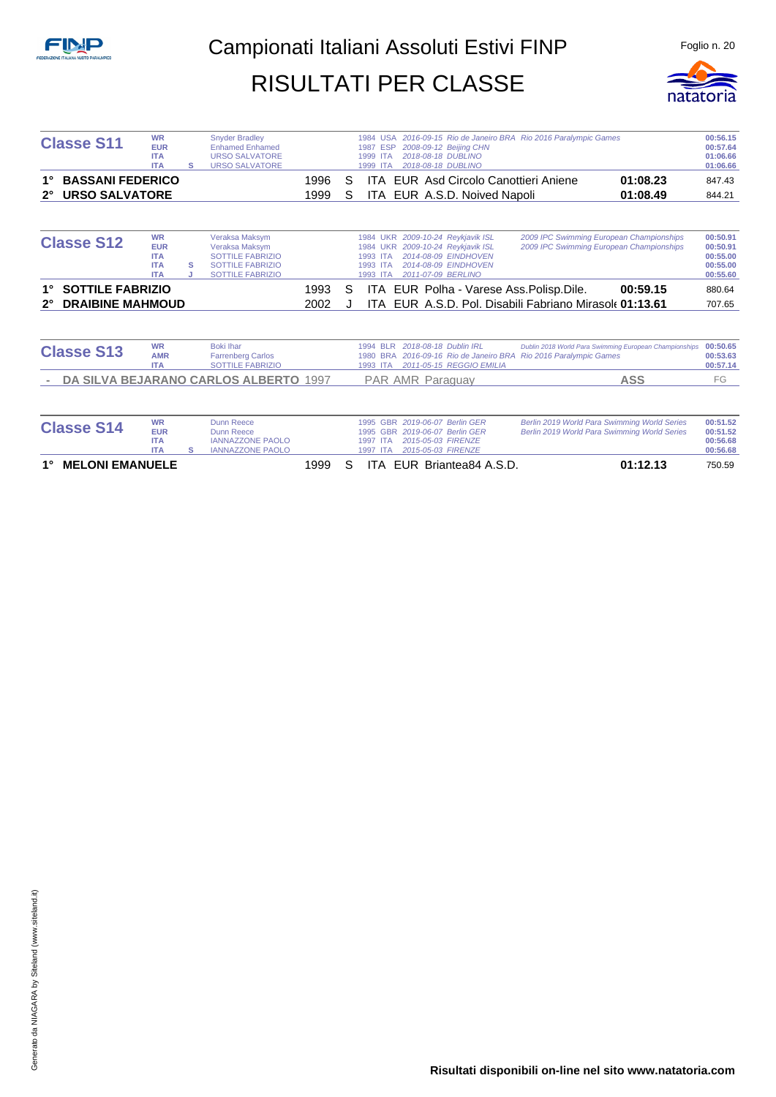

| <b>Classe S11</b>                      | <b>WR</b><br><b>EUR</b><br><b>ITA</b><br><b>ITA</b>               | s | <b>Snyder Bradley</b><br><b>Enhamed Enhamed</b><br><b>URSO SALVATORE</b><br><b>URSO SALVATORE</b>                 |      |   | 1984 USA 2016-09-15 Rio de Janeiro BRA Rio 2016 Paralympic Games<br>2008-09-12 Beijing CHN<br>1987 ESP<br>2018-08-18 DUBLINO<br><b>ITA</b><br>1999<br>2018-08-18 DUBLINO<br>1999 ITA                                                                                               | 00:56.15<br>00:57.64<br>01:06.66<br>01:06.66             |
|----------------------------------------|-------------------------------------------------------------------|---|-------------------------------------------------------------------------------------------------------------------|------|---|------------------------------------------------------------------------------------------------------------------------------------------------------------------------------------------------------------------------------------------------------------------------------------|----------------------------------------------------------|
| <b>BASSANI FEDERICO</b>                |                                                                   |   |                                                                                                                   | 1996 | S | <b>ITA EUR Asd Circolo Canottieri Aniene</b><br>01:08.23                                                                                                                                                                                                                           | 847.43                                                   |
| <b>URSO SALVATORE</b><br>$2^{\circ}$   |                                                                   |   |                                                                                                                   | 1999 | S | ITA EUR A.S.D. Noived Napoli<br>01:08.49                                                                                                                                                                                                                                           | 844.21                                                   |
| <b>Classe S12</b>                      | <b>WR</b><br><b>EUR</b><br><b>ITA</b><br><b>ITA</b><br><b>ITA</b> | s | Veraksa Maksym<br>Veraksa Maksym<br><b>SOTTILE FABRIZIO</b><br><b>SOTTILE FABRIZIO</b><br><b>SOTTILE FABRIZIO</b> |      |   | 2009-10-24 Reykjavik ISL<br>2009 IPC Swimming European Championships<br><b>1984 UKR</b><br>1984 UKR 2009-10-24 Reykjavik ISL<br>2009 IPC Swimming European Championships<br>2014-08-09 EINDHOVEN<br>1993 ITA<br>2014-08-09 EINDHOVEN<br>1993 ITA<br>1993 ITA<br>2011-07-09 BERLINO | 00:50.91<br>00:50.91<br>00:55.00<br>00:55.00<br>00:55.60 |
| <b>SOTTILE FABRIZIO</b><br>1°          |                                                                   |   |                                                                                                                   | 1993 | S | 00:59.15<br>ITA EUR Polha - Varese Ass. Polisp. Dile.                                                                                                                                                                                                                              | 880.64                                                   |
| <b>DRAIBINE MAHMOUD</b><br>$2^{\circ}$ |                                                                   |   |                                                                                                                   | 2002 |   | EUR A.S.D. Pol. Disabili Fabriano Mirasole 01:13.61<br>ITA I                                                                                                                                                                                                                       | 707.65                                                   |
| <b>Classe S13</b>                      | <b>WR</b><br><b>AMR</b><br><b>ITA</b>                             |   | <b>Boki</b> Ihar<br><b>Farrenberg Carlos</b><br><b>SOTTILE FABRIZIO</b>                                           |      |   | 2018-08-18 Dublin IRL<br>1994 BLR<br>Dublin 2018 World Para Swimming European Championships<br>2016-09-16 Rio de Janeiro BRA<br><b>Rio 2016 Paralympic Games</b><br>1980 BRA<br>2011-05-15 REGGIO EMILIA<br>1993 ITA                                                               | 00:50.65<br>00:53.63<br>00:57.14                         |
|                                        |                                                                   |   | DA SILVA BEJARANO CARLOS ALBERTO 1997                                                                             |      |   | <b>ASS</b><br><b>PAR AMR Paraguay</b>                                                                                                                                                                                                                                              | FG                                                       |
| $\mathbf{A}$ $\mathbf{A}$              | <b>WR</b>                                                         |   | Dunn Reece                                                                                                        |      |   | Berlin 2019 World Para Swimming World Series<br>1995 GBR 2019-06-07 Berlin GER                                                                                                                                                                                                     | 00:51.52                                                 |

| 1° MELONI EMANUELE |            |                         | 1999 | S. |  | ITA EUR Briantea84 A.S.D.      | 01:12.13                                     | 750.59   |
|--------------------|------------|-------------------------|------|----|--|--------------------------------|----------------------------------------------|----------|
|                    | <b>ITA</b> | <b>IANNAZZONE PAOLO</b> |      |    |  | 1997 ITA 2015-05-03 FIRENZE    |                                              | 00:56.68 |
|                    | ITA        | <b>IANNAZZONE PAOLO</b> |      |    |  |                                |                                              | 00:56.68 |
|                    | <b>EUR</b> | Dunn Reece              |      |    |  | 1995 GBR 2019-06-07 Berlin GER | Berlin 2019 World Para Swimming World Series | 00:51.52 |
| <b>Classe S14</b>  | WR         | Dunn Reece              |      |    |  | 1995 GBR 2019-06-07 Berlin GER | Berlin 2019 World Para Swimming World Series | 00:51.52 |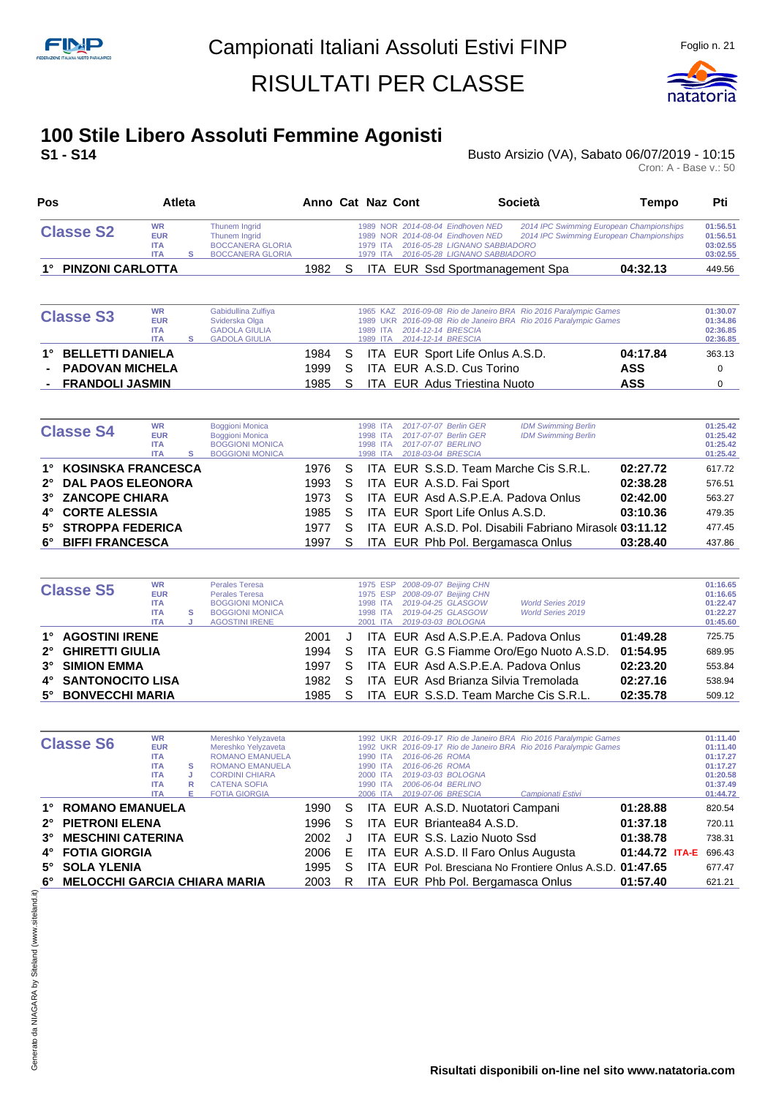**Pos Atleta Anno Cat Naz Cont Società Tempo Pti**



## **100 Stile Libero Assoluti Femmine Agonisti**

Busto Arsizio (VA), Sabato 06/07/2019 - 10:15 Cron: A - Base v.: 50

| <b>Classe S2</b>                        | <b>WR</b><br><b>EUR</b><br><b>ITA</b><br><b>ITA</b> | s | Thunem Ingrid<br><b>Thunem Inarid</b><br><b>BOCCANERA GLORIA</b><br><b>BOCCANERA GLORIA</b>          |      |   | 2014 IPC Swimming European Championships<br>1989 NOR 2014-08-04 Eindhoven NED<br>2014-08-04 Eindhoven NED<br>2014 IPC Swimming European Championships<br><b>NOR</b><br>1989<br>2016-05-28 LIGNANO SABBIADORO<br><b>ITA</b><br>1979<br>2016-05-28 LIGNANO SABBIADORO<br>1979<br><b>ITA</b> | 01:56.51<br>01:56.51<br>03:02.55<br>03:02.55 |
|-----------------------------------------|-----------------------------------------------------|---|------------------------------------------------------------------------------------------------------|------|---|-------------------------------------------------------------------------------------------------------------------------------------------------------------------------------------------------------------------------------------------------------------------------------------------|----------------------------------------------|
| <b>PINZONI CARLOTTA</b>                 |                                                     |   |                                                                                                      | 1982 | S | ITA EUR Ssd Sportmanagement Spa<br>04:32.13                                                                                                                                                                                                                                               | 449.56                                       |
| <b>Classe S3</b>                        | <b>WR</b><br><b>EUR</b><br><b>ITA</b><br><b>ITA</b> | s | Gabidullina Zulfiya<br>Sviderska Olga<br><b>GADOLA GIULIA</b><br><b>GADOLA GIULIA</b>                |      |   | 2016-09-08 Rio de Janeiro BRA Rio 2016 Paralympic Games<br>1965 KAZ<br>1989 UKR 2016-09-08 Rio de Janeiro BRA Rio 2016 Paralympic Games<br>2014-12-14 BRESCIA<br><b>ITA</b><br>1989<br>2014-12-14 BRESCIA<br>1989<br><b>ITA</b>                                                           | 01:30.07<br>01:34.86<br>02:36.85<br>02:36.85 |
| <b>BELLETTI DANIELA</b>                 |                                                     |   |                                                                                                      | 1984 | S | 04:17.84<br>ITA EUR Sport Life Onlus A.S.D.                                                                                                                                                                                                                                               | 363.13                                       |
| <b>PADOVAN MICHELA</b>                  |                                                     |   |                                                                                                      | 1999 | S | EUR A.S.D. Cus Torino<br><b>ASS</b><br>ITA.                                                                                                                                                                                                                                               | $\Omega$                                     |
| <b>FRANDOLI JASMIN</b>                  |                                                     |   |                                                                                                      | 1985 | S | <b>ASS</b><br><b>EUR</b> Adus Triestina Nuoto<br>ITA.                                                                                                                                                                                                                                     | $\Omega$                                     |
|                                         |                                                     |   |                                                                                                      |      |   |                                                                                                                                                                                                                                                                                           |                                              |
| <b>Classe S4</b>                        | <b>WR</b><br><b>EUR</b><br><b>ITA</b><br><b>ITA</b> | s | <b>Boggioni Monica</b><br><b>Boggioni Monica</b><br><b>BOGGIONI MONICA</b><br><b>BOGGIONI MONICA</b> |      |   | 2017-07-07 Berlin GER<br><b>IDM Swimming Berlin</b><br>1998 ITA<br>1998 ITA<br>2017-07-07 Berlin GER<br><b>IDM Swimming Berlin</b><br>2017-07-07 BERLINO<br>1998 ITA<br>2018-03-04 BRESCIA<br>1998 ITA                                                                                    | 01:25.42<br>01:25.42<br>01:25.42<br>01:25.42 |
| <b>KOSINSKA FRANCESCA</b>               |                                                     |   |                                                                                                      | 1976 | S | ITA EUR S.S.D. Team Marche Cis S.R.L.<br>02:27.72                                                                                                                                                                                                                                         | 617.72                                       |
| <b>DAL PAOS ELEONORA</b><br>$2^{\circ}$ |                                                     |   |                                                                                                      | 1993 | S | ITA EUR A.S.D. Fai Sport<br>02:38.28                                                                                                                                                                                                                                                      | 576.51                                       |
| <b>ZANCOPE CHIARA</b><br>$3^{\circ}$    |                                                     |   |                                                                                                      | 1973 | S | EUR Asd A.S.P.E.A. Padova Onlus<br>02:42.00<br>ITA.                                                                                                                                                                                                                                       | 563.27                                       |
| <b>CORTE ALESSIA</b><br>4°              |                                                     |   |                                                                                                      | 1985 | S | EUR Sport Life Onlus A.S.D.<br>03:10.36<br>ITA.                                                                                                                                                                                                                                           | 479.35                                       |
| <b>STROPPA FEDERICA</b><br>5°           |                                                     |   |                                                                                                      | 1977 | S | ITA EUR A.S.D. Pol. Disabili Fabriano Mirasole 03:11.12                                                                                                                                                                                                                                   | 477.45                                       |
| <b>BIFFI FRANCESCA</b><br>6°            |                                                     |   |                                                                                                      | 1997 | S | ITA EUR Phb Pol. Bergamasca Onlus<br>03:28.40                                                                                                                                                                                                                                             | 437.86                                       |

| <b>Classe S5</b>    | <b>WR</b><br><b>EUR</b><br><b>ITA</b><br><b>ITA</b><br><b>ITA</b> | s | <b>Perales Teresa</b><br><b>Perales Teresa</b><br><b>BOGGIONI MONICA</b><br><b>BOGGIONI MONICA</b><br><b>AGOSTINI IRENE</b> |      |    | 1998 ITA<br>1998 ITA<br>2001 ITA | 1975 ESP 2008-09-07 Beijing CHN<br>1975 ESP 2008-09-07 Beijing CHN<br>2019-04-25 GLASGOW<br>2019-04-25 GLASGOW<br>2019-03-03 BOLOGNA | <b>World Series 2019</b><br><b>World Series 2019</b> |          | 01:16.65<br>01:16.65<br>01:22.47<br>01:22.27<br>01:45.60 |
|---------------------|-------------------------------------------------------------------|---|-----------------------------------------------------------------------------------------------------------------------------|------|----|----------------------------------|--------------------------------------------------------------------------------------------------------------------------------------|------------------------------------------------------|----------|----------------------------------------------------------|
|                     |                                                                   |   |                                                                                                                             |      |    |                                  |                                                                                                                                      |                                                      |          |                                                          |
| 1° AGOSTINI IRENE   |                                                                   |   |                                                                                                                             | 2001 |    |                                  |                                                                                                                                      | ITA EUR Asd A.S.P.E.A. Padova Onlus                  | 01:49.28 | 725.75                                                   |
| 2° GHIRETTI GIULIA  |                                                                   |   |                                                                                                                             |      |    |                                  |                                                                                                                                      | 1994 S ITA EUR G.S Fiamme Oro/Ego Nuoto A.S.D.       | 01:54.95 | 689.95                                                   |
| 3° SIMION EMMA      |                                                                   |   |                                                                                                                             | 1997 | S. |                                  |                                                                                                                                      | ITA EUR Asd A.S.P.E.A. Padova Onlus                  | 02:23.20 | 553.84                                                   |
| 4° SANTONOCITO LISA |                                                                   |   |                                                                                                                             | 1982 | S. |                                  |                                                                                                                                      | ITA EUR Asd Brianza Silvia Tremolada                 | 02:27.16 | 538.94                                                   |
| 5° BONVECCHI MARIA  |                                                                   |   |                                                                                                                             | 1985 | S. |                                  |                                                                                                                                      | ITA EUR S.S.D. Team Marche Cis S.R.L.                | 02:35.78 | 509.12                                                   |

|           |                                 | <b>WR</b>  |   | Mereshko Yelyzaveta    |      |    |          |                                      | 1992 UKR 2016-09-17 Rio de Janeiro BRA Rio 2016 Paralympic Games |                | 01:11.40 |
|-----------|---------------------------------|------------|---|------------------------|------|----|----------|--------------------------------------|------------------------------------------------------------------|----------------|----------|
|           | <b>Classe S6</b>                | <b>EUR</b> |   | Mereshko Yelyzaveta    |      |    |          |                                      | 1992 UKR 2016-09-17 Rio de Janeiro BRA Rio 2016 Paralympic Games |                | 01:11.40 |
|           |                                 | <b>ITA</b> |   | <b>ROMANO EMANUELA</b> |      |    | 1990 ITA | 2016-06-26 ROMA                      |                                                                  |                | 01:17.27 |
|           |                                 | <b>ITA</b> | s | <b>ROMANO EMANUELA</b> |      |    | 1990 ITA | 2016-06-26 ROMA                      |                                                                  |                | 01:17.27 |
|           |                                 | <b>ITA</b> |   | <b>CORDINI CHIARA</b>  |      |    | 2000 ITA | 2019-03-03 BOLOGNA                   |                                                                  |                | 01:20.58 |
|           |                                 | <b>ITA</b> | R | <b>CATENA SOFIA</b>    |      |    | 1990 ITA | 2006-06-04 BERLINO                   |                                                                  |                | 01:37.49 |
|           |                                 | <b>ITA</b> | F | <b>FOTIA GIORGIA</b>   |      |    | 2006 ITA | 2019-07-06 BRESCIA                   | Campionati Estivi                                                |                | 01:44.72 |
| 1°        | <b>ROMANO EMANUELA</b>          |            |   |                        | 1990 | S. |          | ITA EUR A.S.D. Nuotatori Campani     |                                                                  | 01:28.88       | 820.54   |
|           | 2° PIETRONI ELENA               |            |   |                        | 1996 | S  |          | ITA EUR Briantea84 A.S.D.            |                                                                  | 01:37.18       | 720.11   |
| $3^\circ$ | <b>MESCHINI CATERINA</b>        |            |   |                        | 2002 |    |          | ITA EUR S.S. Lazio Nuoto Ssd         |                                                                  | 01:38.78       | 738.31   |
|           | 4° FOTIA GIORGIA                |            |   |                        | 2006 | E  |          | ITA EUR A.S.D. Il Faro Onlus Augusta |                                                                  | 01:44.72 ITA-E | 696.43   |
|           | 5° SOLA YLENIA                  |            |   |                        | 1995 | S  | ITA.     |                                      | EUR Pol. Bresciana No Frontiere Onlus A.S.D. 01:47.65            |                | 677.47   |
|           | 6° MELOCCHI GARCIA CHIARA MARIA |            |   |                        | 2003 |    |          | ITA EUR Phb Pol. Bergamasca Onlus    |                                                                  | 01:57.40       | 621.21   |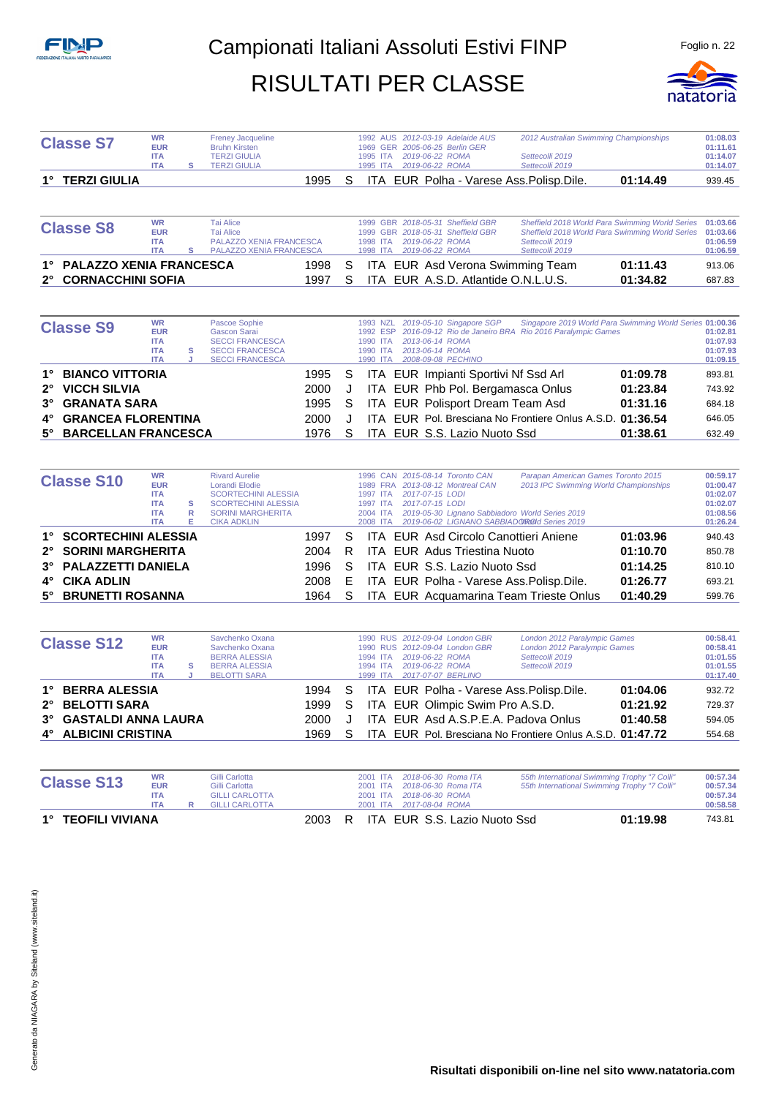

|             | <b>Classe S7</b>           | <b>WR</b><br><b>EUR</b>                                           |             | <b>Freney Jacqueline</b><br><b>Bruhn Kirsten</b>                                                                                |      |   |                                  | 1992 AUS 2012-03-19 Adelaide AUS<br>1969 GER 2005-06-25 Berlin GER                                                                                           | 2012 Australian Swimming Championships                                                                                                   |          | 01:08.03<br>01:11.61                                     |
|-------------|----------------------------|-------------------------------------------------------------------|-------------|---------------------------------------------------------------------------------------------------------------------------------|------|---|----------------------------------|--------------------------------------------------------------------------------------------------------------------------------------------------------------|------------------------------------------------------------------------------------------------------------------------------------------|----------|----------------------------------------------------------|
|             |                            | <b>ITA</b><br><b>ITA</b>                                          | s           | <b>TERZI GIULIA</b><br><b>TERZI GIULIA</b>                                                                                      |      |   | 1995 ITA                         | 2019-06-22 ROMA<br>1995 ITA 2019-06-22 ROMA                                                                                                                  | Settecolli 2019<br>Settecolli 2019                                                                                                       |          | 01:14.07<br>01:14.07                                     |
|             | 1° TERZI GIULIA            |                                                                   |             |                                                                                                                                 | 1995 | S |                                  | ITA EUR Polha - Varese Ass. Polisp. Dile.                                                                                                                    |                                                                                                                                          | 01:14.49 | 939.45                                                   |
|             |                            |                                                                   |             |                                                                                                                                 |      |   |                                  |                                                                                                                                                              |                                                                                                                                          |          |                                                          |
|             | <b>Classe S8</b>           | <b>WR</b><br><b>EUR</b><br><b>ITA</b><br><b>ITA</b>               | s           | <b>Tai Alice</b><br><b>Tai Alice</b><br>PALAZZO XENIA FRANCESCA<br>PALAZZO XENIA FRANCESCA                                      |      |   |                                  | 1999 GBR 2018-05-31 Sheffield GBR<br>1999 GBR 2018-05-31 Sheffield GBR<br>1998 ITA 2019-06-22 ROMA                                                           | Sheffield 2018 World Para Swimming World Series<br>Sheffield 2018 World Para Swimming World Series<br>Settecolli 2019<br>Settecolli 2019 |          | 01:03.66<br>01:03.66<br>01:06.59                         |
|             | 1° PALAZZO XENIA FRANCESCA |                                                                   |             |                                                                                                                                 | 1998 | S |                                  | 1998 ITA  2019-06-22 ROMA<br>ITA EUR Asd Verona Swimming Team                                                                                                |                                                                                                                                          | 01:11.43 | 01:06.59<br>913.06                                       |
| 2°          | <b>CORNACCHINI SOFIA</b>   |                                                                   |             |                                                                                                                                 | 1997 | S |                                  | ITA EUR A.S.D. Atlantide O.N.L.U.S.                                                                                                                          |                                                                                                                                          | 01:34.82 | 687.83                                                   |
|             |                            |                                                                   |             |                                                                                                                                 |      |   |                                  |                                                                                                                                                              |                                                                                                                                          |          |                                                          |
|             | <b>Classe S9</b>           | <b>WR</b><br><b>EUR</b><br><b>ITA</b><br><b>ITA</b><br><b>ITA</b> | s           | <b>Pascoe Sophie</b><br><b>Gascon Sarai</b><br><b>SECCI FRANCESCA</b><br><b>SECCI FRANCESCA</b><br><b>SECCI FRANCESCA</b>       |      |   | 1993 NZL<br>1992 ESP             | 2019-05-10 Singapore SGP<br>1990 ITA 2013-06-14 ROMA<br>1990 ITA 2013-06-14 ROMA<br>1990 ITA 2008-09-08 PECHINO                                              | Singapore 2019 World Para Swimming World Series 01:00.36<br>2016-09-12 Rio de Janeiro BRA Rio 2016 Paralympic Games                      |          | 01:02.81<br>01:07.93<br>01:07.93<br>01:09.15             |
| $1^{\circ}$ | <b>BIANCO VITTORIA</b>     |                                                                   |             |                                                                                                                                 | 1995 | S |                                  | ITA EUR Impianti Sportivi Nf Ssd Arl                                                                                                                         |                                                                                                                                          | 01:09.78 | 893.81                                                   |
| $2^{\circ}$ | <b>VICCH SILVIA</b>        |                                                                   |             |                                                                                                                                 | 2000 | J |                                  | ITA EUR Phb Pol. Bergamasca Onlus                                                                                                                            |                                                                                                                                          | 01:23.84 | 743.92                                                   |
| 3°          | <b>GRANATA SARA</b>        |                                                                   |             |                                                                                                                                 | 1995 | S |                                  | ITA EUR Polisport Dream Team Asd                                                                                                                             |                                                                                                                                          | 01:31.16 | 684.18                                                   |
| 4°          | <b>GRANCEA FLORENTINA</b>  |                                                                   |             |                                                                                                                                 | 2000 | J |                                  |                                                                                                                                                              | ITA EUR Pol. Bresciana No Frontiere Onlus A.S.D. 01:36.54                                                                                |          | 646.05                                                   |
| 5°          | <b>BARCELLAN FRANCESCA</b> |                                                                   |             |                                                                                                                                 | 1976 | S |                                  | ITA EUR S.S. Lazio Nuoto Ssd                                                                                                                                 |                                                                                                                                          | 01:38.61 | 632.49                                                   |
|             | <b>Classe S10</b>          | <b>WR</b><br><b>EUR</b><br><b>ITA</b><br><b>ITA</b><br><b>ITA</b> | s<br>R<br>Е | <b>Rivard Aurelie</b><br>Lorandi Elodie<br><b>SCORTECHINI ALESSIA</b><br><b>SCORTECHINI ALESSIA</b><br><b>SORINI MARGHERITA</b> |      |   | 1997 ITA<br>1997 ITA<br>2004 ITA | 1996 CAN 2015-08-14 Toronto CAN<br>1989 FRA 2013-08-12 Montreal CAN<br>2017-07-15 LODI<br>2017-07-15 LODI<br>2019-05-30 Lignano Sabbiadoro World Series 2019 | Parapan American Games Toronto 2015<br>2013 IPC Swimming World Championships                                                             |          | 00:59.17<br>01:00.47<br>01:02.07<br>01:02.07<br>01:08.56 |
| 1°          | <b>SCORTECHINI ALESSIA</b> | <b>ITA</b>                                                        |             | <b>CIKA ADKLIN</b>                                                                                                              | 1997 | S | 2008 ITA                         | 2019-06-02 LIGNANO SABBIADOROId Series 2019<br>ITA EUR Asd Circolo Canottieri Aniene                                                                         |                                                                                                                                          | 01:03.96 | 01:26.24<br>940.43                                       |
| $2^{\circ}$ | <b>SORINI MARGHERITA</b>   |                                                                   |             |                                                                                                                                 | 2004 | R |                                  | <b>ITA EUR Adus Triestina Nuoto</b>                                                                                                                          |                                                                                                                                          | 01:10.70 | 850.78                                                   |
| 3°          | <b>PALAZZETTI DANIELA</b>  |                                                                   |             |                                                                                                                                 | 1996 | S |                                  | ITA EUR S.S. Lazio Nuoto Ssd                                                                                                                                 |                                                                                                                                          | 01:14.25 | 810.10                                                   |
| 4°          | <b>CIKA ADLIN</b>          |                                                                   |             |                                                                                                                                 | 2008 | Ε |                                  | ITA EUR Polha - Varese Ass. Polisp. Dile.                                                                                                                    |                                                                                                                                          | 01:26.77 | 693.21                                                   |
| 5°          | <b>BRUNETTI ROSANNA</b>    |                                                                   |             |                                                                                                                                 | 1964 | S |                                  | ITA EUR Acquamarina Team Trieste Onlus                                                                                                                       |                                                                                                                                          | 01:40.29 | 599.76                                                   |
|             |                            |                                                                   |             |                                                                                                                                 |      |   |                                  |                                                                                                                                                              |                                                                                                                                          |          |                                                          |
|             | <b>Classe S12</b>          | WR<br><b>EUR</b><br><b>ITA</b><br><b>ITA</b><br><b>ITA</b>        | s<br>J      | Savchenko Oxana<br>Savchenko Oxana<br><b>BERRA ALESSIA</b><br><b>BERRA ALESSIA</b><br><b>BELOTTI SARA</b>                       |      |   | 1994 ITA<br>1994 ITA<br>1999 ITA | 1990 RUS 2012-09-04 London GBR<br>1990 RUS 2012-09-04 London GBR<br>2019-06-22 ROMA<br>2019-06-22 ROMA<br>2017-07-07 BERLINO                                 | London 2012 Paralympic Games<br>London 2012 Paralympic Games<br>Settecolli 2019<br>Settecolli 2019                                       |          | 00:58.41<br>00:58.41<br>01:01.55<br>01:01.55<br>01:17.40 |
|             | 1° BERRA ALESSIA           |                                                                   |             |                                                                                                                                 | 1994 | S |                                  | ITA EUR Polha - Varese Ass. Polisp. Dile.                                                                                                                    |                                                                                                                                          | 01:04.06 | 932.72                                                   |
| 2°          | <b>BELOTTI SARA</b>        |                                                                   |             |                                                                                                                                 | 1999 | S |                                  | ITA EUR Olimpic Swim Pro A.S.D.                                                                                                                              |                                                                                                                                          | 01:21.92 | 729.37                                                   |
|             | <b>GASTALDI ANNA LAURA</b> |                                                                   |             |                                                                                                                                 | 2000 | J |                                  | ITA EUR Asd A.S.P.E.A. Padova Onlus                                                                                                                          |                                                                                                                                          | 01:40.58 | 594.05                                                   |
|             | 4° ALBICINI CRISTINA       |                                                                   |             |                                                                                                                                 | 1969 | S |                                  |                                                                                                                                                              | ITA EUR Pol. Bresciana No Frontiere Onlus A.S.D. 01:47.72                                                                                |          | 554.68                                                   |
|             | <b>Classe S13</b>          | <b>WR</b><br><b>EUR</b><br><b>ITA</b>                             |             | Gilli Carlotta<br>Gilli Carlotta<br><b>GILLI CARLOTTA</b>                                                                       |      |   | 2001 ITA<br>2001 ITA             | 2018-06-30 Roma ITA<br>2018-06-30 Roma ITA<br>2001 ITA 2018-06-30 ROMA                                                                                       | 55th International Swimming Trophy "7 Colli"<br>55th International Swimming Trophy "7 Colli"                                             |          | 00:57.34<br>00:57.34<br>00:57.34                         |
|             |                            | <b>ITA</b>                                                        | R           | <b>GILLI CARLOTTA</b>                                                                                                           |      |   |                                  | 2001 ITA 2017-08-04 ROMA                                                                                                                                     |                                                                                                                                          |          | 00:58.58                                                 |

**1° TEOFILI VIVIANA** 2003 R ITA EUR S.S. Lazio Nuoto Ssd **01:19.98** 743.81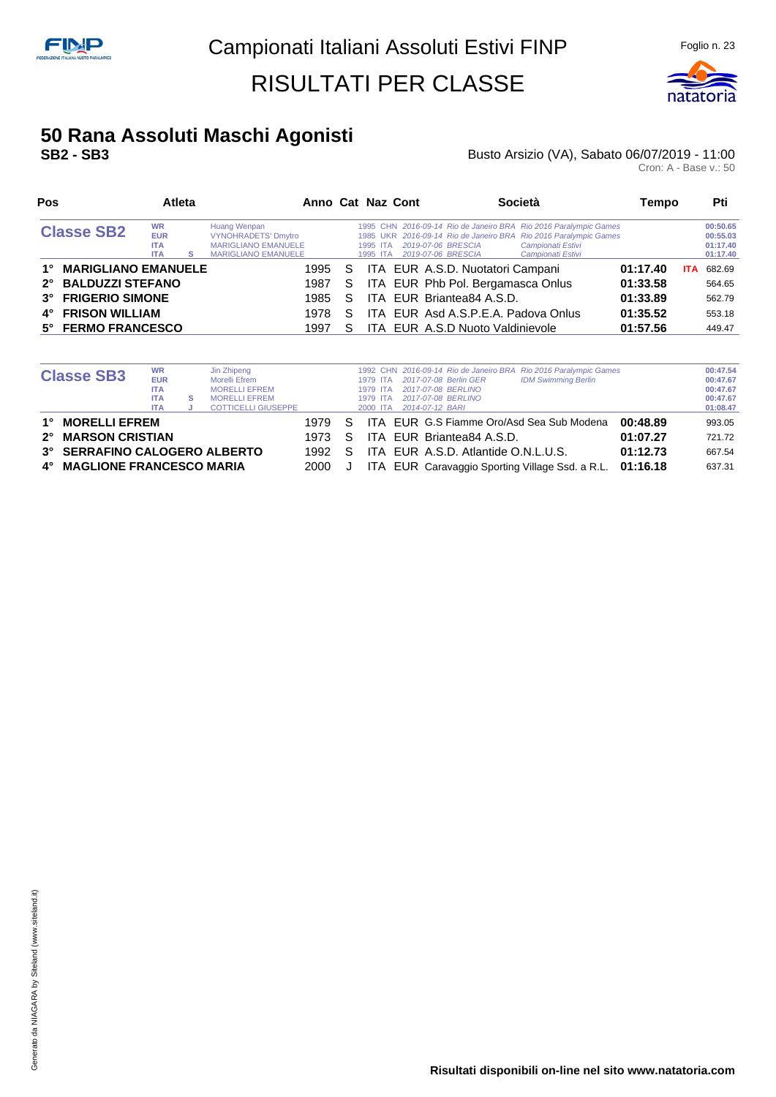

# **50 Rana Assoluti Maschi Agonisti**

### **Busto Arsizio (VA), Sabato 06/07/2019 - 11:00**<br>Cron: A - Base v.: 50

| Cron: A - Base v.: 50 |
|-----------------------|
|-----------------------|

| Pos                              |                                                     | <b>Atleta</b> |                                                                                                        |    | Anno Cat Naz Cont    |                                          |                                     | Società                                                                                                                                                                        | Tempo    |            | Pti                                          |
|----------------------------------|-----------------------------------------------------|---------------|--------------------------------------------------------------------------------------------------------|----|----------------------|------------------------------------------|-------------------------------------|--------------------------------------------------------------------------------------------------------------------------------------------------------------------------------|----------|------------|----------------------------------------------|
| <b>Classe SB2</b>                | <b>WR</b><br><b>EUR</b><br><b>ITA</b><br><b>ITA</b> | s             | Huang Wenpan<br><b>VYNOHRADETS' Dmytro</b><br><b>MARIGLIANO EMANUELE</b><br><b>MARIGLIANO EMANUELE</b> |    | 1995 ITA<br>1995 ITA | 2019-07-06 BRESCIA<br>2019-07-06 BRESCIA |                                     | 1995 CHN 2016-09-14 Rio de Janeiro BRA Rio 2016 Paralympic Games<br>1985 UKR 2016-09-14 Rio de Janeiro BRA Rio 2016 Paralympic Games<br>Campionati Estivi<br>Campionati Estivi |          |            | 00:50.65<br>00:55.03<br>01:17.40<br>01:17.40 |
| <b>MARIGLIANO EMANUELE</b><br>1° |                                                     |               | 1995                                                                                                   | S. |                      |                                          | ITA EUR A.S.D. Nuotatori Campani    |                                                                                                                                                                                | 01:17.40 | <b>ITA</b> | 682.69                                       |
| 2° BALDUZZI STEFANO              |                                                     |               | 1987                                                                                                   | S. |                      |                                          | ITA EUR Phb Pol. Bergamasca Onlus   |                                                                                                                                                                                | 01:33.58 |            | 564.65                                       |
| 3° FRIGERIO SIMONE               |                                                     |               | 1985                                                                                                   | S  |                      |                                          | ITA EUR Briantea84 A.S.D.           |                                                                                                                                                                                | 01:33.89 |            | 562.79                                       |
| <b>FRISON WILLIAM</b><br>4°      |                                                     |               | 1978                                                                                                   | S. |                      |                                          | ITA EUR Asd A.S.P.E.A. Padova Onlus |                                                                                                                                                                                | 01:35.52 |            | 553.18                                       |
| 5° FERMO FRANCESCO               |                                                     |               | 1997                                                                                                   | S. |                      |                                          | ITA EUR A.S.D Nuoto Valdinievole    |                                                                                                                                                                                | 01:57.56 |            | 449.47                                       |

|    | <b>Classe SB3</b>               | <b>WR</b>  |   | Jin Zhipeng                |      |    |          |                                           | 1992 CHN 2016-09-14 Rio de Janeiro BRA Rio 2016 Paralympic Games |          | 00:47.54 |
|----|---------------------------------|------------|---|----------------------------|------|----|----------|-------------------------------------------|------------------------------------------------------------------|----------|----------|
|    |                                 | <b>EUR</b> |   | Morelli Efrem              |      |    | 1979 ITA | 2017-07-08 Berlin GER                     | <b>IDM Swimming Berlin</b>                                       |          | 00:47.67 |
|    |                                 | <b>ITA</b> |   | <b>MORELLI EFREM</b>       |      |    | 1979 ITA | 2017-07-08 BERLINO                        |                                                                  |          | 00:47.67 |
|    |                                 | <b>ITA</b> | s | <b>MORELLI EFREM</b>       |      |    | 1979 ITA | 2017-07-08 BERLINO                        |                                                                  |          | 00:47.67 |
|    |                                 | <b>ITA</b> |   | <b>COTTICELLI GIUSEPPE</b> |      |    | 2000 ITA | 2014-07-12 BARI                           |                                                                  |          | 01:08.47 |
| 1° | <b>MORELLI EFREM</b>            |            |   |                            | 1979 | S. |          | ITA EUR G.S Fiamme Oro/Asd Sea Sub Modena |                                                                  | 00:48.89 | 993.05   |
|    | 2° MARSON CRISTIAN              |            |   |                            | 1973 | S. |          | ITA EUR Briantea84 A.S.D.                 |                                                                  | 01:07.27 | 721.72   |
|    | 3° SERRAFINO CALOGERO ALBERTO   |            |   |                            | 1992 | S. |          | ITA EUR A.S.D. Atlantide O.N.L.U.S.       |                                                                  | 01:12.73 | 667.54   |
| 4° | <b>MAGLIONE FRANCESCO MARIA</b> |            |   |                            | 2000 |    |          |                                           | ITA EUR Caravaggio Sporting Village Ssd. a R.L. 01:16.18         |          | 637.31   |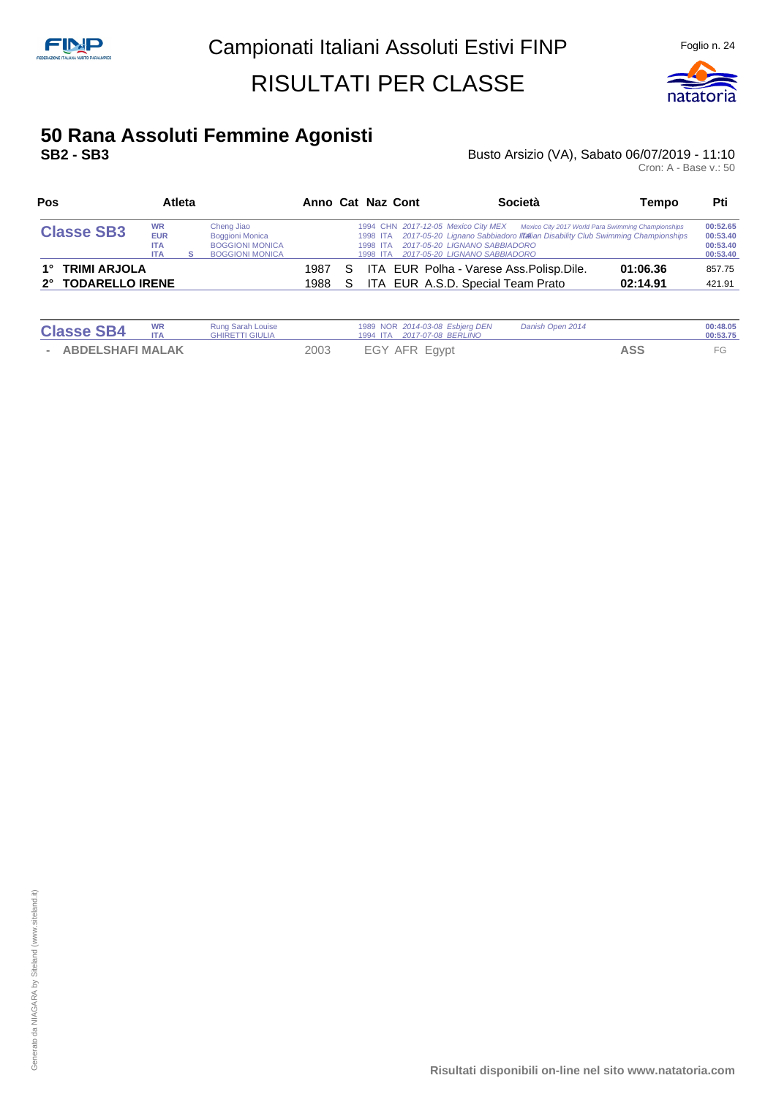

#### **50 Rana Assoluti Femmine Agonisti SB2 - SB3** Busto Arsizio (VA), Sabato 06/07/2019 - 11:10

| Pos<br>Atleta                                                                                                                                                        |  |  |  |              | Anno Cat Naz Cont |                                                                         | Società                                                                                                                                                                                                      | Tempo | Pti                  |                                              |
|----------------------------------------------------------------------------------------------------------------------------------------------------------------------|--|--|--|--------------|-------------------|-------------------------------------------------------------------------|--------------------------------------------------------------------------------------------------------------------------------------------------------------------------------------------------------------|-------|----------------------|----------------------------------------------|
| Cheng Jiao<br><b>WR</b><br><b>Classe SB3</b><br><b>EUR</b><br><b>Boggioni Monica</b><br><b>BOGGIONI MONICA</b><br><b>ITA</b><br><b>BOGGIONI MONICA</b><br><b>ITA</b> |  |  |  |              |                   | 1994 CHN 2017-12-05 Mexico City MEX<br>1998 ITA<br>1998 ITA<br>1998 ITA | Mexico City 2017 World Para Swimming Championships<br>2017-05-20 Lignano Sabbiadoro IITalian Disability Club Swimming Championships<br><i>2017-05-20 LIGNANO SABBIADORO</i><br>2017-05-20 LIGNANO SABBIADORO |       |                      | 00:52.65<br>00:53.40<br>00:53.40<br>00:53.40 |
| 1° TRIMI ARJOLA<br>2° TODARELLO IRENE                                                                                                                                |  |  |  | 1987<br>1988 | S.                |                                                                         | ITA EUR Polha - Varese Ass. Polisp. Dile.<br>ITA EUR A.S.D. Special Team Prato                                                                                                                               |       | 01:06.36<br>02:14.91 | 857.75<br>421.91                             |

| <b>Classe SB4</b>       | WR<br>ITA | <b>Rung Sarah Louise</b><br><b>GHIRETTI GIULIA</b> |      | 1989 NOR 2014-03-08 Esbjerg DEN<br>1994 ITA  2017-07-08 BERLINO | Danish Open 2014 |            | 00:48.05<br>00:53.75 |
|-------------------------|-----------|----------------------------------------------------|------|-----------------------------------------------------------------|------------------|------------|----------------------|
| <b>ABDELSHAFI MALAK</b> |           |                                                    | 2003 | EGY AFR Egypt                                                   |                  | <b>ASS</b> |                      |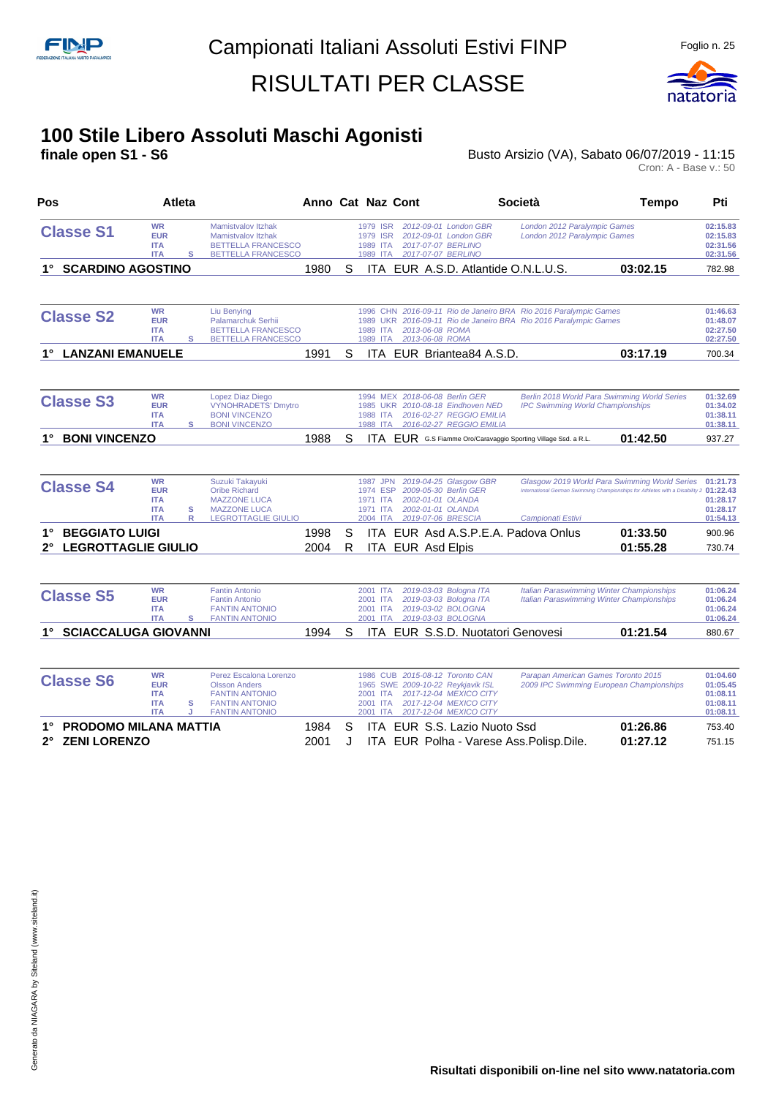

#### **100 Stile Libero Assoluti Maschi Agonisti**

**finale open S1 - S6 Busto Arsizio (VA), Sabato 06/07/2019 - 11:15** Busto Arsizio (VA), Sabato 06/07/2019 - 11:15<br>Cron: A - Base v.: 50

| Pos<br>Atleta                                                                         |                                                                                                                                      |              |        | Anno Cat Naz Cont                                        |                                                                                                                                                    | <b>Società</b>                                                                                                                       | <b>Tempo</b>                                                                                                                           | Pti                                                      |
|---------------------------------------------------------------------------------------|--------------------------------------------------------------------------------------------------------------------------------------|--------------|--------|----------------------------------------------------------|----------------------------------------------------------------------------------------------------------------------------------------------------|--------------------------------------------------------------------------------------------------------------------------------------|----------------------------------------------------------------------------------------------------------------------------------------|----------------------------------------------------------|
| <b>WR</b><br><b>Classe S1</b><br><b>EUR</b><br><b>ITA</b><br><b>ITA</b>               | <b>Mamistvalov Itzhak</b><br>Mamistvalov Itzhak<br><b>BETTELLA FRANCESCO</b><br>s<br><b>BETTELLA FRANCESCO</b>                       |              |        | 1979 ISR<br>1979 ISR<br>1989 ITA<br>1989 ITA             | 2012-09-01 London GBR<br>2012-09-01 London GBR<br>2017-07-07 BERLINO<br>2017-07-07 BERLINO                                                         | London 2012 Paralympic Games<br>London 2012 Paralympic Games                                                                         |                                                                                                                                        | 02:15.83<br>02:15.83<br>02:31.56<br>02:31.56             |
| 1° SCARDINO AGOSTINO                                                                  |                                                                                                                                      | 1980         | S      |                                                          |                                                                                                                                                    | ITA EUR A.S.D. Atlantide O.N.L.U.S.                                                                                                  | 03:02.15                                                                                                                               | 782.98                                                   |
| <b>WR</b><br><b>Classe S2</b><br><b>EUR</b><br><b>ITA</b><br><b>ITA</b>               | Liu Benying<br>Palamarchuk Serhii<br><b>BETTELLA FRANCESCO</b><br>s<br>BETTELLA FRANCESCO                                            |              |        | 1989 ITA                                                 | 2013-06-08 ROMA<br>1989 ITA 2013-06-08 ROMA                                                                                                        | 1996 CHN 2016-09-11 Rio de Janeiro BRA Rio 2016 Paralympic Games<br>1989 UKR 2016-09-11 Rio de Janeiro BRA Rio 2016 Paralympic Games |                                                                                                                                        | 01:46.63<br>01:48.07<br>02:27.50<br>02:27.50             |
| 1° LANZANI EMANUELE                                                                   |                                                                                                                                      | 1991         | S      |                                                          | ITA EUR Briantea84 A.S.D.                                                                                                                          |                                                                                                                                      | 03:17.19                                                                                                                               | 700.34                                                   |
| <b>WR</b><br><b>Classe S3</b><br><b>EUR</b><br><b>ITA</b><br><b>ITA</b>               | Lopez Diaz Diego<br><b>VYNOHRADETS' Dmytro</b><br><b>BONI VINCENZO</b><br>s<br><b>BONI VINCENZO</b>                                  |              |        | 1988<br><b>ITA</b><br>1988 ITA                           | 1994 MEX 2018-06-08 Berlin GER<br>1985 UKR 2010-08-18 Eindhoven NED<br>2016-02-27 REGGIO EMILIA<br>2016-02-27 REGGIO EMILIA                        | <b>IPC Swimming World Championships</b>                                                                                              | Berlin 2018 World Para Swimming World Series                                                                                           | 01:32.69<br>01:34.02<br>01:38.11<br>01:38.11             |
| <b>BONI VINCENZO</b>                                                                  |                                                                                                                                      | 1988         | S      |                                                          |                                                                                                                                                    | ITA EUR G.S Fiamme Oro/Caravaggio Sporting Village Ssd. a R.L.                                                                       | 01:42.50                                                                                                                               | 937.27                                                   |
| <b>WR</b><br><b>Classe S4</b><br><b>EUR</b><br><b>ITA</b><br><b>ITA</b><br><b>ITA</b> | Suzuki Takayuki<br><b>Oribe Richard</b><br><b>MAZZONE LUCA</b><br>s<br><b>MAZZONE LUCA</b><br>R<br><b>LEGROTTAGLIE GIULIO</b>        |              |        | 1987 JPN<br>1974 ESP<br>1971 ITA<br>1971 ITA<br>2004 ITA | 2019-04-25 Glasgow GBR<br>2009-05-30 Berlin GER<br>2002-01-01 OLANDA<br>2002-01-01 OLANDA<br>2019-07-06 BRESCIA                                    | Campionati Estivi                                                                                                                    | Glasgow 2019 World Para Swimming World Series<br>International German Swimming Championships for Athletes with a Disability 2 01:22.43 | 01:21.73<br>01:28.17<br>01:28.17<br>01:54.13             |
| <b>BEGGIATO LUIGI</b><br>$1^{\circ}$<br><b>LEGROTTAGLIE GIULIO</b>                    |                                                                                                                                      | 1998<br>2004 | S<br>R |                                                          | ITA EUR Asd Elpis                                                                                                                                  | ITA EUR Asd A.S.P.E.A. Padova Onlus                                                                                                  | 01:33.50<br>01:55.28                                                                                                                   | 900.96<br>730.74                                         |
| <b>WR</b><br><b>Classe S5</b><br><b>EUR</b><br><b>ITA</b><br><b>ITA</b>               | <b>Fantin Antonio</b><br><b>Fantin Antonio</b><br><b>FANTIN ANTONIO</b><br>s<br><b>FANTIN ANTONIO</b>                                |              |        | 2001 ITA<br>2001 ITA<br>2001 ITA                         | 2019-03-03 Bologna ITA<br>2019-03-03 Bologna ITA<br>2019-03-02 BOLOGNA<br>2001 ITA 2019-03-03 BOLOGNA                                              |                                                                                                                                      | <b>Italian Paraswimming Winter Championships</b><br><b>Italian Paraswimming Winter Championships</b>                                   | 01:06.24<br>01:06.24<br>01:06.24<br>01:06.24             |
| 1° SCIACCALUGA GIOVANNI                                                               |                                                                                                                                      | 1994         | S      |                                                          |                                                                                                                                                    | ITA EUR S.S.D. Nuotatori Genovesi                                                                                                    | 01:21.54                                                                                                                               | 880.67                                                   |
| <b>WR</b><br><b>Classe S6</b><br><b>EUR</b><br><b>ITA</b><br><b>ITA</b><br><b>ITA</b> | Perez Escalona Lorenzo<br><b>Olsson Anders</b><br><b>FANTIN ANTONIO</b><br>s<br><b>FANTIN ANTONIO</b><br>J.<br><b>FANTIN ANTONIO</b> |              |        | 2001 ITA<br>2001 ITA<br>2001 ITA                         | 1986 CUB 2015-08-12 Toronto CAN<br>1965 SWE 2009-10-22 Reykjavik ISL<br>2017-12-04 MEXICO CITY<br>2017-12-04 MEXICO CITY<br>2017-12-04 MEXICO CITY | Parapan American Games Toronto 2015                                                                                                  | 2009 IPC Swimming European Championships                                                                                               | 01:04.60<br>01:05.45<br>01:08.11<br>01:08.11<br>01:08.11 |
| <b>PRODOMO MILANA MATTIA</b><br>1°<br><b>ZENI LORENZO</b><br>2°                       |                                                                                                                                      | 1984<br>2001 | S<br>J |                                                          | ITA EUR S.S. Lazio Nuoto Ssd                                                                                                                       | ITA EUR Polha - Varese Ass. Polisp. Dile.                                                                                            | 01:26.86<br>01:27.12                                                                                                                   | 753.40<br>751.15                                         |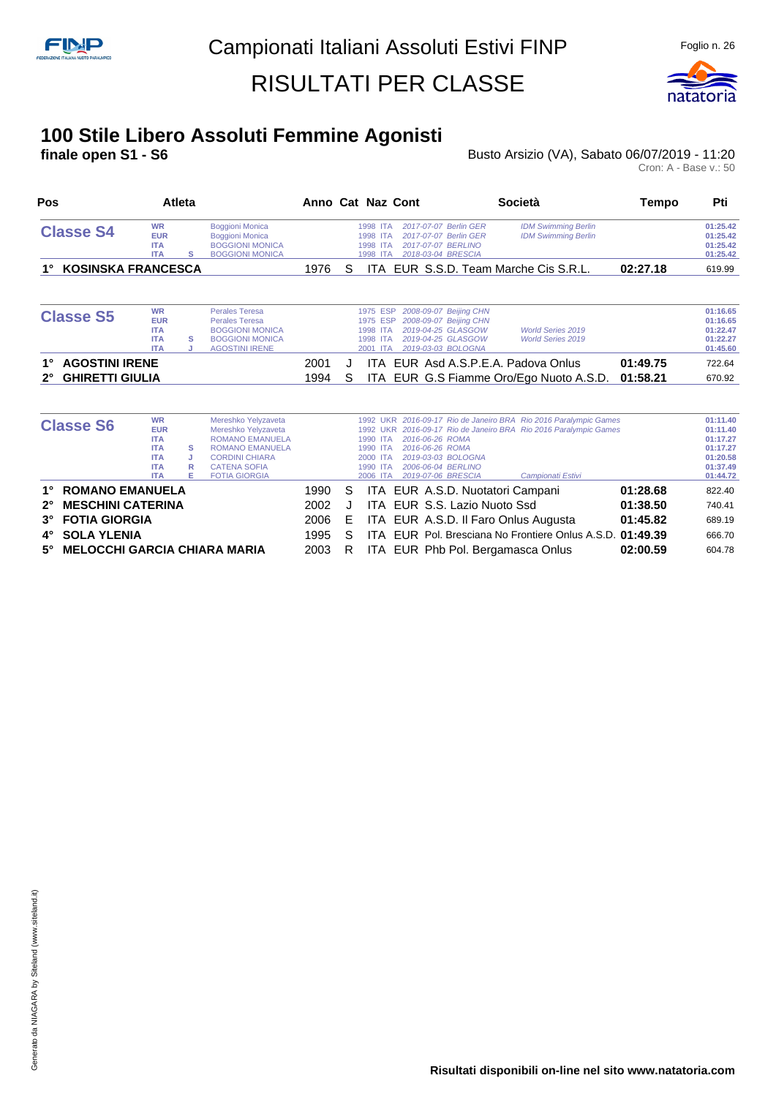

# **100 Stile Libero Assoluti Femmine Agonisti**

**finale open S1 - S6** Busto Arsizio (VA), Sabato 06/07/2019 - 11:20 Cron: A - Base v.: 50

| Pos<br><b>Atleta</b>                                                 |                                                                                               |                  |                                                                                                                                                                        |              |              | Anno Cat Naz Cont<br>Società                                                                                                                                                             |                                                                                                                                                           |                      |                                                                                  |  |  | Tempo | Pti |
|----------------------------------------------------------------------|-----------------------------------------------------------------------------------------------|------------------|------------------------------------------------------------------------------------------------------------------------------------------------------------------------|--------------|--------------|------------------------------------------------------------------------------------------------------------------------------------------------------------------------------------------|-----------------------------------------------------------------------------------------------------------------------------------------------------------|----------------------|----------------------------------------------------------------------------------|--|--|-------|-----|
| <b>Classe S4</b>                                                     | <b>WR</b><br><b>EUR</b><br><b>ITA</b><br><b>ITA</b>                                           | s                | <b>Boggioni Monica</b><br><b>Boggioni Monica</b><br><b>BOGGIONI MONICA</b><br><b>BOGGIONI MONICA</b>                                                                   |              |              | 2017-07-07 Berlin GER<br>1998 ITA<br>2017-07-07 Berlin GER<br>1998 ITA<br>2017-07-07 BERLINO<br>1998 ITA<br>2018-03-04 BRESCIA<br>1998 ITA                                               | <b>IDM Swimming Berlin</b><br><b>IDM Swimming Berlin</b>                                                                                                  |                      | 01:25.42<br>01:25.42<br>01:25.42<br>01:25.42                                     |  |  |       |     |
| <b>KOSINSKA FRANCESCA</b>                                            |                                                                                               |                  |                                                                                                                                                                        | 1976         | S            | ITA.                                                                                                                                                                                     | EUR S.S.D. Team Marche Cis S.R.L.                                                                                                                         | 02:27.18             | 619.99                                                                           |  |  |       |     |
| <b>Classe S5</b>                                                     | <b>WR</b><br><b>EUR</b><br><b>ITA</b><br><b>ITA</b><br><b>ITA</b>                             | s                | <b>Perales Teresa</b><br><b>Perales Teresa</b><br><b>BOGGIONI MONICA</b><br><b>BOGGIONI MONICA</b><br><b>AGOSTINI IRENE</b>                                            |              |              | 2008-09-07 Beijing CHN<br>1975 ESP<br>2008-09-07 Beijing CHN<br>1975 ESP<br>2019-04-25 GLASGOW<br>1998 ITA<br>2019-04-25 GLASGOW<br>1998 ITA<br>2019-03-03 BOLOGNA<br>2001<br><b>ITA</b> | <b>World Series 2019</b><br><b>World Series 2019</b>                                                                                                      |                      | 01:16.65<br>01:16.65<br>01:22.47<br>01:22.27<br>01:45.60                         |  |  |       |     |
| <b>AGOSTINI IRENE</b><br>1°<br><b>GHIRETTI GIULIA</b><br>$2^{\circ}$ |                                                                                               |                  |                                                                                                                                                                        | 2001<br>1994 | $\cdot$<br>S | ITA.<br>ITA.                                                                                                                                                                             | EUR Asd A.S.P.E.A. Padova Onlus<br>EUR G.S Fiamme Oro/Ego Nuoto A.S.D.                                                                                    | 01:49.75<br>01:58.21 | 722.64<br>670.92                                                                 |  |  |       |     |
|                                                                      |                                                                                               |                  |                                                                                                                                                                        |              |              |                                                                                                                                                                                          |                                                                                                                                                           |                      |                                                                                  |  |  |       |     |
| <b>Classe S6</b>                                                     | <b>WR</b><br><b>EUR</b><br><b>ITA</b><br><b>ITA</b><br><b>ITA</b><br><b>ITA</b><br><b>ITA</b> | s<br>J<br>R<br>Е | Mereshko Yelyzaveta<br>Mereshko Yelyzaveta<br><b>ROMANO EMANUELA</b><br><b>ROMANO EMANUELA</b><br><b>CORDINI CHIARA</b><br><b>CATENA SOFIA</b><br><b>FOTIA GIORGIA</b> |              |              | 2016-06-26 ROMA<br>1990 ITA<br>1990 ITA<br>2016-06-26 ROMA<br>2019-03-03 BOLOGNA<br>2000 ITA<br>2006-06-04 BERLINO<br>1990 ITA<br>2019-07-06 BRESCIA<br>2006 ITA                         | 1992 UKR 2016-09-17 Rio de Janeiro BRA Rio 2016 Paralympic Games<br>1992 UKR 2016-09-17 Rio de Janeiro BRA Rio 2016 Paralympic Games<br>Campionati Estivi |                      | 01:11.40<br>01:11.40<br>01:17.27<br>01:17.27<br>01:20.58<br>01:37.49<br>01:44.72 |  |  |       |     |
| <b>ROMANO EMANUELA</b><br>1°                                         |                                                                                               |                  |                                                                                                                                                                        | 1990         | S            | EUR A.S.D. Nuotatori Campani<br>ITA.                                                                                                                                                     |                                                                                                                                                           | 01:28.68             | 822.40                                                                           |  |  |       |     |
| <b>MESCHINI CATERINA</b><br>$2^{\circ}$                              |                                                                                               |                  |                                                                                                                                                                        | 2002         |              | EUR S.S. Lazio Nuoto Ssd<br>ITA                                                                                                                                                          |                                                                                                                                                           | 01:38.50             | 740.41                                                                           |  |  |       |     |

**3° FOTIA GIORGIA** 2006 E ITA EUR A.S.D. Il Faro Onlus Augusta **01:45.82** 689.19 **4° SOLA YLENIA** 1995 S ITA EUR Pol. Bresciana No Frontiere Onlus A.S.D. 01:49.39 **5° MELOCCHI GARCIA CHIARA MARIA** 2003 R ITA EUR Phb Pol. Bergamasca Onlus **02:00.59** 604.78

**Risultati disponibili on-line nel sito www.natatoria.com**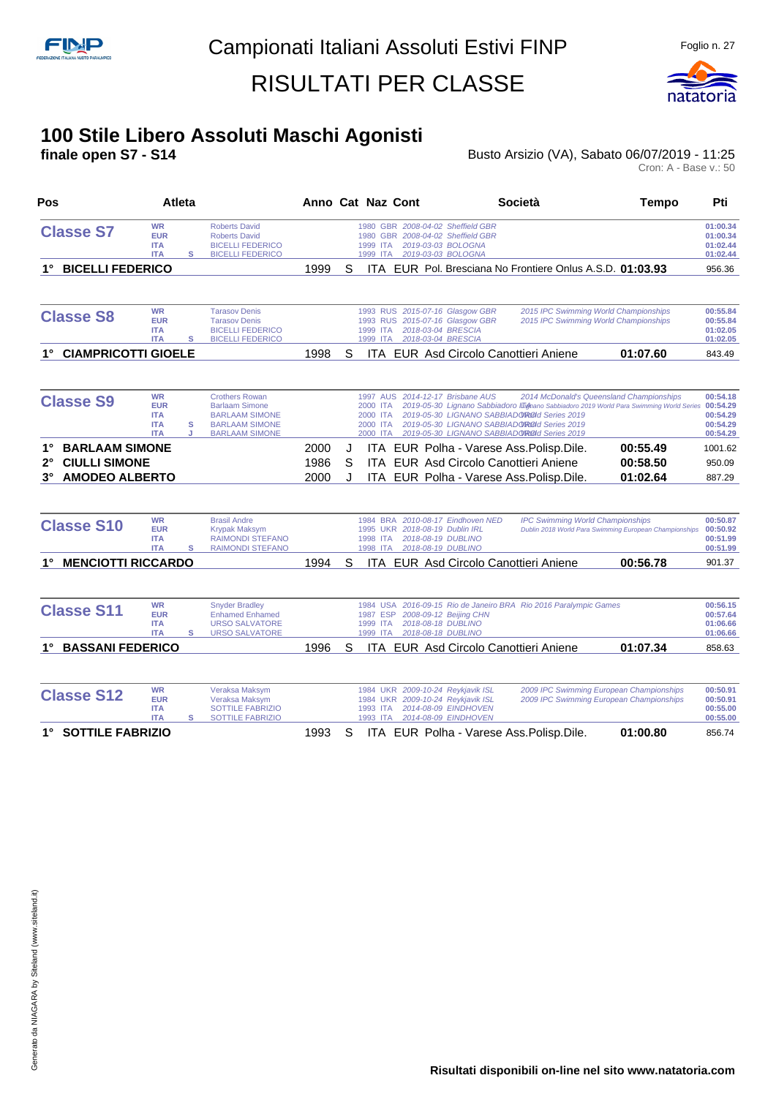

## **100 Stile Libero Assoluti Maschi Agonisti**

**finale open S7 - S14 Busto Arsizio (VA), Sabato 06/07/2019 - 11:25** Busto Arsizio (VA), Sabato 06/07/2019 - 11:25<br>Cron: A - Base v.: 50

| Pos                                                                                                |                                                                   | <b>Atleta</b> |                                                                                                                           |                      |             | Anno Cat Naz Cont                                                                                                                                    |                                              | Società                                                                                                                                                                                                                                                                          | <b>Tempo</b>                     | Pti                                                      |
|----------------------------------------------------------------------------------------------------|-------------------------------------------------------------------|---------------|---------------------------------------------------------------------------------------------------------------------------|----------------------|-------------|------------------------------------------------------------------------------------------------------------------------------------------------------|----------------------------------------------|----------------------------------------------------------------------------------------------------------------------------------------------------------------------------------------------------------------------------------------------------------------------------------|----------------------------------|----------------------------------------------------------|
| <b>Classe S7</b>                                                                                   | <b>WR</b><br><b>EUR</b><br><b>ITA</b><br><b>ITA</b>               | s             | <b>Roberts David</b><br><b>Roberts David</b><br><b>BICELLI FEDERICO</b><br><b>BICELLI FEDERICO</b>                        |                      |             | 1980 GBR 2008-04-02 Sheffield GBR<br>1980 GBR 2008-04-02 Sheffield GBR<br>2019-03-03 BOLOGNA<br>1999<br><b>ITA</b><br>2019-03-03 BOLOGNA<br>1999 ITA |                                              |                                                                                                                                                                                                                                                                                  |                                  | 01:00.34<br>01:00.34<br>01:02.44<br>01:02.44             |
| <b>BICELLI FEDERICO</b>                                                                            |                                                                   |               |                                                                                                                           | 1999                 | S           |                                                                                                                                                      |                                              | ITA EUR Pol. Bresciana No Frontiere Onlus A.S.D. 01:03.93                                                                                                                                                                                                                        |                                  | 956.36                                                   |
| <b>Classe S8</b>                                                                                   | <b>WR</b><br><b>EUR</b><br><b>ITA</b><br><b>ITA</b>               | s             | <b>Tarasov Denis</b><br><b>Tarasov Denis</b><br><b>BICELLI FEDERICO</b><br><b>BICELLI FEDERICO</b>                        |                      |             | 1993 RUS 2015-07-16 Glasgow GBR<br>1993 RUS 2015-07-16 Glasgow GBR<br>2018-03-04 BRESCIA<br>1999 ITA<br>2018-03-04 BRESCIA<br>1999<br><b>ITA</b>     |                                              | 2015 IPC Swimming World Championships<br>2015 IPC Swimming World Championships                                                                                                                                                                                                   |                                  | 00:55.84<br>00:55.84<br>01:02.05<br>01:02.05             |
| <b>CIAMPRICOTTI GIOELE</b><br>1°                                                                   |                                                                   |               |                                                                                                                           | 1998                 | S           | ITA EUR Asd Circolo Canottieri Aniene                                                                                                                |                                              |                                                                                                                                                                                                                                                                                  | 01:07.60                         | 843.49                                                   |
| <b>Classe S9</b>                                                                                   | <b>WR</b><br><b>EUR</b><br><b>ITA</b><br><b>ITA</b><br><b>ITA</b> | s<br>J        | <b>Crothers Rowan</b><br><b>Barlaam Simone</b><br><b>BARLAAM SIMONE</b><br><b>BARLAAM SIMONE</b><br><b>BARLAAM SIMONE</b> |                      |             | 1997 AUS 2014-12-17 Brisbane AUS<br>2000<br><b>ITA</b><br>2000<br><b>ITA</b><br>2000 ITA<br>2000 ITA                                                 |                                              | 2014 McDonald's Queensland Championships<br>2019-05-30 Lignano Sabbiadoro III mano Sabbiadoro 2019 World Para Swimming World Series<br>2019-05-30 LIGNANO SABBIADOROOI Series 2019<br>2019-05-30 LIGNANO SABBIADOROOI Series 2019<br>2019-05-30 LIGNANO SABBIADOROId Series 2019 |                                  | 00:54.18<br>00:54.29<br>00:54.29<br>00:54.29<br>00:54.29 |
| <b>BARLAAM SIMONE</b><br><b>CIULLI SIMONE</b><br>$2^{\circ}$<br><b>AMODEO ALBERTO</b><br>$3^\circ$ |                                                                   |               |                                                                                                                           | 2000<br>1986<br>2000 | J<br>S<br>J | ITA EUR Polha - Varese Ass. Polisp. Dile.<br>ITA EUR Asd Circolo Canottieri Aniene<br>ITA EUR Polha - Varese Ass. Polisp. Dile.                      |                                              |                                                                                                                                                                                                                                                                                  | 00:55.49<br>00:58.50<br>01:02.64 | 1001.62<br>950.09<br>887.29                              |
| <b>Classe S10</b>                                                                                  | <b>WR</b><br><b>EUR</b><br><b>ITA</b><br><b>ITA</b>               | s             | <b>Brasil Andre</b><br><b>Krypak Maksym</b><br><b>RAIMONDI STEFANO</b><br><b>RAIMONDI STEFANO</b>                         |                      |             | 1984 BRA 2010-08-17 Eindhoven NED<br>1995 UKR 2018-08-19 Dublin IRL<br>1998 ITA<br>2018-08-19 DUBLINO<br>1998 ITA<br>2018-08-19 DUBLINO              |                                              | <b>IPC Swimming World Championships</b><br>Dublin 2018 World Para Swimming European Championships                                                                                                                                                                                |                                  | 00:50.87<br>00:50.92<br>00:51.99<br>00:51.99             |
| <b>MENCIOTTI RICCARDO</b><br>1°                                                                    |                                                                   |               |                                                                                                                           | 1994                 | S           | <b>ITA EUR Asd Circolo Canottieri Aniene</b>                                                                                                         |                                              |                                                                                                                                                                                                                                                                                  | 00:56.78                         | 901.37                                                   |
| <b>Classe S11</b>                                                                                  | <b>WR</b><br><b>EUR</b><br><b>ITA</b><br><b>ITA</b>               | s             | <b>Snyder Bradley</b><br><b>Enhamed Enhamed</b><br><b>URSO SALVATORE</b><br><b>URSO SALVATORE</b>                         |                      |             | 1984 USA<br>1987 ESP<br>1999 ITA<br>2018-08-18 DUBLINO<br>2018-08-18 DUBLINO<br>1999 ITA                                                             | 2008-09-12 Beijing CHN                       | 2016-09-15 Rio de Janeiro BRA Rio 2016 Paralympic Games                                                                                                                                                                                                                          |                                  | 00:56.15<br>00:57.64<br>01:06.66<br>01:06.66             |
| <b>BASSANI FEDERICO</b><br>1°                                                                      |                                                                   |               |                                                                                                                           | 1996                 | S           | ITA EUR Asd Circolo Canottieri Aniene                                                                                                                |                                              |                                                                                                                                                                                                                                                                                  | 01:07.34                         | 858.63                                                   |
| <b>Classe S12</b>                                                                                  | <b>WR</b><br><b>EUR</b><br><b>ITA</b><br><b>ITA</b>               | s             | Veraksa Maksym<br>Veraksa Maksym<br><b>SOTTILE FABRIZIO</b><br><b>SOTTILE FABRIZIO</b>                                    |                      |             | 1984 UKR 2009-10-24 Reykjavik ISL<br>1984 UKR 2009-10-24 Reykjavik ISL<br>1993 ITA<br>1993 ITA                                                       | 2014-08-09 EINDHOVEN<br>2014-08-09 EINDHOVEN | 2009 IPC Swimming European Championships<br>2009 IPC Swimming European Championships                                                                                                                                                                                             |                                  | 00:50.91<br>00:50.91<br>00:55.00<br>00:55.00             |
| 1° SOTTILE FABRIZIO                                                                                |                                                                   |               |                                                                                                                           | 1993                 | S           | ITA EUR Polha - Varese Ass. Polisp. Dile.                                                                                                            |                                              |                                                                                                                                                                                                                                                                                  | 01:00.80                         | 856.74                                                   |

**Risultati disponibili on-line nel sito www.natatoria.com**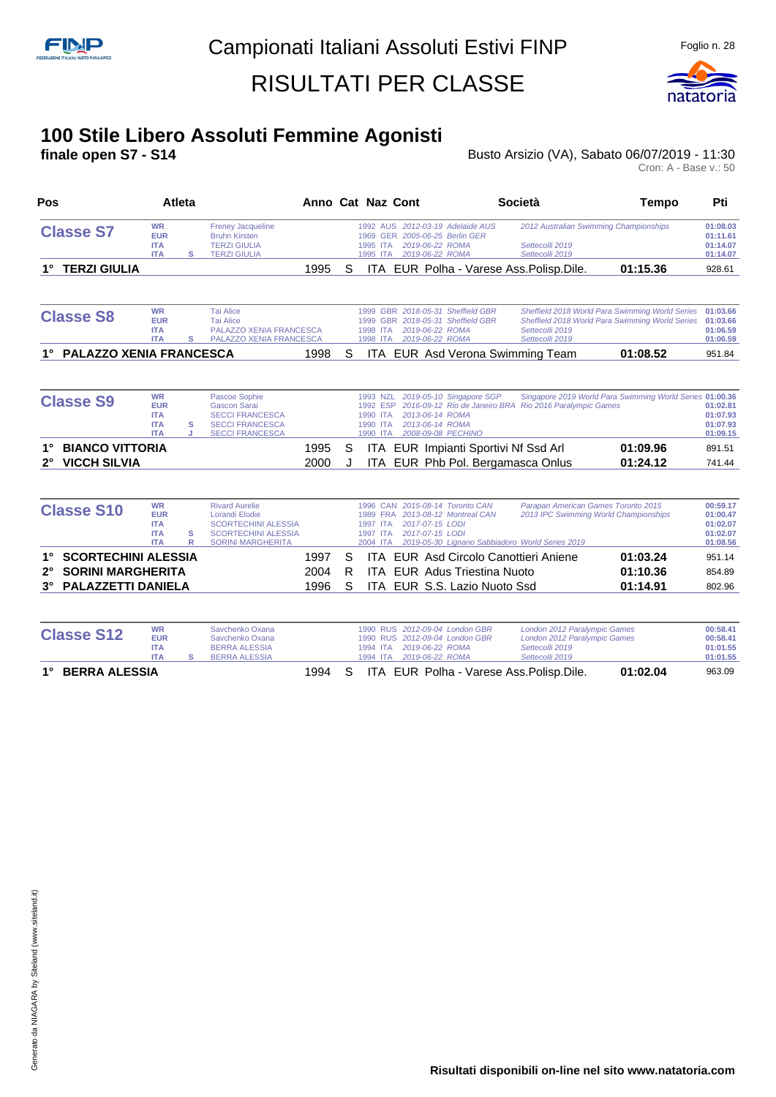

#### **100 Stile Libero Assoluti Femmine Agonisti**

**finale open S7 - S14 Busto Arsizio (VA), Sabato 06/07/2019 - 11:30** Busto Arsizio (VA), Sabato 06/07/2019 - 11:30<br>Cron: A - Base v.: 50

| Pos                                                          | <b>Atleta</b>                                                     |        |                                                                                                                                        |              |   | Anno Cat Naz Cont                                                                                                                                   | <b>Società</b>                                                                                                                  | Tempo                                                                                              | Pti                                                      |
|--------------------------------------------------------------|-------------------------------------------------------------------|--------|----------------------------------------------------------------------------------------------------------------------------------------|--------------|---|-----------------------------------------------------------------------------------------------------------------------------------------------------|---------------------------------------------------------------------------------------------------------------------------------|----------------------------------------------------------------------------------------------------|----------------------------------------------------------|
| <b>Classe S7</b>                                             | <b>WR</b><br><b>EUR</b><br><b>ITA</b><br><b>ITA</b>               | s      | <b>Freney Jacqueline</b><br><b>Bruhn Kirsten</b><br><b>TERZI GIULIA</b><br><b>TERZI GIULIA</b>                                         |              |   | 1992 AUS 2012-03-19 Adelaide AUS<br>2005-06-25 Berlin GER<br>1969<br><b>GER</b><br>2019-06-22 ROMA<br>1995 ITA<br>2019-06-22 ROMA<br>1995 ITA       | 2012 Australian Swimming Championships<br>Settecolli 2019<br>Settecolli 2019                                                    |                                                                                                    | 01:08.03<br>01:11.61<br>01:14.07<br>01:14.07             |
| <b>TERZI GIULIA</b>                                          |                                                                   |        |                                                                                                                                        | 1995         | S | ITA.                                                                                                                                                | EUR Polha - Varese Ass. Polisp. Dile.                                                                                           | 01:15.36                                                                                           | 928.61                                                   |
| <b>Classe S8</b>                                             | <b>WR</b><br><b>EUR</b><br><b>ITA</b><br><b>ITA</b>               | s      | <b>Tai Alice</b><br><b>Tai Alice</b><br><b>PALAZZO XENIA FRANCESCA</b><br>PALAZZO XENIA FRANCESCA                                      |              |   | 1999 GBR 2018-05-31 Sheffield GBR<br>GBR 2018-05-31 Sheffield GBR<br>1999<br>2019-06-22 ROMA<br>1998 ITA<br>1998 ITA<br>2019-06-22 ROMA             | Settecolli 2019<br>Settecolli 2019                                                                                              | Sheffield 2018 World Para Swimming World Series<br>Sheffield 2018 World Para Swimming World Series | 01:03.66<br>01:03.66<br>01:06.59<br>01:06.59             |
| <b>PALAZZO XENIA FRANCESCA</b>                               |                                                                   |        |                                                                                                                                        | 1998         | S | EUR Asd Verona Swimming Team<br>ITA.                                                                                                                |                                                                                                                                 | 01:08.52                                                                                           | 951.84                                                   |
| <b>Classe S9</b>                                             | <b>WR</b><br><b>EUR</b><br><b>ITA</b><br><b>ITA</b><br><b>ITA</b> | s<br>J | Pascoe Sophie<br><b>Gascon Sarai</b><br><b>SECCI FRANCESCA</b><br><b>SECCI FRANCESCA</b><br><b>SECCI FRANCESCA</b>                     |              |   | 2019-05-10 Singapore SGP<br>1993 NZL<br>1992 ESP<br>1990 ITA<br>2013-06-14 ROMA<br>2013-06-14 ROMA<br>1990 ITA<br>2008-09-08 PECHINO<br>1990 ITA    | 2016-09-12 Rio de Janeiro BRA Rio 2016 Paralympic Games                                                                         | Singapore 2019 World Para Swimming World Series 01:00.36                                           | 01:02.81<br>01:07.93<br>01:07.93<br>01:09.15             |
| <b>BIANCO VITTORIA</b><br><b>VICCH SILVIA</b><br>$2^{\circ}$ |                                                                   |        |                                                                                                                                        | 1995<br>2000 | S | EUR Impianti Sportivi Nf Ssd Arl<br>ITA<br>ITA<br>EUR Phb Pol. Bergamasca Onlus                                                                     |                                                                                                                                 | 01:09.96<br>01:24.12                                                                               | 891.51<br>741.44                                         |
| <b>Classe S10</b>                                            | <b>WR</b><br><b>EUR</b><br><b>ITA</b><br><b>ITA</b><br><b>ITA</b> | s<br>R | <b>Rivard Aurelie</b><br><b>Lorandi Elodie</b><br><b>SCORTECHINI ALESSIA</b><br><b>SCORTECHINI ALESSIA</b><br><b>SORINI MARGHERITA</b> |              |   | 2015-08-14 Toronto CAN<br>1996 CAN<br>1989 FRA<br>2013-08-12 Montreal CAN<br>2017-07-15 LODI<br>1997 ITA<br>2017-07-15 LODI<br>1997 ITA<br>2004 ITA | Parapan American Games Toronto 2015<br>2013 IPC Swimming World Championships<br>2019-05-30 Lignano Sabbiadoro World Series 2019 |                                                                                                    | 00:59.17<br>01:00.47<br>01:02.07<br>01:02.07<br>01:08.56 |
| <b>SCORTECHINI ALESSIA</b>                                   |                                                                   |        |                                                                                                                                        | 1997         | S | <b>ITA EUR Asd Circolo Canottieri Aniene</b>                                                                                                        |                                                                                                                                 | 01:03.24                                                                                           | 951.14                                                   |

| 3° PALAZZETTI DANIELA   |  | 1996 S ITA EUR S.S. Lazio Nuoto Ssd         | 01:14.91 | 802.96 |
|-------------------------|--|---------------------------------------------|----------|--------|
| 2° SORINI MARGHERITA    |  | 2004 R ITA EUR Adus Triestina Nuoto         | 01:10.36 | 854.89 |
| 1' SUURTEUHINI ALESSIA. |  | 1997 S TTA EUR ASO CIRCOIO CANOTHERI ANIENE | U1:03.24 | 951.14 |

| <b>Classe S12</b>          | WR<br><b>EUR</b><br><b>ITA</b><br><b>ITA</b> | Savchenko Oxana<br>Savchenko Oxana<br><b>BERRA ALESSIA</b><br><b>BERRA ALESSIA</b> |        |  | 1994 ITA  2019-06-22 ROMA<br>1994 ITA  2019-06-22 ROMA | 1990 RUS 2012-09-04 London GBR<br>1990 RUS 2012-09-04 London GBR | London 2012 Paralympic Games<br>London 2012 Paralympic Games<br>Settecolli 2019<br>Settecolli 2019 |          | 00:58.41<br>00:58.41<br>01:01.55<br>01:01.55 |
|----------------------------|----------------------------------------------|------------------------------------------------------------------------------------|--------|--|--------------------------------------------------------|------------------------------------------------------------------|----------------------------------------------------------------------------------------------------|----------|----------------------------------------------|
| <b>BERRA ALESSIA</b><br>1. |                                              |                                                                                    | 1994 S |  |                                                        |                                                                  | ITA EUR Polha - Varese Ass. Polisp. Dile.                                                          | 01:02.04 | 963.09                                       |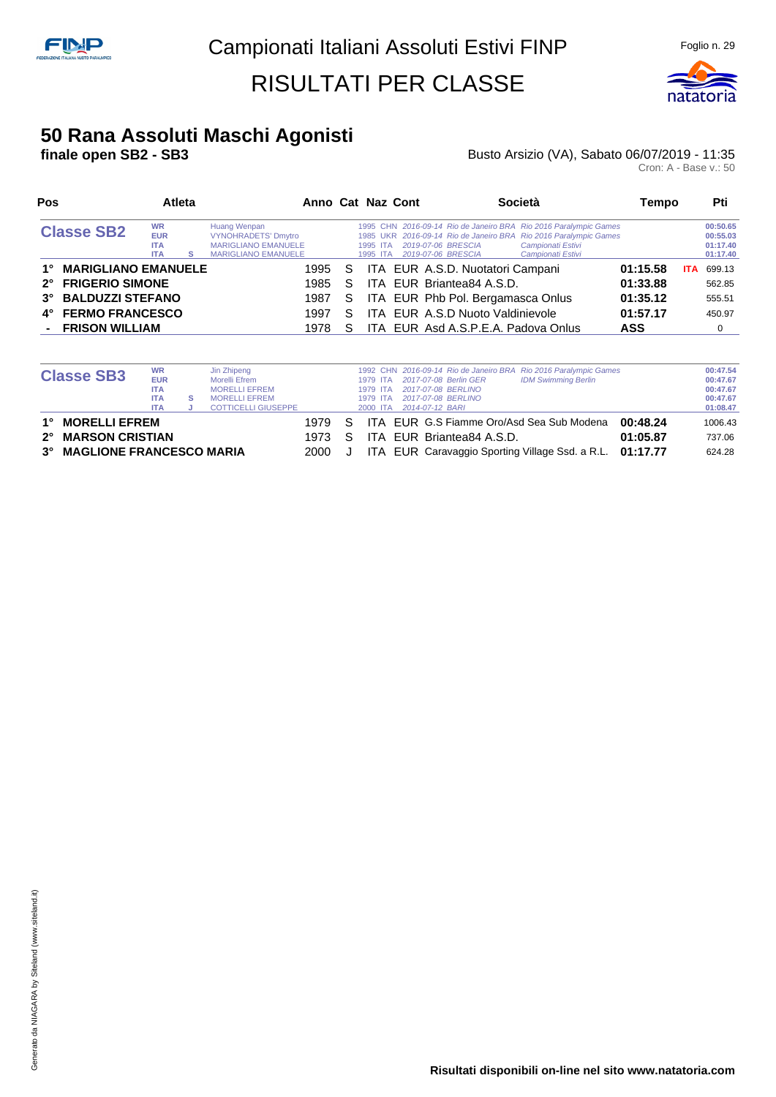

#### **50 Rana Assoluti Maschi Agonisti**

#### **finale open SB2 - SB3 Busto Arsizio (VA), Sabato 06/07/2019 - 11:35** Busto Arsizio (VA), Sabato 06/07/2019 - 11:35<br>Cron: A - Base v.: 50

| Pos                              |                                                     | <b>Atleta</b> |                                                                                                        |    | Anno Cat Naz Cont |                                                            |                                     | Società                                                                                                                                                                        | Tempo      |            | Pti                                          |
|----------------------------------|-----------------------------------------------------|---------------|--------------------------------------------------------------------------------------------------------|----|-------------------|------------------------------------------------------------|-------------------------------------|--------------------------------------------------------------------------------------------------------------------------------------------------------------------------------|------------|------------|----------------------------------------------|
| <b>Classe SB2</b>                | <b>WR</b><br><b>EUR</b><br><b>ITA</b><br><b>ITA</b> | s             | Huang Wenpan<br><b>VYNOHRADETS' Dmytro</b><br><b>MARIGLIANO EMANUELE</b><br><b>MARIGLIANO EMANUELE</b> |    |                   | 1995 ITA 2019-07-06 BRESCIA<br>1995 ITA 2019-07-06 BRESCIA |                                     | 1995 CHN 2016-09-14 Rio de Janeiro BRA Rio 2016 Paralympic Games<br>1985 UKR 2016-09-14 Rio de Janeiro BRA Rio 2016 Paralympic Games<br>Campionati Estivi<br>Campionati Estivi |            |            | 00:50.65<br>00:55.03<br>01:17.40<br>01:17.40 |
| <b>MARIGLIANO EMANUELE</b><br>1° |                                                     |               | 1995                                                                                                   | -S |                   |                                                            | ITA EUR A.S.D. Nuotatori Campani    |                                                                                                                                                                                | 01:15.58   | <b>ITA</b> | 699.13                                       |
| 2° FRIGERIO SIMONE               |                                                     |               | 1985                                                                                                   | S. |                   |                                                            | ITA EUR Briantea84 A.S.D.           |                                                                                                                                                                                | 01:33.88   |            | 562.85                                       |
| 3° BALDUZZI STEFANO              |                                                     |               | 1987                                                                                                   | S. |                   |                                                            | ITA EUR Phb Pol. Bergamasca Onlus   |                                                                                                                                                                                | 01:35.12   |            | 555.51                                       |
| 4° FERMO FRANCESCO               |                                                     |               | 1997                                                                                                   | S. |                   |                                                            | ITA EUR A.S.D Nuoto Valdinievole    |                                                                                                                                                                                | 01:57.17   |            | 450.97                                       |
| - FRISON WILLIAM                 |                                                     |               | 1978                                                                                                   | S. |                   |                                                            | ITA EUR Asd A.S.P.E.A. Padova Onlus |                                                                                                                                                                                | <b>ASS</b> |            | $\Omega$                                     |

|             |                                 | <b>WR</b>  |   | Jin Zhipeng                |      |    |          |                           | 1992 CHN 2016-09-14 Rio de Janeiro BRA Rio 2016 Paralympic Games |          | 00:47.54 |
|-------------|---------------------------------|------------|---|----------------------------|------|----|----------|---------------------------|------------------------------------------------------------------|----------|----------|
|             | <b>Classe SB3</b>               | <b>EUR</b> |   | Morelli Efrem              |      |    | 1979 ITA | 2017-07-08 Berlin GER     | <b>IDM Swimming Berlin</b>                                       |          | 00:47.67 |
|             |                                 | <b>ITA</b> |   | <b>MORELLI EFREM</b>       |      |    | 1979 ITA | 2017-07-08 BERLINO        |                                                                  |          | 00:47.67 |
|             |                                 | <b>ITA</b> | s | <b>MORELLI EFREM</b>       |      |    | 1979 ITA | 2017-07-08 BERLINO        |                                                                  |          | 00:47.67 |
|             |                                 | <b>ITA</b> |   | <b>COTTICELLI GIUSEPPE</b> |      |    | 2000 ITA | 2014-07-12 BARI           |                                                                  |          | 01:08.47 |
| 1°          | <b>MORELLI EFREM</b>            |            |   |                            | 1979 | S. |          |                           | ITA EUR G.S Fiamme Oro/Asd Sea Sub Modena                        | 00:48.24 | 1006.43  |
| $2^{\circ}$ | <b>MARSON CRISTIAN</b>          |            |   |                            | 1973 | S  |          | ITA EUR Briantea84 A.S.D. |                                                                  | 01:05.87 | 737.06   |
| $3^\circ$   | <b>MAGLIONE FRANCESCO MARIA</b> |            |   |                            | 2000 |    |          |                           | ITA EUR Caravaggio Sporting Village Ssd. a R.L. 01:17.77         |          | 624.28   |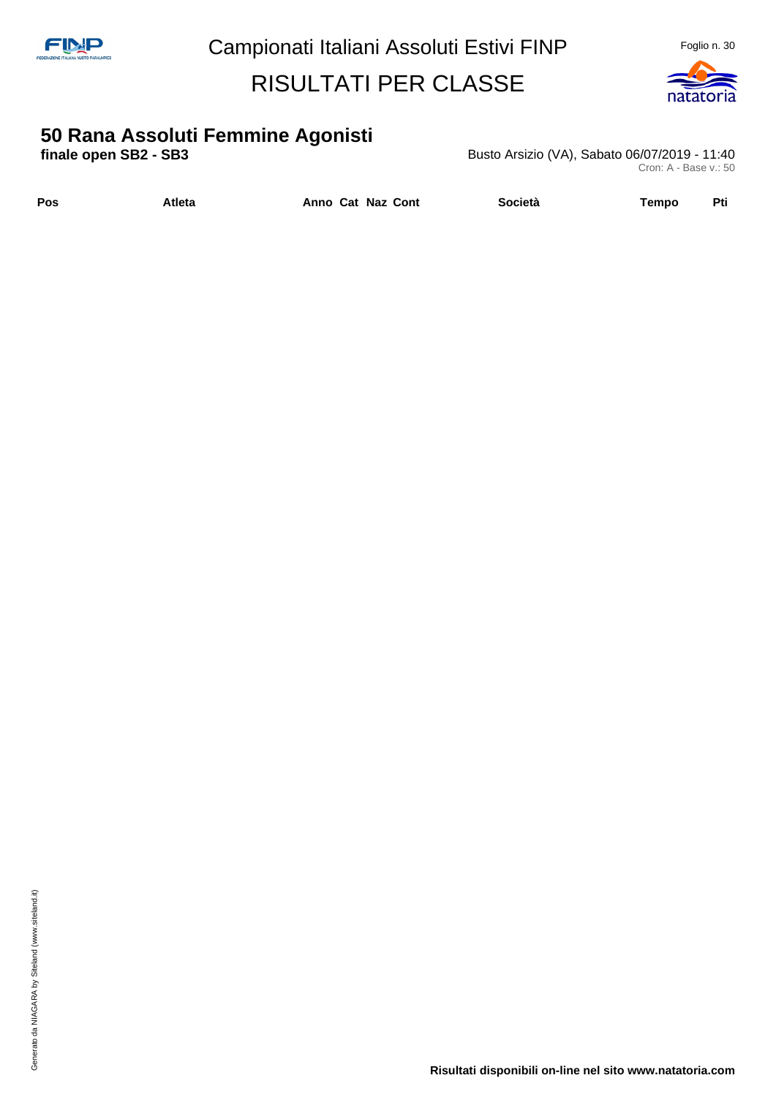

# **50 Rana Assoluti Femmine Agonisti**

**finale open SB2 - SB3 Busto Arsizio (VA), Sabato 06/07/2019 - 11:40** Cron: A - Base v.: 50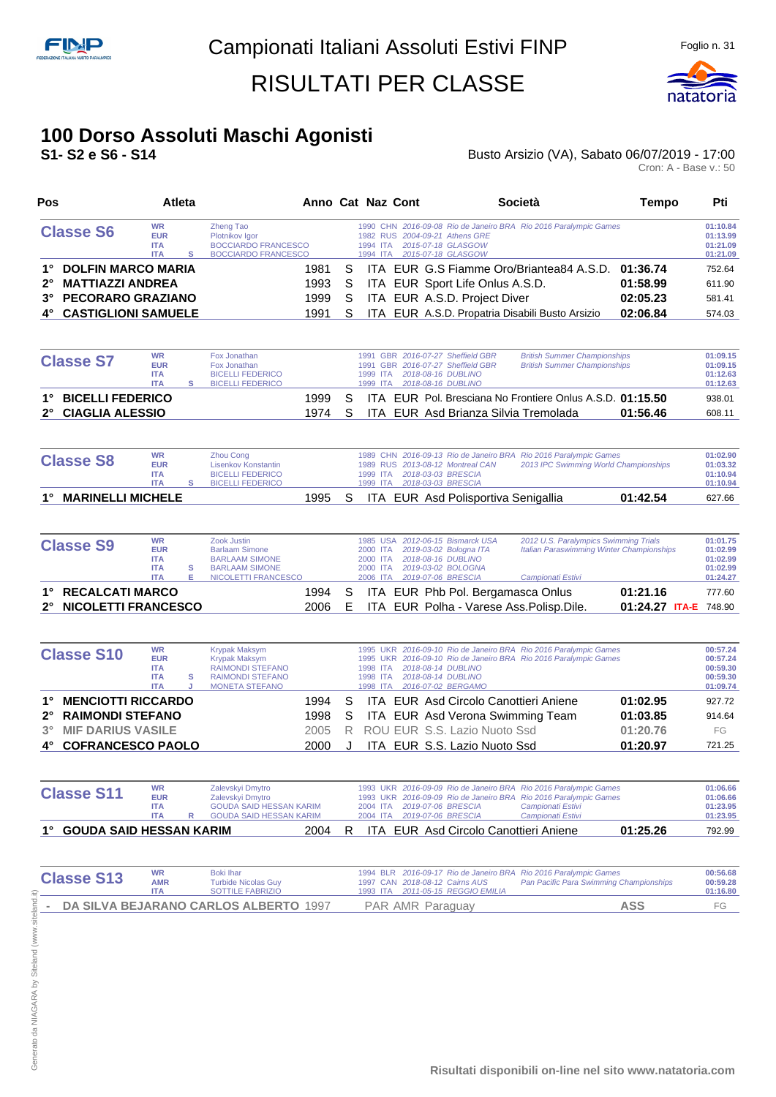

#### **100 Dorso Assoluti Maschi Agonisti**

#### **S1- S2 e S6 - S14** Busto Arsizio (VA), Sabato 06/07/2019 - 17:00 Busto Arsizio (VA), Sabato 06/07/2019 - 17:00<br>Cron: A - Base v.: 50

| Pos                    |            | <b>Atleta</b> |                            |    | Anno Cat Naz Cont | Società                                                          | Tempo    | Pti      |
|------------------------|------------|---------------|----------------------------|----|-------------------|------------------------------------------------------------------|----------|----------|
| <b>Classe S6</b>       | <b>WR</b>  |               | Zheng Tao                  |    |                   | 1990 CHN 2016-09-08 Rio de Janeiro BRA Rio 2016 Paralympic Games |          | 01:10.84 |
|                        | <b>EUR</b> |               | Plotnikov Igor             |    |                   | 1982 RUS 2004-09-21 Athens GRE                                   |          | 01:13.99 |
|                        | <b>ITA</b> |               | <b>BOCCIARDO FRANCESCO</b> |    |                   | 1994 ITA 2015-07-18 GLASGOW                                      |          | 01:21.09 |
|                        | <b>ITA</b> |               | <b>BOCCIARDO FRANCESCO</b> |    |                   | 1994 ITA 2015-07-18 GLASGOW                                      |          | 01:21.09 |
| 1° DOLFIN MARCO MARIA  |            |               | 1981                       | S. |                   | ITA EUR G.S Fiamme Oro/Briantea84 A.S.D. 01:36.74                |          | 752.64   |
| 2° MATTIAZZI ANDREA    |            |               | 1993                       | S. |                   | ITA EUR Sport Life Onlus A.S.D.                                  | 01:58.99 | 611.90   |
| 3° PECORARO GRAZIANO   |            |               | 1999                       | S. |                   | ITA EUR A.S.D. Project Diver                                     | 02:05.23 | 581.41   |
| 4° CASTIGLIONI SAMUELE |            |               | 1991                       | S  |                   | ITA EUR A.S.D. Propatria Disabili Busto Arsizio                  | 02:06.84 | 574.03   |

| <b>Classe S7</b>    | <b>WR</b><br><b>EUR</b><br><b>ITA</b><br><b>ITA</b> | Fox Jonathan<br>Fox Jonathan<br><b>BICELLI FEDERICO</b><br><b>BICELLI FEDERICO</b> |       |    | 1991 GBR 2016-07-27 Sheffield GBR<br><b>British Summer Championships</b><br>1991 GBR 2016-07-27 Sheffield GBR<br><b>British Summer Championships</b><br>1999 ITA 2018-08-16 DUBLINO<br>2018-08-16 DUBLINO<br>1999 ITA | 01:09.15<br>01:09.15<br>01:12.63<br>01:12.63 |
|---------------------|-----------------------------------------------------|------------------------------------------------------------------------------------|-------|----|-----------------------------------------------------------------------------------------------------------------------------------------------------------------------------------------------------------------------|----------------------------------------------|
| 1° BICELLI FEDERICO |                                                     |                                                                                    | 1999. | S. | ITA EUR Pol. Bresciana No Frontiere Onlus A.S.D. 01:15.50                                                                                                                                                             | 938.01                                       |
| 2° CIAGLIA ALESSIO  |                                                     |                                                                                    | 1974  |    | 01:56.46<br>ITA EUR Asd Brianza Silvia Tremolada                                                                                                                                                                      | 608.11                                       |

| <b>Classe S8</b>     | <b>WR</b><br><b>EUR</b><br><b>ITA</b><br><b>ITA</b> | <b>Zhou Cong</b><br>Lisenkov Konstantin<br>BICELLI FEDERICO<br>BICELLI FEDERICO |      |  | 1989 RUS 2013-08-12 Montreal CAN<br>1999 ITA 2018-03-03 BRESCIA<br>1999 ITA 2018-03-03 BRESCIA | 1989 CHN 2016-09-13 Rio de Janeiro BRA Rio 2016 Paralympic Games<br>2013 IPC Swimming World Championships |          | 01:02.90<br>01:03.32<br>01:10.94<br>01:10.94 |
|----------------------|-----------------------------------------------------|---------------------------------------------------------------------------------|------|--|------------------------------------------------------------------------------------------------|-----------------------------------------------------------------------------------------------------------|----------|----------------------------------------------|
| 1° MARINELLI MICHELE |                                                     |                                                                                 | 1995 |  | ITA EUR Asd Polisportiva Senigallia                                                            |                                                                                                           | 01:42.54 | 627.66                                       |

| <b>Classe S9</b>       | <b>WR</b><br><b>EUR</b><br><b>ITA</b><br><b>ITA</b> | Zook Justin<br><b>Barlaam Simone</b><br><b>BARLAAM SIMONE</b><br><b>BARLAAM SIMONE</b> |    | 1985 USA 2012-06-15 Bismarck USA<br>2000 ITA 2019-03-02 Bologna ITA<br>2000 ITA 2018-08-16 DUBLINO<br>2000 ITA 2019-03-02 BOLOGNA | 2012 U.S. Paralympics Swimming Trials     | <b>Italian Paraswimming Winter Championships</b> | 01:01.75<br>01:02.99<br>01:02.99<br>01:02.99 |  |
|------------------------|-----------------------------------------------------|----------------------------------------------------------------------------------------|----|-----------------------------------------------------------------------------------------------------------------------------------|-------------------------------------------|--------------------------------------------------|----------------------------------------------|--|
|                        | <b>ITA</b>                                          | NICOLETTI FRANCESCO                                                                    |    | 2006 ITA 2019-07-06 BRESCIA                                                                                                       | Campionati Estivi                         |                                                  | 01:24.27                                     |  |
| 1° RECALCATI MARCO     |                                                     | 1994 S                                                                                 |    |                                                                                                                                   | ITA EUR Phb Pol. Bergamasca Onlus         | 01:21.16                                         | 777.60                                       |  |
| 2° NICOLETTI FRANCESCO |                                                     | 2006                                                                                   | E. |                                                                                                                                   | ITA EUR Polha - Varese Ass. Polisp. Dile. | 01:24.27 ITA-E 748.90                            |                                              |  |

|           | <b>Classe S10</b>         | <b>WR</b><br><b>EUR</b><br><b>ITA</b><br><b>ITA</b><br><b>ITA</b> | s | Krypak Maksym<br>Krypak Maksym<br><b>RAIMONDI STEFANO</b><br><b>RAIMONDI STEFANO</b><br><b>MONETA STEFANO</b> |        |    | 1995 UKR 2016-09-10 Rio de Janeiro BRA Rio 2016 Paralympic Games<br>1995 UKR 2016-09-10 Rio de Janeiro BRA Rio 2016 Paralympic Games<br>2018-08-14 DUBLINO<br>1998 ITA<br>2018-08-14 DUBLINO<br>1998 ITA<br>2016-07-02 BERGAMO<br>1998 ITA | 00:57.24<br>00:57.24<br>00:59.30<br>00:59.30<br>01:09.74 |
|-----------|---------------------------|-------------------------------------------------------------------|---|---------------------------------------------------------------------------------------------------------------|--------|----|--------------------------------------------------------------------------------------------------------------------------------------------------------------------------------------------------------------------------------------------|----------------------------------------------------------|
| 1°        | <b>MENCIOTTI RICCARDO</b> |                                                                   |   |                                                                                                               | 1994   | S. | 01:02.95<br>ITA EUR Asd Circolo Canottieri Aniene                                                                                                                                                                                          | 927.72                                                   |
|           | 2° RAIMONDI STEFANO       |                                                                   |   |                                                                                                               | 1998 S |    | 01:03.85<br>ITA EUR Asd Verona Swimming Team                                                                                                                                                                                               | 914.64                                                   |
| $3^\circ$ | <b>MIF DARIUS VASILE</b>  |                                                                   |   |                                                                                                               | 2005   |    | R ROU EUR S.S. Lazio Nuoto Ssd<br>01:20.76                                                                                                                                                                                                 | FG                                                       |
|           | 4° COFRANCESCO PAOLO      |                                                                   |   |                                                                                                               | 2000   |    | ITA EUR S.S. Lazio Nuoto Ssd<br>01:20.97                                                                                                                                                                                                   | 721.25                                                   |

| <b>Classe S11</b>          | <b>WR</b><br><b>EUR</b><br><b>ITA</b><br><b>ITA</b> | Zalevskyi Dmytro<br>Zalevskyi Dmytro<br><b>GOUDA SAID HESSAN KARIM</b><br>GOUDA SAID HESSAN KARIM |      |    |  |                                       | 1993 UKR 2016-09-09 Rio de Janeiro BRA Rio 2016 Paralympic Games<br>1993 UKR 2016-09-09 Rio de Janeiro BRA Rio 2016 Paralympic Games<br>Campionati Estivi<br>Campionati Estivi |          | 01:06.66<br>01:06.66<br>01:23.95<br>01:23.95 |
|----------------------------|-----------------------------------------------------|---------------------------------------------------------------------------------------------------|------|----|--|---------------------------------------|--------------------------------------------------------------------------------------------------------------------------------------------------------------------------------|----------|----------------------------------------------|
| 1° GOUDA SAID HESSAN KARIM |                                                     |                                                                                                   | 2004 | R. |  | ITA EUR Asd Circolo Canottieri Aniene |                                                                                                                                                                                | 01:25.26 | 792.99                                       |

| <b>Classe S13</b> | <b>WR</b><br><b>AMR</b><br>ΙΤΔ | Boki Ihar<br><b>Turbide Nicolas Guy</b><br>SOTTILE FABRIZIO | 1994 BLR 2016-09-17 Rio de Janeiro BRA Rio 2016 Paralympic Games<br>1997 CAN 2018-08-12 Cairns AUS<br>1993 ITA 2011-05-15 REGGIO EMILIA | Pan Pacific Para Swimming Championships | 00:56.68<br>00:59.28<br>01:16.80 |
|-------------------|--------------------------------|-------------------------------------------------------------|-----------------------------------------------------------------------------------------------------------------------------------------|-----------------------------------------|----------------------------------|
|                   |                                | - DA SILVA BEJARANO CARLOS ALBERTO 1997                     | PAR AMR Paraguay                                                                                                                        | ASS                                     | FQ                               |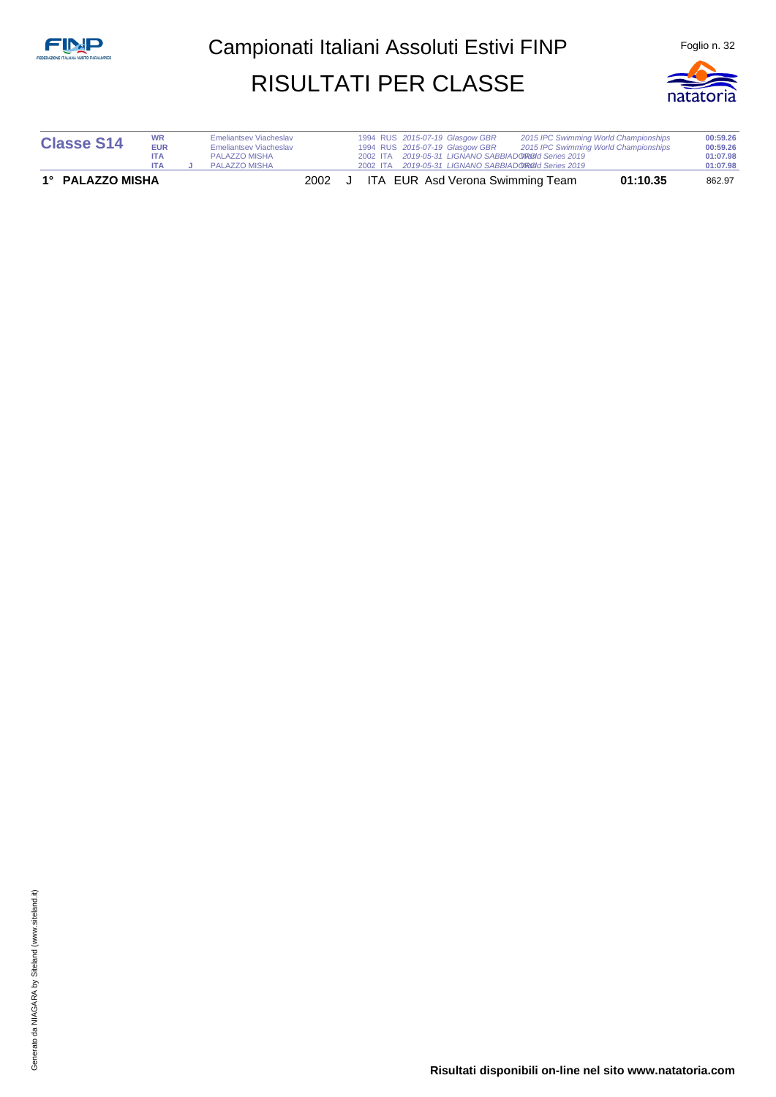

| <b>Classe S14</b> | <b>WR</b><br><b>EUR</b><br><b>ITA</b><br><b>ITA</b> | <b>Emeliantsey Viacheslay</b><br><b>Emeliantsey Viacheslay</b><br>PALAZZO MISHA<br>PALAZZO MISHA |  |  | 1994 RUS 2015-07-19 Glasgow GBR<br>1994 RUS 2015-07-19 Glasgow GBR | 2002 ITA 2019-05-31 LIGNANO SABBIADO RODI Series 2019<br>2002 ITA 2019-05-31 LIGNANO SABBIADO ROOI Series 2019 | 2015 IPC Swimming World Championships<br>2015 IPC Swimming World Championships | 00:59.26<br>00:59.26<br>01:07.98<br>01:07.98 |
|-------------------|-----------------------------------------------------|--------------------------------------------------------------------------------------------------|--|--|--------------------------------------------------------------------|----------------------------------------------------------------------------------------------------------------|--------------------------------------------------------------------------------|----------------------------------------------|
| 1° PALAZZO MISHA  |                                                     |                                                                                                  |  |  |                                                                    | 2002 J ITA EUR Asd Verona Swimming Team                                                                        | 01:10.35                                                                       | 862.97                                       |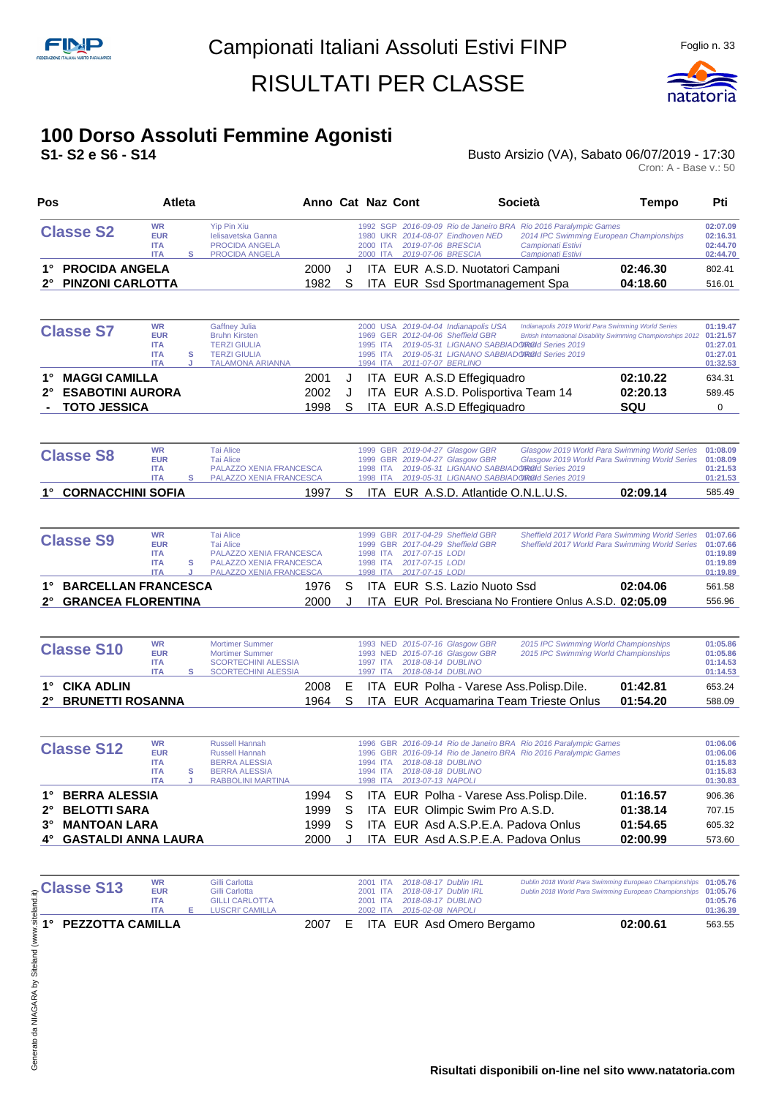

#### **100 Dorso Assoluti Femmine Agonisti**

**S1- S2 e S6 - S14** Busto Arsizio (VA), Sabato 06/07/2019 - 17:30 Busto Arsizio (VA), Sabato 06/07/2019 - 17:30<br>Cron: A - Base v.: 50

| Pos         |                            | <b>Atleta</b>                                                     |        |                                                                                                                              | Anno Cat Naz Cont |   |                                  |                                                       |                                                                                                                              | Società                                                                                                                                                                                                                   | Tempo    | Pti                                                      |
|-------------|----------------------------|-------------------------------------------------------------------|--------|------------------------------------------------------------------------------------------------------------------------------|-------------------|---|----------------------------------|-------------------------------------------------------|------------------------------------------------------------------------------------------------------------------------------|---------------------------------------------------------------------------------------------------------------------------------------------------------------------------------------------------------------------------|----------|----------------------------------------------------------|
|             | <b>Classe S2</b>           | <b>WR</b><br><b>EUR</b><br><b>ITA</b><br><b>ITA</b>               | s      | <b>Yip Pin Xiu</b><br><b>Ielisavetska Ganna</b><br>PROCIDA ANGELA<br>PROCIDA ANGELA                                          |                   |   | 1980<br>2000 ITA                 |                                                       | 1992 SGP 2016-09-09 Rio de Janeiro BRA<br>UKR 2014-08-07 Eindhoven NED<br>2019-07-06 BRESCIA<br>2000 ITA  2019-07-06 BRESCIA | Rio 2016 Paralympic Games<br>2014 IPC Swimming European Championships<br>Campionati Estivi<br>Campionati Estivi                                                                                                           |          | 02:07.09<br>02:16.31<br>02:44.70<br>02:44.70             |
| 1°          | <b>PROCIDA ANGELA</b>      |                                                                   |        |                                                                                                                              | 2000              | J |                                  |                                                       | ITA EUR A.S.D. Nuotatori Campani                                                                                             |                                                                                                                                                                                                                           | 02:46.30 | 802.41                                                   |
|             | <b>PINZONI CARLOTTA</b>    |                                                                   |        |                                                                                                                              | 1982              | S |                                  |                                                       | ITA EUR Ssd Sportmanagement Spa                                                                                              |                                                                                                                                                                                                                           | 04:18.60 | 516.01                                                   |
|             | <b>Classe S7</b>           | WR<br><b>EUR</b><br><b>ITA</b><br><b>ITA</b><br><b>ITA</b>        | s<br>J | Gaffney Julia<br><b>Bruhn Kirsten</b><br><b>TERZI GIULIA</b><br><b>TERZI GIULIA</b><br><b>TALAMONA ARIANNA</b>               |                   |   | 1995 ITA<br>1995 ITA             |                                                       | 2000 USA 2019-04-04 Indianapolis USA<br>1969 GER 2012-04-06 Sheffield GBR<br>1994 ITA 2011-07-07 BERLINO                     | Indianapolis 2019 World Para Swimming World Series<br>British International Disability Swimming Championships 2012 01:21.57<br>2019-05-31 LIGNANO SABBIADOROId Series 2019<br>2019-05-31 LIGNANO SABBIADOROId Series 2019 |          | 01:19.47<br>01:27.01<br>01:27.01<br>01:32.53             |
| 1°          | <b>MAGGI CAMILLA</b>       |                                                                   |        |                                                                                                                              | 2001              | J |                                  |                                                       | ITA EUR A.S.D Effegiquadro                                                                                                   |                                                                                                                                                                                                                           | 02:10.22 | 634.31                                                   |
| 2°          | <b>ESABOTINI AURORA</b>    |                                                                   |        |                                                                                                                              | 2002              | J |                                  |                                                       | ITA EUR A.S.D. Polisportiva Team 14                                                                                          |                                                                                                                                                                                                                           | 02:20.13 | 589.45                                                   |
|             | <b>TOTO JESSICA</b>        |                                                                   |        |                                                                                                                              | 1998              | S |                                  |                                                       | ITA EUR A.S.D Effegiquadro                                                                                                   |                                                                                                                                                                                                                           | SQU      | 0                                                        |
|             | <b>Classe S8</b>           | <b>WR</b><br><b>EUR</b><br><b>ITA</b><br><b>ITA</b>               | s      | <b>Tai Alice</b><br><b>Tai Alice</b><br>PALAZZO XENIA FRANCESCA<br>PALAZZO XENIA FRANCESCA                                   |                   |   | 1998 ITA                         |                                                       | 1999 GBR 2019-04-27 Glasgow GBR<br>1999 GBR 2019-04-27 Glasgow GBR                                                           | Glasgow 2019 World Para Swimming World Series<br>Glasgow 2019 World Para Swimming World Series 01:08.09<br>1998 ITA 2019-05-31 LIGNANO SABBIADOROId Series 2019<br>2019-05-31 LIGNANO SABBIADOROId Series 2019            |          | 01:08.09<br>01:21.53<br>01:21.53                         |
| 1°          | <b>CORNACCHINI SOFIA</b>   |                                                                   |        |                                                                                                                              | 1997              | S |                                  |                                                       | ITA EUR A.S.D. Atlantide O.N.L.U.S.                                                                                          |                                                                                                                                                                                                                           | 02:09.14 | 585.49                                                   |
|             |                            |                                                                   |        |                                                                                                                              |                   |   |                                  |                                                       |                                                                                                                              |                                                                                                                                                                                                                           |          |                                                          |
|             | <b>Classe S9</b>           | <b>WR</b><br><b>EUR</b><br><b>ITA</b><br><b>ITA</b><br><b>ITA</b> | s<br>J | <b>Tai Alice</b><br><b>Tai Alice</b><br>PALAZZO XENIA FRANCESCA<br><b>PALAZZO XENIA FRANCESCA</b><br>PALAZZO XENIA FRANCESCA |                   |   | 1998 ITA<br>1998 ITA<br>1998 ITA | 2017-07-15 LODI<br>2017-07-15 LODI<br>2017-07-15 LODI | 1999 GBR 2017-04-29 Sheffield GBR<br>1999 GBR 2017-04-29 Sheffield GBR                                                       | Sheffield 2017 World Para Swimming World Series<br>Sheffield 2017 World Para Swimming World Series                                                                                                                        |          | 01:07.66<br>01:07.66<br>01:19.89<br>01:19.89<br>01:19.89 |
| 1°          | <b>BARCELLAN FRANCESCA</b> |                                                                   |        |                                                                                                                              | 1976              | S |                                  |                                                       | ITA EUR S.S. Lazio Nuoto Ssd                                                                                                 |                                                                                                                                                                                                                           | 02:04.06 | 561.58                                                   |
| $2^{\circ}$ | <b>GRANCEA FLORENTINA</b>  |                                                                   |        |                                                                                                                              | 2000              | J |                                  |                                                       |                                                                                                                              | ITA EUR Pol. Bresciana No Frontiere Onlus A.S.D. 02:05.09                                                                                                                                                                 |          | 556.96                                                   |
|             | <b>Classe S10</b>          | <b>WR</b><br><b>EUR</b><br><b>ITA</b><br><b>ITA</b>               | s      | <b>Mortimer Summer</b><br><b>Mortimer Summer</b><br><b>SCORTECHINI ALESSIA</b><br><b>SCORTECHINI ALESSIA</b>                 |                   |   | 1997 ITA                         |                                                       | 1993 NED 2015-07-16 Glasgow GBR<br>1993 NED 2015-07-16 Glasgow GBR<br>1997 ITA 2018-08-14 DUBLINO<br>2018-08-14 DUBLINO      | 2015 IPC Swimming World Championships<br>2015 IPC Swimming World Championships                                                                                                                                            |          | 01:05.86<br>01:05.86<br>01:14.53<br>01:14.53             |
| 1°          | <b>CIKA ADLIN</b>          |                                                                   |        |                                                                                                                              | 2008              | Е |                                  |                                                       |                                                                                                                              | ITA EUR Polha - Varese Ass. Polisp. Dile.                                                                                                                                                                                 | 01:42.81 | 653.24                                                   |
| 2°          | <b>BRUNETTI ROSANNA</b>    |                                                                   |        |                                                                                                                              | 1964              | S |                                  |                                                       |                                                                                                                              | ITA EUR Acquamarina Team Trieste Onlus                                                                                                                                                                                    | 01:54.20 | 588.09                                                   |
|             | <b>Classe S12</b>          | <b>WR</b><br><b>EUR</b><br><b>ITA</b><br><b>ITA</b><br><b>ITA</b> | s      | <b>Russell Hannah</b><br><b>Russell Hannah</b><br><b>BERRA ALESSIA</b><br><b>BERRA ALESSIA</b><br>RABBOLINI MARTINA          |                   |   | 1994 ITA<br>1994 ITA<br>1998 ITA |                                                       | 2018-08-18 DUBLINO<br>2018-08-18 DUBLINO<br>2013-07-13 NAPOLI                                                                | 1996 GBR 2016-09-14 Rio de Janeiro BRA Rio 2016 Paralympic Games<br>1996 GBR 2016-09-14 Rio de Janeiro BRA Rio 2016 Paralympic Games                                                                                      |          | 01:06.06<br>01:06.06<br>01:15.83<br>01:15.83<br>01:30.83 |
| 1°          | <b>BERRA ALESSIA</b>       |                                                                   |        |                                                                                                                              | 1994              | S |                                  |                                                       |                                                                                                                              | ITA EUR Polha - Varese Ass. Polisp. Dile.                                                                                                                                                                                 | 01:16.57 | 906.36                                                   |
| 2°          | <b>BELOTTI SARA</b>        |                                                                   |        |                                                                                                                              | 1999              | S |                                  |                                                       | ITA EUR Olimpic Swim Pro A.S.D.                                                                                              |                                                                                                                                                                                                                           | 01:38.14 | 707.15                                                   |
| 3°          | <b>MANTOAN LARA</b>        |                                                                   |        |                                                                                                                              | 1999              | S |                                  |                                                       | ITA EUR Asd A.S.P.E.A. Padova Onlus                                                                                          |                                                                                                                                                                                                                           | 01:54.65 | 605.32                                                   |
| 4°          | <b>GASTALDI ANNA LAURA</b> |                                                                   |        |                                                                                                                              | 2000              | J |                                  |                                                       | ITA EUR Asd A.S.P.E.A. Padova Onlus                                                                                          |                                                                                                                                                                                                                           | 02:00.99 | 573.60                                                   |
|             |                            | <b>WR</b>                                                         |        | Gilli Carlotta                                                                                                               |                   |   |                                  |                                                       | 2001 ITA 2018-08-17 Dublin IRL                                                                                               | Dublin 2018 World Para Swimming European Championships 01:05.76                                                                                                                                                           |          |                                                          |
|             | Classe C42                 |                                                                   |        |                                                                                                                              |                   |   |                                  |                                                       |                                                                                                                              |                                                                                                                                                                                                                           |          |                                                          |

| <b>Classe S13</b>   | WR<br><b>EUR</b><br><b>ITA</b><br><b>ITA</b> | Gilli Carlotta<br>Gilli Carlotta<br><b>GILLI CARLOTTA</b><br>LUSCRI' CAMILLA |  |  | 2001 ITA 2018-08-17 Dublin IRL<br>2001 ITA 2018-08-17 Dublin IRL<br>2001 ITA 2018-08-17 DUBLINO<br>2002 ITA 2015-02-08 NAPOLI | Dublin 2018 World Para Swimming European Championships 01:05.76<br>Dublin 2018 World Para Swimming European Championships 01:05.76 | 01:05.76<br>01:36.39 |
|---------------------|----------------------------------------------|------------------------------------------------------------------------------|--|--|-------------------------------------------------------------------------------------------------------------------------------|------------------------------------------------------------------------------------------------------------------------------------|----------------------|
| 1° PEZZOTTA CAMILLA |                                              |                                                                              |  |  | 2007 E ITA EUR Asd Omero Bergamo                                                                                              | 02:00.61                                                                                                                           | 563.55               |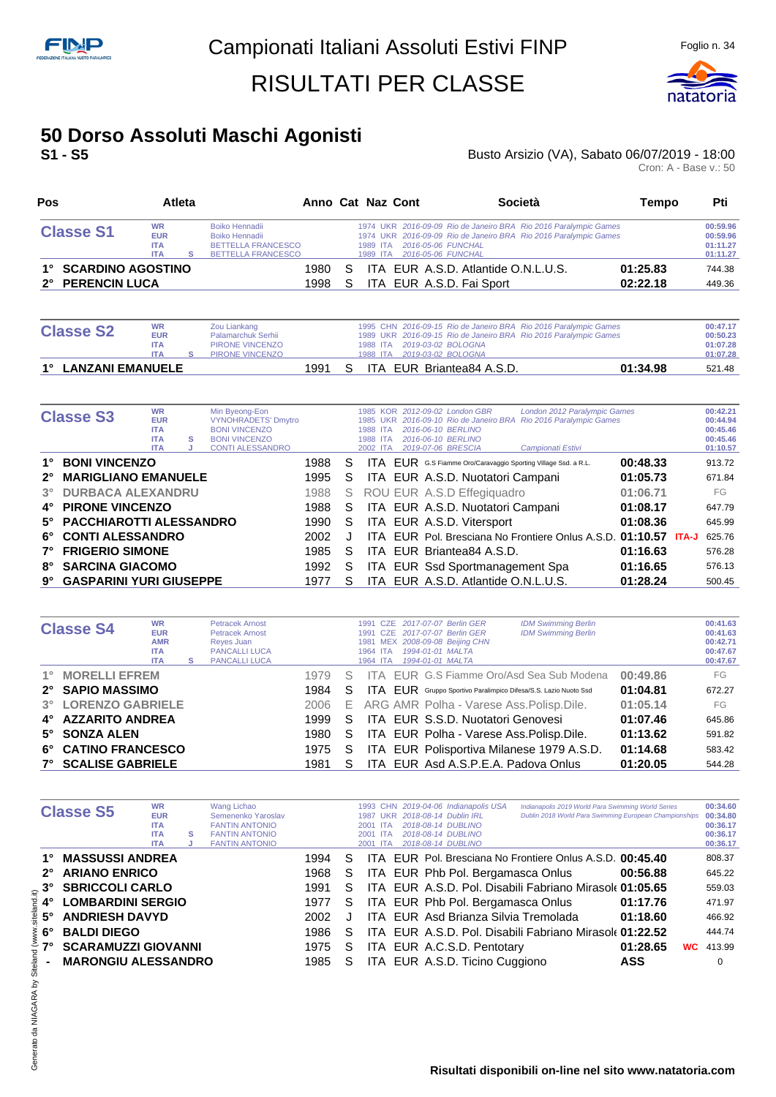

## **50 Dorso Assoluti Maschi Agonisti**

#### **S1 - S5** Busto Arsizio (VA), Sabato 06/07/2019 - 18:00 Busto Arsizio (VA), Sabato 06/07/2019 - 18:00<br>Cron: A - Base v.: 50

| Pos                                      |                                                     | Atleta | Anno Cat Naz Cont                                                                          |          |                                                            | Società                                                                                                                              | Tempo                | Pti                                          |
|------------------------------------------|-----------------------------------------------------|--------|--------------------------------------------------------------------------------------------|----------|------------------------------------------------------------|--------------------------------------------------------------------------------------------------------------------------------------|----------------------|----------------------------------------------|
| <b>Classe S1</b>                         | <b>WR</b><br><b>EUR</b><br><b>ITA</b><br><b>ITA</b> |        | Boiko Hennadii<br>Boiko Hennadii<br><b>BETTELLA FRANCESCO</b><br><b>BETTELLA FRANCESCO</b> |          | 1989 ITA 2016-05-06 FUNCHAL<br>1989 ITA 2016-05-06 FUNCHAL | 1974 UKR 2016-09-09 Rio de Janeiro BRA Rio 2016 Paralympic Games<br>1974 UKR 2016-09-09 Rio de Janeiro BRA Rio 2016 Paralympic Games |                      | 00:59.96<br>00:59.96<br>01:11.27<br>01:11.27 |
| 1° SCARDINO AGOSTINO<br>2° PERENCIN LUCA |                                                     |        | 1980<br>1998                                                                               | S.<br>S. |                                                            | ITA EUR A.S.D. Atlantide O.N.L.U.S.<br>ITA EUR A.S.D. Fai Sport                                                                      | 01:25.83<br>02:22.18 | 744.38<br>449.36                             |

| <b>Classe S2</b>    | <b>WR</b><br><b>EUR</b><br><b>ITA</b><br><b>ITA</b> | Zou Liankang<br>Palamarchuk Serhii<br>PIRONE VINCENZO<br>PIRONE VINCENZO |      |    |  |  | 1988 ITA 2019-03-02 BOLOGNA<br>1988 ITA 2019-03-02 BOLOGNA | 1995 CHN 2016-09-15 Rio de Janeiro BRA Rio 2016 Paralympic Games<br>1989 UKR 2016-09-15 Rio de Janeiro BRA Rio 2016 Paralympic Games |          | 00:47.17<br>00:50.23<br>01:07.28<br>01:07.28 |
|---------------------|-----------------------------------------------------|--------------------------------------------------------------------------|------|----|--|--|------------------------------------------------------------|--------------------------------------------------------------------------------------------------------------------------------------|----------|----------------------------------------------|
| 1° LANZANI EMANUELE |                                                     |                                                                          | 1991 | S. |  |  | ITA EUR Briantea84 A.S.D.                                  |                                                                                                                                      | 01:34.98 | 521.48                                       |

|             | <b>Classe S3</b>           | <b>WR</b><br><b>EUR</b><br><b>ITA</b><br><b>ITA</b> | s | Min Byeong-Eon<br><b>VYNOHRADETS' Dmytro</b><br><b>BONI VINCENZO</b><br><b>BONI VINCENZO</b> |      |    | <b>UKR</b><br>1988<br><b>ITA</b><br>1988<br><b>ITA</b> | 1985 KOR 2012-09-02 London GBR<br>2016-09-10 Rio de Janeiro BRA<br>2016-06-10 BERLINO<br>2016-06-10 BERLINO | London 2012 Paralympic Games<br>Rio 2016 Paralympic Games |          |       | 00:42.21<br>00:44.94<br>00:45.46<br>00:45.46 |
|-------------|----------------------------|-----------------------------------------------------|---|----------------------------------------------------------------------------------------------|------|----|--------------------------------------------------------|-------------------------------------------------------------------------------------------------------------|-----------------------------------------------------------|----------|-------|----------------------------------------------|
|             |                            | <b>ITA</b>                                          |   | <b>CONTI ALESSANDRO</b>                                                                      |      |    | 2002 ITA                                               | 2019-07-06 BRESCIA                                                                                          | Campionati Estivi                                         |          |       | 01:10.57                                     |
| 1°          | <b>BONI VINCENZO</b>       |                                                     |   |                                                                                              | 1988 | S  |                                                        | ITA EUR G.S Fiamme Oro/Caravaggio Sporting Village Ssd. a R.L.                                              |                                                           | 00:48.33 |       | 913.72                                       |
| $2^{\circ}$ | <b>MARIGLIANO EMANUELE</b> |                                                     |   |                                                                                              | 1995 | S  |                                                        | ITA EUR A.S.D. Nuotatori Campani                                                                            |                                                           | 01:05.73 |       | 671.84                                       |
| $3^\circ$   | <b>DURBACA ALEXANDRU</b>   |                                                     |   |                                                                                              | 1988 | S. |                                                        | ROU EUR A.S.D Effegiquadro                                                                                  |                                                           | 01:06.71 |       | FG                                           |
| 4°          | <b>PIRONE VINCENZO</b>     |                                                     |   |                                                                                              | 1988 | S  |                                                        | ITA EUR A.S.D. Nuotatori Campani                                                                            |                                                           | 01:08.17 |       | 647.79                                       |
|             | 5° PACCHIAROTTI ALESSANDRO |                                                     |   |                                                                                              | 1990 | S  |                                                        | ITA EUR A.S.D. Vitersport                                                                                   |                                                           | 01:08.36 |       | 645.99                                       |
|             | 6° CONTI ALESSANDRO        |                                                     |   |                                                                                              | 2002 |    |                                                        |                                                                                                             | ITA EUR Pol. Bresciana No Frontiere Onlus A.S.D. 01:10.57 |          | ITA-J | 625.76                                       |
| $7^{\circ}$ | <b>FRIGERIO SIMONE</b>     |                                                     |   |                                                                                              | 1985 | S  |                                                        | ITA EUR Briantea84 A.S.D.                                                                                   |                                                           | 01:16.63 |       | 576.28                                       |
| 8°          | <b>SARCINA GIACOMO</b>     |                                                     |   |                                                                                              | 1992 | S  |                                                        | ITA EUR Ssd Sportmanagement Spa                                                                             |                                                           | 01:16.65 |       | 576.13                                       |
|             | 9° GASPARINI YURI GIUSEPPE |                                                     |   |                                                                                              | 1977 | S  |                                                        | ITA EUR A.S.D. Atlantide O.N.L.U.S.                                                                         |                                                           | 01:28.24 |       | 500.45                                       |

| <b>Classe S4</b>           | <b>WR</b><br><b>EUR</b><br><b>AMR</b><br><b>ITA</b><br><b>ITA</b>                  | s      | Petracek Arnost<br>Petracek Arnost<br>Reyes Juan<br><b>PANCALLI LUCA</b><br><b>PANCALLI LUCA</b> |      |    | CZE<br>1991<br>CZE<br>1991<br>1964 ITA<br>1964 ITA | <b>IDM Swimming Berlin</b><br>2017-07-07 Berlin GER<br><b>IDM Swimming Berlin</b><br>2017-07-07 Berlin GER<br>1981 MEX 2008-09-08 Beijing CHN<br>1994-01-01 MALTA<br>1994-01-01 MALTA |          | 00:41.63<br>00:41.63<br>00:42.71<br>00:47.67<br>00:47.67 |
|----------------------------|------------------------------------------------------------------------------------|--------|--------------------------------------------------------------------------------------------------|------|----|----------------------------------------------------|---------------------------------------------------------------------------------------------------------------------------------------------------------------------------------------|----------|----------------------------------------------------------|
| 1° MORELLI EFREM           |                                                                                    |        |                                                                                                  | 1979 | S  |                                                    | ITA EUR G.S Fiamme Oro/Asd Sea Sub Modena                                                                                                                                             | 00:49.86 | FG                                                       |
| 2° SAPIO MASSIMO           | 01:04.81<br><b>ITA EUR</b> Gruppo Sportivo Paralimpico Difesa/S.S. Lazio Nuoto Ssd | 672.27 |                                                                                                  |      |    |                                                    |                                                                                                                                                                                       |          |                                                          |
| 3° LORENZO GABRIELE        |                                                                                    |        |                                                                                                  | 2006 |    |                                                    | E ARG AMR Polha - Varese Ass. Polisp. Dile.                                                                                                                                           | 01:05.14 | FG                                                       |
| 4° AZZARITO ANDREA         |                                                                                    |        |                                                                                                  | 1999 | S. |                                                    | ITA EUR S.S.D. Nuotatori Genovesi                                                                                                                                                     | 01:07.46 | 645.86                                                   |
| 5° SONZA ALEN              |                                                                                    |        |                                                                                                  | 1980 | S. |                                                    | ITA EUR Polha - Varese Ass. Polisp. Dile.                                                                                                                                             | 01:13.62 | 591.82                                                   |
| 6° CATINO FRANCESCO        |                                                                                    |        |                                                                                                  | 1975 | S. |                                                    | ITA EUR Polisportiva Milanese 1979 A.S.D.                                                                                                                                             | 01:14.68 | 583.42                                                   |
| <b>7° SCALISE GABRIELE</b> |                                                                                    |        |                                                                                                  | 1981 |    |                                                    | ITA EUR Asd A.S.P.E.A. Padova Onlus                                                                                                                                                   | 01:20.05 | 544.28                                                   |

|             | <b>Classe S5</b>           | <b>WR</b><br><b>EUR</b><br><b>ITA</b><br><b>ITA</b><br><b>ITA</b> | s | Wang Lichao<br>Semenenko Yaroslav<br><b>FANTIN ANTONIO</b><br><b>FANTIN ANTONIO</b><br><b>FANTIN ANTONIO</b> |      |    | 1987<br>2001 ITA<br>2001<br>-ITA<br>2001 ITA | 1993 CHN 2019-04-06 Indianapolis USA<br>UKR 2018-08-14 Dublin IRL<br>2018-08-14 DUBLINO<br>2018-08-14 DUBLINO<br>2018-08-14 DUBLINO | Indianapolis 2019 World Para Swimming World Series<br>Dublin 2018 World Para Swimming European Championships |                       | 00:34.60<br>00:34.80<br>00:36.17<br>00:36.17<br>00:36.17 |
|-------------|----------------------------|-------------------------------------------------------------------|---|--------------------------------------------------------------------------------------------------------------|------|----|----------------------------------------------|-------------------------------------------------------------------------------------------------------------------------------------|--------------------------------------------------------------------------------------------------------------|-----------------------|----------------------------------------------------------|
|             | <b>MASSUSSI ANDREA</b>     |                                                                   |   |                                                                                                              | 1994 | S  |                                              |                                                                                                                                     | ITA EUR Pol. Bresciana No Frontiere Onlus A.S.D. 00:45.40                                                    |                       | 808.37                                                   |
| $2^{\circ}$ | <b>ARIANO ENRICO</b>       |                                                                   |   |                                                                                                              | 1968 | S. |                                              |                                                                                                                                     | ITA EUR Phb Pol. Bergamasca Onlus                                                                            | 00:56.88              | 645.22                                                   |
| $3^\circ$   | <b>SBRICCOLI CARLO</b>     |                                                                   |   |                                                                                                              | 1991 | S  |                                              |                                                                                                                                     | ITA EUR A.S.D. Pol. Disabili Fabriano Mirasole 01:05.65                                                      |                       | 559.03                                                   |
| 4°          | <b>LOMBARDINI SERGIO</b>   |                                                                   |   |                                                                                                              | 1977 | S. |                                              |                                                                                                                                     | ITA EUR Phb Pol. Bergamasca Onlus                                                                            | 01:17.76              | 471.97                                                   |
| 5°          | <b>ANDRIESH DAVYD</b>      |                                                                   |   |                                                                                                              | 2002 |    |                                              |                                                                                                                                     | ITA EUR Asd Brianza Silvia Tremolada                                                                         | 01:18.60              | 466.92                                                   |
| $6^{\circ}$ | <b>BALDI DIEGO</b>         |                                                                   |   |                                                                                                              | 1986 | S  |                                              |                                                                                                                                     | ITA EUR A.S.D. Pol. Disabili Fabriano Mirasole 01:22.52                                                      |                       | 444.74                                                   |
|             | <b>SCARAMUZZI GIOVANNI</b> |                                                                   |   |                                                                                                              | 1975 | S  |                                              | ITA EUR A.C.S.D. Pentotary                                                                                                          |                                                                                                              | 01:28.65<br><b>WC</b> | 413.99                                                   |
|             | <b>MARONGIU ALESSANDRO</b> |                                                                   |   |                                                                                                              | 1985 | S  |                                              | ITA EUR A.S.D. Ticino Cuggiono                                                                                                      |                                                                                                              | ASS                   | $\Omega$                                                 |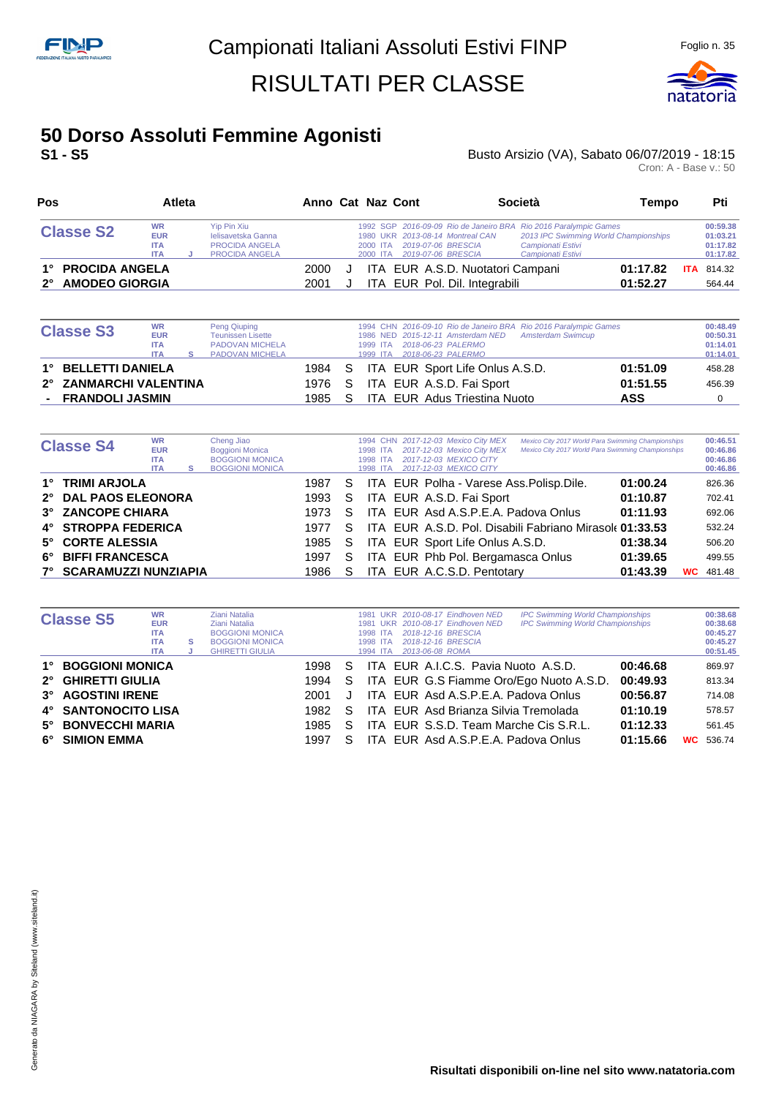

## **50 Dorso Assoluti Femmine Agonisti**

**S1 - S5** Busto Arsizio (VA), Sabato 06/07/2019 - 18:15 Busto Arsizio (VA), Sabato 06/07/2019 - 18:15<br>Cron: A - Base v.: 50

| Pos                                    |                                                     | Atleta |                                                                                     |              | Anno Cat Naz Cont    |                                          |                                                                   | <b>Società</b>                                                                                                                                      | Tempo                |            | Pti                                          |
|----------------------------------------|-----------------------------------------------------|--------|-------------------------------------------------------------------------------------|--------------|----------------------|------------------------------------------|-------------------------------------------------------------------|-----------------------------------------------------------------------------------------------------------------------------------------------------|----------------------|------------|----------------------------------------------|
| <b>Classe S2</b>                       | <b>WR</b><br><b>EUR</b><br><b>ITA</b><br><b>ITA</b> |        | Yip Pin Xiu<br>lelisavetska Ganna<br><b>PROCIDA ANGELA</b><br><b>PROCIDA ANGELA</b> |              | 2000 ITA<br>2000 ITA | 2019-07-06 BRESCIA<br>2019-07-06 BRESCIA | 1980 UKR 2013-08-14 Montreal CAN                                  | 1992 SGP 2016-09-09 Rio de Janeiro BRA Rio 2016 Paralympic Games<br>2013 IPC Swimming World Championships<br>Campionati Estivi<br>Campionati Estivi |                      |            | 00:59.38<br>01:03.21<br>01:17.82<br>01:17.82 |
| 1° PROCIDA ANGELA<br>2° AMODEO GIORGIA |                                                     |        |                                                                                     | 2000<br>2001 |                      |                                          | ITA EUR A.S.D. Nuotatori Campani<br>ITA EUR Pol. Dil. Integrabili |                                                                                                                                                     | 01:17.82<br>01:52.27 | <b>ITA</b> | 814.32<br>564.44                             |

| <b>Classe S3</b>       | <b>WR</b>  | <b>Peng Qiuping</b>      |        | 1994 CHN 2016-09-10 Rio de Janeiro BRA Rio 2016 Paralympic Games | 00:48.49 |
|------------------------|------------|--------------------------|--------|------------------------------------------------------------------|----------|
|                        | <b>EUR</b> | <b>Teunissen Lisette</b> |        | 1986 NED 2015-12-11 Amsterdam NED Amsterdam Swimcup              | 00:50.31 |
|                        | <b>ITA</b> | <b>PADOVAN MICHELA</b>   |        | 1999 ITA 2018-06-23 PALERMO                                      | 01:14.01 |
|                        | <b>ITA</b> | <b>PADOVAN MICHELA</b>   |        | 1999 ITA 2018-06-23 PALERMO                                      | 01:14.01 |
| 1° BELLETTI DANIELA    |            |                          | 1984 S | ITA EUR Sport Life Onlus A.S.D.<br>01:51.09                      | 458.28   |
| 2° ZANMARCHI VALENTINA |            |                          | 1976 S | ITA EUR A.S.D. Fai Sport<br>01:51.55                             | 456.39   |
| - FRANDOLI JASMIN      |            |                          | 1985 S | <b>ITA EUR Adus Triestina Nuoto</b><br>ASS                       |          |

| <b>Classe S4</b>        | <b>WR</b><br><b>EUR</b><br><b>ITA</b><br><b>ITA</b> | s | Cheng Jiao<br><b>Boggioni Monica</b><br><b>BOGGIONI MONICA</b><br><b>BOGGIONI MONICA</b> |      |    | 1998 ITA<br>1998 ITA<br>1998 ITA | 1994 CHN 2017-12-03 Mexico City MEX<br>2017-12-03 Mexico City MEX<br>2017-12-03 MEXICO CITY<br>2017-12-03 MEXICO CITY | Mexico City 2017 World Para Swimming Championships<br>Mexico City 2017 World Para Swimming Championships |          |           | 00:46.51<br>00:46.86<br>00:46.86<br>00:46.86 |
|-------------------------|-----------------------------------------------------|---|------------------------------------------------------------------------------------------|------|----|----------------------------------|-----------------------------------------------------------------------------------------------------------------------|----------------------------------------------------------------------------------------------------------|----------|-----------|----------------------------------------------|
| 1° TRIMI ARJOLA         |                                                     |   |                                                                                          | 1987 | S. |                                  | ITA EUR Polha - Varese Ass. Polisp. Dile.                                                                             |                                                                                                          | 01:00.24 |           | 826.36                                       |
| 2° DAL PAOS ELEONORA    |                                                     |   |                                                                                          | 1993 | S. |                                  | ITA EUR A.S.D. Fai Sport                                                                                              |                                                                                                          | 01:10.87 |           | 702.41                                       |
| 3° ZANCOPE CHIARA       |                                                     |   |                                                                                          | 1973 | S  |                                  | ITA EUR Asd A.S.P.E.A. Padova Onlus                                                                                   |                                                                                                          | 01:11.93 |           | 692.06                                       |
| 4° STROPPA FEDERICA     |                                                     |   |                                                                                          | 1977 | S  |                                  |                                                                                                                       | ITA EUR A.S.D. Pol. Disabili Fabriano Mirasole 01:33.53                                                  |          |           | 532.24                                       |
| 5° CORTE ALESSIA        |                                                     |   |                                                                                          | 1985 | S  |                                  | ITA EUR Sport Life Onlus A.S.D.                                                                                       |                                                                                                          | 01:38.34 |           | 506.20                                       |
| 6° BIFFI FRANCESCA      |                                                     |   |                                                                                          | 1997 | S. |                                  | ITA EUR Phb Pol. Bergamasca Onlus                                                                                     |                                                                                                          | 01:39.65 |           | 499.55                                       |
| 7° SCARAMUZZI NUNZIAPIA |                                                     |   |                                                                                          | 1986 |    |                                  | ITA EUR A.C.S.D. Pentotary                                                                                            |                                                                                                          | 01:43.39 | <b>WC</b> | 481.48                                       |

|    | <b>Classe S5</b>       | <b>WR</b><br><b>EUR</b><br><b>ITA</b><br><b>ITA</b><br><b>ITA</b> | s | Ziani Natalia<br>Ziani Natalia<br><b>BOGGIONI MONICA</b><br><b>BOGGIONI MONICA</b><br><b>GHIRETTI GIULIA</b> |      |    | 1981<br>1981<br>ITA.<br>1998<br>1998<br>ITA.<br>1994<br><b>ITA</b> | UKR 2010-08-17 Eindhoven NED<br>UKR 2010-08-17 Eindhoven NED<br>2018-12-16 BRESCIA<br>2018-12-16 BRESCIA<br>2013-06-08 ROMA | <b>IPC Swimming World Championships</b><br><b>IPC Swimming World Championships</b> |          |           | 00:38.68<br>00:38.68<br>00:45.27<br>00:45.27<br>00:51.45 |
|----|------------------------|-------------------------------------------------------------------|---|--------------------------------------------------------------------------------------------------------------|------|----|--------------------------------------------------------------------|-----------------------------------------------------------------------------------------------------------------------------|------------------------------------------------------------------------------------|----------|-----------|----------------------------------------------------------|
| 1° | <b>BOGGIONI MONICA</b> |                                                                   |   |                                                                                                              | 1998 | S. |                                                                    | ITA EUR A.I.C.S. Pavia Nuoto A.S.D.                                                                                         |                                                                                    | 00:46.68 |           | 869.97                                                   |
|    | 2° GHIRETTI GIULIA     |                                                                   |   |                                                                                                              | 1994 | S. |                                                                    |                                                                                                                             | ITA EUR G.S Fiamme Oro/Ego Nuoto A.S.D.                                            | 00:49.93 |           | 813.34                                                   |
|    | 3° AGOSTINI IRENE      |                                                                   |   |                                                                                                              | 2001 |    |                                                                    | ITA EUR Asd A.S.P.E.A. Padova Onlus                                                                                         |                                                                                    | 00:56.87 |           | 714.08                                                   |
|    | 4° SANTONOCITO LISA    |                                                                   |   |                                                                                                              | 1982 | S. |                                                                    | ITA EUR Asd Brianza Silvia Tremolada                                                                                        |                                                                                    | 01:10.19 |           | 578.57                                                   |
|    | 5° BONVECCHI MARIA     |                                                                   |   |                                                                                                              | 1985 | S  |                                                                    | ITA EUR S.S.D. Team Marche Cis S.R.L.                                                                                       |                                                                                    | 01:12.33 |           | 561.45                                                   |
| 6° | <b>SIMION EMMA</b>     |                                                                   |   |                                                                                                              | 1997 | S  |                                                                    | ITA EUR Asd A.S.P.E.A. Padova Onlus                                                                                         |                                                                                    | 01:15.66 | <b>WC</b> | 536.74                                                   |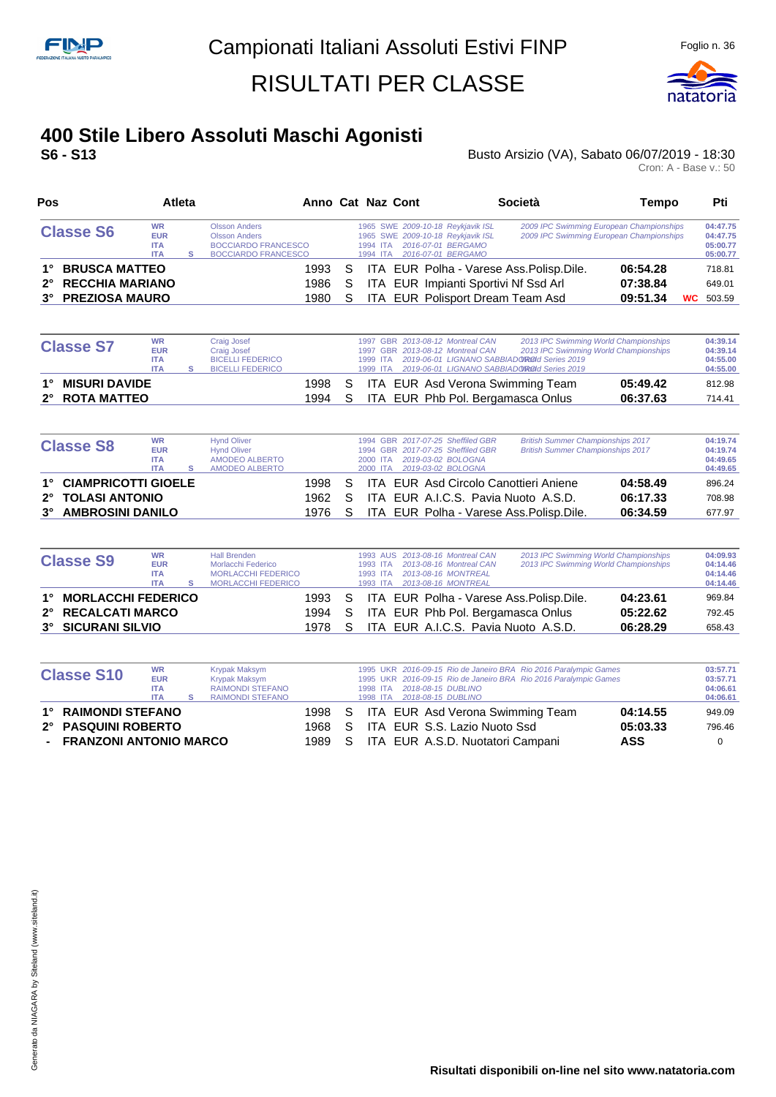

#### **400 Stile Libero Assoluti Maschi Agonisti S6 - S13** Busto Arsizio (VA), Sabato 06/07/2019 - 18:30

| Pos                                 |                                                     | Atleta |                                                                                                   |    | Anno Cat Naz Cont                                                                                                                          | Società                                   | Tempo                                                                                | Pti                                          |
|-------------------------------------|-----------------------------------------------------|--------|---------------------------------------------------------------------------------------------------|----|--------------------------------------------------------------------------------------------------------------------------------------------|-------------------------------------------|--------------------------------------------------------------------------------------|----------------------------------------------|
| <b>Classe S6</b>                    | <b>WR</b><br><b>EUR</b><br><b>ITA</b><br><b>ITA</b> |        | Olsson Anders<br><b>Olsson Anders</b><br><b>BOCCIARDO FRANCESCO</b><br><b>BOCCIARDO FRANCESCO</b> |    | 1965 SWE 2009-10-18 Reykjavik ISL<br>1965 SWE 2009-10-18 Reykjavik ISL<br>2016-07-01 BERGAMO<br>1994 ITA<br>2016-07-01 BERGAMO<br>1994 ITA |                                           | 2009 IPC Swimming European Championships<br>2009 IPC Swimming European Championships | 04:47.75<br>04:47.75<br>05:00.77<br>05:00.77 |
| <b>BRUSCA MATTEO</b><br>$1^{\circ}$ |                                                     |        | 1993                                                                                              | -S |                                                                                                                                            | ITA EUR Polha - Varese Ass. Polisp. Dile. | 06:54.28                                                                             | 718.81                                       |
| 2° RECCHIA MARIANO                  |                                                     |        | 1986                                                                                              | S  | ITA EUR Impianti Sportivi Nf Ssd Arl                                                                                                       |                                           | 07:38.84                                                                             | 649.01                                       |
| <b>PREZIOSA MAURO</b><br>$3^\circ$  |                                                     |        | 1980                                                                                              | S  | ITA EUR Polisport Dream Team Asd                                                                                                           |                                           | 09:51.34                                                                             | <b>WC</b> 503.59                             |

| <b>Classe S7</b>           | WR<br><b>EUR</b><br><b>ITA</b><br><b>ITA</b> | Craig Josef<br><b>Craig Josef</b><br><b>BICELLI FEDERICO</b><br><b>BICELLI FEDERICO</b> |        |    |  | 1997 GBR 2013-08-12 Montreal CAN<br>1997 GBR 2013-08-12 Montreal CAN | 1999 ITA 2019-06-01 LIGNANO SABBIADO ROOI Series 2019<br>1999 ITA 2019-06-01 LIGNANO SABBIADORO d Series 2019 | 2013 IPC Swimming World Championships<br>2013 IPC Swimming World Championships | 04:39.14<br>04:39.14<br>04:55.00<br>04:55.00 |
|----------------------------|----------------------------------------------|-----------------------------------------------------------------------------------------|--------|----|--|----------------------------------------------------------------------|---------------------------------------------------------------------------------------------------------------|--------------------------------------------------------------------------------|----------------------------------------------|
| <b>MISURI DAVIDE</b><br>1° |                                              |                                                                                         | 1998 S |    |  |                                                                      | ITA EUR Asd Verona Swimming Team                                                                              | 05:49.42                                                                       | 812.98                                       |
| 2° ROTA MATTEO             |                                              |                                                                                         | 1994   | S. |  |                                                                      | ITA EUR Phb Pol. Bergamasca Onlus                                                                             | 06:37.63                                                                       | 714.41                                       |

|           | <b>Classe S8</b>        | <b>WR</b><br><b>EUR</b><br><b>ITA</b><br><b>ITA</b> | <b>Hynd Oliver</b><br><b>Hynd Oliver</b><br>AMODEO ALBERTO<br>AMODEO ALBERTO |        | 2000 ITA | 1994 GBR 2017-07-25 Sheffiled GBR<br>1994 GBR 2017-07-25 Sheffiled GBR<br>2019-03-02 BOLOGNA<br>2000 ITA 2019-03-02 BOLOGNA | <b>British Summer Championships 2017</b><br><b>British Summer Championships 2017</b> |          | 04:19.74<br>04:19.74<br>04:49.65<br>04:49.65 |
|-----------|-------------------------|-----------------------------------------------------|------------------------------------------------------------------------------|--------|----------|-----------------------------------------------------------------------------------------------------------------------------|--------------------------------------------------------------------------------------|----------|----------------------------------------------|
|           | 1° CIAMPRICOTTI GIOELE  |                                                     |                                                                              | 1998 S |          |                                                                                                                             | ITA EUR Asd Circolo Canottieri Aniene                                                | 04:58.49 | 896.24                                       |
|           | 2° TOLASI ANTONIO       |                                                     |                                                                              | 1962 S |          |                                                                                                                             | ITA EUR A.I.C.S. Pavia Nuoto A.S.D.                                                  | 06:17.33 | 708.98                                       |
| $3^\circ$ | <b>AMBROSINI DANILO</b> |                                                     |                                                                              | 1976 S |          |                                                                                                                             | ITA EUR Polha - Varese Ass. Polisp. Dile.                                            | 06:34.59 | 677.97                                       |

| <b>Classe S9</b>      | <b>WR</b><br><b>EUR</b><br><b>ITA</b><br><b>ITA</b> | <b>Hall Brenden</b><br>Morlacchi Federico<br><b>MORLACCHI FEDERICO</b><br><b>MORLACCHI FEDERICO</b> | 1993 AUS 2013-08-16 Montreal CAN<br>2013 IPC Swimming World Championships<br>2013 IPC Swimming World Championships<br>2013-08-16 Montreal CAN<br>1993 ITA<br>2013-08-16 MONTREAL<br>1993 ITA<br>1993 ITA 2013-08-16 MONTREAL | 04:09.93<br>04:14.46<br>04:14.46<br>04:14.46 |
|-----------------------|-----------------------------------------------------|-----------------------------------------------------------------------------------------------------|------------------------------------------------------------------------------------------------------------------------------------------------------------------------------------------------------------------------------|----------------------------------------------|
| 1° MORLACCHI FEDERICO |                                                     | 1993 S                                                                                              | 04:23.61<br>ITA EUR Polha - Varese Ass. Polisp. Dile.                                                                                                                                                                        | 969.84                                       |
| 2° RECALCATI MARCO    |                                                     | 1994 S                                                                                              | ITA EUR Phb Pol. Bergamasca Onlus<br>05:22.62                                                                                                                                                                                | 792.45                                       |
| 3° SICURANI SILVIO    |                                                     | 1978 S                                                                                              | 06:28.29<br>ITA EUR A.I.C.S. Pavia Nuoto A.S.D.                                                                                                                                                                              | 658.43                                       |

| <b>Classe S10</b>        | <b>WR</b><br><b>EUR</b> | Krypak Maksym<br>Krypak Maksym |        |    | 1995 UKR 2016-09-15 Rio de Janeiro BRA Rio 2016 Paralympic Games<br>1995 UKR 2016-09-15 Rio de Janeiro BRA Rio 2016 Paralympic Games | 03:57.71<br>03:57.71 |
|--------------------------|-------------------------|--------------------------------|--------|----|--------------------------------------------------------------------------------------------------------------------------------------|----------------------|
|                          | <b>ITA</b>              | <b>RAIMONDI STEFANO</b>        |        |    | 2018-08-15 DUBLINO<br>1998 ITA                                                                                                       | 04:06.61             |
|                          | <b>ITA</b>              | RAIMONDI STEFANO               |        |    | 1998 ITA 2018-08-15 DUBLINO                                                                                                          | 04:06.61             |
| 1° RAIMONDI STEFANO      |                         |                                | 1998 S |    | ITA EUR Asd Verona Swimming Team                                                                                                     | 04:14.55<br>949.09   |
| 2° PASQUINI ROBERTO      |                         |                                | 1968   | S. | ITA EUR S.S. Lazio Nuoto Ssd                                                                                                         | 05:03.33<br>796.46   |
| - FRANZONI ANTONIO MARCO |                         |                                | 1989   |    | ITA EUR A.S.D. Nuotatori Campani<br><b>ASS</b>                                                                                       |                      |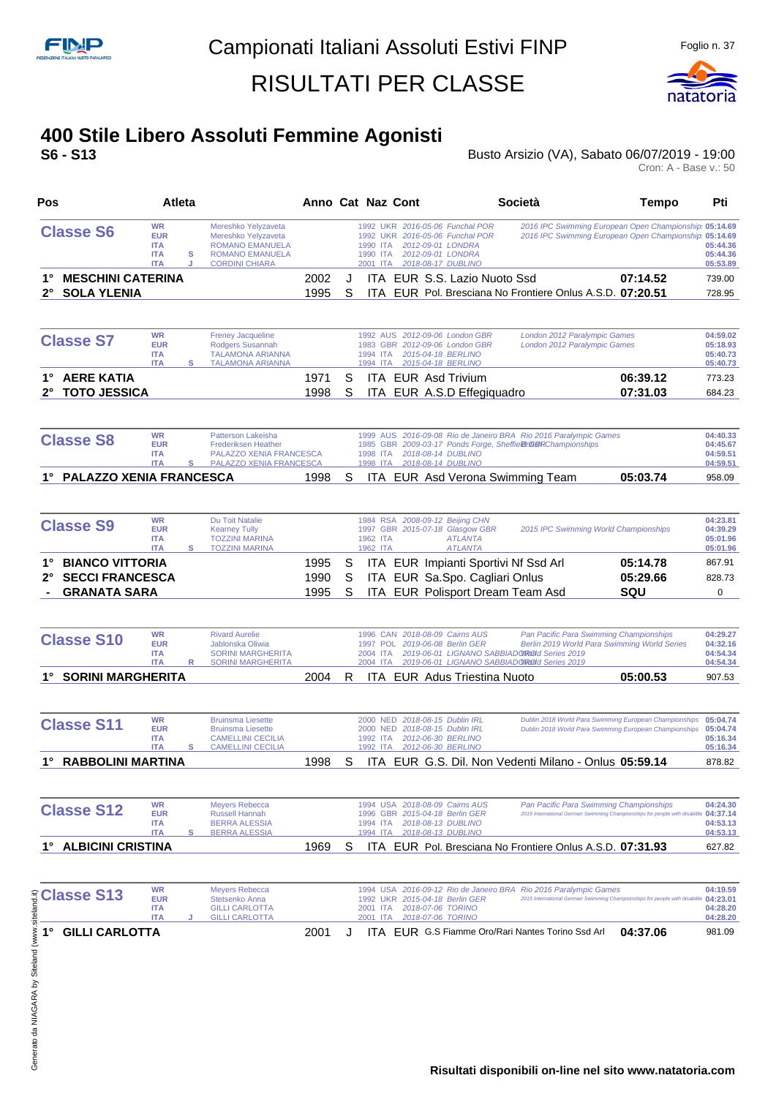

# **400 Stile Libero Assoluti Femmine Agonisti**

**S6 - S13** Busto Arsizio (VA), Sabato 06/07/2019 - 19:00

| Pos                                                                                 | Atleta                                                                      |                                                                                                                         | Anno Cat Naz Cont    |             |                                  |                                                                                                                                                                         | <b>Società</b>                                                                                                                  | Tempo                                                                                                            | Pti                                          |
|-------------------------------------------------------------------------------------|-----------------------------------------------------------------------------|-------------------------------------------------------------------------------------------------------------------------|----------------------|-------------|----------------------------------|-------------------------------------------------------------------------------------------------------------------------------------------------------------------------|---------------------------------------------------------------------------------------------------------------------------------|------------------------------------------------------------------------------------------------------------------|----------------------------------------------|
| <b>Classe S6</b>                                                                    | <b>WR</b><br><b>EUR</b><br><b>ITA</b><br><b>ITA</b><br>s<br><b>ITA</b><br>J | Mereshko Yelyzaveta<br>Mereshko Yelyzaveta<br><b>ROMANO EMANUELA</b><br><b>ROMANO EMANUELA</b><br><b>CORDINI CHIARA</b> |                      |             | 1990 ITA<br>1990 ITA<br>2001 ITA | 1992 UKR 2016-05-06 Funchal POR<br>1992 UKR 2016-05-06 Funchal POR<br>2012-09-01 LONDRA<br>2012-09-01 LONDRA<br>2018-08-17 DUBLINO                                      |                                                                                                                                 | 2016 IPC Swimming European Open Championship 05:14.69<br>2016 IPC Swimming European Open Championship            | 05:14.69<br>05:44.36<br>05:44.36<br>05:53.89 |
| <b>MESCHINI CATERINA</b><br>1°<br>$2^{\circ}$<br><b>SOLA YLENIA</b>                 |                                                                             |                                                                                                                         | 2002<br>1995         | J<br>S      |                                  | ITA EUR S.S. Lazio Nuoto Ssd                                                                                                                                            | ITA EUR Pol. Bresciana No Frontiere Onlus A.S.D. 07:20.51                                                                       | 07:14.52                                                                                                         | 739.00<br>728.95                             |
| <b>Classe S7</b>                                                                    | <b>WR</b><br><b>EUR</b><br><b>ITA</b><br>s<br><b>ITA</b>                    | <b>Freney Jacqueline</b><br>Rodgers Susannah<br><b>TALAMONA ARIANNA</b><br><b>TALAMONA ARIANNA</b>                      |                      |             | 1994 ITA                         | 1992 AUS 2012-09-06 London GBR<br>1983 GBR 2012-09-06 London GBR<br>2015-04-18 BERLINO<br>1994 ITA 2015-04-18 BERLINO                                                   | London 2012 Paralympic Games<br>London 2012 Paralympic Games                                                                    |                                                                                                                  | 04:59.02<br>05:18.93<br>05:40.73<br>05:40.73 |
| <b>AERE KATIA</b><br>1°<br><b>TOTO JESSICA</b>                                      |                                                                             |                                                                                                                         | 1971<br>1998         | S<br>S      |                                  | ITA EUR Asd Trivium<br>ITA EUR A.S.D Effegiquadro                                                                                                                       |                                                                                                                                 | 06:39.12<br>07:31.03                                                                                             | 773.23<br>684.23                             |
| <b>Classe S8</b>                                                                    | <b>WR</b><br><b>EUR</b><br><b>ITA</b><br><b>ITA</b><br>s                    | Patterson Lakeisha<br><b>Frederiksen Heather</b><br>PALAZZO XENIA FRANCESCA<br>PALAZZO XENIA FRANCESCA                  |                      |             | 1998 ITA<br>1998 ITA             | 2018-08-14 DUBLINO<br>2018-08-14 DUBLINO                                                                                                                                | 1999 AUS 2016-09-08 Rio de Janeiro BRA Rio 2016 Paralympic Games<br>1985 GBR 2009-03-17 Ponds Forge, Sheffieldr@BRChampionships |                                                                                                                  | 04:40.33<br>04:45.67<br>04:59.51<br>04:59.51 |
| <b>PALAZZO XENIA FRANCESCA</b><br>$1^{\circ}$                                       |                                                                             |                                                                                                                         | 1998                 | S           |                                  | ITA EUR Asd Verona Swimming Team                                                                                                                                        |                                                                                                                                 | 05:03.74                                                                                                         | 958.09                                       |
| <b>Classe S9</b>                                                                    | <b>WR</b><br><b>EUR</b><br><b>ITA</b><br><b>ITA</b><br>s                    | Du Toit Natalie<br><b>Kearney Tully</b><br><b>TOZZINI MARINA</b><br><b>TOZZINI MARINA</b>                               |                      |             | 1962 ITA<br>1962 ITA             | 1984 RSA 2008-09-12 Beijing CHN<br>1997 GBR 2015-07-18 Glasgow GBR<br><b>ATLANTA</b><br><b>ATLANTA</b>                                                                  | 2015 IPC Swimming World Championships                                                                                           |                                                                                                                  | 04:23.81<br>04:39.29<br>05:01.96<br>05:01.96 |
| <b>BIANCO VITTORIA</b><br>1°<br><b>SECCI FRANCESCA</b><br>2°<br><b>GRANATA SARA</b> |                                                                             |                                                                                                                         | 1995<br>1990<br>1995 | S<br>S<br>S |                                  | ITA EUR Impianti Sportivi Nf Ssd Arl<br>ITA EUR Sa.Spo. Cagliari Onlus<br>ITA EUR Polisport Dream Team Asd                                                              |                                                                                                                                 | 05:14.78<br>05:29.66<br>SQU                                                                                      | 867.91<br>828.73<br>0                        |
| <b>Classe S10</b>                                                                   | <b>WR</b><br><b>EUR</b><br><b>ITA</b><br><b>ITA</b><br>R                    | <b>Rivard Aurelie</b><br>Jablonska Oliwia<br><b>SORINI MARGHERITA</b><br><b>SORINI MARGHERITA</b>                       |                      |             | 2004 ITA                         | 1996 CAN 2018-08-09 Cairns AUS<br>1997 POL 2019-06-08 Berlin GER<br>2019-06-01 LIGNANO SABBIADOROId Series 2019<br>2004 ITA 2019-06-01 LIGNANO SABBIADOROId Series 2019 | Pan Pacific Para Swimming Championships                                                                                         | Berlin 2019 World Para Swimming World Series                                                                     | 04:29.27<br>04:32.16<br>04:54.34<br>04:54.34 |
| <b>SORINI MARGHERITA</b><br>1°                                                      |                                                                             |                                                                                                                         | 2004                 | R           |                                  | <b>ITA EUR Adus Triestina Nuoto</b>                                                                                                                                     |                                                                                                                                 | 05:00.53                                                                                                         | 907.53                                       |
| <b>Classe S11</b>                                                                   | <b>WR</b><br><b>EUR</b><br><b>ITA</b><br><b>ITA</b><br>s                    | <b>Bruinsma Liesette</b><br><b>Bruinsma Liesette</b><br><b>CAMELLINI CECILIA</b><br><b>CAMELLINI CECILIA</b>            |                      |             | 1992 ITA                         | 2000 NED 2018-08-15 Dublin IRL<br>2000 NED 2018-08-15 Dublin IRL<br>2012-06-30 BERLINO<br>1992 ITA 2012-06-30 BERLINO                                                   |                                                                                                                                 | Dublin 2018 World Para Swimming European Championships<br>Dublin 2018 World Para Swimming European Championships | 05:04.74<br>05:04.74<br>05:16.34<br>05:16.34 |
| <b>RABBOLINI MARTINA</b>                                                            |                                                                             |                                                                                                                         | 1998                 | S           |                                  |                                                                                                                                                                         | ITA EUR G.S. Dil. Non Vedenti Milano - Onlus 05:59.14                                                                           |                                                                                                                  | 878.82                                       |
| <b>Classe S12</b>                                                                   | <b>WR</b><br><b>EUR</b><br><b>ITA</b><br><b>ITA</b><br>s                    | <b>Meyers Rebecca</b><br><b>Russell Hannah</b><br><b>BERRA ALESSIA</b><br><b>BERRA ALESSIA</b>                          |                      |             | 1996<br>1994 ITA<br>1994 ITA     | 1994 USA 2018-08-09 Cairns AUS<br>GBR 2015-04-18 Berlin GER<br>2018-08-13 DUBLINO<br>2018-08-13 DUBLINO                                                                 | Pan Pacific Para Swimming Championships                                                                                         | 2015 International German Swimming Championships for people with disabilitiv 04:37.14                            | 04:24.30<br>04:53.13<br>04:53.13             |
| <b>ALBICINI CRISTINA</b>                                                            |                                                                             |                                                                                                                         | 1969                 | S           |                                  |                                                                                                                                                                         | <b>ITA EUR Pol. Bresciana No Frontiere Onlus A.S.D. 07:31.93</b>                                                                |                                                                                                                  | 627.82                                       |
| $\frac{2}{3}$ Classe S13                                                            | <b>WR</b><br><b>EUR</b><br><b>ITA</b><br><b>ITA</b>                         | <b>Meyers Rebecca</b><br>Stetsenko Anna<br><b>GILLI CARLOTTA</b><br><b>GILLI CARLOTTA</b>                               |                      |             | 2001 ITA<br>2001 ITA             | 1992 UKR 2015-04-18 Berlin GER<br>2018-07-06 TORINO<br>2018-07-06 TORINO                                                                                                | 1994 USA 2016-09-12 Rio de Janeiro BRA Rio 2016 Paralympic Games                                                                | 2015 International German Swimming Championships for people with disabiliti 04:23.01                             | 04:19.59<br>04:28.20<br>04:28.20             |
| Generato da NIAGARA by Siteland (www.<br>1°<br><b>GILLI CARLOTTA</b>                |                                                                             |                                                                                                                         | 2001                 | J           |                                  |                                                                                                                                                                         | <b>ITA EUR G.S Fiamme Oro/Rari Nantes Torino Ssd Arl</b>                                                                        | 04:37.06                                                                                                         | 981.09                                       |
|                                                                                     |                                                                             |                                                                                                                         |                      |             |                                  |                                                                                                                                                                         |                                                                                                                                 | Risultati disponibili on-line nel sito www.natatoria.com                                                         |                                              |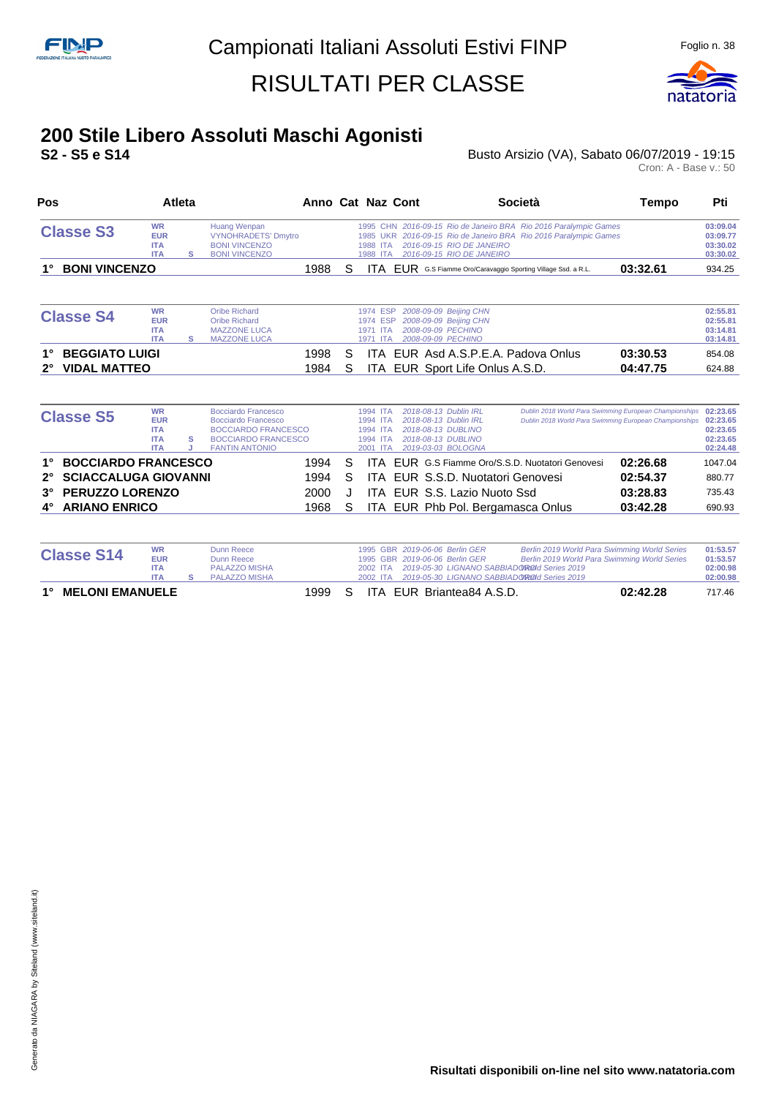

#### **200 Stile Libero Assoluti Maschi Agonisti**

**S2 - S5 e S14** Busto Arsizio (VA), Sabato 06/07/2019 - 19:15 Busto Arsizio (VA), Sabato 06/07/2019 - 19:15<br>Cron: A - Base v.: 50

| Pos                                        |                                                                   | <b>Atleta</b> |                                                                                                                                        | Anno Cat Naz Cont |   |                                                          |                                                                                                                  | Società                                                                                                                              | Tempo    | Pti                                                      |
|--------------------------------------------|-------------------------------------------------------------------|---------------|----------------------------------------------------------------------------------------------------------------------------------------|-------------------|---|----------------------------------------------------------|------------------------------------------------------------------------------------------------------------------|--------------------------------------------------------------------------------------------------------------------------------------|----------|----------------------------------------------------------|
| <b>Classe S3</b>                           | <b>WR</b><br><b>EUR</b><br><b>ITA</b><br><b>ITA</b>               | s             | <b>Huang Wenpan</b><br><b>VYNOHRADETS' Dmytro</b><br><b>BONI VINCENZO</b><br><b>BONI VINCENZO</b>                                      |                   |   | 1988 ITA<br>1988 ITA                                     | 2016-09-15 RIO DE JANEIRO<br>2016-09-15 RIO DE JANEIRO                                                           | 1995 CHN 2016-09-15 Rio de Janeiro BRA Rio 2016 Paralympic Games<br>1985 UKR 2016-09-15 Rio de Janeiro BRA Rio 2016 Paralympic Games |          | 03:09.04<br>03:09.77<br>03:30.02<br>03:30.02             |
| <b>BONI VINCENZO</b>                       |                                                                   |               |                                                                                                                                        | 1988              | S |                                                          | ITA EUR G.S Fiamme Oro/Caravaggio Sporting Village Ssd. a R.L.                                                   |                                                                                                                                      | 03:32.61 | 934.25                                                   |
| <b>Classe S4</b>                           | <b>WR</b><br><b>EUR</b><br><b>ITA</b><br><b>ITA</b>               | s             | <b>Oribe Richard</b><br><b>Oribe Richard</b><br><b>MAZZONE LUCA</b><br><b>MAZZONE LUCA</b>                                             |                   |   | 1974 ESP<br>1974 ESP<br>1971 ITA<br>1971<br><b>ITA</b>   | 2008-09-09 Beijing CHN<br>2008-09-09 Beijing CHN<br>2008-09-09 PECHINO<br>2008-09-09 PECHINO                     |                                                                                                                                      |          | 02:55.81<br>02:55.81<br>03:14.81<br>03:14.81             |
| <b>BEGGIATO LUIGI</b>                      |                                                                   |               |                                                                                                                                        | 1998              | S |                                                          | ITA EUR Asd A.S.P.E.A. Padova Onlus                                                                              |                                                                                                                                      | 03:30.53 | 854.08                                                   |
| <b>VIDAL MATTEO</b><br>$2^{\circ}$         |                                                                   |               |                                                                                                                                        | 1984              | S | ITA.                                                     | EUR Sport Life Onlus A.S.D.                                                                                      |                                                                                                                                      | 04:47.75 | 624.88                                                   |
| <b>Classe S5</b>                           | <b>WR</b><br><b>EUR</b><br><b>ITA</b><br><b>ITA</b><br><b>ITA</b> | s<br>J        | <b>Bocciardo Francesco</b><br>Bocciardo Francesco<br><b>BOCCIARDO FRANCESCO</b><br><b>BOCCIARDO FRANCESCO</b><br><b>FANTIN ANTONIO</b> |                   |   | 1994 ITA<br>1994 ITA<br>1994 ITA<br>1994 ITA<br>2001 ITA | 2018-08-13 Dublin IRL<br>2018-08-13 Dublin IRL<br>2018-08-13 DUBLINO<br>2018-08-13 DUBLINO<br>2019-03-03 BOLOGNA | Dublin 2018 World Para Swimming European Championships<br>Dublin 2018 World Para Swimming European Championships                     |          | 02:23.65<br>02:23.65<br>02:23.65<br>02:23.65<br>02:24.48 |
| <b>BOCCIARDO FRANCESCO</b>                 |                                                                   |               |                                                                                                                                        | 1994              | S |                                                          |                                                                                                                  | ITA EUR G.S Fiamme Oro/S.S.D. Nuotatori Genovesi                                                                                     | 02:26.68 | 1047.04                                                  |
| <b>SCIACCALUGA GIOVANNI</b><br>$2^{\circ}$ |                                                                   |               |                                                                                                                                        | 1994              | S | ITA.                                                     | EUR S.S.D. Nuotatori Genovesi                                                                                    |                                                                                                                                      | 02:54.37 | 880.77                                                   |
|                                            |                                                                   |               |                                                                                                                                        | 2000              | J | ITA.                                                     | EUR S.S. Lazio Nuoto Ssd                                                                                         |                                                                                                                                      | 03:28.83 | 735.43                                                   |
| PERUZZO LORENZO<br>$3^{\circ}$             |                                                                   |               |                                                                                                                                        | 1968              | S | <b>ITA</b>                                               | EUR Phb Pol. Bergamasca Onlus                                                                                    |                                                                                                                                      | 03:42.28 | 690.93                                                   |

| <b>Classe S14</b>                     | <b>WR</b><br><b>EUR</b> | Dunn Reece<br>Dunn Reece |  |  | 1995 GBR 2019-06-06 Berlin GER<br>1995 GBR 2019-06-06 Berlin GER | Berlin 2019 World Para Swimming World Series<br>Berlin 2019 World Para Swimming World Series | 01:53.57<br>01:53.57 |
|---------------------------------------|-------------------------|--------------------------|--|--|------------------------------------------------------------------|----------------------------------------------------------------------------------------------|----------------------|
|                                       | <b>ITA</b>              | PALAZZO MISHA            |  |  | 2002 ITA 2019-05-30 LIGNANO SABBIADO ROOI Series 2019            |                                                                                              | 02:00.98             |
|                                       | <b>ITA</b>              | PALAZZO MISHA            |  |  |                                                                  | 2002 ITA 2019-05-30 LIGNANO SABBIADO ROOI Series 2019                                        | 02:00.98             |
| $1^{\circ}$<br><b>MELONI EMANUELE</b> |                         |                          |  |  | 1999 S ITA EUR Briantea84 A.S.D.                                 | 02:42.28                                                                                     | 717.46               |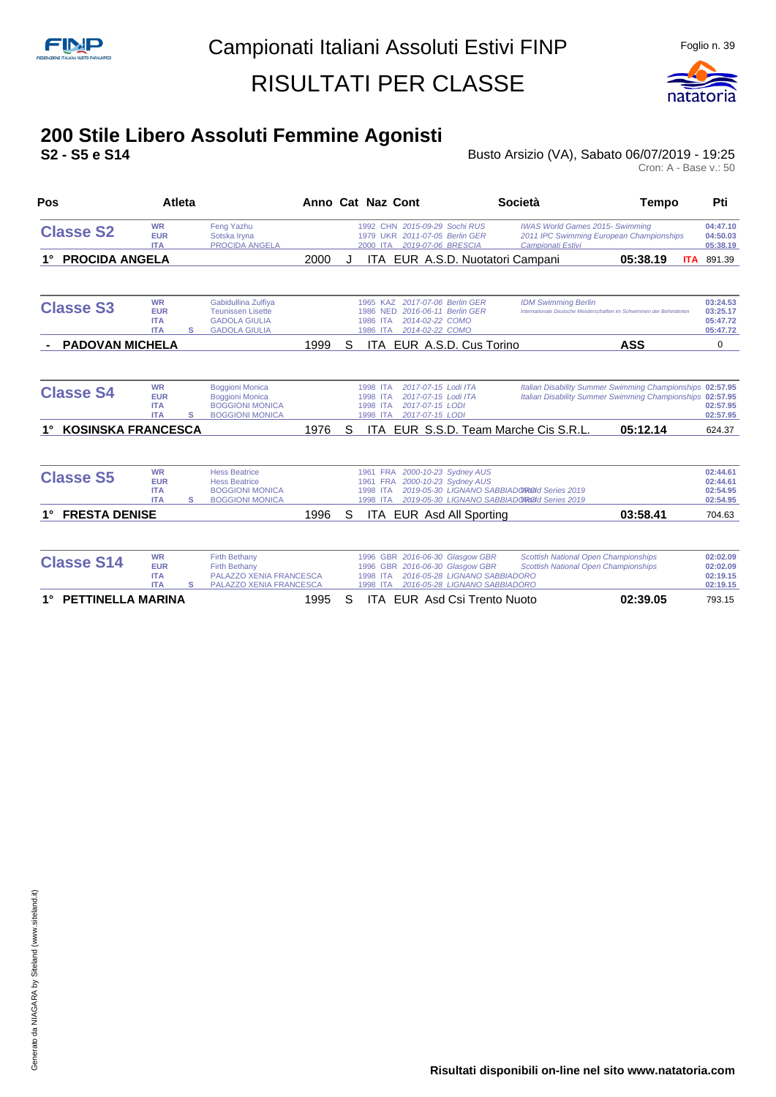

# **200 Stile Libero Assoluti Femmine Agonisti**

**S2 - S5 e S14** Busto Arsizio (VA), Sabato 06/07/2019 - 19:25

| Pos                       | <b>Atleta</b>                                       |   |                                                                                                                  | Anno Cat Naz Cont |   |                                              |                                                                                                                                      | Società                                                                                    | <b>Tempo</b>                                                                                                           | Pti                                          |
|---------------------------|-----------------------------------------------------|---|------------------------------------------------------------------------------------------------------------------|-------------------|---|----------------------------------------------|--------------------------------------------------------------------------------------------------------------------------------------|--------------------------------------------------------------------------------------------|------------------------------------------------------------------------------------------------------------------------|----------------------------------------------|
| <b>Classe S2</b>          | <b>WR</b><br><b>EUR</b><br><b>ITA</b>               |   | Feng Yazhu<br>Sotska Iryna<br>PROCIDA ANGELA                                                                     |                   |   | 2000 ITA                                     | 1992 CHN 2015-09-29 Sochi RUS<br>1979 UKR 2011-07-05 Berlin GER<br>2019-07-06 BRESCIA                                                | <b>IWAS World Games 2015- Swimming</b><br>Campionati Estivi                                | 2011 IPC Swimming European Championships                                                                               | 04:47.10<br>04:50.03<br>05:38.19             |
| <b>PROCIDA ANGELA</b>     |                                                     |   |                                                                                                                  | 2000              |   |                                              |                                                                                                                                      | ITA EUR A.S.D. Nuotatori Campani                                                           | 05:38.19                                                                                                               | <b>ITA</b> 891.39                            |
| <b>Classe S3</b>          | <b>WR</b><br><b>EUR</b><br><b>ITA</b><br><b>ITA</b> | s | Gabidullina Zulfiya<br><b>Teunissen Lisette</b><br><b>GADOLA GIULIA</b><br><b>GADOLA GIULIA</b>                  |                   |   | 1986 NED<br>1986 ITA<br>1986 ITA             | 1965 KAZ 2017-07-06 Berlin GER<br>2016-06-11 Berlin GER<br>2014-02-22 COMO<br>2014-02-22 COMO                                        | <b>IDM Swimming Berlin</b>                                                                 | Internationale Deutsche Meisterschaften im Schwimmen der Behinderten                                                   | 03:24.53<br>03:25.17<br>05:47.72<br>05:47.72 |
| <b>PADOVAN MICHELA</b>    |                                                     |   |                                                                                                                  | 1999              | S | ITA.                                         | EUR A.S.D. Cus Torino                                                                                                                |                                                                                            | <b>ASS</b>                                                                                                             | $\Omega$                                     |
| <b>Classe S4</b>          | <b>WR</b><br><b>EUR</b><br><b>ITA</b><br><b>ITA</b> | s | <b>Boggioni Monica</b><br><b>Boggioni Monica</b><br><b>BOGGIONI MONICA</b><br><b>BOGGIONI MONICA</b>             |                   |   | 1998 ITA<br>1998 ITA<br>1998 ITA<br>1998 ITA | 2017-07-15 Lodi ITA<br>2017-07-15 Lodi ITA<br>2017-07-15 LODI<br>2017-07-15 LODI                                                     |                                                                                            | Italian Disability Summer Swimming Championships 02:57.95<br>Italian Disability Summer Swimming Championships 02:57.95 | 02:57.95<br>02:57.95                         |
| <b>KOSINSKA FRANCESCA</b> |                                                     |   |                                                                                                                  | 1976              | S |                                              |                                                                                                                                      | ITA EUR S.S.D. Team Marche Cis S.R.L.                                                      | 05:12.14                                                                                                               | 624.37                                       |
| <b>Classe S5</b>          | <b>WR</b><br><b>EUR</b><br><b>ITA</b><br><b>ITA</b> | s | <b>Hess Beatrice</b><br><b>Hess Beatrice</b><br><b>BOGGIONI MONICA</b><br><b>BOGGIONI MONICA</b>                 |                   |   | 1961 FRA<br>1998 ITA<br>1998 ITA             | 1961 FRA 2000-10-23 Sydney AUS<br>2000-10-23 Sydney AUS                                                                              | 2019-05-30 LIGNANO SABBIADOROOI Series 2019<br>2019-05-30 LIGNANO SABBIADOROId Series 2019 |                                                                                                                        | 02:44.61<br>02:44.61<br>02:54.95<br>02:54.95 |
| <b>FRESTA DENISE</b>      |                                                     |   |                                                                                                                  | 1996              | S | ITA                                          | EUR Asd All Sporting                                                                                                                 |                                                                                            | 03:58.41                                                                                                               | 704.63                                       |
| <b>Classe S14</b>         | <b>WR</b><br><b>EUR</b><br><b>ITA</b><br><b>ITA</b> | s | <b>Firth Bethany</b><br><b>Firth Bethany</b><br><b>PALAZZO XENIA FRANCESCA</b><br><b>PALAZZO XENIA FRANCESCA</b> |                   |   | 1998 ITA<br>1998 ITA                         | 1996 GBR 2016-06-30 Glasgow GBR<br>1996 GBR 2016-06-30 Glasgow GBR<br>2016-05-28 LIGNANO SABBIADORO<br>2016-05-28 LIGNANO SABBIADORO |                                                                                            | <b>Scottish National Open Championships</b><br><b>Scottish National Open Championships</b>                             | 02:02.09<br>02:02.09<br>02:19.15<br>02:19.15 |
| <b>PETTINELLA MARINA</b>  |                                                     |   |                                                                                                                  | 1995              | S |                                              | <b>ITA EUR Asd Csi Trento Nuoto</b>                                                                                                  |                                                                                            | 02:39.05                                                                                                               | 793.15                                       |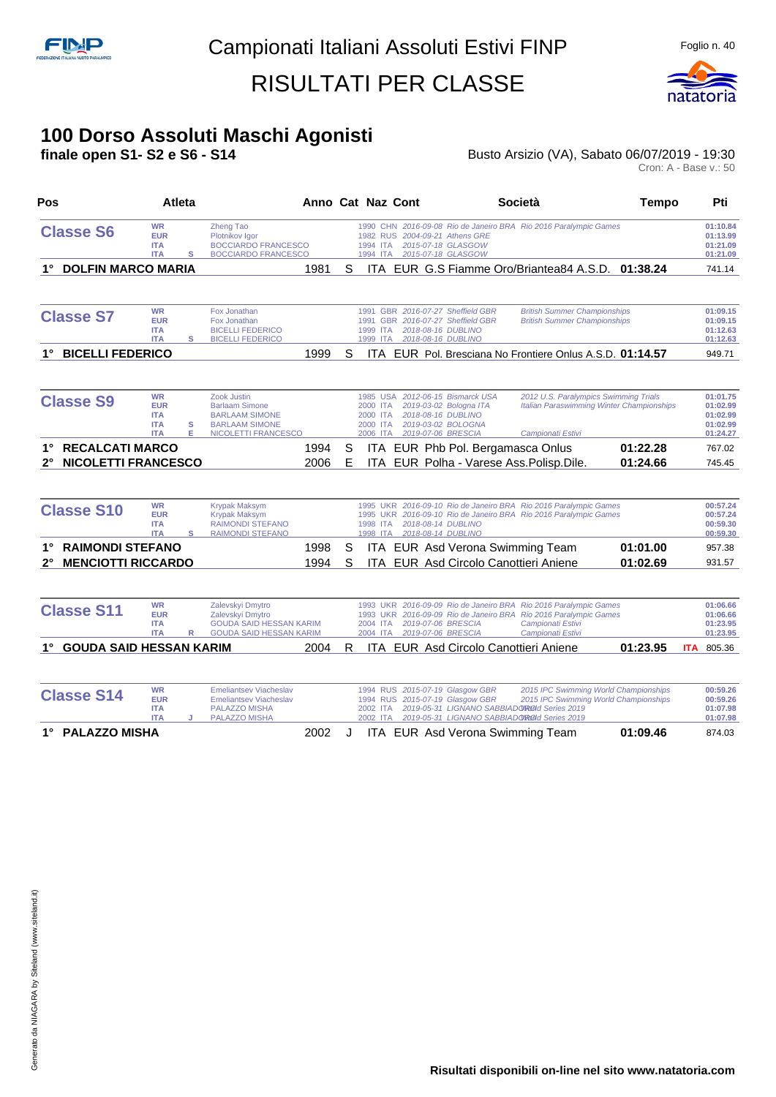

#### **100 Dorso Assoluti Maschi Agonisti**

**finale open S1- S2 e S6 - S14 Busto Arsizio (VA), Sabato 06/07/2019 - 19:30** Busto Arsizio (VA), Sabato 06/07/2019 - 19:30<br>Cron: A - Base v.: 50

| Pos                                                                 | Atleta                                                            |                                                                                                                         | Anno Cat Naz Cont |        |                                              |  |                                                                                                                              | <b>Società</b>                                                                                                                                                                 | Tempo                |            | Pti                                                      |
|---------------------------------------------------------------------|-------------------------------------------------------------------|-------------------------------------------------------------------------------------------------------------------------|-------------------|--------|----------------------------------------------|--|------------------------------------------------------------------------------------------------------------------------------|--------------------------------------------------------------------------------------------------------------------------------------------------------------------------------|----------------------|------------|----------------------------------------------------------|
| <b>Classe S6</b>                                                    | <b>WR</b><br><b>EUR</b><br><b>ITA</b><br><b>ITA</b>               | <b>Zheng Tao</b><br>Plotnikov Igor<br><b>BOCCIARDO FRANCESCO</b><br><b>BOCCIARDO FRANCESCO</b><br>s                     |                   |        | 1994 ITA                                     |  | 1982 RUS 2004-09-21 Athens GRE<br>2015-07-18 GLASGOW<br>1994 ITA 2015-07-18 GLASGOW                                          | 1990 CHN 2016-09-08 Rio de Janeiro BRA Rio 2016 Paralympic Games                                                                                                               |                      |            | 01:10.84<br>01:13.99<br>01:21.09<br>01:21.09             |
| <b>DOLFIN MARCO MARIA</b><br>1°                                     |                                                                   |                                                                                                                         | 1981              | S      |                                              |  |                                                                                                                              | ITA EUR G.S Fiamme Oro/Briantea84 A.S.D. 01:38.24                                                                                                                              |                      |            | 741.14                                                   |
| <b>Classe S7</b>                                                    | <b>WR</b><br><b>EUR</b><br><b>ITA</b><br><b>ITA</b>               | Fox Jonathan<br>Fox Jonathan<br><b>BICELLI FEDERICO</b><br>s<br><b>BICELLI FEDERICO</b>                                 |                   |        | 1999 ITA<br>1999 ITA                         |  | 1991 GBR 2016-07-27 Sheffield GBR<br>1991 GBR 2016-07-27 Sheffield GBR<br>2018-08-16 DUBLINO<br>2018-08-16 DUBLINO           | <b>British Summer Championships</b><br><b>British Summer Championships</b>                                                                                                     |                      |            | 01:09.15<br>01:09.15<br>01:12.63<br>01:12.63             |
| <b>BICELLI FEDERICO</b>                                             |                                                                   |                                                                                                                         | 1999              | S      |                                              |  |                                                                                                                              | ITA EUR Pol. Bresciana No Frontiere Onlus A.S.D. 01:14.57                                                                                                                      |                      |            | 949.71                                                   |
| <b>Classe S9</b>                                                    | <b>WR</b><br><b>EUR</b><br><b>ITA</b><br><b>ITA</b><br><b>ITA</b> | Zook Justin<br><b>Barlaam Simone</b><br><b>BARLAAM SIMONE</b><br>s<br><b>BARLAAM SIMONE</b><br>Е<br>NICOLETTI FRANCESCO |                   |        | 2000 ITA<br>2000 ITA<br>2000 ITA<br>2006 ITA |  | 1985 USA 2012-06-15 Bismarck USA<br>2019-03-02 Bologna ITA<br>2018-08-16 DUBLINO<br>2019-03-02 BOLOGNA<br>2019-07-06 BRESCIA | 2012 U.S. Paralympics Swimming Trials<br><b>Italian Paraswimming Winter Championships</b><br>Campionati Estivi                                                                 |                      |            | 01:01.75<br>01:02.99<br>01:02.99<br>01:02.99<br>01:24.27 |
| <b>RECALCATI MARCO</b><br>$1^{\circ}$<br><b>NICOLETTI FRANCESCO</b> |                                                                   |                                                                                                                         | 1994<br>2006      | S<br>E |                                              |  | ITA EUR Phb Pol. Bergamasca Onlus                                                                                            | ITA EUR Polha - Varese Ass. Polisp. Dile.                                                                                                                                      | 01:22.28<br>01:24.66 |            | 767.02<br>745.45                                         |
| <b>Classe S10</b>                                                   | <b>WR</b><br><b>EUR</b><br><b>ITA</b><br><b>ITA</b>               | <b>Krypak Maksym</b><br><b>Krypak Maksym</b><br><b>RAIMONDI STEFANO</b><br>s<br><b>RAIMONDI STEFANO</b>                 |                   |        | 1998 ITA                                     |  | 1998 ITA 2018-08-14 DUBLINO<br>2018-08-14 DUBLINO                                                                            | 1995 UKR 2016-09-10 Rio de Janeiro BRA Rio 2016 Paralympic Games<br>1995 UKR 2016-09-10 Rio de Janeiro BRA Rio 2016 Paralympic Games                                           |                      |            | 00:57.24<br>00:57.24<br>00:59.30<br>00:59.30             |
| <b>RAIMONDI STEFANO</b><br>1°<br><b>MENCIOTTI RICCARDO</b><br>2°    |                                                                   |                                                                                                                         | 1998<br>1994      | S<br>S |                                              |  | ITA EUR Asd Verona Swimming Team<br>ITA EUR Asd Circolo Canottieri Aniene                                                    |                                                                                                                                                                                | 01:01.00<br>01:02.69 |            | 957.38<br>931.57                                         |
| <b>Classe S11</b>                                                   | <b>WR</b><br><b>EUR</b><br><b>ITA</b><br><b>ITA</b>               | Zalevskyi Dmytro<br>Zalevskyi Dmytro<br><b>GOUDA SAID HESSAN KARIM</b><br><b>GOUDA SAID HESSAN KARIM</b><br>R           |                   |        | 2004 ITA                                     |  | 2019-07-06 BRESCIA<br>2004 ITA 2019-07-06 BRESCIA                                                                            | 1993 UKR 2016-09-09 Rio de Janeiro BRA Rio 2016 Paralympic Games<br>1993 UKR 2016-09-09 Rio de Janeiro BRA Rio 2016 Paralympic Games<br>Campionati Estivi<br>Campionati Estivi |                      |            | 01:06.66<br>01:06.66<br>01:23.95<br>01:23.95             |
| <b>GOUDA SAID HESSAN KARIM</b><br>$1^{\circ}$                       |                                                                   |                                                                                                                         | 2004              | R      |                                              |  | ITA EUR Asd Circolo Canottieri Aniene                                                                                        |                                                                                                                                                                                | 01:23.95             | <b>ITA</b> | 805.36                                                   |
| <b>Classe S14</b>                                                   | <b>WR</b><br><b>EUR</b><br><b>ITA</b><br><b>ITA</b>               | <b>Emeliantsev Viacheslav</b><br><b>Emeliantsev Viacheslav</b><br>PALAZZO MISHA<br><b>PALAZZO MISHA</b>                 |                   |        | 2002 ITA<br>2002 ITA                         |  | 1994 RUS 2015-07-19 Glasgow GBR<br>1994 RUS 2015-07-19 Glasgow GBR                                                           | 2015 IPC Swimming World Championships<br>2015 IPC Swimming World Championships<br>2019-05-31 LIGNANO SABBIADOROId Series 2019<br>2019-05-31 LIGNANO SABBIADOROId Series 2019   |                      |            | 00:59.26<br>00:59.26<br>01:07.98<br>01:07.98             |
| 1° PALAZZO MISHA                                                    |                                                                   |                                                                                                                         | 2002              | J      |                                              |  | ITA EUR Asd Verona Swimming Team                                                                                             |                                                                                                                                                                                | 01:09.46             |            | 874.03                                                   |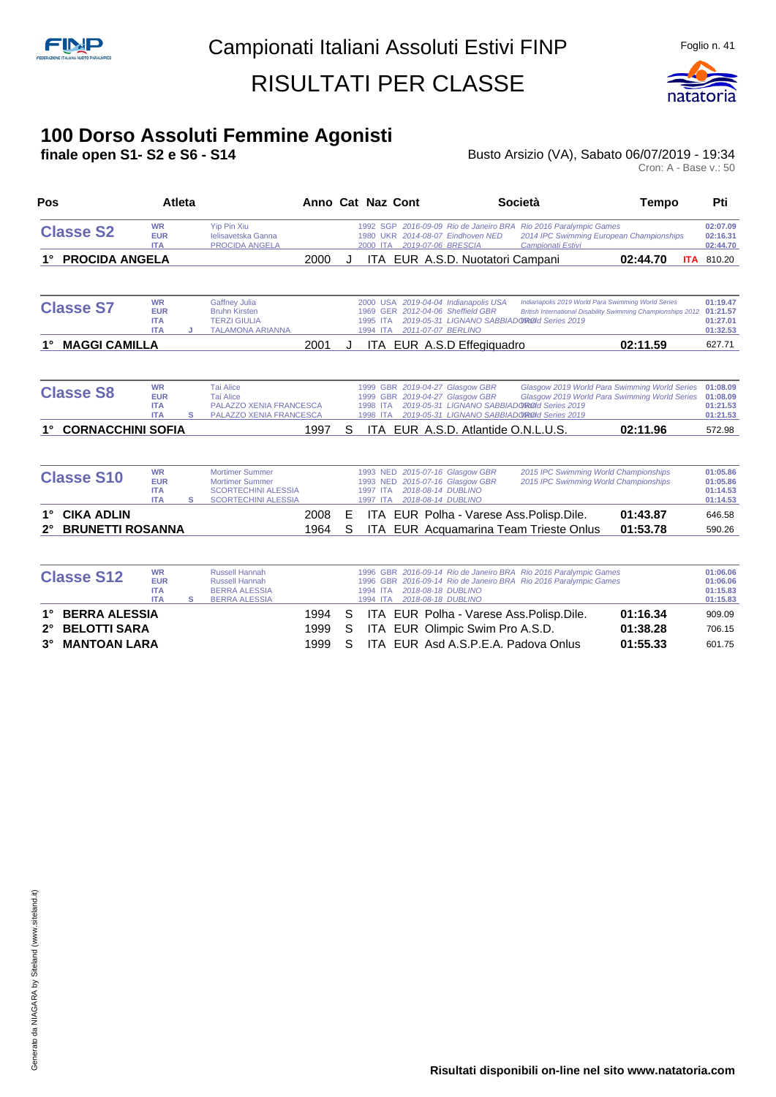

# **100 Dorso Assoluti Femmine Agonisti**

**finale open S1- S2 e S6 - S14** Busto Arsizio (VA), Sabato 06/07/2019 - 19:34

Cron: A - Base v.: 50

| Pos                                                |                                                     | Atleta |                                                                                                              | Anno Cat Naz Cont |        |                      |  |                                                                                                                | <b>Società</b>                                                                                                                       | Tempo                                                                                          | Pti                                          |
|----------------------------------------------------|-----------------------------------------------------|--------|--------------------------------------------------------------------------------------------------------------|-------------------|--------|----------------------|--|----------------------------------------------------------------------------------------------------------------|--------------------------------------------------------------------------------------------------------------------------------------|------------------------------------------------------------------------------------------------|----------------------------------------------|
| <b>Classe S2</b>                                   | <b>WR</b><br><b>EUR</b><br><b>ITA</b>               |        | <b>Yip Pin Xiu</b><br>Ielisavetska Ganna<br>PROCIDA ANGELA                                                   |                   |        |                      |  | 1980 UKR 2014-08-07 Eindhoven NED<br>2000 ITA 2019-07-06 BRESCIA                                               | 1992 SGP 2016-09-09 Rio de Janeiro BRA Rio 2016 Paralympic Games<br>Campionati Estivi                                                | 2014 IPC Swimming European Championships                                                       | 02:07.09<br>02:16.31<br>02:44.70             |
| <b>PROCIDA ANGELA</b>                              |                                                     |        |                                                                                                              | 2000              | J      |                      |  | ITA EUR A.S.D. Nuotatori Campani                                                                               |                                                                                                                                      | 02:44.70                                                                                       | <b>ITA</b> 810.20                            |
| <b>Classe S7</b>                                   | <b>WR</b><br><b>EUR</b><br><b>ITA</b><br><b>ITA</b> | J      | <b>Gaffney Julia</b><br><b>Bruhn Kirsten</b><br><b>TERZI GIULIA</b><br><b>TALAMONA ARIANNA</b>               |                   |        | 1995 ITA<br>1994 ITA |  | 2000 USA 2019-04-04 Indianapolis USA<br>1969 GER 2012-04-06 Sheffield GBR<br>2011-07-07 BERLINO                | Indianapolis 2019 World Para Swimming World Series<br>2019-05-31 LIGNANO SABBIADOROId Series 2019                                    | <b>British International Disability Swimming Championships 2012</b>                            | 01:19.47<br>01:21.57<br>01:27.01<br>01:32.53 |
| <b>MAGGI CAMILLA</b>                               |                                                     |        |                                                                                                              | 2001              | J      |                      |  | ITA EUR A.S.D Effegiquadro                                                                                     |                                                                                                                                      | 02:11.59                                                                                       | 627.71                                       |
| <b>Classe S8</b>                                   | <b>WR</b><br><b>EUR</b><br><b>ITA</b><br><b>ITA</b> | s      | <b>Tai Alice</b><br><b>Tai Alice</b><br><b>PALAZZO XENIA FRANCESCA</b><br>PALAZZO XENIA FRANCESCA            |                   |        | 1998 ITA<br>1998 ITA |  | 1999 GBR 2019-04-27 Glasgow GBR<br>1999 GBR 2019-04-27 Glasgow GBR                                             | 2019-05-31 LIGNANO SABBIADOROId Series 2019<br>2019-05-31 LIGNANO SABBIADOROOI Series 2019                                           | Glasgow 2019 World Para Swimming World Series<br>Glasgow 2019 World Para Swimming World Series | 01:08.09<br>01:08.09<br>01:21.53<br>01:21.53 |
| <b>CORNACCHINI SOFIA</b>                           |                                                     |        |                                                                                                              | 1997              | S      |                      |  | ITA EUR A.S.D. Atlantide O.N.L.U.S.                                                                            |                                                                                                                                      | 02:11.96                                                                                       | 572.98                                       |
| <b>Classe S10</b>                                  | <b>WR</b><br><b>EUR</b><br><b>ITA</b><br><b>ITA</b> | s      | <b>Mortimer Summer</b><br><b>Mortimer Summer</b><br><b>SCORTECHINI ALESSIA</b><br><b>SCORTECHINI ALESSIA</b> |                   |        | 1997 ITA<br>1997 ITA |  | 1993 NED 2015-07-16 Glasgow GBR<br>1993 NED 2015-07-16 Glasgow GBR<br>2018-08-14 DUBLINO<br>2018-08-14 DUBLINO | 2015 IPC Swimming World Championships<br>2015 IPC Swimming World Championships                                                       |                                                                                                | 01:05.86<br>01:05.86<br>01:14.53<br>01:14.53 |
| <b>CIKA ADLIN</b><br>1°<br><b>BRUNETTI ROSANNA</b> |                                                     |        |                                                                                                              | 2008<br>1964      | Е<br>S | <b>ITA</b>           |  |                                                                                                                | ITA EUR Polha - Varese Ass. Polisp. Dile.<br>EUR Acquamarina Team Trieste Onlus                                                      | 01:43.87<br>01:53.78                                                                           | 646.58<br>590.26                             |
| <b>Classe S12</b>                                  | <b>WR</b><br><b>EUR</b><br><b>ITA</b><br><b>ITA</b> | s      | <b>Russell Hannah</b><br><b>Russell Hannah</b><br><b>BERRA ALESSIA</b><br><b>BERRA ALESSIA</b>               |                   |        | 1994 ITA<br>1994 ITA |  | 2018-08-18 DUBLINO<br>2018-08-18 DUBLINO                                                                       | 1996 GBR 2016-09-14 Rio de Janeiro BRA Rio 2016 Paralympic Games<br>1996 GBR 2016-09-14 Rio de Janeiro BRA Rio 2016 Paralympic Games |                                                                                                | 01:06.06<br>01:06.06<br>01:15.83<br>01:15.83 |
| <b>BERRA ALESSIA</b>                               |                                                     |        |                                                                                                              | 1994              | S      | <b>ITA</b>           |  |                                                                                                                | EUR Polha - Varese Ass. Polisp. Dile.                                                                                                | 01:16.34                                                                                       | 909.09                                       |

**2° BELOTTI SARA** 1999 S ITA EUR Olimpic Swim Pro A.S.D. **01:38.28** 706.15 **3° MANTOAN LARA** 1999 S ITA EUR Asd A.S.P.E.A. Padova Onlus **01:55.33** 601.75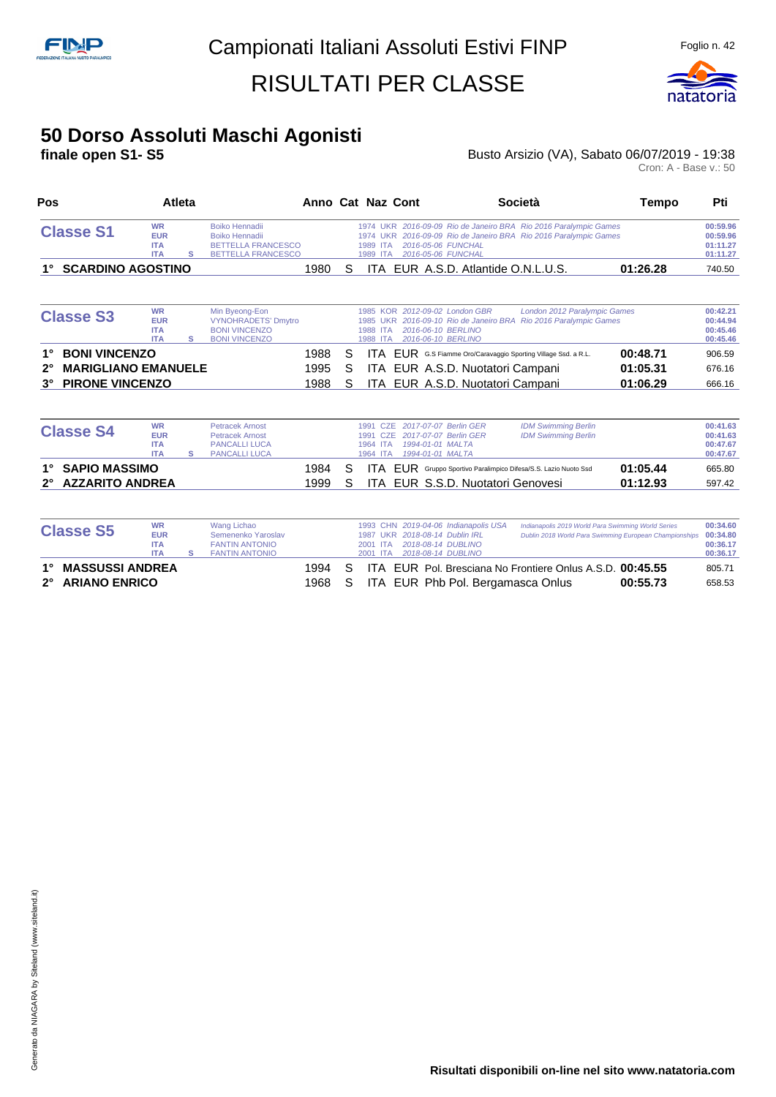

#### **50 Dorso Assoluti Maschi Agonisti**

#### **finale open S1- S5 Busto Arsizio (VA), Sabato 06/07/2019 - 19:38** Busto Arsizio (VA), Sabato 06/07/2019 - 19:38<br>Cron: A - Base v.: 50

| Pos                                       |                                                     | <b>Atleta</b> |                                                                                                   |      |   | Anno Cat Naz Cont                                                                                                               | Società                                                                                                                     | <b>Tempo</b> | Pti                                          |
|-------------------------------------------|-----------------------------------------------------|---------------|---------------------------------------------------------------------------------------------------|------|---|---------------------------------------------------------------------------------------------------------------------------------|-----------------------------------------------------------------------------------------------------------------------------|--------------|----------------------------------------------|
| <b>Classe S1</b>                          | <b>WR</b><br><b>EUR</b><br><b>ITA</b><br><b>ITA</b> | s             | <b>Boiko Hennadii</b><br>Boiko Hennadii<br><b>BETTELLA FRANCESCO</b><br><b>BETTELLA FRANCESCO</b> |      |   | 1974 UKR<br>2016-05-06 FUNCHAL<br>1989 ITA<br>2016-05-06 FUNCHAL<br>1989 ITA                                                    | 1974 UKR 2016-09-09 Rio de Janeiro BRA Rio 2016 Paralympic Games<br>2016-09-09 Rio de Janeiro BRA Rio 2016 Paralympic Games |              | 00:59.96<br>00:59.96<br>01:11.27<br>01:11.27 |
| <b>SCARDINO AGOSTINO</b>                  |                                                     |               |                                                                                                   | 1980 | S |                                                                                                                                 | ITA EUR A.S.D. Atlantide O.N.L.U.S.                                                                                         | 01:26.28     | 740.50                                       |
| <b>Classe S3</b>                          | <b>WR</b><br><b>EUR</b><br><b>ITA</b><br><b>ITA</b> | s             | Min Byeong-Eon<br><b>VYNOHRADETS' Dmytro</b><br><b>BONI VINCENZO</b><br><b>BONI VINCENZO</b>      |      |   | 2012-09-02 London GBR<br>KOR<br>1985<br><b>LIKR</b><br>1985<br>2016-06-10 BERLINO<br>1988 ITA<br>2016-06-10 BERLINO<br>1988 ITA | London 2012 Paralympic Games<br>Rio 2016 Paralympic Games<br>2016-09-10 Rio de Janeiro BRA                                  |              | 00:42.21<br>00:44.94<br>00:45.46<br>00:45.46 |
| <b>BONI VINCENZO</b>                      |                                                     |               |                                                                                                   | 1988 | S |                                                                                                                                 | <b>ITA EUR</b> G.S Fiamme Oro/Caravaggio Sporting Village Ssd. a R.L.                                                       | 00:48.71     | 906.59                                       |
| <b>MARIGLIANO EMANUELE</b><br>$2^{\circ}$ |                                                     |               |                                                                                                   | 1995 | S |                                                                                                                                 | ITA EUR A.S.D. Nuotatori Campani                                                                                            | 01:05.31     | 676.16                                       |
| <b>PIRONE VINCENZO</b><br>$3^\circ$       |                                                     |               |                                                                                                   | 1988 | S |                                                                                                                                 | ITA EUR A.S.D. Nuotatori Campani                                                                                            | 01:06.29     | 666.16                                       |
| <b>Classe S4</b>                          | <b>WR</b><br><b>EUR</b>                             |               | <b>Petracek Arnost</b><br><b>Petracek Arnost</b>                                                  |      |   | 2017-07-07 Berlin GER<br>1991<br>CZE<br>2017-07-07 Berlin GER<br><b>CZE</b><br>1991                                             | <b>IDM Swimming Berlin</b><br><b>IDM Swimming Berlin</b>                                                                    |              | 00:41.63<br>00:41.63                         |

|                  | 2° AZZARITO ANDREA |                      | 1999 | S. | ITA EUR S.S.D. Nuotatori Genovesi<br>01:12.93                                 | 597.42   |
|------------------|--------------------|----------------------|------|----|-------------------------------------------------------------------------------|----------|
| 1° SAPIO MASSIMO |                    |                      | 1984 |    | 01:05.44<br>S ITA EUR Gruppo Sportivo Paralimpico Difesa/S.S. Lazio Nuoto Ssd | 665.80   |
|                  | ITA                | PANCALLI LUCA        |      |    |                                                                               | 00:47.67 |
|                  | <b>ITA</b>         | <b>PANCALLI LUCA</b> |      |    | 1964 ITA  1994-01-01 MALTA                                                    | 00:47.67 |
| דט סכפוסוט       | <b>EUR</b>         | Petracek Arnost      |      |    | 1991 CZE 2017-07-07 Berlin GER<br>IDM Swimming Berlin                         | 00:41.63 |

| <b>Classe S5</b>                       | <b>WR</b><br><b>EUR</b><br><b>ITA</b><br><b>ITA</b> | Wang Lichao<br>Semenenko Yaroslav<br><b>FANTIN ANTONIO</b><br><b>FANTIN ANTONIO</b> |              |          | 2001 ITA<br>2001 ITA |  | 1993 CHN 2019-04-06 Indianapolis USA<br>1987 UKR 2018-08-14 Dublin IRL<br>2018-08-14 DUBLINO<br>2018-08-14 DUBLINO | Indianapolis 2019 World Para Swimming World Series<br>Dublin 2018 World Para Swimming European Championships 00:34.80 |          | 00:34.60<br>00:36.17<br>00:36.17 |
|----------------------------------------|-----------------------------------------------------|-------------------------------------------------------------------------------------|--------------|----------|----------------------|--|--------------------------------------------------------------------------------------------------------------------|-----------------------------------------------------------------------------------------------------------------------|----------|----------------------------------|
| 1° MASSUSSI ANDREA<br>2° ARIANO ENRICO |                                                     |                                                                                     | 1994<br>1968 | S.<br>S. |                      |  |                                                                                                                    | ITA EUR Pol. Bresciana No Frontiere Onlus A.S.D. 00:45.55<br>ITA EUR Phb Pol. Bergamasca Onlus                        | 00:55.73 | 805.71<br>658.53                 |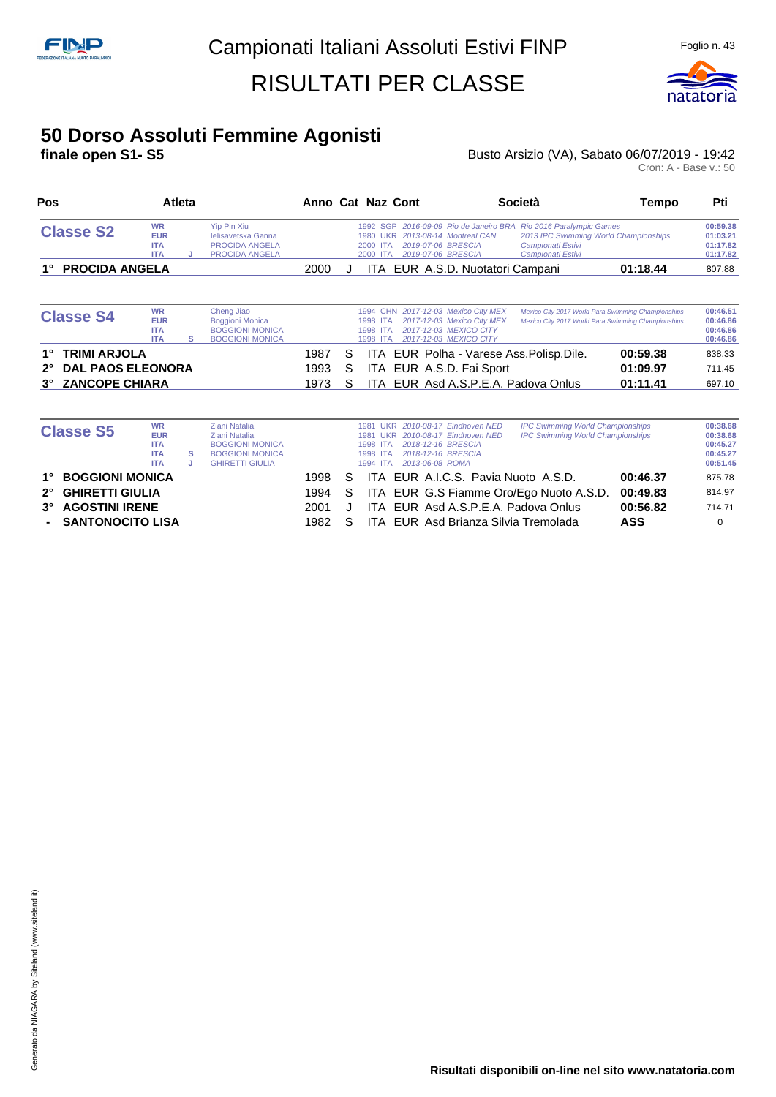

#### **50 Dorso Assoluti Femmine Agonisti**

**finale open S1- S5 Busto Arsizio (VA), Sabato 06/07/2019 - 19:42** Busto Arsizio (VA), Sabato 06/07/2019 - 19:42<br>Cron: A - Base v.: 50

| Pos                                                                                                  |                                                     | Atleta |                                                                                            |                      |             | Anno Cat Naz Cont                                                                                                                                 |                                                          | Società                                                                                                      | Tempo                            | Pti                                          |
|------------------------------------------------------------------------------------------------------|-----------------------------------------------------|--------|--------------------------------------------------------------------------------------------|----------------------|-------------|---------------------------------------------------------------------------------------------------------------------------------------------------|----------------------------------------------------------|--------------------------------------------------------------------------------------------------------------|----------------------------------|----------------------------------------------|
| <b>Classe S2</b>                                                                                     | <b>WR</b><br><b>EUR</b><br><b>ITA</b><br><b>ITA</b> | J      | <b>Yip Pin Xiu</b><br>lelisavetska Ganna<br><b>PROCIDA ANGELA</b><br><b>PROCIDA ANGELA</b> |                      |             | 1992 SGP 2016-09-09 Rio de Janeiro BRA<br>2013-08-14 Montreal CAN<br>1980 UKR<br>2019-07-06 BRESCIA<br>2000 ITA<br>2019-07-06 BRESCIA<br>2000 ITA |                                                          | Rio 2016 Paralympic Games<br>2013 IPC Swimming World Championships<br>Campionati Estivi<br>Campionati Estivi |                                  | 00:59.38<br>01:03.21<br>01:17.82<br>01:17.82 |
| <b>PROCIDA ANGELA</b>                                                                                |                                                     |        |                                                                                            | 2000                 | ٠.          | ITA EUR A.S.D. Nuotatori Campani                                                                                                                  |                                                          |                                                                                                              | 01:18.44                         | 807.88                                       |
| <b>Classe S4</b>                                                                                     | <b>WR</b><br><b>EUR</b><br><b>ITA</b><br><b>ITA</b> | s      | Cheng Jiao<br>Boggioni Monica<br><b>BOGGIONI MONICA</b><br><b>BOGGIONI MONICA</b>          |                      |             | 1994 CHN<br>1998 ITA<br>2017-12-03 MEXICO CITY<br>1998 ITA<br>2017-12-03 MEXICO CITY<br>1998<br><b>ITA</b>                                        | 2017-12-03 Mexico City MEX<br>2017-12-03 Mexico City MEX | Mexico City 2017 World Para Swimming Championships<br>Mexico City 2017 World Para Swimming Championships     |                                  | 00:46.51<br>00:46.86<br>00:46.86<br>00:46.86 |
| <b>TRIMI ARJOLA</b><br><b>DAL PAOS ELEONORA</b><br>$2^{\circ}$<br><b>ZANCOPE CHIARA</b><br>$3^\circ$ |                                                     |        |                                                                                            | 1987<br>1993<br>1973 | S<br>S<br>S | ITA EUR Polha - Varese Ass. Polisp. Dile.<br>ITA EUR A.S.D. Fai Sport<br>ITA EUR Asd A.S.P.E.A. Padova Onlus                                      |                                                          |                                                                                                              | 00:59.38<br>01:09.97<br>01:11.41 | 838.33<br>711.45<br>697.10                   |

| <b>Classe S5</b>   | <b>WR</b><br><b>EUR</b><br><b>ITA</b><br><b>ITA</b><br><b>ITA</b> | s | Ziani Natalia<br>Ziani Natalia<br><b>BOGGIONI MONICA</b><br><b>BOGGIONI MONICA</b><br><b>GHIRETTI GIULIA</b> |      |    | 1998 ITA<br>1998 ITA<br>1994 ITA | 1981 UKR 2010-08-17 Eindhoven NED<br>1981 UKR 2010-08-17 Eindhoven NED<br>2018-12-16 BRESCIA<br>2018-12-16 BRESCIA<br>2013-06-08 ROMA | <b>IPC Swimming World Championships</b><br><b>IPC Swimming World Championships</b> |            | 00:38.68<br>00:38.68<br>00:45.27<br>00:45.27<br>00:51.45 |
|--------------------|-------------------------------------------------------------------|---|--------------------------------------------------------------------------------------------------------------|------|----|----------------------------------|---------------------------------------------------------------------------------------------------------------------------------------|------------------------------------------------------------------------------------|------------|----------------------------------------------------------|
| 1° BOGGIONI MONICA |                                                                   |   |                                                                                                              | 1998 | S. |                                  | ITA EUR A.I.C.S. Pavia Nuoto A.S.D.                                                                                                   |                                                                                    | 00:46.37   | 875.78                                                   |
| 2° GHIRETTI GIULIA |                                                                   |   |                                                                                                              | 1994 | S. |                                  |                                                                                                                                       | ITA EUR G.S Fiamme Oro/Ego Nuoto A.S.D.                                            | 00:49.83   | 814.97                                                   |
| 3° AGOSTINI IRENE  |                                                                   |   |                                                                                                              | 2001 |    |                                  | ITA EUR Asd A.S.P.E.A. Padova Onlus                                                                                                   |                                                                                    | 00:56.82   | 714.71                                                   |
| - SANTONOCITO LISA |                                                                   |   |                                                                                                              | 1982 |    |                                  | ITA EUR Asd Brianza Silvia Tremolada                                                                                                  |                                                                                    | <b>ASS</b> |                                                          |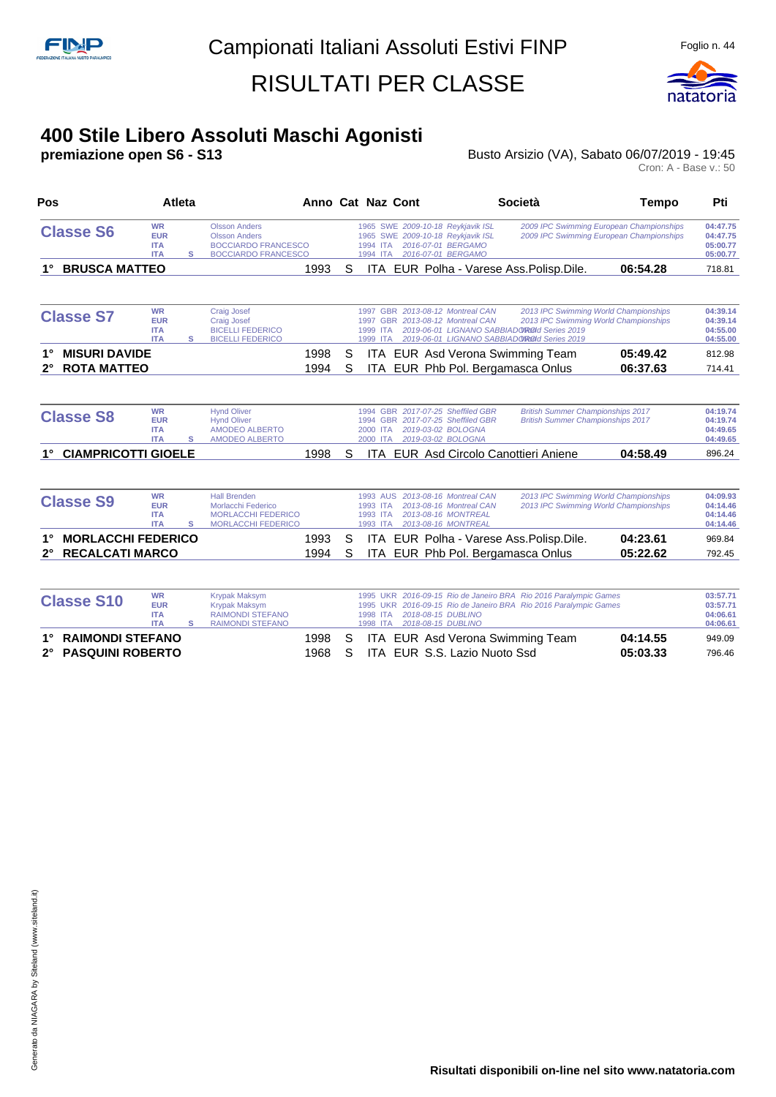

# **400 Stile Libero Assoluti Maschi Agonisti**

Busto Arsizio (VA), Sabato 06/07/2019 - 19:45

| Pos                                                                | Atleta                                              |   |                                                                                                          | Anno Cat Naz Cont |        |                                                     |                                          |                                                                                                                    | <b>Società</b>                                                                                                                                                               | Tempo                | Pti                                          |
|--------------------------------------------------------------------|-----------------------------------------------------|---|----------------------------------------------------------------------------------------------------------|-------------------|--------|-----------------------------------------------------|------------------------------------------|--------------------------------------------------------------------------------------------------------------------|------------------------------------------------------------------------------------------------------------------------------------------------------------------------------|----------------------|----------------------------------------------|
| <b>Classe S6</b>                                                   | <b>WR</b><br><b>EUR</b><br><b>ITA</b><br><b>ITA</b> | s | <b>Olsson Anders</b><br><b>Olsson Anders</b><br><b>BOCCIARDO FRANCESCO</b><br><b>BOCCIARDO FRANCESCO</b> |                   |        | 1994 ITA<br>1994 ITA                                |                                          | 1965 SWE 2009-10-18 Reykjavik ISL<br>1965 SWE 2009-10-18 Reykjavik ISL<br>2016-07-01 BERGAMO<br>2016-07-01 BERGAMO | 2009 IPC Swimming European Championships<br>2009 IPC Swimming European Championships                                                                                         |                      | 04:47.75<br>04:47.75<br>05:00.77<br>05:00.77 |
| <b>BRUSCA MATTEO</b>                                               |                                                     |   |                                                                                                          | 1993              | S      |                                                     |                                          |                                                                                                                    | ITA EUR Polha - Varese Ass.Polisp.Dile.                                                                                                                                      | 06:54.28             | 718.81                                       |
| <b>Classe S7</b>                                                   | <b>WR</b><br><b>EUR</b><br><b>ITA</b><br><b>ITA</b> | s | <b>Craig Josef</b><br><b>Craig Josef</b><br><b>BICELLI FEDERICO</b><br><b>BICELLI FEDERICO</b>           |                   |        | 1999 ITA<br>1999 ITA                                |                                          | 1997 GBR 2013-08-12 Montreal CAN<br>1997 GBR 2013-08-12 Montreal CAN                                               | 2013 IPC Swimming World Championships<br>2013 IPC Swimming World Championships<br>2019-06-01 LIGNANO SABBIADOROId Series 2019<br>2019-06-01 LIGNANO SABBIADOROId Series 2019 |                      | 04:39.14<br>04:39.14<br>04:55.00<br>04:55.00 |
| <b>MISURI DAVIDE</b><br><b>ROTA MATTEO</b><br>$2^{\circ}$          |                                                     |   |                                                                                                          | 1998<br>1994      | S<br>S |                                                     |                                          |                                                                                                                    | ITA EUR Asd Verona Swimming Team<br>ITA EUR Phb Pol. Bergamasca Onlus                                                                                                        | 05:49.42<br>06:37.63 | 812.98<br>714.41                             |
| <b>Classe S8</b>                                                   | <b>WR</b><br><b>EUR</b><br><b>ITA</b><br><b>ITA</b> | s | <b>Hynd Oliver</b><br><b>Hynd Oliver</b><br><b>AMODEO ALBERTO</b><br><b>AMODEO ALBERTO</b>               |                   |        | 2000 ITA<br>2000 ITA                                | 2019-03-02 BOLOGNA<br>2019-03-02 BOLOGNA | 1994 GBR 2017-07-25 Sheffiled GBR<br>1994 GBR 2017-07-25 Sheffiled GBR                                             | <b>British Summer Championships 2017</b><br><b>British Summer Championships 2017</b>                                                                                         |                      | 04:19.74<br>04:19.74<br>04:49.65<br>04:49.65 |
| <b>CIAMPRICOTTI GIOELE</b>                                         |                                                     |   |                                                                                                          | 1998              | S      |                                                     |                                          |                                                                                                                    | <b>ITA EUR Asd Circolo Canottieri Aniene</b>                                                                                                                                 | 04:58.49             | 896.24                                       |
| <b>Classe S9</b>                                                   | <b>WR</b><br><b>EUR</b><br><b>ITA</b><br><b>ITA</b> | s | <b>Hall Brenden</b><br>Morlacchi Federico<br><b>MORLACCHI FEDERICO</b><br><b>MORLACCHI FEDERICO</b>      |                   |        | <b>1993 AUS</b><br>1993 ITA<br>1993 ITA<br>1993 ITA |                                          | 2013-08-16 Montreal CAN<br>2013-08-16 Montreal CAN<br>2013-08-16 MONTREAL<br>2013-08-16 MONTREAL                   | 2013 IPC Swimming World Championships<br>2013 IPC Swimming World Championships                                                                                               |                      | 04:09.93<br>04:14.46<br>04:14.46<br>04:14.46 |
| <b>MORLACCHI FEDERICO</b><br><b>RECALCATI MARCO</b><br>$2^{\circ}$ |                                                     |   |                                                                                                          | 1993<br>1994      | S<br>S |                                                     |                                          |                                                                                                                    | ITA EUR Polha - Varese Ass. Polisp. Dile.<br>ITA EUR Phb Pol. Bergamasca Onlus                                                                                               | 04:23.61<br>05:22.62 | 969.84<br>792.45                             |
| <b>Classe S10</b>                                                  | <b>WR</b><br><b>EUR</b><br><b>ITA</b><br><b>ITA</b> | s | <b>Krypak Maksym</b><br><b>Krypak Maksym</b><br><b>RAIMONDI STEFANO</b><br><b>RAIMONDI STEFANO</b>       |                   |        | 1998 ITA<br>1998 ITA                                | 2018-08-15 DUBLINO<br>2018-08-15 DUBLINO |                                                                                                                    | 1995 UKR 2016-09-15 Rio de Janeiro BRA Rio 2016 Paralympic Games<br>1995 UKR 2016-09-15 Rio de Janeiro BRA Rio 2016 Paralympic Games                                         |                      | 03:57.71<br>03:57.71<br>04:06.61<br>04:06.61 |
| <b>RAIMONDI STEFANO</b>                                            |                                                     |   |                                                                                                          | 1998              | S      | ITA.                                                |                                          |                                                                                                                    | EUR Asd Verona Swimming Team                                                                                                                                                 | 04:14.55             | 949.09                                       |

- 
- **2° PASQUINI ROBERTO** 1968 S ITA EUR S.S. Lazio Nuoto Ssd **05:03.33** 796.46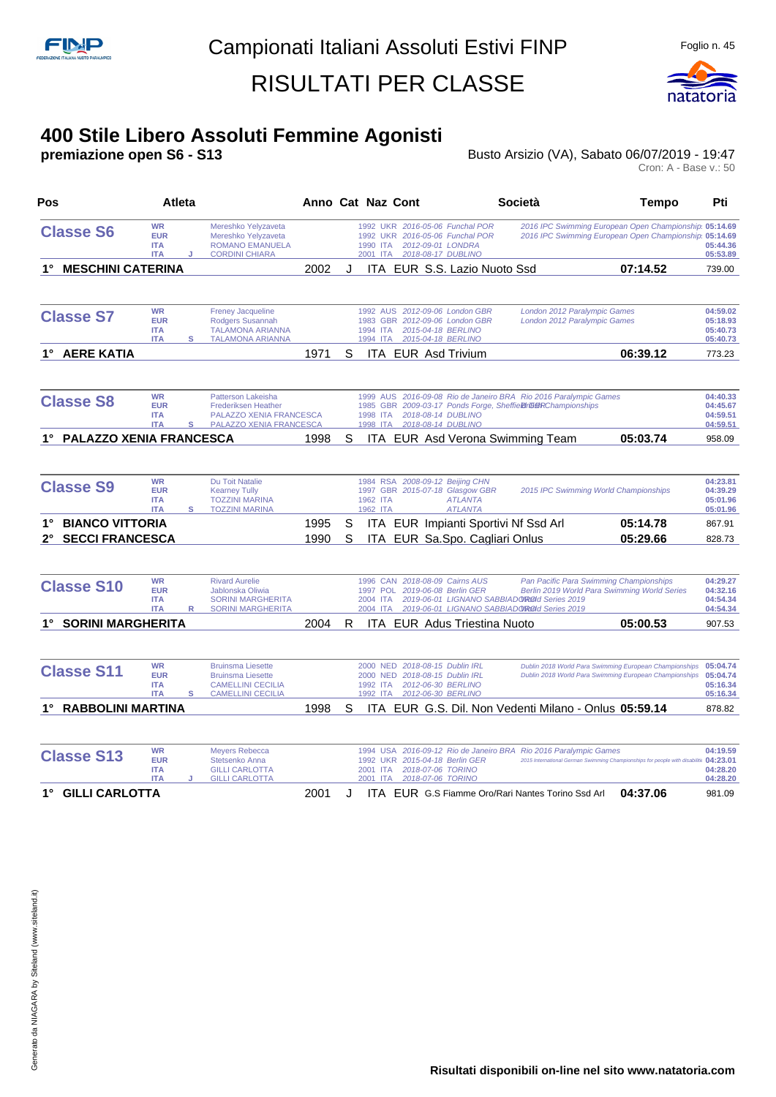

# **400 Stile Libero Assoluti Femmine Agonisti**

Busto Arsizio (VA), Sabato 06/07/2019 - 19:47

Cron: A - Base v.: 50

| Pos                                                    | Atleta                                              |   |                                                                                                              | Anno Cat Naz Cont |        |                                         |  |                                                                                                              | Società                                                                                                                       | <b>Tempo</b>                                                                                                     | Pti                                          |
|--------------------------------------------------------|-----------------------------------------------------|---|--------------------------------------------------------------------------------------------------------------|-------------------|--------|-----------------------------------------|--|--------------------------------------------------------------------------------------------------------------|-------------------------------------------------------------------------------------------------------------------------------|------------------------------------------------------------------------------------------------------------------|----------------------------------------------|
| <b>Classe S6</b>                                       | <b>WR</b><br><b>EUR</b><br><b>ITA</b><br><b>ITA</b> | J | Mereshko Yelyzaveta<br>Mereshko Yelyzaveta<br><b>ROMANO EMANUELA</b><br><b>CORDINI CHIARA</b>                |                   |        | <b>1992 UKR</b><br>1990 ITA<br>2001 ITA |  | 1992 UKR 2016-05-06 Funchal POR<br>2016-05-06 Funchal POR<br>2012-09-01 LONDRA<br>2018-08-17 DUBLINO         |                                                                                                                               | 2016 IPC Swimming European Open Championship 05:14.69<br>2016 IPC Swimming European Open Championship 05:14.69   | 05:44.36<br>05:53.89                         |
| <b>MESCHINI CATERINA</b>                               |                                                     |   |                                                                                                              | 2002              | J      |                                         |  | ITA EUR S.S. Lazio Nuoto Ssd                                                                                 |                                                                                                                               | 07:14.52                                                                                                         | 739.00                                       |
| <b>Classe S7</b>                                       | <b>WR</b><br><b>EUR</b><br><b>ITA</b><br><b>ITA</b> | s | <b>Freney Jacqueline</b><br>Rodgers Susannah<br><b>TALAMONA ARIANNA</b><br><b>TALAMONA ARIANNA</b>           |                   |        | 1994 ITA<br>1994 ITA                    |  | 1992 AUS 2012-09-06 London GBR<br>1983 GBR 2012-09-06 London GBR<br>2015-04-18 BERLINO<br>2015-04-18 BERLINO | London 2012 Paralympic Games<br>London 2012 Paralympic Games                                                                  |                                                                                                                  | 04:59.02<br>05:18.93<br>05:40.73<br>05:40.73 |
| 1° AERE KATIA                                          |                                                     |   |                                                                                                              | 1971              | S      |                                         |  | ITA EUR Asd Trivium                                                                                          |                                                                                                                               | 06:39.12                                                                                                         | 773.23                                       |
| <b>Classe S8</b>                                       | <b>WR</b><br><b>EUR</b><br><b>ITA</b><br><b>ITA</b> | s | Patterson Lakeisha<br><b>Frederiksen Heather</b><br>PALAZZO XENIA FRANCESCA<br>PALAZZO XENIA FRANCESCA       |                   |        | 1998 ITA<br>1998 ITA                    |  | 2018-08-14 DUBLINO<br>2018-08-14 DUBLINO                                                                     | 1999 AUS 2016-09-08 Rio de Janeiro BRA Rio 2016 Paralympic Games<br>1985 GBR 2009-03-17 Ponds Forge, Sheffie Br G ampionships |                                                                                                                  | 04:40.33<br>04:45.67<br>04:59.51<br>04:59.51 |
| <b>PALAZZO XENIA FRANCESCA</b><br>1°                   |                                                     |   |                                                                                                              | 1998              | S      |                                         |  |                                                                                                              | ITA EUR Asd Verona Swimming Team                                                                                              | 05:03.74                                                                                                         | 958.09                                       |
| <b>Classe S9</b>                                       | <b>WR</b><br><b>EUR</b><br><b>ITA</b><br><b>ITA</b> | s | <b>Du Toit Natalie</b><br><b>Kearney Tully</b><br><b>TOZZINI MARINA</b><br><b>TOZZINI MARINA</b>             |                   |        | 1962 ITA<br>1962 ITA                    |  | 1984 RSA 2008-09-12 Beijing CHN<br>1997 GBR 2015-07-18 Glasgow GBR<br><b>ATLANTA</b><br><b>ATLANTA</b>       |                                                                                                                               | 2015 IPC Swimming World Championships                                                                            | 04:23.81<br>04:39.29<br>05:01.96<br>05:01.96 |
| <b>BIANCO VITTORIA</b><br><b>SECCI FRANCESCA</b><br>2° |                                                     |   |                                                                                                              | 1995<br>1990      | S<br>S |                                         |  | ITA EUR Impianti Sportivi Nf Ssd Arl<br>ITA EUR Sa.Spo. Cagliari Onlus                                       |                                                                                                                               | 05:14.78<br>05:29.66                                                                                             | 867.91<br>828.73                             |
| <b>Classe S10</b>                                      | <b>WR</b><br><b>EUR</b><br><b>ITA</b><br><b>ITA</b> | R | <b>Rivard Aurelie</b><br>Jablonska Oliwia<br><b>SORINI MARGHERITA</b><br><b>SORINI MARGHERITA</b>            |                   |        | 2004 ITA<br>2004 ITA                    |  | 1996 CAN 2018-08-09 Cairns AUS<br>1997 POL 2019-06-08 Berlin GER                                             | 2019-06-01 LIGNANO SABBIADOROOI Series 2019<br>2019-06-01 LIGNANO SABBIADOROId Series 2019                                    | Pan Pacific Para Swimming Championships<br>Berlin 2019 World Para Swimming World Series                          | 04:29.27<br>04:32.16<br>04:54.34<br>04:54.34 |
| 1° SORINI MARGHERITA                                   |                                                     |   |                                                                                                              | 2004              | R      |                                         |  | <b>ITA EUR Adus Triestina Nuoto</b>                                                                          |                                                                                                                               | 05:00.53                                                                                                         | 907.53                                       |
| <b>Classe S11</b>                                      | <b>WR</b><br><b>EUR</b><br><b>ITA</b><br><b>ITA</b> | s | <b>Bruinsma Liesette</b><br><b>Bruinsma Liesette</b><br><b>CAMELLINI CECILIA</b><br><b>CAMELLINI CECILIA</b> |                   |        | 1992 ITA<br>1992 ITA                    |  | 2000 NED 2018-08-15 Dublin IRL<br>2000 NED 2018-08-15 Dublin IRL<br>2012-06-30 BERLINO<br>2012-06-30 BERLINO |                                                                                                                               | Dublin 2018 World Para Swimming European Championships<br>Dublin 2018 World Para Swimming European Championships | 05:04.74<br>05:04.74<br>05:16.34<br>05:16.34 |
| 1° RABBOLINI MARTINA                                   |                                                     |   |                                                                                                              | 1998              | S      |                                         |  |                                                                                                              |                                                                                                                               | ITA EUR G.S. Dil. Non Vedenti Milano - Onlus 05:59.14                                                            | 878.82                                       |
| <b>Classe S13</b>                                      | <b>WR</b><br><b>EUR</b><br><b>ITA</b><br><b>ITA</b> |   | <b>Meyers Rebecca</b><br>Stetsenko Anna<br><b>GILLI CARLOTTA</b><br><b>GILLI CARLOTTA</b>                    |                   |        | <b>1992 UKR</b><br>2001 ITA<br>2001 ITA |  | 2015-04-18 Berlin GER<br>2018-07-06 TORINO<br>2018-07-06 TORINO                                              | 1994 USA 2016-09-12 Rio de Janeiro BRA Rio 2016 Paralympic Games                                                              | 2015 International German Swimming Championships for people with disabiliti 04:23.01                             | 04:19.59<br>04:28.20<br>04:28.20             |

**1° GILLI CARLOTTA** 2001 J ITA EUR G.S Fiamme Oro/Rari Nantes Torino Ssd Arl **04:37.06** 981.09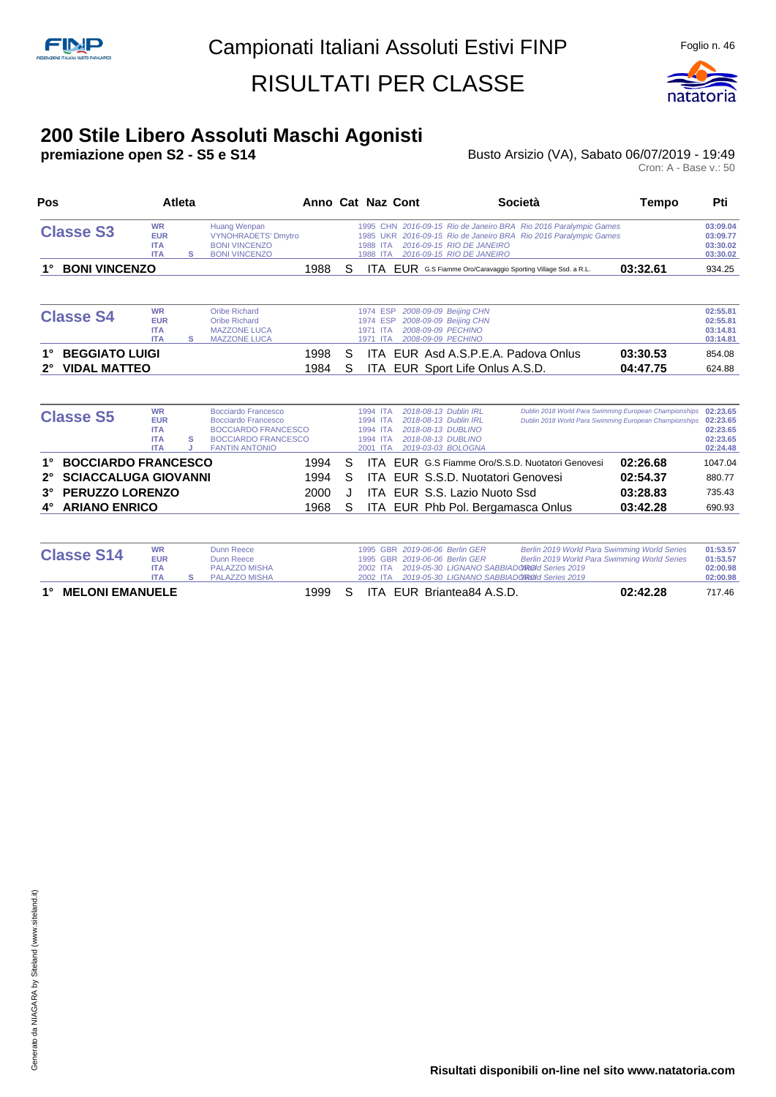

#### **200 Stile Libero Assoluti Maschi Agonisti**

**premiazione open S2 - S5 e S14** Busto Arsizio (VA), Sabato 06/07/2019 - 19:49 Busto Arsizio (VA), Sabato 06/07/2019 - 19:49<br>Cron: A - Base v.: 50

| Pos         |                             | <b>Atleta</b>                                                     |   |                                                                                                                                        | Anno Cat Naz Cont |    |                                                          |                                                                                                                  | Società                                                                                                                              | Tempo                                                                                                            | Pti                                                      |
|-------------|-----------------------------|-------------------------------------------------------------------|---|----------------------------------------------------------------------------------------------------------------------------------------|-------------------|----|----------------------------------------------------------|------------------------------------------------------------------------------------------------------------------|--------------------------------------------------------------------------------------------------------------------------------------|------------------------------------------------------------------------------------------------------------------|----------------------------------------------------------|
|             | <b>Classe S3</b>            | <b>WR</b><br><b>EUR</b><br><b>ITA</b><br><b>ITA</b>               | s | <b>Huang Wenpan</b><br><b>VYNOHRADETS' Dmytro</b><br><b>BONI VINCENZO</b><br><b>BONI VINCENZO</b>                                      |                   |    | 1988 ITA<br>1988<br><b>ITA</b>                           | 2016-09-15 RIO DE JANEIRO<br>2016-09-15 RIO DE JANEIRO                                                           | 1995 CHN 2016-09-15 Rio de Janeiro BRA Rio 2016 Paralympic Games<br>1985 UKR 2016-09-15 Rio de Janeiro BRA Rio 2016 Paralympic Games |                                                                                                                  | 03:09.04<br>03:09.77<br>03:30.02<br>03:30.02             |
|             | <b>BONI VINCENZO</b>        |                                                                   |   |                                                                                                                                        | 1988              | S  |                                                          |                                                                                                                  | <b>ITA EUR</b> G.S Fiamme Oro/Caravaggio Sporting Village Ssd. a R.L.                                                                | 03:32.61                                                                                                         | 934.25                                                   |
|             | <b>Classe S4</b>            | <b>WR</b><br><b>EUR</b><br><b>ITA</b><br><b>ITA</b>               | s | <b>Oribe Richard</b><br><b>Oribe Richard</b><br><b>MAZZONE LUCA</b><br><b>MAZZONE LUCA</b>                                             |                   |    | 1974 ESP<br>1974 ESP<br>1971 ITA<br>1971 ITA             | 2008-09-09 Beijing CHN<br>2008-09-09 Beijing CHN<br>2008-09-09 PECHINO<br>2008-09-09 PECHINO                     |                                                                                                                                      |                                                                                                                  | 02:55.81<br>02:55.81<br>03:14.81<br>03:14.81             |
|             | <b>BEGGIATO LUIGI</b>       |                                                                   |   |                                                                                                                                        | 1998              | S  | ITA.                                                     | EUR Asd A.S.P.E.A. Padova Onlus                                                                                  |                                                                                                                                      | 03:30.53                                                                                                         | 854.08                                                   |
| $2^{\circ}$ | <b>VIDAL MATTEO</b>         |                                                                   |   |                                                                                                                                        | 1984              | S  | ITA.                                                     | EUR Sport Life Onlus A.S.D.                                                                                      |                                                                                                                                      | 04:47.75                                                                                                         | 624.88                                                   |
|             | <b>Classe S5</b>            | <b>WR</b><br><b>EUR</b><br><b>ITA</b><br><b>ITA</b><br><b>ITA</b> | s | Bocciardo Francesco<br><b>Bocciardo Francesco</b><br><b>BOCCIARDO FRANCESCO</b><br><b>BOCCIARDO FRANCESCO</b><br><b>FANTIN ANTONIO</b> |                   |    | 1994 ITA<br>1994 ITA<br>1994 ITA<br>1994 ITA<br>2001 ITA | 2018-08-13 Dublin IRL<br>2018-08-13 Dublin IRL<br>2018-08-13 DUBLINO<br>2018-08-13 DUBLINO<br>2019-03-03 BOLOGNA |                                                                                                                                      | Dublin 2018 World Para Swimming European Championships<br>Dublin 2018 World Para Swimming European Championships | 02:23.65<br>02:23.65<br>02:23.65<br>02:23.65<br>02:24.48 |
|             | <b>BOCCIARDO FRANCESCO</b>  |                                                                   |   |                                                                                                                                        | 1994              | S  | ITA.                                                     |                                                                                                                  | FUR G.S Fiamme Oro/S.S.D. Nuotatori Genovesi                                                                                         | 02:26.68                                                                                                         | 1047.04                                                  |
| $2^{\circ}$ | <b>SCIACCALUGA GIOVANNI</b> |                                                                   |   |                                                                                                                                        | 1994              | S  | ITA.                                                     | EUR S.S.D. Nuotatori Genovesi                                                                                    |                                                                                                                                      | 02:54.37                                                                                                         | 880.77                                                   |
| $3^\circ$   | <b>PERUZZO LORENZO</b>      |                                                                   |   |                                                                                                                                        | 2000              | J. |                                                          | ITA EUR S.S. Lazio Nuoto Ssd                                                                                     |                                                                                                                                      | 03:28.83                                                                                                         | 735.43                                                   |
|             | <b>ARIANO ENRICO</b>        |                                                                   |   |                                                                                                                                        | 1968              | S  | ITA.                                                     | EUR Phb Pol. Bergamasca Onlus                                                                                    |                                                                                                                                      | 03:42.28                                                                                                         | 690.93                                                   |

| <b>Classe S14</b>         | <b>WR</b><br><b>EUR</b> | Dunn Reece<br>Dunn Reece |  |  | 1995 GBR 2019-06-06 Berlin GER<br>1995 GBR 2019-06-06 Berlin GER | Berlin 2019 World Para Swimming World Series<br>Berlin 2019 World Para Swimming World Series | 01:53.57<br>01:53.57 |
|---------------------------|-------------------------|--------------------------|--|--|------------------------------------------------------------------|----------------------------------------------------------------------------------------------|----------------------|
|                           | <b>ITA</b>              | PALAZZO MISHA            |  |  | 2002 ITA 2019-05-30 LIGNANO SABBIADO ROOI Series 2019            |                                                                                              | 02:00.98             |
|                           | <b>ITA</b>              | PALAZZO MISHA            |  |  | 2002 ITA 2019-05-30 LIGNANO SABBIADO ROOI Series 2019            |                                                                                              | 02:00.98             |
| <b>1° MELONI EMANUELE</b> |                         |                          |  |  | 1999 S ITA EUR Briantea84 A.S.D.                                 | 02:42.28                                                                                     | 717.46               |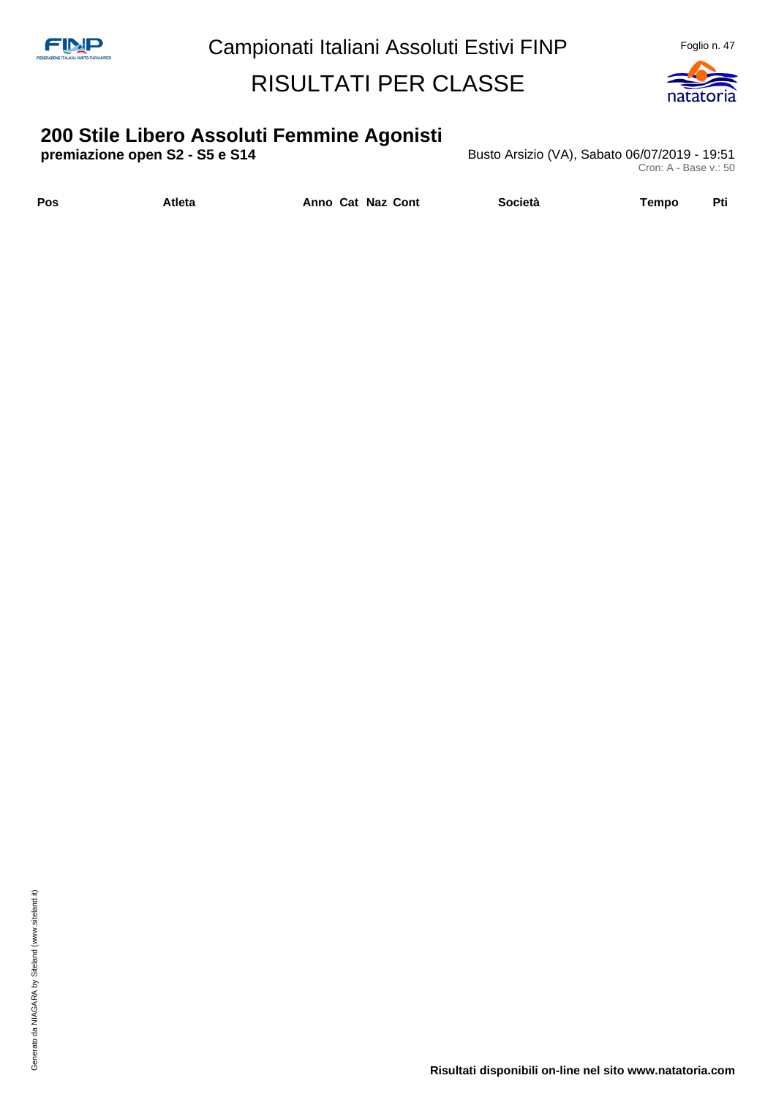

# **200 Stile Libero Assoluti Femmine Agonisti**

**Busto Arsizio (VA), Sabato 06/07/2019 - 19:51** Cron: A - Base v.: 50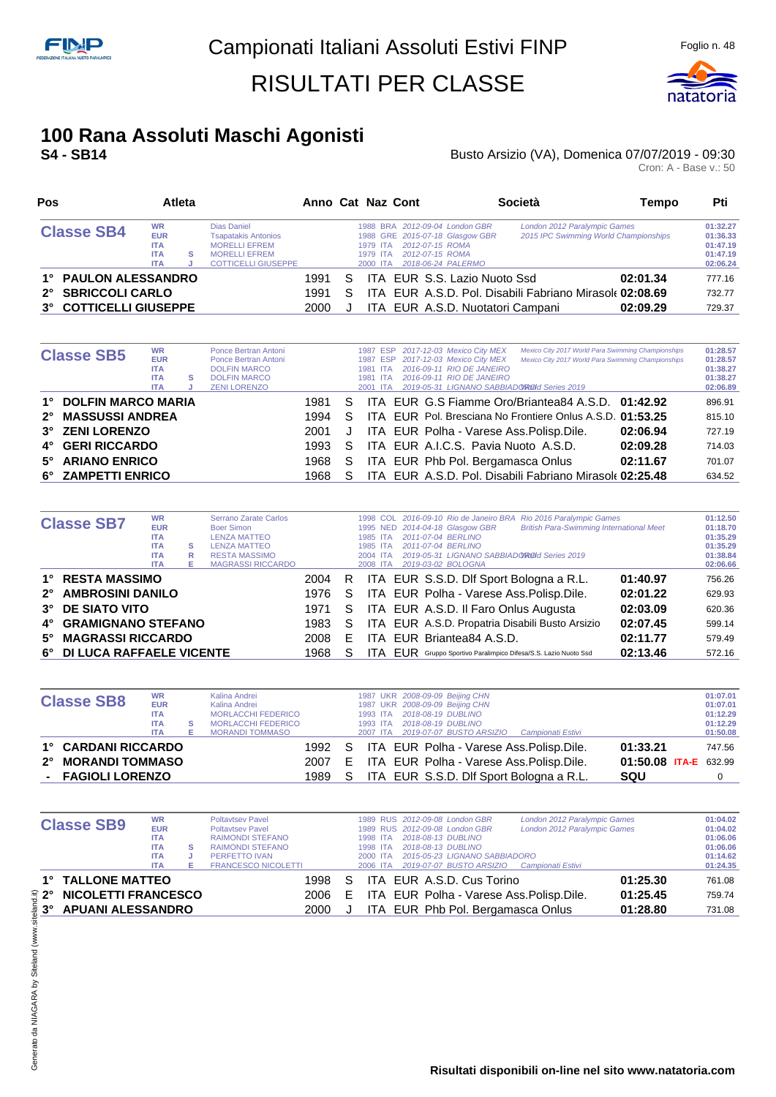

## **100 Rana Assoluti Maschi Agonisti**

#### **S4 - SB14 CONSTRESS ARRICATES ARRICATES ARRICATES BUSTO Arsizio (VA), Domenica 07/07/2019 - 09:30** Busto Arsizio (VA), Domenica 07/07/2019 - 09:30<br>Cron: A - Base v.: 50

| Pos                    |                                                                   | Atleta |                                                                                                                         | Anno Cat Naz Cont |    |                                  |                                                                                                                               | Società                                                 | Tempo                                 | Pti                                                      |
|------------------------|-------------------------------------------------------------------|--------|-------------------------------------------------------------------------------------------------------------------------|-------------------|----|----------------------------------|-------------------------------------------------------------------------------------------------------------------------------|---------------------------------------------------------|---------------------------------------|----------------------------------------------------------|
| <b>Classe SB4</b>      | <b>WR</b><br><b>EUR</b><br><b>ITA</b><br><b>ITA</b><br><b>ITA</b> | s      | Dias Daniel<br><b>Tsapatakis Antonios</b><br><b>MORELLI EFREM</b><br><b>MORELLI EFREM</b><br><b>COTTICELLI GIUSEPPE</b> |                   |    | 1979 ITA<br>1979 ITA<br>2000 ITA | 1988 BRA 2012-09-04 London GBR<br>1988 GRE 2015-07-18 Glasgow GBR<br>2012-07-15 ROMA<br>2012-07-15 ROMA<br>2018-06-24 PALERMO | London 2012 Paralympic Games                            | 2015 IPC Swimming World Championships | 01:32.27<br>01:36.33<br>01:47.19<br>01:47.19<br>02:06.24 |
| 1° PAULON ALESSANDRO   |                                                                   |        |                                                                                                                         | 1991              | S. |                                  | ITA EUR S.S. Lazio Nuoto Ssd                                                                                                  |                                                         | 02:01.34                              | 777.16                                                   |
| 2° SBRICCOLI CARLO     |                                                                   |        |                                                                                                                         | 1991              | S  |                                  |                                                                                                                               | ITA EUR A.S.D. Pol. Disabili Fabriano Mirasole 02:08.69 |                                       | 732.77                                                   |
| 3° COTTICELLI GIUSEPPE |                                                                   |        |                                                                                                                         | 2000              |    |                                  |                                                                                                                               | ITA EUR A.S.D. Nuotatori Campani                        | 02:09.29                              | 729.37                                                   |

|             | <b>Classe SB5</b>         | <b>WR</b><br><b>EUR</b><br><b>ITA</b><br><b>ITA</b><br><b>ITA</b> | s | Ponce Bertran Antoni<br>Ponce Bertran Antoni<br><b>DOLFIN MARCO</b><br><b>DOLFIN MARCO</b><br><b>ZENI LORENZO</b> |      |    | 1987 ESP<br>1981 ITA<br>1981 ITA<br>2001 ITA | 1987 ESP 2017-12-03 Mexico City MEX<br>2017-12-03 Mexico City MEX<br>2016-09-11 RIO DE JANEIRO<br>2016-09-11 RIO DE JANEIRO<br>2019-05-31 LIGNANO SABBIADOROId Series 2019 | Mexico City 2017 World Para Swimming Championships<br>Mexico City 2017 World Para Swimming Championships |          | 01:28.57<br>01:28.57<br>01:38.27<br>01:38.27<br>02:06.89 |
|-------------|---------------------------|-------------------------------------------------------------------|---|-------------------------------------------------------------------------------------------------------------------|------|----|----------------------------------------------|----------------------------------------------------------------------------------------------------------------------------------------------------------------------------|----------------------------------------------------------------------------------------------------------|----------|----------------------------------------------------------|
| $1^{\circ}$ | <b>DOLFIN MARCO MARIA</b> |                                                                   |   |                                                                                                                   | 1981 | S. |                                              |                                                                                                                                                                            | ITA EUR G.S Fiamme Oro/Briantea84 A.S.D. 01:42.92                                                        |          | 896.91                                                   |
|             | 2° MASSUSSI ANDREA        |                                                                   |   |                                                                                                                   | 1994 | S. |                                              |                                                                                                                                                                            | ITA EUR Pol. Bresciana No Frontiere Onlus A.S.D. 01:53.25                                                |          | 815.10                                                   |
|             | 3° ZENI LORENZO           |                                                                   |   |                                                                                                                   | 2001 | J  |                                              | ITA EUR Polha - Varese Ass. Polisp. Dile.                                                                                                                                  |                                                                                                          | 02:06.94 | 727.19                                                   |
|             | 4° GERI RICCARDO          |                                                                   |   |                                                                                                                   | 1993 | S. |                                              | ITA EUR A.I.C.S. Pavia Nuoto A.S.D.                                                                                                                                        |                                                                                                          | 02:09.28 | 714.03                                                   |
|             | 5° ARIANO ENRICO          |                                                                   |   |                                                                                                                   | 1968 | S. |                                              | ITA EUR Phb Pol. Bergamasca Onlus                                                                                                                                          |                                                                                                          | 02:11.67 | 701.07                                                   |
|             | 6° ZAMPETTI ENRICO        |                                                                   |   |                                                                                                                   | 1968 |    |                                              |                                                                                                                                                                            | ITA EUR A.S.D. Pol. Disabili Fabriano Mirasole 02:25.48                                                  |          | 634.52                                                   |

|             | <b>Classe SB7</b>           | <b>WR</b><br><b>EUR</b><br><b>ITA</b><br><b>ITA</b><br><b>ITA</b><br><b>ITA</b> | s<br>R<br>Е | Serrano Zarate Carlos<br><b>Boer Simon</b><br><b>LENZA MATTEO</b><br><b>LENZA MATTEO</b><br><b>RESTA MASSIMO</b><br><b>MAGRASSI RICCARDO</b> |        |    | 1985 ITA<br>1985 ITA<br>2004 ITA<br>2008 ITA | 1998 COL 2016-09-10 Rio de Janeiro BRA Rio 2016 Paralympic Games<br>1995 NED 2014-04-18 Glasgow GBR<br>2011-07-04 BERLINO<br>2011-07-04 BERLINO<br>2019-05-31 LIGNANO SABBIADOROId Series 2019<br>2019-03-02 BOLOGNA | <b>British Para-Swimming International Meet</b> |          | 01:12.50<br>01:18.70<br>01:35.29<br>01:35.29<br>01:38.84<br>02:06.66 |
|-------------|-----------------------------|---------------------------------------------------------------------------------|-------------|----------------------------------------------------------------------------------------------------------------------------------------------|--------|----|----------------------------------------------|----------------------------------------------------------------------------------------------------------------------------------------------------------------------------------------------------------------------|-------------------------------------------------|----------|----------------------------------------------------------------------|
|             | 1° RESTA MASSIMO            |                                                                                 |             |                                                                                                                                              | 2004 R |    |                                              | ITA EUR S.S.D. Dlf Sport Bologna a R.L.                                                                                                                                                                              |                                                 | 01:40.97 | 756.26                                                               |
| $2^{\circ}$ | <b>AMBROSINI DANILO</b>     |                                                                                 |             |                                                                                                                                              | 1976   | S. |                                              | ITA EUR Polha - Varese Ass. Polisp. Dile.                                                                                                                                                                            |                                                 | 02:01.22 | 629.93                                                               |
|             | 3° DE SIATO VITO            |                                                                                 |             |                                                                                                                                              | 1971   | S. |                                              | ITA EUR A.S.D. Il Faro Onlus Augusta                                                                                                                                                                                 |                                                 | 02:03.09 | 620.36                                                               |
| 4°          | <b>GRAMIGNANO STEFANO</b>   |                                                                                 |             |                                                                                                                                              | 1983   | S. |                                              | ITA EUR A.S.D. Propatria Disabili Busto Arsizio                                                                                                                                                                      |                                                 | 02:07.45 | 599.14                                                               |
| $5^\circ$   | <b>MAGRASSI RICCARDO</b>    |                                                                                 |             |                                                                                                                                              | 2008   | F. |                                              | ITA EUR Briantea84 A.S.D.                                                                                                                                                                                            |                                                 | 02:11.77 | 579.49                                                               |
|             | 6° DI LUCA RAFFAELE VICENTE |                                                                                 |             |                                                                                                                                              | 1968   |    |                                              | <b>ITA FUR</b> Gruppo Sportivo Paralimpico Difesa/S.S. Lazio Nuoto Ssd                                                                                                                                               |                                                 | 02:13.46 | 572.16                                                               |

| 01:07.01              |
|-----------------------|
|                       |
| 01:07.01              |
| 01:12.29              |
| 01:12.29              |
| 01:50.08              |
| 747.56                |
|                       |
| 01:50.08 ITA-E 632.99 |
|                       |
| 01:33.21              |

| <b>Classe SB9</b>      | <b>WR</b><br><b>EUR</b><br><b>ITA</b> |   | <b>Poltavtsey Pavel</b><br><b>Poltavtsev Pavel</b><br><b>RAIMONDI STEFANO</b> |              | 1998 ITA | 1989 RUS 2012-09-08 London GBR<br>1989 RUS 2012-09-08 London GBR<br>2018-08-13 DUBLINO | London 2012 Paralympic Games<br>London 2012 Paralympic Games |          | 01:04.02<br>01:04.02<br>01:06.06 |
|------------------------|---------------------------------------|---|-------------------------------------------------------------------------------|--------------|----------|----------------------------------------------------------------------------------------|--------------------------------------------------------------|----------|----------------------------------|
|                        | <b>ITA</b>                            | s | <b>RAIMONDI STEFANO</b>                                                       |              | 1998 ITA | 2018-08-13 DUBLINO                                                                     |                                                              |          | 01:06.06                         |
|                        | <b>ITA</b>                            | J | PERFETTO IVAN                                                                 |              | 2000 ITA | 2015-05-23 LIGNANO SABBIADORO                                                          |                                                              |          | 01:14.62                         |
|                        | <b>ITA</b>                            |   | <b>FRANCESCO NICOLETTI</b>                                                    |              | 2006 ITA | 2019-07-07 BUSTO ARSIZIO                                                               | Campionati Estivi                                            |          | 01:24.35                         |
| 1° TALLONE MATTEO      |                                       |   | 1998                                                                          | <sub>S</sub> |          | ITA EUR A.S.D. Cus Torino                                                              |                                                              | 01:25.30 | 761.08                           |
| 2° NICOLETTI FRANCESCO |                                       |   | 2006                                                                          | E            |          | ITA EUR Polha - Varese Ass. Polisp. Dile.                                              |                                                              | 01:25.45 | 759.74                           |
| 3° APUANI ALESSANDRO   |                                       |   | 2000                                                                          |              |          | ITA EUR Phb Pol. Bergamasca Onlus                                                      |                                                              | 01:28.80 | 731.08                           |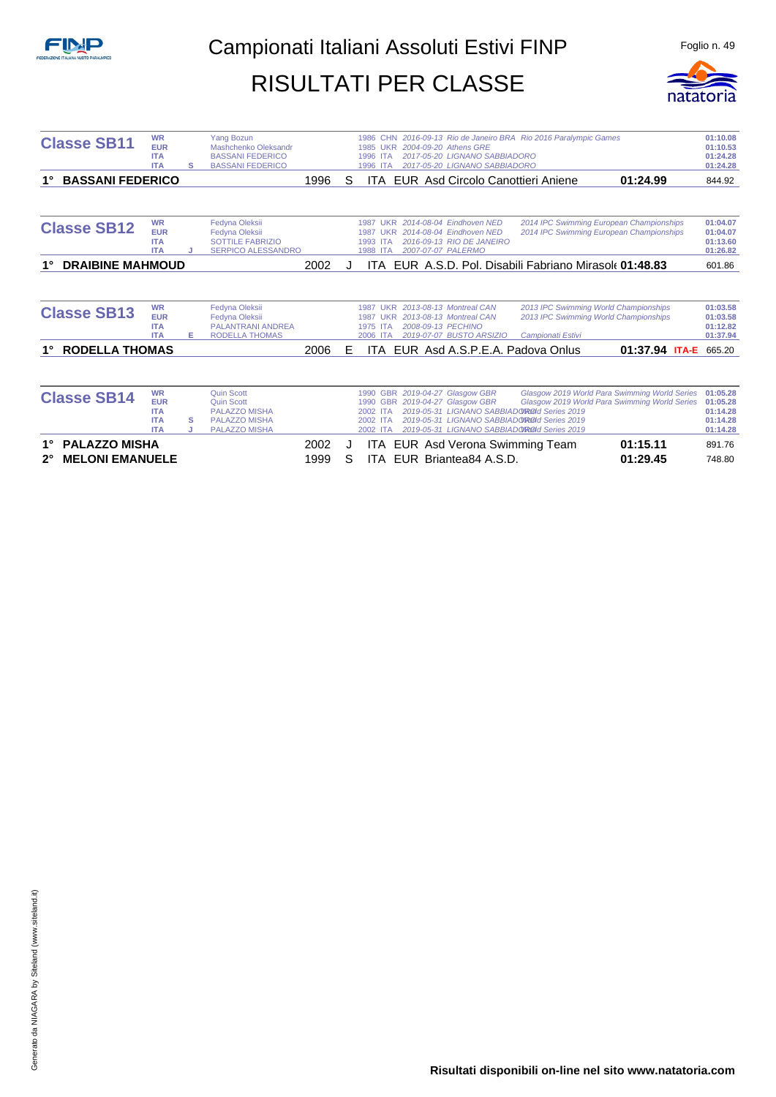

| <b>Classe SB11</b>            | <b>WR</b><br><b>EUR</b><br><b>ITA</b><br><b>ITA</b>               | s      | <b>Yang Bozun</b><br>Mashchenko Oleksandr<br><b>BASSANI FEDERICO</b><br><b>BASSANI FEDERICO</b>                |      |   | 1986 CHN 2016-09-13 Rio de Janeiro BRA Rio 2016 Paralympic Games<br>1985 UKR 2004-09-20 Athens GRE<br>2017-05-20 LIGNANO SABBIADORO<br>1996 ITA<br>2017-05-20 LIGNANO SABBIADORO<br>1996<br><b>ITA</b>                                                                                                                                                              | 01:10.08<br>01:10.53<br>01:24.28<br>01:24.28             |
|-------------------------------|-------------------------------------------------------------------|--------|----------------------------------------------------------------------------------------------------------------|------|---|---------------------------------------------------------------------------------------------------------------------------------------------------------------------------------------------------------------------------------------------------------------------------------------------------------------------------------------------------------------------|----------------------------------------------------------|
| <b>BASSANI FEDERICO</b><br>1° |                                                                   |        |                                                                                                                | 1996 | S | EUR Asd Circolo Canottieri Aniene<br>01:24.99<br><b>ITA</b>                                                                                                                                                                                                                                                                                                         | 844.92                                                   |
| <b>Classe SB12</b>            | <b>WR</b><br><b>EUR</b><br><b>ITA</b><br><b>ITA</b>               |        | Fedyna Oleksii<br>Fedyna Oleksii<br><b>SOTTILE FABRIZIO</b><br><b>SERPICO ALESSANDRO</b>                       |      |   | 2014 IPC Swimming European Championships<br>2014-08-04 Eindhoven NED<br><b>1987 UKR</b><br>2014-08-04 Eindhoven NED<br>2014 IPC Swimming European Championships<br><b>UKR</b><br>1987<br>1993 ITA<br>2016-09-13 RIO DE JANEIRO<br>1988 ITA<br>2007-07-07 PALERMO                                                                                                    | 01:04.07<br>01:04.07<br>01:13.60<br>01:26.82             |
| <b>DRAIBINE MAHMOUD</b><br>1° |                                                                   |        |                                                                                                                | 2002 |   | EUR A.S.D. Pol. Disabili Fabriano Mirasole 01:48.83<br>ITA -                                                                                                                                                                                                                                                                                                        | 601.86                                                   |
|                               |                                                                   |        |                                                                                                                |      |   |                                                                                                                                                                                                                                                                                                                                                                     |                                                          |
| <b>Classe SB13</b>            | <b>WR</b><br><b>EUR</b><br><b>ITA</b><br><b>ITA</b>               | E.     | Fedyna Oleksii<br>Fedyna Oleksii<br><b>PALANTRANI ANDREA</b><br><b>RODELLA THOMAS</b>                          |      |   | 1987 UKR 2013-08-13 Montreal CAN<br>2013 IPC Swimming World Championships<br>2013 IPC Swimming World Championships<br>2013-08-13 Montreal CAN<br>1987<br><b>UKR</b><br>2008-09-13 PECHINO<br>1975 ITA<br>2019-07-07 BUSTO ARSIZIO<br>2006 ITA<br>Campionati Estivi                                                                                                  | 01:03.58<br>01:03.58<br>01:12.82<br>01:37.94             |
| <b>RODELLA THOMAS</b>         |                                                                   |        |                                                                                                                | 2006 | E | EUR Asd A.S.P.E.A. Padova Onlus<br>01:37.94 ITA-E<br>ITA.                                                                                                                                                                                                                                                                                                           | 665.20                                                   |
|                               |                                                                   |        |                                                                                                                |      |   |                                                                                                                                                                                                                                                                                                                                                                     |                                                          |
| <b>Classe SB14</b>            | <b>WR</b><br><b>EUR</b><br><b>ITA</b><br><b>ITA</b><br><b>ITA</b> | s<br>J | <b>Quin Scott</b><br><b>Quin Scott</b><br><b>PALAZZO MISHA</b><br><b>PALAZZO MISHA</b><br><b>PALAZZO MISHA</b> |      |   | 1990 GBR 2019-04-27 Glasgow GBR<br>Glasgow 2019 World Para Swimming World Series<br>GBR 2019-04-27 Glasgow GBR<br>Glasgow 2019 World Para Swimming World Series<br>1990<br>2019-05-31 LIGNANO SABBIADO ROLL Series 2019<br>2002<br><b>ITA</b><br>2019-05-31 LIGNANO SABBIADOROOI Series 2019<br>2002 ITA<br>2019-05-31 LIGNANO SABBIADOROId Series 2019<br>2002 ITA | 01:05.28<br>01:05.28<br>01:14.28<br>01:14.28<br>01:14.28 |
| <b>PALAZZO MISHA</b><br>1°    |                                                                   |        |                                                                                                                | 2002 | J | 01:15.11<br>ITA EUR Asd Verona Swimming Team                                                                                                                                                                                                                                                                                                                        | 891.76                                                   |
| <b>MELONI EMANUELE</b>        |                                                                   |        |                                                                                                                | 1999 | S | EUR Briantea84 A.S.D.<br>01:29.45<br>ITA.                                                                                                                                                                                                                                                                                                                           | 748.80                                                   |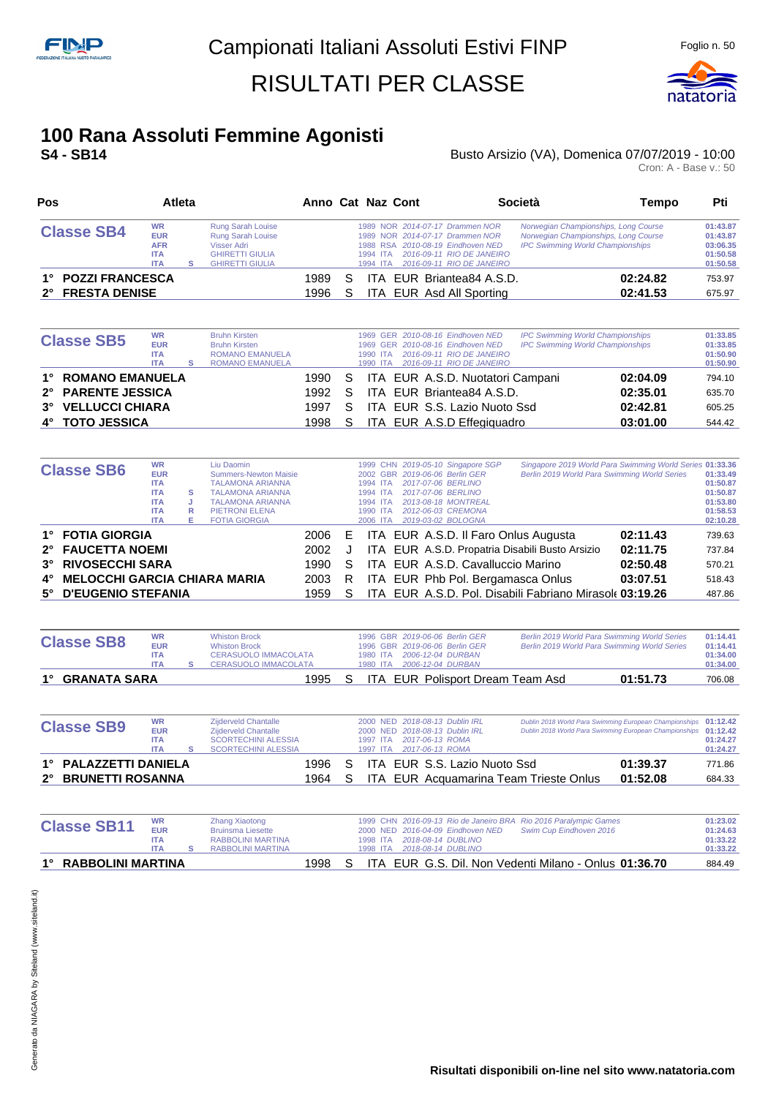

### **100 Rana Assoluti Femmine Agonisti**

#### **S4 - SB14 CONSTRESS ARRICATES ARRICATES ARRICATES BUSTO Arsizio (VA), Domenica 07/07/2019 - 10:00** Busto Arsizio (VA), Domenica 07/07/2019 - 10:00<br>Cron: A - Base v.: 50

| Pos                                    |                                                                   | Atleta |                                                                                                                  |              |   | Anno Cat Naz Cont                                                                                                               |                                                        | Società                                                                                                                 | Tempo                | Pti                                                      |
|----------------------------------------|-------------------------------------------------------------------|--------|------------------------------------------------------------------------------------------------------------------|--------------|---|---------------------------------------------------------------------------------------------------------------------------------|--------------------------------------------------------|-------------------------------------------------------------------------------------------------------------------------|----------------------|----------------------------------------------------------|
| <b>Classe SB4</b>                      | <b>WR</b><br><b>EUR</b><br><b>AFR</b><br><b>ITA</b><br><b>ITA</b> |        | <b>Rung Sarah Louise</b><br>Rung Sarah Louise<br>Visser Adri<br><b>GHIRETTI GIULIA</b><br><b>GHIRETTI GIULIA</b> |              |   | 1989 NOR 2014-07-17 Drammen NOR<br>1989 NOR 2014-07-17 Drammen NOR<br>1988 RSA 2010-08-19 Eindhoven NED<br>1994 ITA<br>1994 ITA | 2016-09-11 RIO DE JANEIRO<br>2016-09-11 RIO DE JANEIRO | Norwegian Championships, Long Course<br>Norwegian Championships, Long Course<br><b>IPC Swimming World Championships</b> |                      | 01:43.87<br>01:43.87<br>03:06.35<br>01:50.58<br>01:50.58 |
| 1° POZZI FRANCESCA<br>2° FRESTA DENISE |                                                                   |        |                                                                                                                  | 1989<br>1996 | S | ITA EUR Asd All Sporting                                                                                                        | ITA EUR Briantea84 A.S.D.                              |                                                                                                                         | 02:24.82<br>02:41.53 | 753.97<br>675.97                                         |

| <b>WR</b><br><b>Bruhn Kirsten</b><br><b>Classe SB5</b><br><b>EUR</b><br><b>Bruhn Kirsten</b><br><b>ROMANO EMANUELA</b><br><b>ITA</b><br><b>ROMANO EMANUELA</b><br><b>ITA</b> |  |  |  |        |    | <b>IPC Swimming World Championships</b><br>1969 GER 2010-08-16 Eindhoven NED<br><b>IPC Swimming World Championships</b><br>1969 GER 2010-08-16 Eindhoven NED<br>2016-09-11 RIO DE JANEIRO<br>1990 ITA<br>2016-09-11 RIO DE JANEIRO<br>1990 ITA | 01:33.85<br>01:33.85<br>01:50.90<br>01:50.90 |
|------------------------------------------------------------------------------------------------------------------------------------------------------------------------------|--|--|--|--------|----|------------------------------------------------------------------------------------------------------------------------------------------------------------------------------------------------------------------------------------------------|----------------------------------------------|
| 1° ROMANO EMANUELA                                                                                                                                                           |  |  |  | 1990 S |    | ITA EUR A.S.D. Nuotatori Campani<br>02:04.09                                                                                                                                                                                                   | 794.10                                       |
| 2° PARENTE JESSICA                                                                                                                                                           |  |  |  | 1992   | S. | ITA EUR Briantea84 A.S.D.<br>02:35.01                                                                                                                                                                                                          | 635.70                                       |
| 3° VELLUCCI CHIARA                                                                                                                                                           |  |  |  | 1997   | S. | ITA EUR S.S. Lazio Nuoto Ssd<br>02:42.81                                                                                                                                                                                                       | 605.25                                       |
| 4° TOTO JESSICA                                                                                                                                                              |  |  |  | 1998   | S. | ITA EUR A.S.D Effegiquadro<br>03:01.00                                                                                                                                                                                                         | 544.42                                       |

|           |                                     | <b>WR</b>  |    | Liu Daomin              |      |       |                    |  | 1999 CHN 2019-05-10 Singapore SGP | Singapore 2019 World Para Swimming World Series 01:33.36 |          |          |
|-----------|-------------------------------------|------------|----|-------------------------|------|-------|--------------------|--|-----------------------------------|----------------------------------------------------------|----------|----------|
|           | <b>Classe SB6</b>                   | <b>EUR</b> |    | Summers-Newton Maisie   |      |       |                    |  | 2002 GBR 2019-06-06 Berlin GER    | Berlin 2019 World Para Swimming World Series             |          | 01:33.49 |
|           |                                     | <b>ITA</b> |    | <b>TALAMONA ARIANNA</b> |      |       | 1994 ITA           |  | 2017-07-06 BERLINO                |                                                          |          | 01:50.87 |
|           |                                     | <b>ITA</b> | s  | <b>TALAMONA ARIANNA</b> |      |       | <b>ITA</b><br>1994 |  | 2017-07-06 BERLINO                |                                                          |          | 01:50.87 |
|           |                                     | <b>ITA</b> |    | <b>TALAMONA ARIANNA</b> |      |       | 1994 ITA           |  | 2013-08-18 MONTREAL               |                                                          |          | 01:53.80 |
|           |                                     | <b>ITA</b> | R  | PIETRONI ELENA          |      |       | 1990 ITA           |  | 2012-06-03 CREMONA                |                                                          |          | 01:58.53 |
|           |                                     | <b>ITA</b> | Е. | <b>FOTIA GIORGIA</b>    |      |       | 2006 ITA           |  | 2019-03-02 BOLOGNA                |                                                          |          | 02:10.28 |
|           | 1° FOTIA GIORGIA                    |            |    |                         | 2006 | - E - |                    |  |                                   | ITA EUR A.S.D. Il Faro Onlus Augusta                     | 02:11.43 | 739.63   |
|           | 2° FAUCETTA NOEMI                   |            |    |                         | 2002 | J     |                    |  |                                   | ITA EUR A.S.D. Propatria Disabili Busto Arsizio          | 02:11.75 | 737.84   |
|           | 3° RIVOSECCHI SARA                  |            |    |                         | 1990 | S     |                    |  |                                   | ITA EUR A.S.D. Cavalluccio Marino                        | 02:50.48 | 570.21   |
| 4°        | <b>MELOCCHI GARCIA CHIARA MARIA</b> |            |    |                         | 2003 | R     |                    |  |                                   | ITA EUR Phb Pol. Bergamasca Onlus                        | 03:07.51 | 518.43   |
| $5^\circ$ | <b>D'EUGENIO STEFANIA</b>           |            |    |                         | 1959 |       |                    |  |                                   | ITA EUR A.S.D. Pol. Disabili Fabriano Mirasole 03:19.26  |          | 487.86   |

| <b>Classe SB8</b> | <b>WR</b><br><b>EUR</b><br><b>ITA</b><br><b>ITA</b> | <b>Whiston Brock</b><br><b>Whiston Brock</b><br><b>CERASUOLO IMMACOLATA</b><br><b>CERASUOLO IMMACOLATA</b> |  |  | 1996 GBR 2019-06-06 Berlin GER<br>1996 GBR 2019-06-06 Berlin GER<br>1980 ITA 2006-12-04 DURBAN | Berlin 2019 World Para Swimming World Series<br>Berlin 2019 World Para Swimming World Series | 01:14.41<br>01:14.41<br>01:34.00<br>01:34.00 |
|-------------------|-----------------------------------------------------|------------------------------------------------------------------------------------------------------------|--|--|------------------------------------------------------------------------------------------------|----------------------------------------------------------------------------------------------|----------------------------------------------|
| 1° GRANATA SARA   |                                                     | 1995 S                                                                                                     |  |  | ITA EUR Polisport Dream Team Asd                                                               | 01:51.73                                                                                     | 706.08                                       |

|                                              | <b>SCORTECHINI ALESSIA</b> | 1997 ITA 2017-06-13 ROMA |                              |                                        |                      | 01:24.27         |
|----------------------------------------------|----------------------------|--------------------------|------------------------------|----------------------------------------|----------------------|------------------|
| 1° PALAZZETTI DANIELA<br>2° BRUNETTI ROSANNA | S.<br>1996.<br>S.<br>1964. |                          | ITA EUR S.S. Lazio Nuoto Ssd | ITA EUR Acquamarina Team Trieste Onlus | 01:39.37<br>01:52.08 | 771.86<br>684.33 |

| <b>Classe SB11</b>   | <b>WR</b><br><b>FUR</b><br><b>ITA</b><br><b>ITA</b> | Zhang Xiaotong<br><b>Bruinsma Liesette</b><br>RABBOLINI MARTINA<br>RABBOLINI MARTINA |      |  |  | 2000 NED 2016-04-09 Eindhoven NED<br>1998 ITA 2018-08-14 DUBLINO<br>1998 ITA 2018-08-14 DUBLINO | 1999 CHN 2016-09-13 Rio de Janeiro BRA Rio 2016 Paralympic Games<br>Swim Cup Eindhoven 2016 | 01:23.02<br>01:24.63<br>01:33.22<br>01:33.22 |
|----------------------|-----------------------------------------------------|--------------------------------------------------------------------------------------|------|--|--|-------------------------------------------------------------------------------------------------|---------------------------------------------------------------------------------------------|----------------------------------------------|
| 1° RABBOLINI MARTINA |                                                     |                                                                                      | 1998 |  |  |                                                                                                 | ITA EUR G.S. Dil. Non Vedenti Milano - Onlus 01:36.70                                       | 884.49                                       |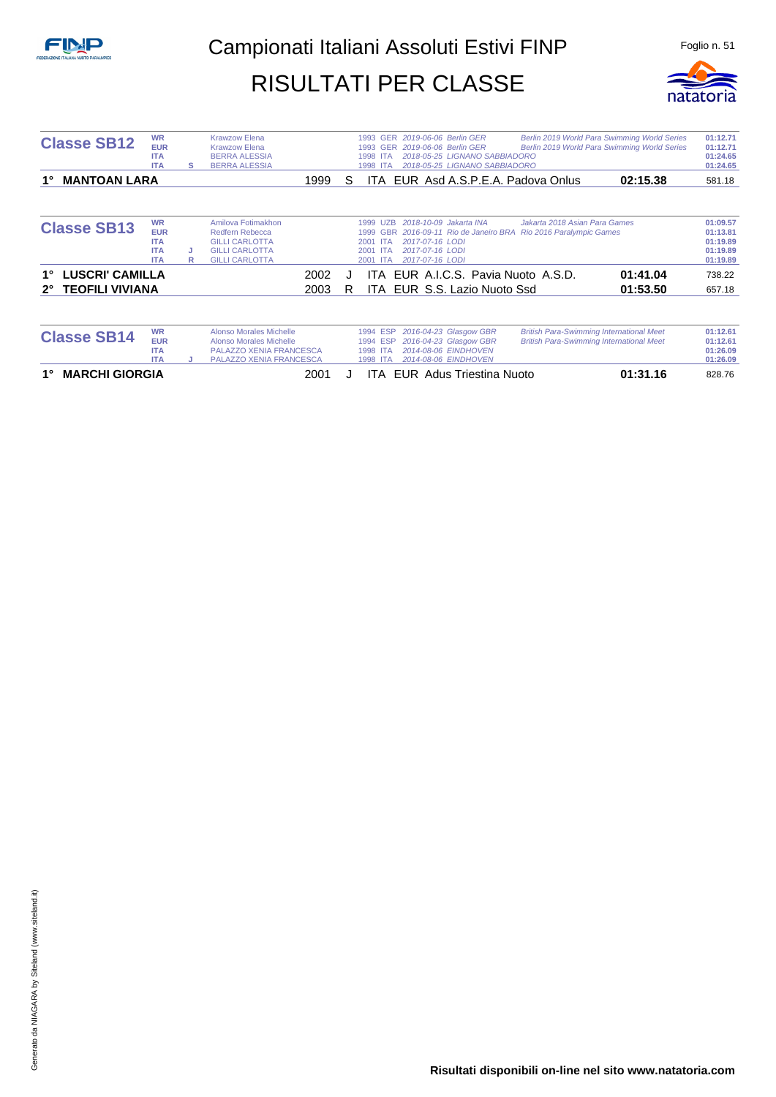

| <b>Classe SB12</b>                    | <b>WR</b><br><b>EUR</b><br><b>ITA</b><br><b>ITA</b>               | s      | <b>Krawzow Elena</b><br><b>Krawzow Elena</b><br><b>BERRA ALESSIA</b><br><b>BERRA ALESSIA</b>                                  | Berlin 2019 World Para Swimming World Series<br>1993 GER 2019-06-06 Berlin GER<br>2019-06-06 Berlin GER<br>Berlin 2019 World Para Swimming World Series<br><b>GER</b><br>1993<br>2018-05-25 LIGNANO SABBIADORO<br><b>ITA</b><br>1998<br>2018-05-25 LIGNANO SABBIADORO<br>1998<br><b>ITA</b> | 01:12.71<br>01:12.71<br>01:24.65<br>01:24.65             |
|---------------------------------------|-------------------------------------------------------------------|--------|-------------------------------------------------------------------------------------------------------------------------------|---------------------------------------------------------------------------------------------------------------------------------------------------------------------------------------------------------------------------------------------------------------------------------------------|----------------------------------------------------------|
| <b>MANTOAN LARA</b>                   |                                                                   |        | 1999                                                                                                                          | 02:15.38<br>EUR Asd A.S.P.E.A. Padova Onlus<br>S<br>ITA.                                                                                                                                                                                                                                    | 581.18                                                   |
| <b>Classe SB13</b>                    | <b>WR</b><br><b>EUR</b><br><b>ITA</b><br><b>ITA</b><br><b>ITA</b> | J<br>R | Amilova Fotimakhon<br>Redfern Rebecca<br><b>GILLI CARLOTTA</b><br><b>GILLI CARLOTTA</b><br><b>GILLI CARLOTTA</b>              | 2018-10-09 Jakarta INA<br>Jakarta 2018 Asian Para Games<br>1999<br><b>UZB</b><br><b>Rio 2016 Paralympic Games</b><br>2016-09-11 Rio de Janeiro BRA<br>1999<br><b>GBR</b><br>2017-07-16 LODI<br>2001 ITA<br>2017-07-16 LODI<br>2001 ITA<br>2017-07-16 LODI<br>2001 ITA                       | 01:09.57<br>01:13.81<br>01:19.89<br>01:19.89<br>01:19.89 |
| <b>LUSCRI' CAMILLA</b><br>1°          |                                                                   |        | 2002                                                                                                                          | EUR A.I.C.S. Pavia Nuoto A.S.D.<br>01:41.04<br>ITA.                                                                                                                                                                                                                                         | 738.22                                                   |
| <b>TEOFILI VIVIANA</b><br>$2^{\circ}$ |                                                                   |        | 2003                                                                                                                          | ITA EUR S.S. Lazio Nuoto Ssd<br>01:53.50<br>R                                                                                                                                                                                                                                               | 657.18                                                   |
| <b>Classe SB14</b>                    | <b>WR</b><br><b>EUR</b><br><b>ITA</b><br><b>ITA</b>               |        | <b>Alonso Morales Michelle</b><br><b>Alonso Morales Michelle</b><br><b>PALAZZO XENIA FRANCESCA</b><br>PALAZZO XENIA FRANCESCA | <b>British Para-Swimming International Meet</b><br>2016-04-23 Glasgow GBR<br>1994 ESP<br>2016-04-23 Glasgow GBR<br><b>British Para-Swimming International Meet</b><br>1994 ESP<br>2014-08-06 EINDHOVEN<br>1998 ITA<br>1998<br>2014-08-06 EINDHOVEN<br><b>ITA</b>                            | 01:12.61<br>01:12.61<br>01:26.09<br>01:26.09             |

**1° MARCHI GIORGIA** 2001 J ITA EUR Adus Triestina Nuoto **01:31.16** 828.76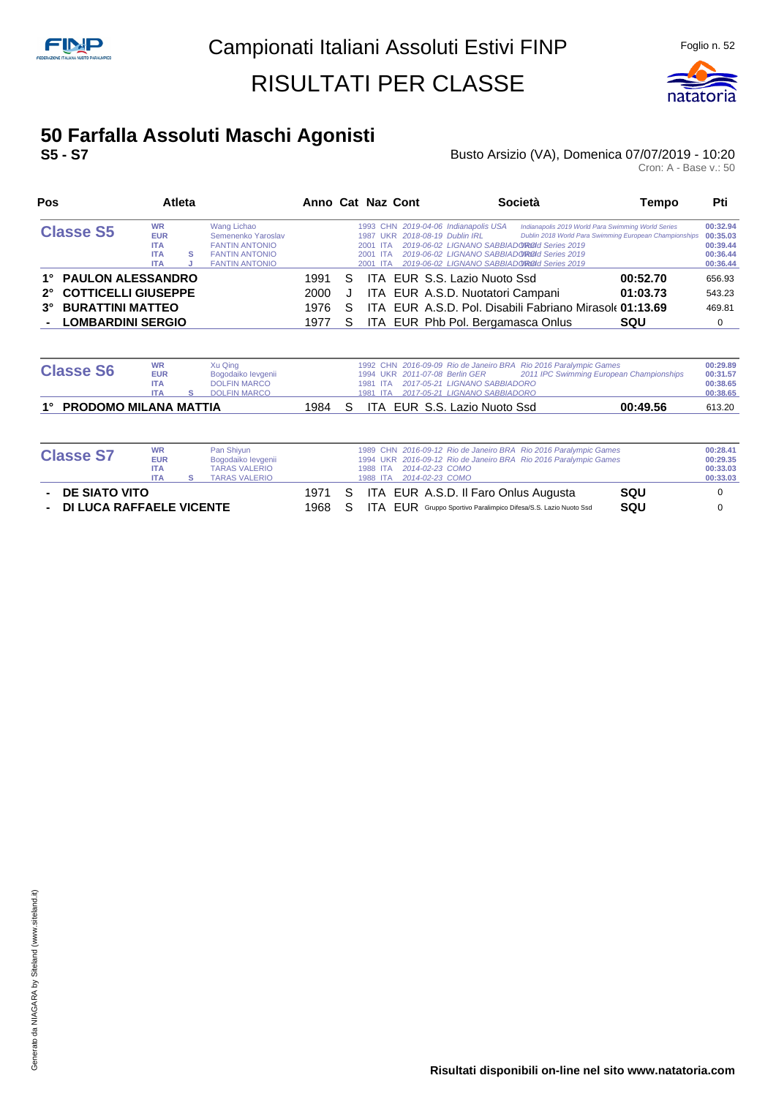

## **50 Farfalla Assoluti Maschi Agonisti**

#### **S5 - S7 Busto Arsizio (VA), Domenica 07/07/2019 - 10:20 Busto Arsizio (VA), Domenica 07/07/2019 - 10:20**<br>Cron: A - Base v.: 50

| Pos                                       |                                                                   | <b>Atleta</b> |                                                                                                              |      |    | Anno Cat Naz Cont                                                               |                                                                                                                                                                                    | <b>Società</b>                                                                                               | Tempo      | Pti                                                      |
|-------------------------------------------|-------------------------------------------------------------------|---------------|--------------------------------------------------------------------------------------------------------------|------|----|---------------------------------------------------------------------------------|------------------------------------------------------------------------------------------------------------------------------------------------------------------------------------|--------------------------------------------------------------------------------------------------------------|------------|----------------------------------------------------------|
| <b>Classe S5</b>                          | <b>WR</b><br><b>EUR</b><br><b>ITA</b><br><b>ITA</b><br><b>ITA</b> | s             | Wang Lichao<br>Semenenko Yaroslav<br><b>FANTIN ANTONIO</b><br><b>FANTIN ANTONIO</b><br><b>FANTIN ANTONIO</b> |      |    | 1987 UKR 2018-08-19 Dublin IRL<br>2001 ITA<br><b>ITA</b><br>2001<br>2001<br>ITA | 1993 CHN 2019-04-06 Indianapolis USA<br>2019-06-02 LIGNANO SABBIADOROId Series 2019<br>2019-06-02 LIGNANO SABBIADO ROLL Series 2019<br>2019-06-02 LIGNANO SABBIADOROId Series 2019 | Indianapolis 2019 World Para Swimming World Series<br>Dublin 2018 World Para Swimming European Championships |            | 00:32.94<br>00:35.03<br>00:39.44<br>00:36.44<br>00:36.44 |
| 1° PAULON ALESSANDRO                      |                                                                   |               |                                                                                                              | 1991 | S  |                                                                                 | ITA EUR S.S. Lazio Nuoto Ssd                                                                                                                                                       |                                                                                                              | 00:52.70   | 656.93                                                   |
| <b>COTTICELLI GIUSEPPE</b><br>$2^{\circ}$ |                                                                   |               |                                                                                                              | 2000 | J  |                                                                                 | ITA EUR A.S.D. Nuotatori Campani                                                                                                                                                   |                                                                                                              | 01:03.73   | 543.23                                                   |
| <b>BURATTINI MATTEO</b><br>$3^\circ$      |                                                                   |               |                                                                                                              | 1976 | S  |                                                                                 |                                                                                                                                                                                    | ITA EUR A.S.D. Pol. Disabili Fabriano Mirasole 01:13.69                                                      |            | 469.81                                                   |
| - LOMBARDINI SERGIO                       |                                                                   |               |                                                                                                              | 1977 | S. |                                                                                 | ITA EUR Phb Pol. Bergamasca Onlus                                                                                                                                                  |                                                                                                              | <b>SQU</b> | 0                                                        |
|                                           |                                                                   |               |                                                                                                              |      |    |                                                                                 |                                                                                                                                                                                    |                                                                                                              |            |                                                          |

| <b>Classe S6</b>         | <b>WR</b><br><b>EUR</b><br><b>ITA</b><br><b>ITA</b> | Xu Qing<br>Bogodaiko levgenii<br><b>DOLFIN MARCO</b><br><b>DOLFIN MARCO</b> |  |  | 1994 UKR 2011-07-08 Berlin GER<br>1981 ITA 2017-05-21 LIGNANO SABBIADORO<br>1981 ITA 2017-05-21 LIGNANO SABBIADORO | 1992 CHN 2016-09-09 Rio de Janeiro BRA Rio 2016 Paralympic Games<br>2011 IPC Swimming European Championships | 00:29.89<br>00:31.57<br>00:38.65<br>00:38.65 |
|--------------------------|-----------------------------------------------------|-----------------------------------------------------------------------------|--|--|--------------------------------------------------------------------------------------------------------------------|--------------------------------------------------------------------------------------------------------------|----------------------------------------------|
| 1° PRODOMO MILANA MATTIA |                                                     |                                                                             |  |  | 1984 S ITA EUR S.S. Lazio Nuoto Ssd                                                                                | 00:49.56                                                                                                     | 613.20                                       |

| <b>Classe S7</b>           | <b>WR</b>  | Pan Shiyun           |        | 1989 CHN 2016-09-12 Rio de Janeiro BRA Rio 2016 Paralympic Games              | 00:28.41 |
|----------------------------|------------|----------------------|--------|-------------------------------------------------------------------------------|----------|
|                            | <b>EUR</b> | Bogodaiko levgenii   |        | 1994 UKR 2016-09-12 Rio de Janeiro BRA Rio 2016 Paralympic Games              | 00:29.35 |
|                            | <b>ITA</b> | <b>TARAS VALERIO</b> |        | 2014-02-23 COMO<br>1988 ITA                                                   | 00:33.03 |
|                            | <b>ITA</b> | <b>TARAS VALERIO</b> |        | 2014-02-23 COMO<br>1988 ITA                                                   | 00:33.03 |
| - DE SIATO VITO            |            |                      | 1971 S | ITA EUR A.S.D. Il Faro Onlus Augusta<br><b>SQU</b>                            |          |
| - DI LUCA RAFFAELE VICENTE |            |                      | 1968 S | <b>SQU</b><br>ITA FUR Gruppo Sportivo Paralimpico Difesa/S.S. Lazio Nuoto Ssd |          |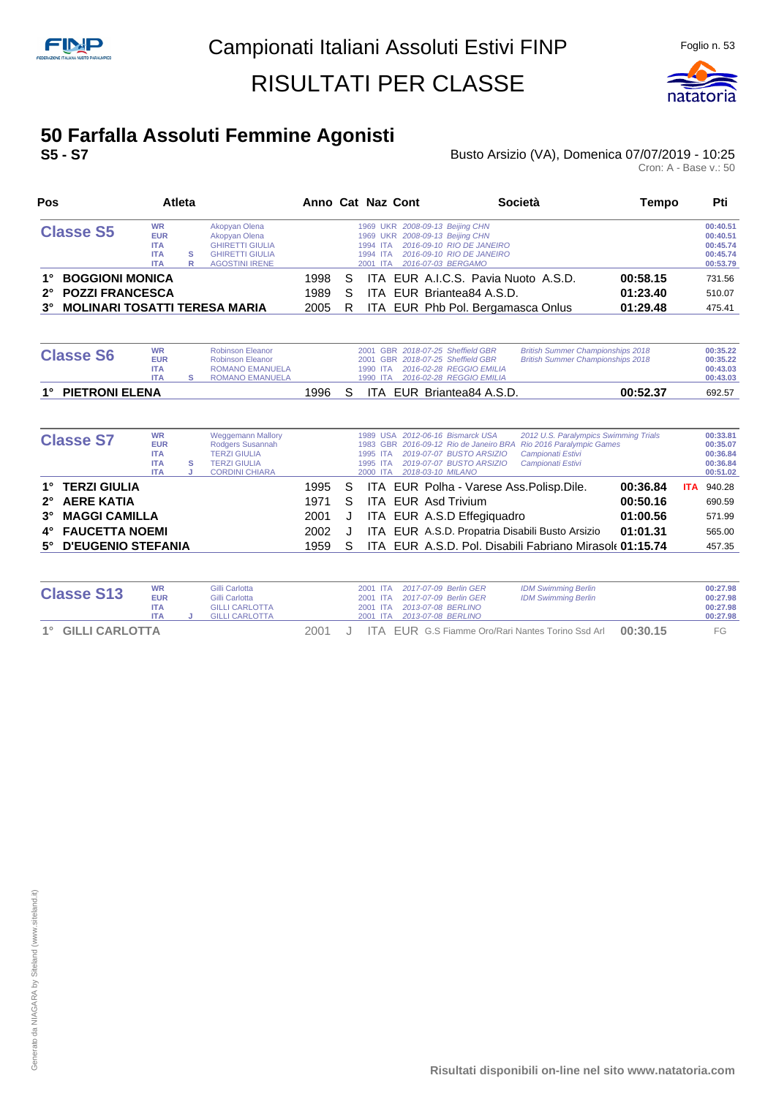

#### **50 Farfalla Assoluti Femmine Agonisti S5 - S7** Busto Arsizio (VA), Domenica 07/07/2019 - 10:25

## Busto Arsizio (VA), Domenica 07/07/2019 - 10:25<br>Cron: A - Base v.: 50

| Pos                                                                                                     |                                                                   | <b>Atleta</b> |                                                                                                             |                      |              | Anno Cat Naz Cont                                                                                                            | <b>Società</b>                                                           | Tempo                            | Pti                                                      |
|---------------------------------------------------------------------------------------------------------|-------------------------------------------------------------------|---------------|-------------------------------------------------------------------------------------------------------------|----------------------|--------------|------------------------------------------------------------------------------------------------------------------------------|--------------------------------------------------------------------------|----------------------------------|----------------------------------------------------------|
| <b>Classe S5</b>                                                                                        | <b>WR</b><br><b>EUR</b><br><b>ITA</b><br><b>ITA</b><br><b>ITA</b> | s<br>R        | Akopyan Olena<br>Akopyan Olena<br><b>GHIRETTI GIULIA</b><br><b>GHIRETTI GIULIA</b><br><b>AGOSTINI IRENE</b> |                      |              | 1969 UKR 2008-09-13 Beijing CHN<br>1969 UKR 2008-09-13 Beijing CHN<br>1994 ITA<br>1994 ITA<br>2016-07-03 BERGAMO<br>2001 ITA | 2016-09-10 RIO DE JANEIRO<br>2016-09-10 RIO DE JANEIRO                   |                                  | 00:40.51<br>00:40.51<br>00:45.74<br>00:45.74<br>00:53.79 |
| <b>BOGGIONI MONICA</b><br>1°<br>2° POZZI FRANCESCA<br><b>MOLINARI TOSATTI TERESA MARIA</b><br>$3^\circ$ |                                                                   |               |                                                                                                             | 1998<br>1989<br>2005 | S.<br>S<br>R | ITA EUR Briantea84 A.S.D.                                                                                                    | ITA EUR A.I.C.S. Pavia Nuoto A.S.D.<br>ITA EUR Phb Pol. Bergamasca Onlus | 00:58.15<br>01:23.40<br>01:29.48 | 731.56<br>510.07<br>475.41                               |

| <b>Classe S6</b>  | <b>WR</b><br><b>EUR</b><br><b>ITA</b><br><b>ITA</b> | Robinson Eleanor<br><b>Robinson Eleanor</b><br><b>ROMANO EMANUELA</b><br><b>ROMANO EMANUELA</b> |       | 1990 ITA | 2001 GBR 2018-07-25 Sheffield GBR<br>2001 GBR 2018-07-25 Sheffield GBR<br>1990 ITA 2016-02-28 REGGIO EMILIA<br>2016-02-28 REGGIO EMILIA | <b>British Summer Championships 2018</b><br><b>British Summer Championships 2018</b> | 00:35.22<br>00:35.22<br>00:43.03<br>00:43.03 |
|-------------------|-----------------------------------------------------|-------------------------------------------------------------------------------------------------|-------|----------|-----------------------------------------------------------------------------------------------------------------------------------------|--------------------------------------------------------------------------------------|----------------------------------------------|
| 1° PIETRONI ELENA |                                                     |                                                                                                 | 1996. |          | ITA EUR Briantea84 A.S.D.                                                                                                               | 00:52.37                                                                             | 692.57                                       |

| <b>Classe S7</b>                 | <b>WR</b><br><b>EUR</b><br><b>ITA</b><br><b>ITA</b><br><b>ITA</b> | s | <b>Weggemann Mallory</b><br>Rodgers Susannah<br><b>TERZI GIULIA</b><br><b>TERZI GIULIA</b><br><b>CORDINI CHIARA</b> |                |    | 1995 ITA<br>1995 ITA<br>2000 ITA | 1989 USA 2012-06-16 Bismarck USA<br>2019-07-07 BUSTO ARSIZIO<br>2019-07-07 BUSTO ARSIZIO<br>2018-03-10 MILANO | 2012 U.S. Paralympics Swimming Trials<br>1983 GBR 2016-09-12 Rio de Janeiro BRA Rio 2016 Paralympic Games<br>Campionati Estivi<br>Campionati Estivi |                      |            | 00:33.81<br>00:35.07<br>00:36.84<br>00:36.84<br>00:51.02 |
|----------------------------------|-------------------------------------------------------------------|---|---------------------------------------------------------------------------------------------------------------------|----------------|----|----------------------------------|---------------------------------------------------------------------------------------------------------------|-----------------------------------------------------------------------------------------------------------------------------------------------------|----------------------|------------|----------------------------------------------------------|
| 1° TERZI GIULIA<br>2° AERE KATIA |                                                                   |   |                                                                                                                     | 1995 S<br>1971 | S. |                                  | ITA EUR Polha - Varese Ass. Polisp. Dile.<br>ITA EUR Asd Trivium                                              |                                                                                                                                                     | 00:36.84<br>00:50.16 | <b>ITA</b> | 940.28                                                   |
| 3° MAGGI CAMILLA                 |                                                                   |   |                                                                                                                     | 2001           | J  |                                  | ITA EUR A.S.D Effegiquadro                                                                                    |                                                                                                                                                     | 01:00.56             |            | 690.59<br>571.99                                         |
| 4° FAUCETTA NOEMI                |                                                                   |   |                                                                                                                     | 2002           |    |                                  | ITA EUR A.S.D. Propatria Disabili Busto Arsizio                                                               |                                                                                                                                                     | 01:01.31             |            | 565.00                                                   |
| 5° D'EUGENIO STEFANIA            |                                                                   |   |                                                                                                                     | 1959           | S. |                                  |                                                                                                               | ITA EUR A.S.D. Pol. Disabili Fabriano Mirasole 01:15.74                                                                                             |                      |            | 457.35                                                   |

| <b>Classe S13</b> | <b>WR</b><br><b>EUR</b><br><b>ITA</b><br><b>ITA</b> | Gilli Carlotta<br>Gilli Carlotta<br><b>GILLI CARLOTTA</b><br><b>GILLI CARLOTTA</b> |      |  | 2001 ITA 2017-07-09 Berlin GER<br>2001 ITA 2017-07-09 Berlin GER<br>2001 ITA 2013-07-08 BERLINO | <b>IDM Swimming Berlin</b><br><b>IDM Swimming Berlin</b> |          | 00:27.98<br>00:27.98<br>00:27.98<br>00:27.98 |
|-------------------|-----------------------------------------------------|------------------------------------------------------------------------------------|------|--|-------------------------------------------------------------------------------------------------|----------------------------------------------------------|----------|----------------------------------------------|
| 1° GILLI CARLOTTA |                                                     |                                                                                    | 2001 |  |                                                                                                 | <b>ITA EUR G.S Fiamme Oro/Rari Nantes Torino Ssd Arl</b> | 00:30.15 | FG                                           |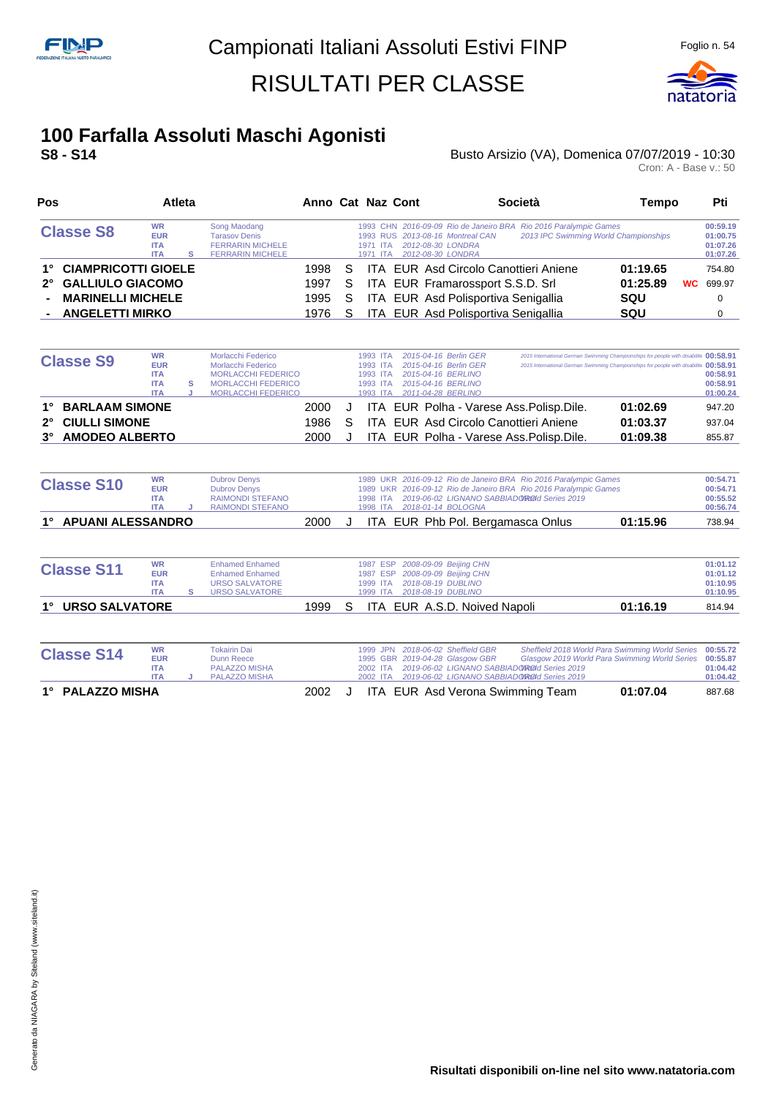

## **100 Farfalla Assoluti Maschi Agonisti**

#### **S8 - S14** Busto Arsizio (VA), Domenica 07/07/2019 - 10:30 Busto Arsizio (VA), Domenica 07/07/2019 - 10:30<br>Cron: A - Base v.: 50

| Pos                                |                                                     | <b>Atleta</b> |                                                                                            |      |    | Anno Cat Naz Cont                                                                                                                                                      | Società                               | Tempo      | Pti                                          |
|------------------------------------|-----------------------------------------------------|---------------|--------------------------------------------------------------------------------------------|------|----|------------------------------------------------------------------------------------------------------------------------------------------------------------------------|---------------------------------------|------------|----------------------------------------------|
| <b>Classe S8</b>                   | <b>WR</b><br><b>EUR</b><br><b>ITA</b><br><b>ITA</b> |               | Song Maodang<br><b>Tarasov Denis</b><br><b>FERRARIN MICHELE</b><br><b>FERRARIN MICHELE</b> |      |    | 1993 CHN 2016-09-09 Rio de Janeiro BRA Rio 2016 Paralympic Games<br>1993 RUS 2013-08-16 Montreal CAN<br>2012-08-30 LONDRA<br>1971 ITA<br>2012-08-30 LONDRA<br>1971 ITA | 2013 IPC Swimming World Championships |            | 00:59.19<br>01:00.75<br>01:07.26<br>01:07.26 |
| <b>CIAMPRICOTTI GIOELE</b><br>1°   |                                                     |               |                                                                                            | 1998 | S. | ITA EUR Asd Circolo Canottieri Aniene                                                                                                                                  |                                       | 01:19.65   | 754.80                                       |
| 2° GALLIULO GIACOMO                |                                                     |               |                                                                                            | 1997 | S. | ITA EUR Framarossport S.S.D. Srl                                                                                                                                       |                                       | 01:25.89   | <b>WC</b> 699.97                             |
| <b>MARINELLI MICHELE</b><br>$\sim$ |                                                     |               |                                                                                            | 1995 | S. | ITA EUR Asd Polisportiva Senigallia                                                                                                                                    |                                       | <b>SQU</b> |                                              |
| <b>ANGELETTI MIRKO</b>             |                                                     |               |                                                                                            | 1976 | S. | ITA EUR Asd Polisportiva Senigallia                                                                                                                                    |                                       | SQU        |                                              |

|           | <b>Classe S9</b>  |                       | <b>WR</b>  | Morlacchi Federico        |      |   | 1993 ITA |  | 2015-04-16 Berlin GER |                                           | 2015 International German Swimming Championships for people with disabilitiv 00:58.91 |          |
|-----------|-------------------|-----------------------|------------|---------------------------|------|---|----------|--|-----------------------|-------------------------------------------|---------------------------------------------------------------------------------------|----------|
|           |                   |                       | <b>EUR</b> | Morlacchi Federico        |      |   | 1993 ITA |  | 2015-04-16 Berlin GER |                                           | 2015 International German Swimming Championships for people with disabilitiv 00:58.91 |          |
|           |                   |                       | <b>ITA</b> | <b>MORLACCHI FEDERICO</b> |      |   | 1993 ITA |  | 2015-04-16 BERLINO    |                                           |                                                                                       | 00:58.91 |
|           |                   |                       | <b>ITA</b> | <b>MORLACCHI FEDERICO</b> |      |   | 1993 ITA |  | 2015-04-16 BERLINO    |                                           |                                                                                       | 00:58.91 |
|           |                   |                       | <b>ITA</b> | <b>MORLACCHI FEDERICO</b> |      |   | 1993 ITA |  | 2011-04-28 BERLINO    |                                           |                                                                                       | 01:00.24 |
|           | 1° BARLAAM SIMONE |                       |            |                           | 2000 |   |          |  |                       | ITA EUR Polha - Varese Ass. Polisp. Dile. | 01:02.69                                                                              | 947.20   |
|           | 2° CIULLI SIMONE  |                       |            |                           | 1986 | S |          |  |                       | ITA EUR Asd Circolo Canottieri Aniene     | 01:03.37                                                                              | 937.04   |
| $3^\circ$ |                   | <b>AMODEO ALBERTO</b> |            |                           | 2000 |   |          |  |                       | ITA EUR Polha - Varese Ass. Polisp. Dile. | 01:09.38                                                                              | 855.87   |

| <b>Classe S10</b>    | WR<br><b>EUR</b><br><b>ITA</b><br><b>ITA</b> | <b>Dubrov Denys</b><br><b>Dubrov Denys</b><br>RAIMONDI STEFANO<br>RAIMONDI STEFANO |      |  |  | 1998 ITA 2018-01-14 BOLOGNA | 1989 UKR 2016-09-12 Rio de Janeiro BRA Rio 2016 Paralympic Games<br>1989 UKR 2016-09-12 Rio de Janeiro BRA Rio 2016 Paralympic Games<br>1998 ITA 2019-06-02 LIGNANO SABBIADO ROOI Series 2019 |          | 00:54.71<br>00:54.71<br>00:55.52<br>00:56.74 |
|----------------------|----------------------------------------------|------------------------------------------------------------------------------------|------|--|--|-----------------------------|-----------------------------------------------------------------------------------------------------------------------------------------------------------------------------------------------|----------|----------------------------------------------|
| 1° APUANI ALESSANDRO |                                              |                                                                                    | 2000 |  |  |                             | ITA EUR Phb Pol. Bergamasca Onlus                                                                                                                                                             | 01:15.96 | 738.94                                       |

| <b>Classe S11</b>                    | <b>WR</b><br><b>EUR</b><br><b>ITA</b><br><b>ITA</b> | <b>Enhamed Enhamed</b><br><b>Enhamed Enhamed</b><br><b>URSO SALVATORE</b><br>URSO SALVATORE |      |  | 1987 ESP 2008-09-09 Beijing CHN<br>1987 ESP 2008-09-09 Beijing CHN<br>1999 ITA 2018-08-19 DUBLINO<br>1999 ITA 2018-08-19 DUBLINO |                              |          | 01:01.12<br>01:01.12<br>01:10.95<br>01:10.95 |
|--------------------------------------|-----------------------------------------------------|---------------------------------------------------------------------------------------------|------|--|----------------------------------------------------------------------------------------------------------------------------------|------------------------------|----------|----------------------------------------------|
| <b>URSO SALVATORE</b><br>$1^{\circ}$ |                                                     |                                                                                             | 1999 |  |                                                                                                                                  | ITA EUR A.S.D. Noived Napoli | 01:16.19 | 814.94                                       |

| <b>Classe S14</b> | <b>WR</b><br><b>EUR</b><br><b>ITA</b><br><b>ITA</b> | <b>Tokairin Dai</b><br>Dunn Reece<br><b>PALAZZO MISHA</b><br><b>PALAZZO MISHA</b> |      |  |  | 1999 JPN 2018-06-02 Sheffield GBR<br>1995 GBR 2019-04-28 Glasgow GBR<br>2002 ITA 2019-06-02 LIGNANO SABBIADORO d Series 2019<br>2002 ITA 2019-06-02 LIGNANO SABBIADORO d Series 2019 | Sheffield 2018 World Para Swimming World Series 00:55.72<br>Glasgow 2019 World Para Swimming World Series 00:55.87 | 01:04.42<br>01:04.42 |
|-------------------|-----------------------------------------------------|-----------------------------------------------------------------------------------|------|--|--|--------------------------------------------------------------------------------------------------------------------------------------------------------------------------------------|--------------------------------------------------------------------------------------------------------------------|----------------------|
| 1° PALAZZO MISHA  |                                                     |                                                                                   | 2002 |  |  | ITA EUR Asd Verona Swimming Team                                                                                                                                                     | 01:07.04                                                                                                           | 887.68               |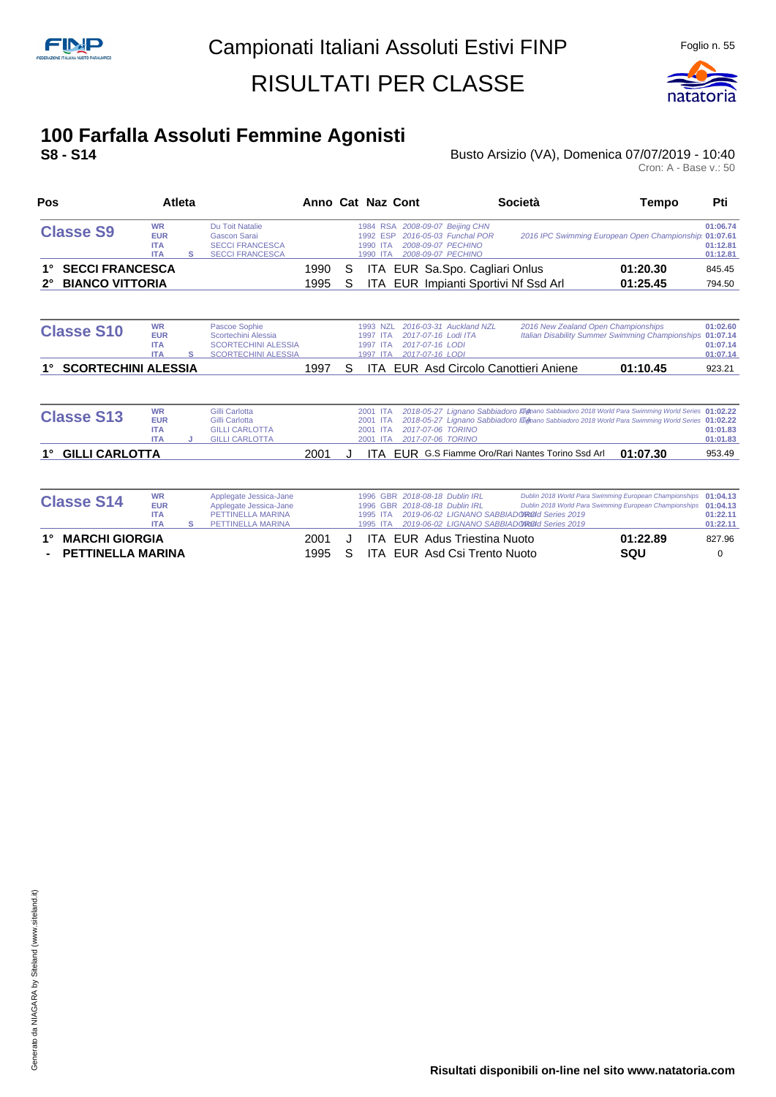

### **100 Farfalla Assoluti Femmine Agonisti**

#### **S8 - S14** Busto Arsizio (VA), Domenica 07/07/2019 - 10:40 **Busto Arsizio (VA), Domenica 07/07/2019 - 10:40**<br>Cron: A - Base v.: 50

| Pos                                   | Atleta                                              |   |                                                                                                   | Anno Cat Naz Cont |   |                                                        |                                                                                                       | Società                                                                                                                                                                                              | Tempo                                                                                                            | Pti                                          |
|---------------------------------------|-----------------------------------------------------|---|---------------------------------------------------------------------------------------------------|-------------------|---|--------------------------------------------------------|-------------------------------------------------------------------------------------------------------|------------------------------------------------------------------------------------------------------------------------------------------------------------------------------------------------------|------------------------------------------------------------------------------------------------------------------|----------------------------------------------|
| <b>Classe S9</b>                      | <b>WR</b><br><b>EUR</b><br><b>ITA</b><br><b>ITA</b> | s | <b>Du Toit Natalie</b><br><b>Gascon Sarai</b><br><b>SECCI FRANCESCA</b><br><b>SECCI FRANCESCA</b> |                   |   | 1992 ESP<br>1990 ITA<br>1990<br><b>ITA</b>             | 1984 RSA 2008-09-07 Beijing CHN<br>2016-05-03 Funchal POR<br>2008-09-07 PECHINO<br>2008-09-07 PECHINO |                                                                                                                                                                                                      | 2016 IPC Swimming European Open Championship 01:07.61                                                            | 01:06.74<br>01:12.81<br>01:12.81             |
| <b>SECCI FRANCESCA</b>                |                                                     |   |                                                                                                   | 1990              | S |                                                        | ITA EUR Sa.Spo. Cagliari Onlus                                                                        |                                                                                                                                                                                                      | 01:20.30                                                                                                         | 845.45                                       |
| <b>BIANCO VITTORIA</b><br>$2^{\circ}$ |                                                     |   |                                                                                                   | 1995              | S | <b>ITA</b>                                             |                                                                                                       | EUR Impianti Sportivi Nf Ssd Arl                                                                                                                                                                     | 01:25.45                                                                                                         | 794.50                                       |
| <b>Classe S10</b>                     | <b>WR</b><br><b>EUR</b><br><b>ITA</b><br><b>ITA</b> | s | Pascoe Sophie<br>Scortechini Alessia<br><b>SCORTECHINI ALESSIA</b><br><b>SCORTECHINI ALESSIA</b>  |                   |   | 1993 NZL<br>1997 ITA<br>1997 ITA<br>1997 ITA           | 2016-03-31 Auckland NZL<br>2017-07-16 Lodi ITA<br>2017-07-16 LODI<br>2017-07-16 LODI                  | 2016 New Zealand Open Championships                                                                                                                                                                  | Italian Disability Summer Swimming Championships 01:07.14                                                        | 01:02.60<br>01:07.14<br>01:07.14             |
| <b>SCORTECHINI ALESSIA</b>            |                                                     |   |                                                                                                   | 1997              | S | ITA                                                    |                                                                                                       | EUR Asd Circolo Canottieri Aniene                                                                                                                                                                    | 01:10.45                                                                                                         | 923.21                                       |
| <b>Classe S13</b>                     | <b>WR</b><br><b>EUR</b><br><b>ITA</b><br><b>ITA</b> | J | <b>Gilli Carlotta</b><br>Gilli Carlotta<br><b>GILLI CARLOTTA</b><br><b>GILLI CARLOTTA</b>         |                   |   | 2001 ITA<br>2001 ITA<br>2001 ITA<br>2001<br><b>ITA</b> | 2017-07-06 TORINO<br>2017-07-06 TORINO                                                                | 2018-05-27 Lignano Sabbiadoro III mano Sabbiadoro 2018 World Para Swimming World Series 01:02.22<br>2018-05-27 Lignano Sabbiadoro Illimano Sabbiadoro 2018 World Para Swimming World Series 01:02.22 |                                                                                                                  | 01:01.83<br>01:01.83                         |
| <b>GILLI CARLOTTA</b><br>1°           |                                                     |   |                                                                                                   | 2001              | J | ITA.                                                   |                                                                                                       | EUR G.S Fiamme Oro/Rari Nantes Torino Ssd Arl                                                                                                                                                        | 01:07.30                                                                                                         | 953.49                                       |
| <b>Classe S14</b>                     | <b>WR</b><br><b>EUR</b><br><b>ITA</b><br><b>ITA</b> | s | Applegate Jessica-Jane<br>Applegate Jessica-Jane<br>PETTINELLA MARINA<br>PETTINELLA MARINA        |                   |   | 1996<br>1995 ITA<br>1995 ITA                           | 1996 GBR 2018-08-18 Dublin IRL<br>GBR 2018-08-18 Dublin IRL                                           | 2019-06-02 LIGNANO SABBIADOROOI Series 2019<br>2019-06-02 LIGNANO SABBIADOROOI Series 2019                                                                                                           | Dublin 2018 World Para Swimming European Championships<br>Dublin 2018 World Para Swimming European Championships | 01:04.13<br>01:04.13<br>01:22.11<br>01:22.11 |
| <b>MARCHI GIORGIA</b><br>1°           |                                                     |   |                                                                                                   | 2001              |   | ITA.                                                   | <b>EUR</b> Adus Triestina Nuoto                                                                       |                                                                                                                                                                                                      | 01:22.89                                                                                                         | 827.96                                       |
| <b>PETTINELLA MARINA</b>              |                                                     |   |                                                                                                   | 1995              | S | ITA                                                    | EUR Asd Csi Trento Nuoto                                                                              |                                                                                                                                                                                                      | SQU                                                                                                              | 0                                            |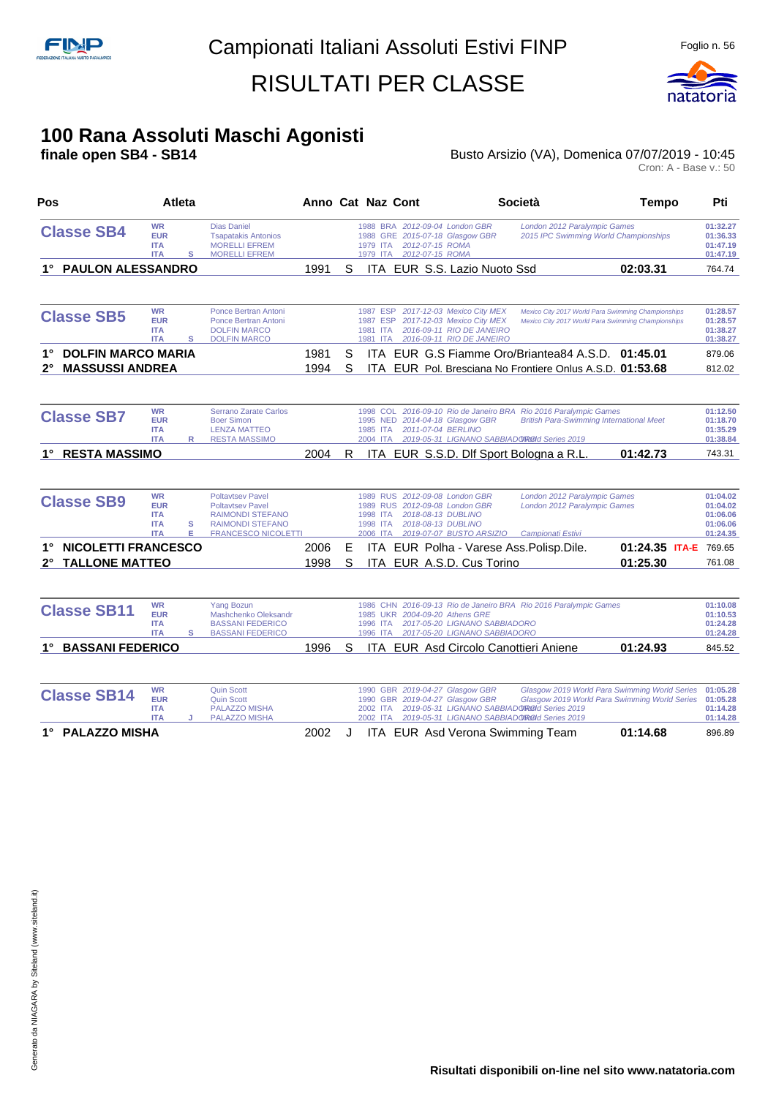

#### **100 Rana Assoluti Maschi Agonisti**

#### **finale open SB4 - SB14 Busto Arsizio (VA), Domenica 07/07/2019 - 10:45 Busto Arsizio (VA), Domenica 07/07/2019 - 10:45**<br>Cron: A - Base v.: 50

| Pos                                                                      | <b>Atleta</b>                                                     |                                                                                                                                                  | Anno Cat Naz Cont |        |                                                     |                                                                                                                                 | <b>Società</b>                                                                                                                                            | <b>Tempo</b>                                                                                             | Pti                                                      |
|--------------------------------------------------------------------------|-------------------------------------------------------------------|--------------------------------------------------------------------------------------------------------------------------------------------------|-------------------|--------|-----------------------------------------------------|---------------------------------------------------------------------------------------------------------------------------------|-----------------------------------------------------------------------------------------------------------------------------------------------------------|----------------------------------------------------------------------------------------------------------|----------------------------------------------------------|
| <b>Classe SB4</b>                                                        | <b>WR</b><br><b>EUR</b><br><b>ITA</b><br><b>ITA</b>               | <b>Dias Daniel</b><br><b>Tsapatakis Antonios</b><br><b>MORELLI EFREM</b><br>s<br><b>MORELLI EFREM</b>                                            |                   |        | 1979 ITA                                            | 1988 BRA 2012-09-04 London GBR<br>1988 GRE 2015-07-18 Glasgow GBR<br>2012-07-15 ROMA<br>1979 ITA 2012-07-15 ROMA                | London 2012 Paralympic Games<br>2015 IPC Swimming World Championships                                                                                     |                                                                                                          | 01:32.27<br>01:36.33<br>01:47.19<br>01:47.19             |
| 1° PAULON ALESSANDRO                                                     |                                                                   |                                                                                                                                                  | 1991              | S      |                                                     | ITA EUR S.S. Lazio Nuoto Ssd                                                                                                    |                                                                                                                                                           | 02:03.31                                                                                                 | 764.74                                                   |
| <b>Classe SB5</b>                                                        | <b>WR</b><br><b>EUR</b><br><b>ITA</b><br><b>ITA</b>               | Ponce Bertran Antoni<br>Ponce Bertran Antoni<br><b>DOLFIN MARCO</b><br>s<br><b>DOLFIN MARCO</b>                                                  |                   |        | 1987 ESP<br>1987 ESP<br>1981 ITA<br>1981 ITA        | 2017-12-03 Mexico City MEX<br>2017-12-03 Mexico City MEX<br>2016-09-11 RIO DE JANEIRO<br>2016-09-11 RIO DE JANEIRO              |                                                                                                                                                           | Mexico City 2017 World Para Swimming Championships<br>Mexico City 2017 World Para Swimming Championships | 01:28.57<br>01:28.57<br>01:38.27<br>01:38.27             |
| <b>DOLFIN MARCO MARIA</b><br><b>MASSUSSI ANDREA</b><br>2°                |                                                                   |                                                                                                                                                  | 1981<br>1994      | S<br>S |                                                     |                                                                                                                                 | ITA EUR G.S Fiamme Oro/Briantea84 A.S.D. 01:45.01<br>ITA EUR Pol. Bresciana No Frontiere Onlus A.S.D. 01:53.68                                            |                                                                                                          | 879.06<br>812.02                                         |
| <b>Classe SB7</b>                                                        | <b>WR</b><br><b>EUR</b><br><b>ITA</b><br><b>ITA</b>               | Serrano Zarate Carlos<br><b>Boer Simon</b><br><b>LENZA MATTEO</b><br><b>RESTA MASSIMO</b><br>R                                                   |                   |        | 1998 COL<br>1985 ITA<br>2004 ITA                    | 1995 NED 2014-04-18 Glasgow GBR<br>2011-07-04 BERLINO                                                                           | 2016-09-10 Rio de Janeiro BRA Rio 2016 Paralympic Games<br><b>British Para-Swimming International Meet</b><br>2019-05-31 LIGNANO SABBIADOROId Series 2019 |                                                                                                          | 01:12.50<br>01:18.70<br>01:35.29<br>01:38.84             |
| <b>RESTA MASSIMO</b><br>1°                                               |                                                                   |                                                                                                                                                  | 2004              | R      |                                                     |                                                                                                                                 | ITA EUR S.S.D. Dlf Sport Bologna a R.L.                                                                                                                   | 01:42.73                                                                                                 | 743.31                                                   |
| <b>Classe SB9</b>                                                        | <b>WR</b><br><b>EUR</b><br><b>ITA</b><br><b>ITA</b><br><b>ITA</b> | <b>Poltavtsev Pavel</b><br><b>Poltavtsev Pavel</b><br><b>RAIMONDI STEFANO</b><br>s<br><b>RAIMONDI STEFANO</b><br>Е<br><b>FRANCESCO NICOLETTI</b> |                   |        | <b>1989 RUS</b><br>1998 ITA<br>1998 ITA<br>2006 ITA | 1989 RUS 2012-09-08 London GBR<br>2012-09-08 London GBR<br>2018-08-13 DUBLINO<br>2018-08-13 DUBLINO<br>2019-07-07 BUSTO ARSIZIO | London 2012 Paralympic Games<br>London 2012 Paralympic Games<br>Campionati Estivi                                                                         |                                                                                                          | 01:04.02<br>01:04.02<br>01:06.06<br>01:06.06<br>01:24.35 |
| <b>NICOLETTI FRANCESCO</b><br>1°<br><b>TALLONE MATTEO</b><br>$2^{\circ}$ |                                                                   |                                                                                                                                                  | 2006<br>1998      | Е<br>S |                                                     | ITA EUR A.S.D. Cus Torino                                                                                                       | ITA EUR Polha - Varese Ass. Polisp. Dile.                                                                                                                 | 01:24.35 ITA-E 769.65<br>01:25.30                                                                        | 761.08                                                   |
| <b>Classe SB11</b>                                                       | <b>WR</b><br><b>EUR</b><br><b>ITA</b><br><b>ITA</b>               | <b>Yang Bozun</b><br>Mashchenko Oleksandr<br><b>BASSANI FEDERICO</b><br>s<br><b>BASSANI FEDERICO</b>                                             |                   |        | 1996 ITA<br>1996 ITA                                | 1985 UKR 2004-09-20 Athens GRE<br>2017-05-20 LIGNANO SABBIADORO<br>2017-05-20 LIGNANO SABBIADORO                                | 1986 CHN 2016-09-13 Rio de Janeiro BRA Rio 2016 Paralympic Games                                                                                          |                                                                                                          | 01:10.08<br>01:10.53<br>01:24.28<br>01:24.28             |
| 1° BASSANI FEDERICO                                                      |                                                                   |                                                                                                                                                  | 1996              | S      |                                                     | ITA EUR Asd Circolo Canottieri Aniene                                                                                           |                                                                                                                                                           | 01:24.93                                                                                                 | 845.52                                                   |
| <b>Classe SB14</b>                                                       | <b>WR</b><br><b>EUR</b><br><b>ITA</b><br><b>ITA</b>               | <b>Quin Scott</b><br><b>Quin Scott</b><br><b>PALAZZO MISHA</b><br><b>PALAZZO MISHA</b>                                                           |                   |        | 2002 ITA<br>2002 ITA                                | 1990 GBR 2019-04-27 Glasgow GBR<br>1990 GBR 2019-04-27 Glasgow GBR                                                              | 2019-05-31 LIGNANO SABBIADOROId Series 2019<br>2019-05-31 LIGNANO SABBIADOROId Series 2019                                                                | Glasgow 2019 World Para Swimming World Series<br>Glasgow 2019 World Para Swimming World Series           | 01:05.28<br>01:05.28<br>01:14.28<br>01:14.28             |
| 1° PALAZZO MISHA                                                         |                                                                   |                                                                                                                                                  | 2002              | J      |                                                     | ITA EUR Asd Verona Swimming Team                                                                                                |                                                                                                                                                           | 01:14.68                                                                                                 | 896.89                                                   |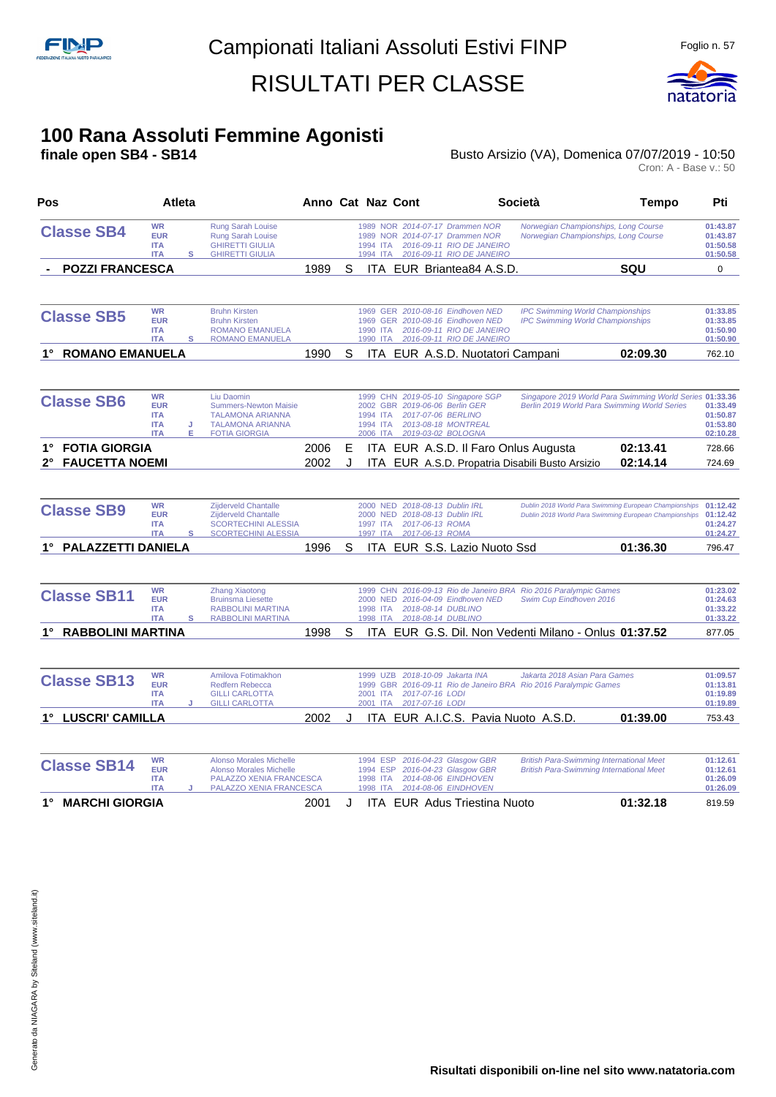

#### **100 Rana Assoluti Femmine Agonisti**

#### **finale open SB4 - SB14 Busto Arsizio (VA), Domenica 07/07/2019 - 10:50** Busto Arsizio (VA), Domenica 07/07/2019 - 10:50<br>Cron: A - Base v.: 50

| Pos                                                      | Atleta                                                                      |                                                                                                                          | Anno Cat Naz Cont |         |                                              |                                                                                                                                           |                                     | <b>Società</b>                                                                                                   | <b>Tempo</b>         | Pti                                          |
|----------------------------------------------------------|-----------------------------------------------------------------------------|--------------------------------------------------------------------------------------------------------------------------|-------------------|---------|----------------------------------------------|-------------------------------------------------------------------------------------------------------------------------------------------|-------------------------------------|------------------------------------------------------------------------------------------------------------------|----------------------|----------------------------------------------|
| <b>Classe SB4</b>                                        | <b>WR</b><br><b>EUR</b><br><b>ITA</b><br><b>ITA</b><br>s                    | <b>Rung Sarah Louise</b><br>Rung Sarah Louise<br><b>GHIRETTI GIULIA</b><br><b>GHIRETTI GIULIA</b>                        |                   |         | 1994 ITA<br>1994 ITA                         | 1989 NOR 2014-07-17 Drammen NOR<br>1989 NOR 2014-07-17 Drammen NOR<br>2016-09-11 RIO DE JANEIRO<br>2016-09-11 RIO DE JANEIRO              |                                     | Norwegian Championships, Long Course<br>Norwegian Championships, Long Course                                     |                      | 01:43.87<br>01:43.87<br>01:50.58<br>01:50.58 |
| <b>POZZI FRANCESCA</b>                                   |                                                                             |                                                                                                                          | 1989              | S       |                                              |                                                                                                                                           | ITA EUR Briantea84 A.S.D.           |                                                                                                                  | <b>SQU</b>           | $\mathbf 0$                                  |
| <b>Classe SB5</b>                                        | <b>WR</b><br><b>EUR</b><br><b>ITA</b><br><b>ITA</b><br>s                    | <b>Bruhn Kirsten</b><br><b>Bruhn Kirsten</b><br><b>ROMANO EMANUELA</b><br><b>ROMANO EMANUELA</b>                         |                   |         | 1990 ITA                                     | 1969 GER 2010-08-16 Eindhoven NED<br>1969 GER 2010-08-16 Eindhoven NED<br>1990 ITA 2016-09-11 RIO DE JANEIRO<br>2016-09-11 RIO DE JANEIRO |                                     | <b>IPC Swimming World Championships</b><br><b>IPC Swimming World Championships</b>                               |                      | 01:33.85<br>01:33.85<br>01:50.90<br>01:50.90 |
| 1° ROMANO EMANUELA                                       |                                                                             |                                                                                                                          | 1990              | S       |                                              |                                                                                                                                           | ITA EUR A.S.D. Nuotatori Campani    |                                                                                                                  | 02:09.30             | 762.10                                       |
| <b>Classe SB6</b>                                        | <b>WR</b><br><b>EUR</b><br><b>ITA</b><br><b>ITA</b><br>J<br><b>ITA</b><br>Е | Liu Daomin<br><b>Summers-Newton Maisie</b><br><b>TALAMONA ARIANNA</b><br><b>TALAMONA ARIANNA</b><br><b>FOTIA GIORGIA</b> |                   |         | 1994 ITA<br>1994 ITA<br>2006 ITA             | 1999 CHN 2019-05-10 Singapore SGP<br>2002 GBR 2019-06-06 Berlin GER<br>2017-07-06 BERLINO<br>2013-08-18 MONTREAL<br>2019-03-02 BOLOGNA    |                                     | Singapore 2019 World Para Swimming World Series 01:33.36<br>Berlin 2019 World Para Swimming World Series         |                      | 01:33.49<br>01:50.87<br>01:53.80<br>02:10.28 |
| 1° FOTIA GIORGIA<br><b>FAUCETTA NOEMI</b><br>$2^{\circ}$ |                                                                             |                                                                                                                          | 2006<br>2002      | Е<br>J. |                                              |                                                                                                                                           |                                     | ITA EUR A.S.D. Il Faro Onlus Augusta<br>ITA EUR A.S.D. Propatria Disabili Busto Arsizio                          | 02:13.41<br>02:14.14 | 728.66<br>724.69                             |
| <b>Classe SB9</b>                                        | <b>WR</b><br><b>EUR</b><br><b>ITA</b><br><b>ITA</b><br>s                    | Zijderveld Chantalle<br><b>Zijderveld Chantalle</b><br><b>SCORTECHINI ALESSIA</b><br><b>SCORTECHINI ALESSIA</b>          |                   |         | 1997 ITA                                     | 2000 NED 2018-08-13 Dublin IRL<br>2000 NED 2018-08-13 Dublin IRL<br>1997 ITA 2017-06-13 ROMA<br>2017-06-13 ROMA                           |                                     | Dublin 2018 World Para Swimming European Championships<br>Dublin 2018 World Para Swimming European Championships |                      | 01:12.42<br>01:12.42<br>01:24.27<br>01:24.27 |
| <b>PALAZZETTI DANIELA</b>                                |                                                                             |                                                                                                                          | 1996              | S       |                                              |                                                                                                                                           | ITA EUR S.S. Lazio Nuoto Ssd        |                                                                                                                  | 01:36.30             | 796.47                                       |
| <b>Classe SB11</b>                                       | <b>WR</b><br><b>EUR</b><br><b>ITA</b><br><b>ITA</b><br>s                    | <b>Zhang Xiaotong</b><br><b>Bruinsma Liesette</b><br><b>RABBOLINI MARTINA</b><br><b>RABBOLINI MARTINA</b>                |                   |         | 2000 NED<br>1998 ITA<br>1998 ITA             | 2016-04-09 Eindhoven NED<br>2018-08-14 DUBLINO<br>2018-08-14 DUBLINO                                                                      |                                     | 1999 CHN 2016-09-13 Rio de Janeiro BRA Rio 2016 Paralympic Games<br>Swim Cup Eindhoven 2016                      |                      | 01:23.02<br>01:24.63<br>01:33.22<br>01:33.22 |
| 1° RABBOLINI MARTINA                                     |                                                                             |                                                                                                                          | 1998              | S       |                                              |                                                                                                                                           |                                     | ITA EUR G.S. Dil. Non Vedenti Milano - Onlus 01:37.52                                                            |                      | 877.05                                       |
| <b>Classe SB13</b>                                       | <b>WR</b><br><b>EUR</b><br><b>ITA</b><br><b>ITA</b>                         | Amilova Fotimakhon<br>Redfern Rebecca<br><b>GILLI CARLOTTA</b><br><b>GILLI CARLOTTA</b>                                  |                   |         | 2001 ITA<br>2001 ITA                         | 1999 UZB 2018-10-09 Jakarta INA<br>2017-07-16 LODI<br>2017-07-16 LODI                                                                     |                                     | Jakarta 2018 Asian Para Games<br>1999 GBR 2016-09-11 Rio de Janeiro BRA Rio 2016 Paralympic Games                |                      | 01:09.57<br>01:13.81<br>01:19.89<br>01:19.89 |
| 1° LUSCRI' CAMILLA                                       |                                                                             |                                                                                                                          | 2002              | J.      |                                              |                                                                                                                                           |                                     | ITA EUR A.I.C.S. Pavia Nuoto A.S.D.                                                                              | 01:39.00             | 753.43                                       |
| <b>Classe SB14</b>                                       | <b>WR</b><br><b>EUR</b><br><b>ITA</b><br><b>ITA</b>                         | <b>Alonso Morales Michelle</b><br><b>Alonso Morales Michelle</b><br>PALAZZO XENIA FRANCESCA<br>PALAZZO XENIA FRANCESCA   |                   |         | 1994 ESP<br>1994 ESP<br>1998 ITA<br>1998 ITA | 2016-04-23 Glasgow GBR<br>2016-04-23 Glasgow GBR<br>2014-08-06 EINDHOVEN<br>2014-08-06 EINDHOVEN                                          |                                     | <b>British Para-Swimming International Meet</b><br><b>British Para-Swimming International Meet</b>               |                      | 01:12.61<br>01:12.61<br>01:26.09<br>01:26.09 |
| 1° MARCHI GIORGIA                                        |                                                                             |                                                                                                                          | 2001              | J       |                                              |                                                                                                                                           | <b>ITA EUR Adus Triestina Nuoto</b> |                                                                                                                  | 01:32.18             | 819.59                                       |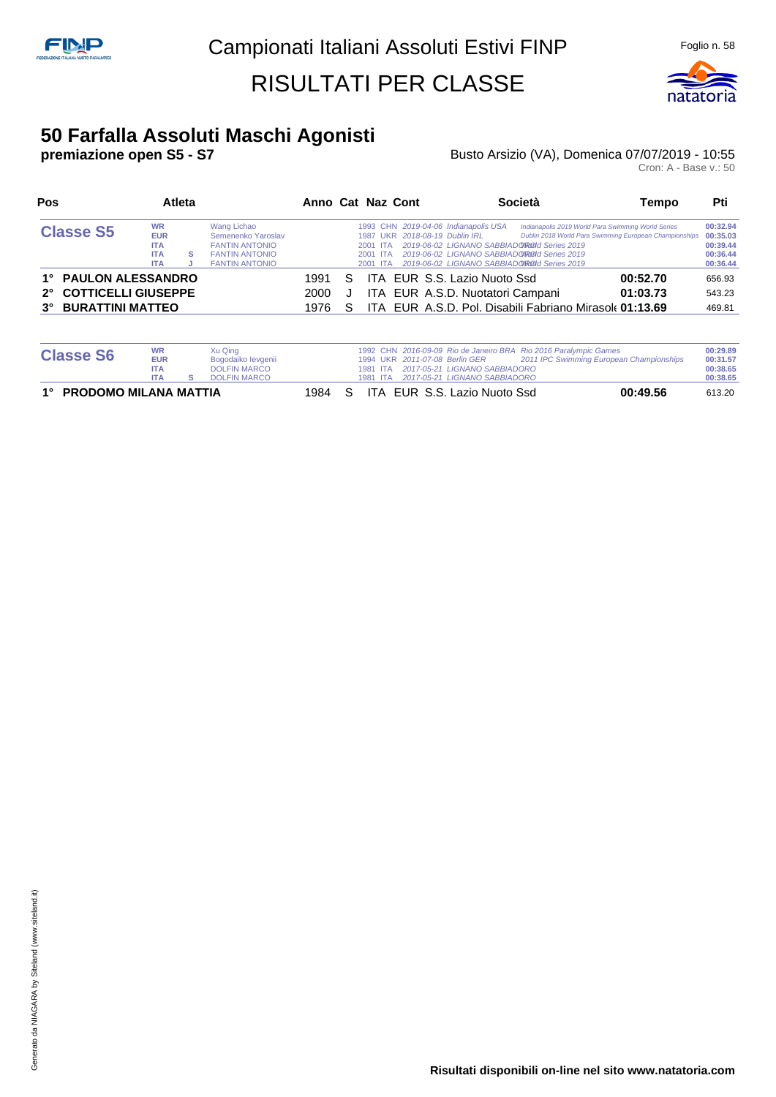

#### **50 Farfalla Assoluti Maschi Agonisti**

#### **premiazione open S5 - S7** Busto Arsizio (VA), Domenica 07/07/2019 - 10:55 Busto Arsizio (VA), Domenica 07/07/2019 - 10:55<br>Cron: A - Base v.: 50

| Pos                                                                                                       |                                                                   | <b>Atleta</b> |                                                                                                              |                      |        | Anno Cat Naz Cont                |                                                                        | Società                                                                                                                                                                                         | Tempo                                                           | Pti                                          |
|-----------------------------------------------------------------------------------------------------------|-------------------------------------------------------------------|---------------|--------------------------------------------------------------------------------------------------------------|----------------------|--------|----------------------------------|------------------------------------------------------------------------|-------------------------------------------------------------------------------------------------------------------------------------------------------------------------------------------------|-----------------------------------------------------------------|----------------------------------------------|
| <b>Classe S5</b>                                                                                          | <b>WR</b><br><b>EUR</b><br><b>ITA</b><br><b>ITA</b><br><b>ITA</b> | s             | Wang Lichao<br>Semenenko Yaroslav<br><b>FANTIN ANTONIO</b><br><b>FANTIN ANTONIO</b><br><b>FANTIN ANTONIO</b> |                      |        | 2001 ITA<br>2001 ITA<br>2001 ITA | 1993 CHN 2019-04-06 Indianapolis USA<br>1987 UKR 2018-08-19 Dublin IRL | Indianapolis 2019 World Para Swimming World Series<br>2019-06-02 LIGNANO SABBIADOROId Series 2019<br>2019-06-02 LIGNANO SABBIADOROOI Series 2019<br>2019-06-02 LIGNANO SABBIADOROId Series 2019 | Dublin 2018 World Para Swimming European Championships 00:35.03 | 00:32.94<br>00:39.44<br>00:36.44<br>00:36.44 |
| 1° PAULON ALESSANDRO<br><b>COTTICELLI GIUSEPPE</b><br>$2^{\circ}$<br><b>BURATTINI MATTEO</b><br>$3^\circ$ |                                                                   |               |                                                                                                              | 1991<br>2000<br>1976 | S<br>S |                                  | ITA EUR S.S. Lazio Nuoto Ssd<br>ITA EUR A.S.D. Nuotatori Campani       | ITA EUR A.S.D. Pol. Disabili Fabriano Mirasole 01:13.69                                                                                                                                         | 00:52.70<br>01:03.73                                            | 656.93<br>543.23<br>469.81                   |

| 1° PRODOMO MILANA MATTIA |                          |                                            | 1984 S |  | ITA EUR S.S. Lazio Nuoto Ssd                                                     | 00:49.56                                                                                                     | 613.20               |
|--------------------------|--------------------------|--------------------------------------------|--------|--|----------------------------------------------------------------------------------|--------------------------------------------------------------------------------------------------------------|----------------------|
|                          | <b>ITA</b><br><b>ITA</b> | <b>DOLFIN MARCO</b><br><b>DOLFIN MARCO</b> |        |  | 1981 ITA 2017-05-21 LIGNANO SABBIADORO<br>1981 ITA 2017-05-21 LIGNANO SABBIADORO |                                                                                                              | 00:38.65<br>00:38.65 |
| <b>Classe S6</b>         | <b>WR</b><br><b>EUR</b>  | Xu Qing<br>Bogodaiko levgenii              |        |  | 1994 UKR 2011-07-08 Berlin GER                                                   | 1992 CHN 2016-09-09 Rio de Janeiro BRA Rio 2016 Paralympic Games<br>2011 IPC Swimming European Championships | 00:29.89<br>00:31.57 |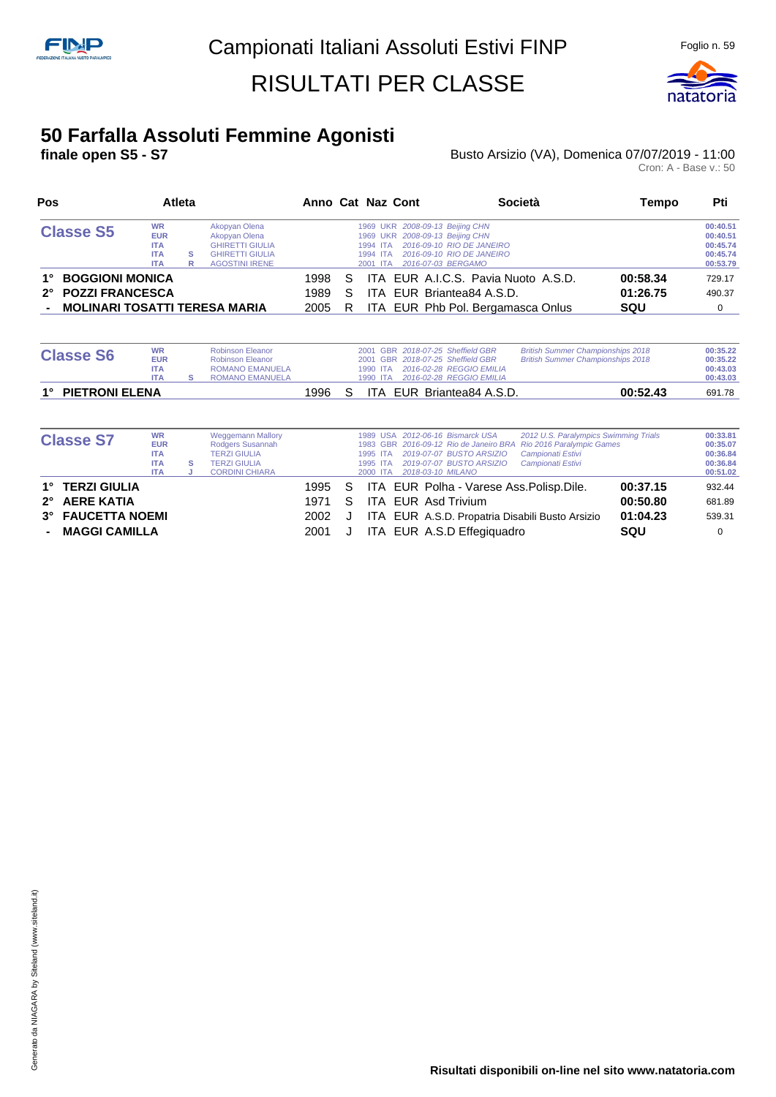

#### **50 Farfalla Assoluti Femmine Agonisti**

#### **finale open S5 - S7 Busto Arsizio (VA), Domenica 07/07/2019 - 11:00 Busto Arsizio (VA), Domenica 07/07/2019 - 11:00**<br>Cron: A - Base v.: 50

| Pos                                                                                        |                                                                                                                                                                                            |  |  | Anno Cat Naz Cont    | Società       | Tempo                                                                                                                                                                                  | Pti                                                                      |                             |                                                          |
|--------------------------------------------------------------------------------------------|--------------------------------------------------------------------------------------------------------------------------------------------------------------------------------------------|--|--|----------------------|---------------|----------------------------------------------------------------------------------------------------------------------------------------------------------------------------------------|--------------------------------------------------------------------------|-----------------------------|----------------------------------------------------------|
| <b>Classe S5</b>                                                                           | <b>WR</b><br>Akopyan Olena<br><b>EUR</b><br>Akopyan Olena<br><b>GHIRETTI GIULIA</b><br><b>ITA</b><br><b>ITA</b><br><b>GHIRETTI GIULIA</b><br>s<br><b>AGOSTINI IRENE</b><br><b>ITA</b><br>R |  |  |                      |               | 1969 UKR 2008-09-13 Beijing CHN<br>1969 UKR 2008-09-13 Beijing CHN<br>2016-09-10 RIO DE JANEIRO<br>1994 ITA<br>2016-09-10 RIO DE JANEIRO<br>1994 ITA<br>2016-07-03 BERGAMO<br>2001 ITA |                                                                          |                             | 00:40.51<br>00:40.51<br>00:45.74<br>00:45.74<br>00:53.79 |
| <b>BOGGIONI MONICA</b><br>1°<br>2° POZZI FRANCESCA<br><b>MOLINARI TOSATTI TERESA MARIA</b> |                                                                                                                                                                                            |  |  | 1998<br>1989<br>2005 | S.<br>S<br>R. | ITA EUR Briantea84 A.S.D.                                                                                                                                                              | ITA EUR A.I.C.S. Pavia Nuoto A.S.D.<br>ITA EUR Phb Pol. Bergamasca Onlus | 00:58.34<br>01:26.75<br>SQU | 729.17<br>490.37                                         |

| <b>Classe S6</b>  | <b>WR</b><br><b>EUR</b><br><b>ITA</b><br><b>ITA</b> | <b>Robinson Eleanor</b><br><b>Robinson Eleanor</b><br><b>ROMANO EMANUELA</b><br><b>ROMANO EMANUELA</b> |       | 1990 ITA | 2001 GBR 2018-07-25 Sheffield GBR<br>2001 GBR 2018-07-25 Sheffield GBR<br>1990 ITA 2016-02-28 REGGIO EMILIA<br>2016-02-28 REGGIO EMILIA | <b>British Summer Championships 2018</b><br><b>British Summer Championships 2018</b> | 00:35.22<br>00:35.22<br>00:43.03<br>00:43.03 |
|-------------------|-----------------------------------------------------|--------------------------------------------------------------------------------------------------------|-------|----------|-----------------------------------------------------------------------------------------------------------------------------------------|--------------------------------------------------------------------------------------|----------------------------------------------|
| 1° PIETRONI ELENA |                                                     |                                                                                                        | 1996. |          | ITA EUR Briantea84 A.S.D.                                                                                                               | 00:52.43                                                                             | 691.78                                       |

| <b>Classe S7</b>                                                         | <b>WR</b><br><b>EUR</b><br><b>ITA</b><br><b>ITA</b><br><b>ITA</b> | s | <b>Weggemann Mallory</b><br>Rodgers Susannah<br><b>TERZI GIULIA</b><br><b>TERZI GIULIA</b><br><b>CORDINI CHIARA</b> |                                |    | 1995 ITA<br>1995 ITA<br>2000 ITA | 1989 USA 2012-06-16 Bismarck USA<br>1983 GBR 2016-09-12 Rio de Janeiro BRA Rio 2016 Paralympic Games<br>2019-07-07 BUSTO ARSIZIO<br>2019-07-07 BUSTO ARSIZIO<br>2018-03-10 MILANO | 2012 U.S. Paralympics Swimming Trials<br>Campionati Estivi<br>Campionati Estivi |                                         | 00:33.81<br>00:35.07<br>00:36.84<br>00:36.84<br>00:51.02 |
|--------------------------------------------------------------------------|-------------------------------------------------------------------|---|---------------------------------------------------------------------------------------------------------------------|--------------------------------|----|----------------------------------|-----------------------------------------------------------------------------------------------------------------------------------------------------------------------------------|---------------------------------------------------------------------------------|-----------------------------------------|----------------------------------------------------------|
| 1° TERZI GIULIA<br>2° AERE KATIA<br>3° FAUCETTA NOEMI<br>- MAGGI CAMILLA |                                                                   |   |                                                                                                                     | 1995 S<br>1971<br>2002<br>2001 | S. |                                  | ITA EUR Polha - Varese Ass. Polisp. Dile.<br>ITA EUR Asd Trivium<br>ITA EUR A.S.D. Propatria Disabili Busto Arsizio<br>ITA EUR A.S.D Effegiquadro                                 |                                                                                 | 00:37.15<br>00:50.80<br>01:04.23<br>SQU | 932.44<br>681.89<br>539.31<br>0                          |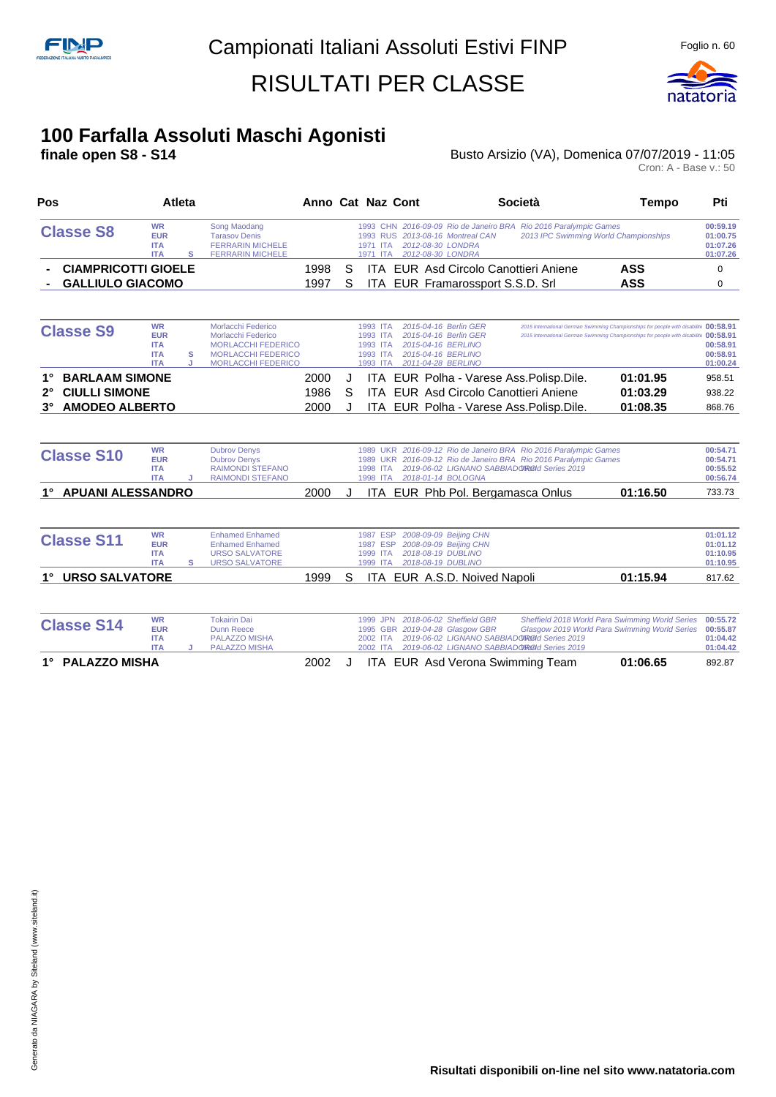

# **100 Farfalla Assoluti Maschi Agonisti**

#### **final Busto Arsizio (VA), Domenica 07/07/2019 - 11:05**

| Pos                                  | Atleta                                                                      |                                                                                                                                 |      |   | Anno Cat Naz Cont                                        |                                                                                                                                                           | Società                                                                                                                              | <b>Tempo</b>                                                                                                                                                                   | Pti                                          |
|--------------------------------------|-----------------------------------------------------------------------------|---------------------------------------------------------------------------------------------------------------------------------|------|---|----------------------------------------------------------|-----------------------------------------------------------------------------------------------------------------------------------------------------------|--------------------------------------------------------------------------------------------------------------------------------------|--------------------------------------------------------------------------------------------------------------------------------------------------------------------------------|----------------------------------------------|
| <b>Classe S8</b>                     | <b>WR</b><br><b>EUR</b><br><b>ITA</b><br><b>ITA</b><br>s                    | Song Maodang<br><b>Tarasov Denis</b><br><b>FERRARIN MICHELE</b><br><b>FERRARIN MICHELE</b>                                      |      |   | 1971 ITA<br>1971 ITA                                     | 1993 RUS 2013-08-16 Montreal CAN<br>2012-08-30 LONDRA<br>2012-08-30 LONDRA                                                                                | 1993 CHN 2016-09-09 Rio de Janeiro BRA Rio 2016 Paralympic Games<br>2013 IPC Swimming World Championships                            |                                                                                                                                                                                | 00:59.19<br>01:00.75<br>01:07.26<br>01:07.26 |
| <b>CIAMPRICOTTI GIOELE</b>           |                                                                             |                                                                                                                                 | 1998 | S |                                                          | <b>ITA EUR Asd Circolo Canottieri Aniene</b>                                                                                                              |                                                                                                                                      | <b>ASS</b>                                                                                                                                                                     | 0                                            |
| <b>GALLIULO GIACOMO</b>              |                                                                             |                                                                                                                                 | 1997 | S |                                                          | ITA EUR Framarossport S.S.D. Srl                                                                                                                          |                                                                                                                                      | <b>ASS</b>                                                                                                                                                                     | 0                                            |
| <b>Classe S9</b>                     | <b>WR</b><br><b>EUR</b><br><b>ITA</b><br><b>ITA</b><br>s<br><b>ITA</b><br>J | Morlacchi Federico<br>Morlacchi Federico<br><b>MORLACCHI FEDERICO</b><br><b>MORLACCHI FEDERICO</b><br><b>MORLACCHI FEDERICO</b> |      |   | 1993 ITA<br>1993 ITA<br>1993 ITA<br>1993 ITA<br>1993 ITA | 2015-04-16 Berlin GER<br>2015-04-16 Berlin GER<br>2015-04-16 BERLINO<br>2015-04-16 BERLINO<br>2011-04-28 BERLINO                                          |                                                                                                                                      | 2015 International German Swimming Championships for people with disabilitiv 00:58.91<br>2015 International German Swimming Championships for people with disabilitiv 00:58.91 | 00:58.91<br>00:58.91<br>01:00.24             |
| <b>BARLAAM SIMONE</b>                |                                                                             |                                                                                                                                 | 2000 | J |                                                          | ITA EUR Polha - Varese Ass. Polisp. Dile.                                                                                                                 |                                                                                                                                      | 01:01.95                                                                                                                                                                       | 958.51                                       |
| <b>CIULLI SIMONE</b><br>$2^{\circ}$  |                                                                             |                                                                                                                                 | 1986 | S |                                                          | ITA EUR Asd Circolo Canottieri Aniene                                                                                                                     |                                                                                                                                      | 01:03.29                                                                                                                                                                       | 938.22                                       |
| <b>AMODEO ALBERTO</b><br>$3^{\circ}$ |                                                                             |                                                                                                                                 | 2000 | J |                                                          | ITA EUR Polha - Varese Ass. Polisp. Dile.                                                                                                                 |                                                                                                                                      | 01:08.35                                                                                                                                                                       | 868.76                                       |
|                                      |                                                                             |                                                                                                                                 |      |   |                                                          |                                                                                                                                                           |                                                                                                                                      |                                                                                                                                                                                |                                              |
| <b>Classe S10</b>                    | <b>WR</b><br><b>EUR</b><br><b>ITA</b><br><b>ITA</b>                         | <b>Dubrov Denys</b><br><b>Dubrov Denys</b><br><b>RAIMONDI STEFANO</b><br><b>RAIMONDI STEFANO</b>                                |      |   | 1998 ITA                                                 | 2019-06-02 LIGNANO SABBIADOROId Series 2019<br>1998 ITA 2018-01-14 BOLOGNA                                                                                | 1989 UKR 2016-09-12 Rio de Janeiro BRA Rio 2016 Paralympic Games<br>1989 UKR 2016-09-12 Rio de Janeiro BRA Rio 2016 Paralympic Games |                                                                                                                                                                                | 00:54.71<br>00:54.71<br>00:55.52<br>00:56.74 |
| 1° APUANI ALESSANDRO                 |                                                                             |                                                                                                                                 | 2000 | J |                                                          | ITA EUR Phb Pol. Bergamasca Onlus                                                                                                                         |                                                                                                                                      | 01:16.50                                                                                                                                                                       | 733.73                                       |
|                                      |                                                                             |                                                                                                                                 |      |   |                                                          |                                                                                                                                                           |                                                                                                                                      |                                                                                                                                                                                |                                              |
| <b>Classe S11</b>                    | <b>WR</b><br><b>EUR</b><br><b>ITA</b><br><b>ITA</b><br>s                    | <b>Enhamed Enhamed</b><br><b>Enhamed Enhamed</b><br><b>URSO SALVATORE</b><br><b>URSO SALVATORE</b>                              |      |   | 1987 ESP<br>1987 ESP<br>1999 ITA                         | 2008-09-09 Beijing CHN<br>2008-09-09 Beijing CHN<br>2018-08-19 DUBLINO<br>1999 ITA 2018-08-19 DUBLINO                                                     |                                                                                                                                      |                                                                                                                                                                                | 01:01.12<br>01:01.12<br>01:10.95<br>01:10.95 |
| <b>URSO SALVATORE</b><br>1°          |                                                                             |                                                                                                                                 | 1999 | S |                                                          | ITA EUR A.S.D. Noived Napoli                                                                                                                              |                                                                                                                                      | 01:15.94                                                                                                                                                                       | 817.62                                       |
|                                      |                                                                             |                                                                                                                                 |      |   |                                                          |                                                                                                                                                           |                                                                                                                                      |                                                                                                                                                                                |                                              |
| <b>Classe S14</b>                    | <b>WR</b><br><b>EUR</b><br><b>ITA</b><br><b>ITA</b><br>J                    | <b>Tokairin Dai</b><br><b>Dunn Reece</b><br><b>PALAZZO MISHA</b><br>PALAZZO MISHA                                               |      |   | 1999 JPN<br>2002 ITA<br>2002 ITA                         | 2018-06-02 Sheffield GBR<br>1995 GBR 2019-04-28 Glasgow GBR<br>2019-06-02 LIGNANO SABBIADOROId Series 2019<br>2019-06-02 LIGNANO SABBIADOROId Series 2019 |                                                                                                                                      | Sheffield 2018 World Para Swimming World Series<br>Glasgow 2019 World Para Swimming World Series                                                                               | 00:55.72<br>00:55.87<br>01:04.42<br>01:04.42 |

- 
- **1° PALAZZO MISHA** 2002 J ITA EUR Asd Verona Swimming Team **01:06.65** 892.87